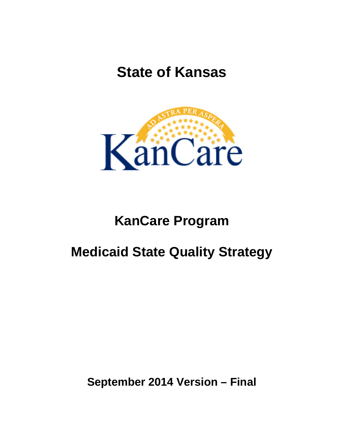# **State of Kansas**



## **KanCare Program**

## **Medicaid State Quality Strategy**

**September 2014 Version – Final**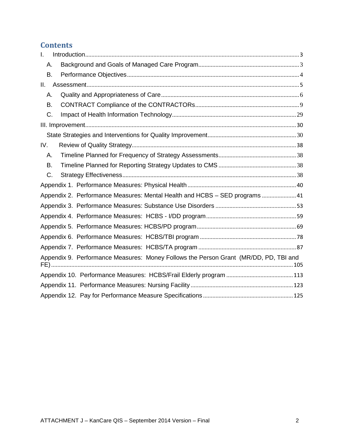## **Contents**

| $\mathbf{I}$ .                                                                       |  |  |  |  |
|--------------------------------------------------------------------------------------|--|--|--|--|
| Α.                                                                                   |  |  |  |  |
| В.                                                                                   |  |  |  |  |
| $\Pi$ .                                                                              |  |  |  |  |
| А.                                                                                   |  |  |  |  |
| В.                                                                                   |  |  |  |  |
| C.                                                                                   |  |  |  |  |
|                                                                                      |  |  |  |  |
|                                                                                      |  |  |  |  |
| IV.                                                                                  |  |  |  |  |
| А.                                                                                   |  |  |  |  |
| В.                                                                                   |  |  |  |  |
| C.                                                                                   |  |  |  |  |
|                                                                                      |  |  |  |  |
| Appendix 2. Performance Measures: Mental Health and HCBS - SED programs  41          |  |  |  |  |
|                                                                                      |  |  |  |  |
|                                                                                      |  |  |  |  |
|                                                                                      |  |  |  |  |
|                                                                                      |  |  |  |  |
|                                                                                      |  |  |  |  |
| Appendix 9. Performance Measures: Money Follows the Person Grant (MR/DD, PD, TBI and |  |  |  |  |
|                                                                                      |  |  |  |  |
|                                                                                      |  |  |  |  |
|                                                                                      |  |  |  |  |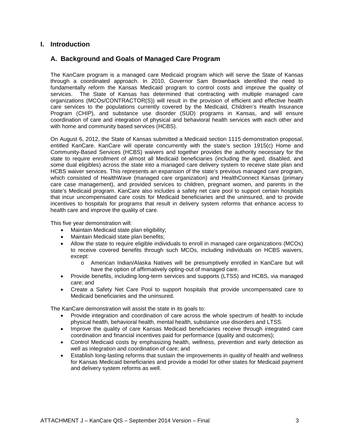## <span id="page-2-1"></span><span id="page-2-0"></span>**I. Introduction**

## **A. Background and Goals of Managed Care Program**

The KanCare program is a managed care Medicaid program which will serve the State of Kansas through a coordinated approach. In 2010, Governor Sam Brownback identified the need to fundamentally reform the Kansas Medicaid program to control costs and improve the quality of services. The State of Kansas has determined that contracting with multiple managed care organizations (MCOs/CONTRACTOR(S)) will result in the provision of efficient and effective health care services to the populations currently covered by the Medicaid, Children's Health Insurance Program (CHIP), and substance use disorder (SUD) programs in Kansas, and will ensure coordination of care and integration of physical and behavioral health services with each other and with home and community based services (HCBS).

On August 6, 2012, the State of Kansas submitted a Medicaid section 1115 demonstration proposal, entitled KanCare. KanCare will operate concurrently with the state's section 1915(c) Home and Community-Based Services (HCBS) waivers and together provides the authority necessary for the state to require enrollment of almost all Medicaid beneficiaries (including the aged, disabled, and some dual eligibles) across the state into a managed care delivery system to receive state plan and HCBS waiver services. This represents an expansion of the state's previous managed care program, which consisted of HealthWave (managed care organization) and HealthConnect Kansas (primary care case management), and provided services to children, pregnant women, and parents in the state's Medicaid program. KanCare also includes a safety net care pool to support certain hospitals that incur uncompensated care costs for Medicaid beneficiaries and the uninsured, and to provide incentives to hospitals for programs that result in delivery system reforms that enhance access to health care and improve the quality of care.

This five year demonstration will:

- Maintain Medicaid state plan eligibility;
- Maintain Medicaid state plan benefits;
- Allow the state to require eligible individuals to enroll in managed care organizations (MCOs) to receive covered benefits through such MCOs, including individuals on HCBS waivers, except:
	- o American Indian/Alaska Natives will be presumptively enrolled in KanCare but will have the option of affirmatively opting-out of managed care.
- Provide benefits, including long-term services and supports (LTSS) and HCBS, via managed care; and
- Create a Safety Net Care Pool to support hospitals that provide uncompensated care to Medicaid beneficiaries and the uninsured.

The KanCare demonstration will assist the state in its goals to:

- Provide integration and coordination of care across the whole spectrum of health to include physical health, behavioral health, mental health, substance use disorders and LTSS.
- Improve the quality of care Kansas Medicaid beneficiaries receive through integrated care coordination and financial incentives paid for performance (quality and outcomes);
- Control Medicaid costs by emphasizing health, wellness, prevention and early detection as well as integration and coordination of care; and
- Establish long-lasting reforms that sustain the improvements in quality of health and wellness for Kansas Medicaid beneficiaries and provide a model for other states for Medicaid payment and delivery system reforms as well.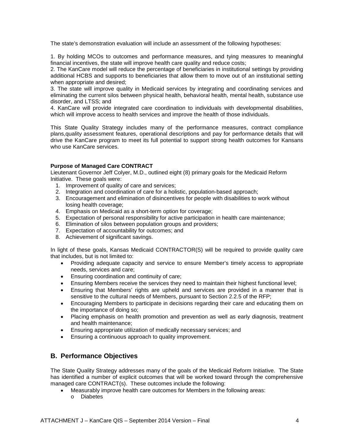The state's demonstration evaluation will include an assessment of the following hypotheses:

1. By holding MCOs to outcomes and performance measures, and tying measures to meaningful financial incentives, the state will improve health care quality and reduce costs;

2. The KanCare model will reduce the percentage of beneficiaries in institutional settings by providing additional HCBS and supports to beneficiaries that allow them to move out of an institutional setting when appropriate and desired;

3. The state will improve quality in Medicaid services by integrating and coordinating services and eliminating the current silos between physical health, behavioral health, mental health, substance use disorder, and LTSS; and

4. KanCare will provide integrated care coordination to individuals with developmental disabilities, which will improve access to health services and improve the health of those individuals.

This State Quality Strategy includes many of the performance measures, contract compliance plans,quality assessment features, operational descriptions and pay for performance details that will drive the KanCare program to meet its full potential to support strong health outcomes for Kansans who use KanCare services.

#### **Purpose of Managed Care CONTRACT**

Lieutenant Governor Jeff Colyer, M.D., outlined eight (8) primary goals for the Medicaid Reform Initiative. These goals were:

- 1. Improvement of quality of care and services;
- 2. Integration and coordination of care for a holistic, population-based approach;
- 3. Encouragement and elimination of disincentives for people with disabilities to work without losing health coverage;
- 4. Emphasis on Medicaid as a short-term option for coverage;
- 5. Expectation of personal responsibility for active participation in health care maintenance;
- 6. Elimination of silos between population groups and providers;
- 7. Expectation of accountability for outcomes; and
- 8. Achievement of significant savings.

In light of these goals, Kansas Medicaid CONTRACTOR(S) will be required to provide quality care that includes, but is not limited to:

- Providing adequate capacity and service to ensure Member's timely access to appropriate needs, services and care;
- Ensuring coordination and continuity of care;
- Ensuring Members receive the services they need to maintain their highest functional level;
- Ensuring that Members' rights are upheld and services are provided in a manner that is sensitive to the cultural needs of Members, pursuant to Section 2.2.5 of the RFP;
- Encouraging Members to participate in decisions regarding their care and educating them on the importance of doing so;
- Placing emphasis on health promotion and prevention as well as early diagnosis, treatment and health maintenance;
- Ensuring appropriate utilization of medically necessary services; and
- Ensuring a continuous approach to quality improvement.

## <span id="page-3-0"></span>**B. Performance Objectives**

The State Quality Strategy addresses many of the goals of the Medicaid Reform Initiative. The State has identified a number of explicit outcomes that will be worked toward through the comprehensive managed care CONTRACT(s). These outcomes include the following:

- Measurably improve health care outcomes for Members in the following areas:
	- o Diabetes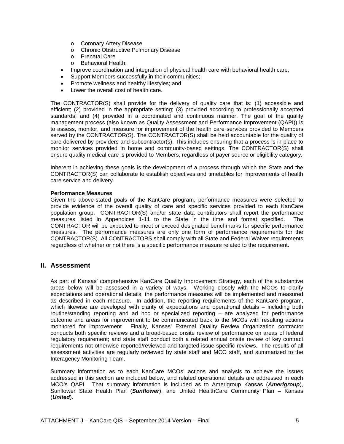- o Coronary Artery Disease
- o Chronic Obstructive Pulmonary Disease
- o Prenatal Care
- o Behavioral Health;
- Improve coordination and integration of physical health care with behavioral health care;
- Support Members successfully in their communities;
- Promote wellness and healthy lifestyles; and
- Lower the overall cost of health care.

The CONTRACTOR(S) shall provide for the delivery of quality care that is: (1) accessible and efficient; (2) provided in the appropriate setting; (3) provided according to professionally accepted standards; and (4) provided in a coordinated and continuous manner. The goal of the quality management process (also known as Quality Assessment and Performance Improvement (QAPI)) is to assess, monitor, and measure for improvement of the health care services provided to Members served by the CONTRACTOR(S). The CONTRACTOR(S) shall be held accountable for the quality of care delivered by providers and subcontractor(s). This includes ensuring that a process is in place to monitor services provided in home and community-based settings. The CONTRACTOR(S) shall ensure quality medical care is provided to Members, regardless of payer source or eligibility category.

Inherent in achieving these goals is the development of a process through which the State and the CONTRACTOR(S) can collaborate to establish objectives and timetables for improvements of health care service and delivery.

### **Performance Measures**

Given the above-stated goals of the KanCare program, performance measures were selected to provide evidence of the overall quality of care and specific services provided to each KanCare population group. CONTRACTOR(S) and/or state data contributors shall report the performance measures listed in Appendices 1-11 to the State in the time and format specified. The CONTRACTOR will be expected to meet or exceed designated benchmarks for specific performance measures. The performance measures are only one form of performance requirements for the CONTRACTOR(S). All CONTRACTORS shall comply with all State and Federal Waiver requirements regardless of whether or not there is a specific performance measure related to the requirement.

### <span id="page-4-0"></span>**II. Assessment**

As part of Kansas' comprehensive KanCare Quality Improvement Strategy, each of the substantive areas below will be assessed in a variety of ways. Working closely with the MCOs to clarify expectations and operational details, the performance measures will be implemented and measured as described in each measure. In addition, the reporting requirements of the KanCare program, which likewise are developed with clarity of expectations and operational details – including both routine/standing reporting and ad hoc or specialized reporting – are analyzed for performance outcome and areas for improvement to be communicated back to the MCOs with resulting actions monitored for improvement. Finally, Kansas' External Quality Review Organization contractor conducts both specific reviews and a broad-based onsite review of performance on areas of federal regulatory requirement; and state staff conduct both a related annual onsite review of key contract requirements not otherwise reported/reviewed and targeted issue-specific reviews. The results of all assessment activities are regularly reviewed by state staff and MCO staff, and summarized to the Interagency Monitoring Team.

Summary information as to each KanCare MCOs' actions and analysis to achieve the issues addressed in this section are included below, and related operational details are addressed in each MCO's QAPI. That summary information is included as to Amerigroup Kansas (*Amerigroup*), Sunflower State Health Plan (*Sunflower*), and United HealthCare Community Plan – Kansas (*United*).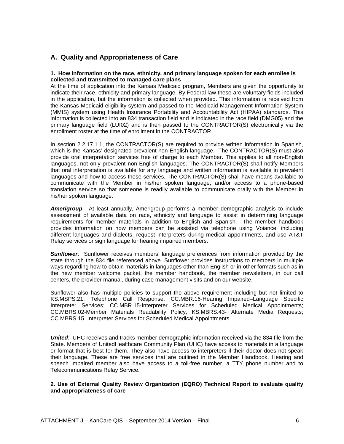## <span id="page-5-0"></span>**A. Quality and Appropriateness of Care**

#### **1. How information on the race, ethnicity, and primary language spoken for each enrollee is collected and transmitted to managed care plans**

At the time of application into the Kansas Medicaid program, Members are given the opportunity to indicate their race, ethnicity and primary language. By Federal law these are voluntary fields included in the application, but the information is collected when provided. This information is received from the Kansas Medicaid eligibility system and passed to the Medicaid Management Information System (MMIS) system using Health Insurance Portability and Accountability Act (HIPAA) standards. This information is collected into an 834 transaction field and is indicated in the race field (DMG05) and the primary language field (LUI02) and is then passed to the CONTRACTOR(S) electronically via the enrollment roster at the time of enrollment in the CONTRACTOR.

In section 2.2.17.1.1, the CONTRACTOR(S) are required to provide written information in Spanish, which is the Kansas' designated prevalent non-English language. The CONTRACTOR(S) must also provide oral interpretation services free of charge to each Member. This applies to all non-English languages, not only prevalent non-English languages. The CONTRACTOR(S) shall notify Members that oral interpretation is available for any language and written information is available in prevalent languages and how to access those services. The CONTRACTOR(S) shall have means available to communicate with the Member in his/her spoken language, and/or access to a phone-based translation service so that someone is readily available to communicate orally with the Member in his/her spoken language.

*Amerigroup*: At least annually, Amerigroup performs a member demographic analysis to include assessment of available data on race, ethnicity and language to assist in determining language requirements for member materials in addition to English and Spanish. The member handbook provides information on how members can be assisted via telephone using Voiance, including different languages and dialects, request interpreters during medical appointments, and use AT&T Relay services or sign language for hearing impaired members.

**Sunflower**: Sunflower receives members' language preferences from information provided by the state through the 834 file referenced above. Sunflower provides instructions to members in multiple ways regarding how to obtain materials in languages other than English or in other formats such as in the new member welcome packet, the member handbook, the member newsletters, in our call centers, the provider manual, during case management visits and on our website.

Sunflower also has multiple policies to support the above requirement including but not limited to KS.MSPS.21, Telephone Call Response; CC.MBR.16-Hearing Impaired–Language Specific Interpreter Services; CC.MBR.15-Interpreter Services for Scheduled Medical Appointments; CC.MBRS.02-Member Materials Readability Policy, KS.MBRS.43- Alternate Media Requests; CC.MBRS.15. Interpreter Services for Scheduled Medical Appointments.

*United*: UHC receives and tracks member demographic information received via the 834 file from the State. Members of UnitedHealthcare Community Plan (UHC) have access to materials in a language or format that is best for them. They also have access to interpreters if their doctor does not speak their language. These are free services that are outlined in the Member Handbook. Hearing and speech impaired member also have access to a toll-free number, a TTY phone number and to Telecommunications Relay Service.

#### **2. Use of External Quality Review Organization (EQRO) Technical Report to evaluate quality and appropriateness of care**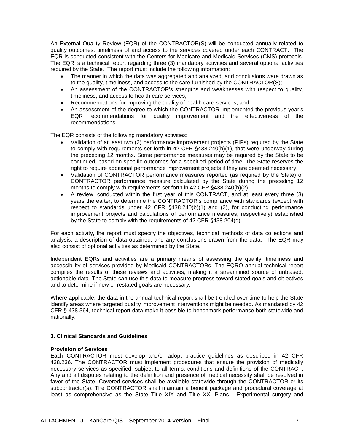An External Quality Review (EQR) of the CONTRACTOR(S) will be conducted annually related to quality outcomes, timeliness of and access to the services covered under each CONTRACT. The EQR is conducted consistent with the Centers for Medicare and Medicaid Services (CMS) protocols. The EQR is a technical report regarding three (3) mandatory activities and several optional activities required by the State. The report must include the following information:

- The manner in which the data was aggregated and analyzed, and conclusions were drawn as to the quality, timeliness, and access to the care furnished by the CONTRACTOR(S);
- An assessment of the CONTRACTOR's strengths and weaknesses with respect to quality, timeliness, and access to health care services;
- Recommendations for improving the quality of health care services; and
- An assessment of the degree to which the CONTRACTOR implemented the previous year's EQR recommendations for quality improvement and the effectiveness of the recommendations.

The EQR consists of the following mandatory activities:

- Validation of at least two (2) performance improvement projects (PIPs) required by the State to comply with requirements set forth in 42 CFR §438.240(b)(1), that were underway during the preceding 12 months. Some performance measures may be required by the State to be continued, based on specific outcomes for a specified period of time. The State reserves the right to require additional performance improvement projects if they are deemed necessary.
- Validation of CONTRACTOR performance measures reported (as required by the State) or CONTRACTOR performance measure calculated by the State during the preceding 12 months to comply with requirements set forth in 42 CFR §438.240(b)(2).
- A review, conducted within the first year of this CONTRACT, and at least every three (3) years thereafter, to determine the CONTRACTOR's compliance with standards (except with respect to standards under 42 CFR §438.240(b)(1) and (2), for conducting performance improvement projects and calculations of performance measures, respectively) established by the State to comply with the requirements of 42 CFR §438.204(g).

For each activity, the report must specify the objectives, technical methods of data collections and analysis, a description of data obtained, and any conclusions drawn from the data. The EQR may also consist of optional activities as determined by the State.

Independent EQRs and activities are a primary means of assessing the quality, timeliness and accessibility of services provided by Medicaid CONTRACTORs. The EQRO annual technical report compiles the results of these reviews and activities, making it a streamlined source of unbiased, actionable data. The State can use this data to measure progress toward stated goals and objectives and to determine if new or restated goals are necessary.

Where applicable, the data in the annual technical report shall be trended over time to help the State identify areas where targeted quality improvement interventions might be needed. As mandated by 42 CFR § 438.364, technical report data make it possible to benchmark performance both statewide and nationally.

#### **3. Clinical Standards and Guidelines**

#### **Provision of Services**

Each CONTRACTOR must develop and/or adopt practice guidelines as described in 42 CFR 438.236. The CONTRACTOR must implement procedures that ensure the provision of medically necessary services as specified, subject to all terms, conditions and definitions of the CONTRACT. Any and all disputes relating to the definition and presence of medical necessity shall be resolved in favor of the State. Covered services shall be available statewide through the CONTRACTOR or its subcontractor(s). The CONTRACTOR shall maintain a benefit package and procedural coverage at least as comprehensive as the State Title XIX and Title XXI Plans. Experimental surgery and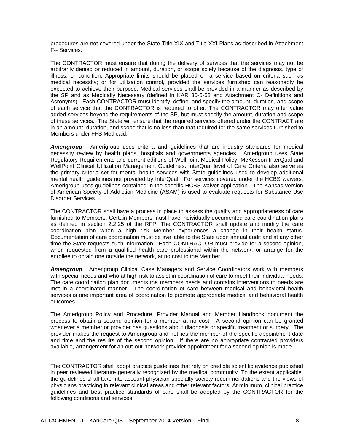procedures are not covered under the State Title XIX and Title XXI Plans as described in Attachment F-- Services.

The CONTRACTOR must ensure that during the delivery of services that the services may not be arbitrarily denied or reduced in amount, duration, or scope solely because of the diagnosis, type of illness, or condition. Appropriate limits should be placed on a service based on criteria such as medical necessity; or for utilization control, provided the services furnished can reasonably be expected to achieve their purpose. Medical services shall be provided in a manner as described by the SP and as Medically Necessary (defined in KAR 30-5-58 and Attachment C- Definitions and Acronyms). Each CONTRACTOR must identify, define, and specify the amount, duration, and scope of each service that the CONTRACTOR is required to offer. The CONTRACTOR may offer value added services beyond the requirements of the SP, but must specify the amount, duration and scope of these services. The State will ensure that the required services offered under the CONTRACT are in an amount, duration, and scope that is no less than that required for the same services furnished to Members under FFS Medicaid.

*Amerigroup*: Amerigroup uses criteria and guidelines that are industry standards for medical necessity review by health plans, hospitals and governments agencies. Amerigroup uses State Regulatory Requirements and current editions of WellPoint Medical Policy, McKesson InterQual and WellPoint Clinical Utilization Management Guidelines. InterQual level of Care Criteria also serve as the primary criteria set for mental health services with State guidelines used to develop additional mental health guidelines not provided by InterQual. For services covered under the HCBS waivers, Amerigroup uses guidelines contained in the specific HCBS waiver application. The Kansas version of American Society of Addiction Medicine (ASAM) is used to evaluate requests for Substance Use Disorder Services.

The CONTRACTOR shall have a process in place to assess the quality and appropriateness of care furnished to Members. Certain Members must have individually documented care coordination plans as defined in section 2.2.25 of the RFP. The CONTRACTOR shall update and modify the care coordination plan when a high risk Member experiences a change in their health status. Documentation of care coordination must be available to the State upon annual audit and at any other time the State requests such information. Each CONTRACTOR must provide for a second opinion, when requested from a qualified health care professional within the network, or arrange for the enrollee to obtain one outside the network, at no cost to the Member.

*Amerigroup*: Amerigroup Clinical Case Managers and Service Coordinators work with members with special needs and who at high risk to assist in coordination of care to meet their individual needs. The care coordination plan documents the members needs and contains interventions to needs are met in a coordinated manner. The coordination of care between medical and behavioral health services is one important area of coordination to promote appropriate medical and behavioral health outcomes.

The Amerigroup Policy and Procedure, Provider Manual and Member Handbook document the process to obtain a second opinion for a member at no cost. A second opinion can be granted whenever a member or provider has questions about diagnosis or specific treatment or surgery. The provider makes the request to Amerigroup and notifies the member of the specific appointment date and time and the results of the second opinion. If there are no appropriate contracted providers available, arrangement for an out-out-network provider appointment for a second opinion is made.

The CONTRACTOR shall adopt practice guidelines that rely on credible scientific evidence published in peer reviewed literature generally recognized by the medical community. To the extent applicable, the guidelines shall take into account physician specialty society recommendations and the views of physicians practicing in relevant clinical areas and other relevant factors. At minimum, clinical practice guidelines and best practice standards of care shall be adopted by the CONTRACTOR for the following conditions and services: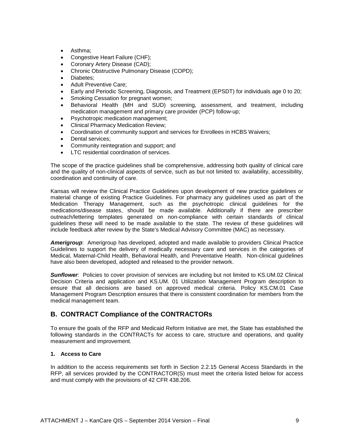- Asthma;
- Congestive Heart Failure (CHF);
- Coronary Artery Disease (CAD);
- Chronic Obstructive Pulmonary Disease (COPD);
- Diabetes;
- Adult Preventive Care;
- Early and Periodic Screening, Diagnosis, and Treatment (EPSDT) for individuals age 0 to 20;
- Smoking Cessation for pregnant women;
- Behavioral Health (MH and SUD) screening, assessment, and treatment, including medication management and primary care provider (PCP) follow-up;
- Psychotropic medication management;
- Clinical Pharmacy Medication Review;
- Coordination of community support and services for Enrollees in HCBS Waivers;
- Dental services;
- Community reintegration and support; and
- LTC residential coordination of services.

The scope of the practice guidelines shall be comprehensive, addressing both quality of clinical care and the quality of non-clinical aspects of service, such as but not limited to: availability, accessibility, coordination and continuity of care.

Kansas will review the Clinical Practice Guidelines upon development of new practice guidelines or material change of existing Practice Guidelines. For pharmacy any guidelines used as part of the Medication Therapy Management, such as the psychotropic clinical guidelines for the medications/disease states, should be made available. Additionally if there are prescriber outreach/lettering templates generated on non-compliance with certain standards of clinical guidelines these will need to be made available to the state. The review of these guidelines will include feedback after review by the State's Medical Advisory Committee (MAC) as necessary.

*Amerigroup*: Amerigroup has developed, adopted and made available to providers Clinical Practice Guidelines to support the delivery of medically necessary care and services in the categories of Medical, Maternal-Child Health, Behavioral Health, and Preventative Health. Non-clinical guidelines have also been developed, adopted and released to the provider network.

*Sunflower*: Policies to cover provision of services are including but not limited to KS.UM.02 Clinical Decision Criteria and application and KS.UM. 01 Utilization Management Program description to ensure that all decisions are based on approved medical criteria. Policy KS.CM.01 Case Management Program Description ensures that there is consistent coordination for members from the medical management team.

## <span id="page-8-0"></span>**B. CONTRACT Compliance of the CONTRACTORs**

To ensure the goals of the RFP and Medicaid Reform Initiative are met, the State has established the following standards in the CONTRACTs for access to care, structure and operations, and quality measurement and improvement.

#### **1. Access to Care**

In addition to the access requirements set forth in Section 2.2.15 General Access Standards in the RFP, all services provided by the CONTRACTOR(S) must meet the criteria listed below for access and must comply with the provisions of 42 CFR 438.206.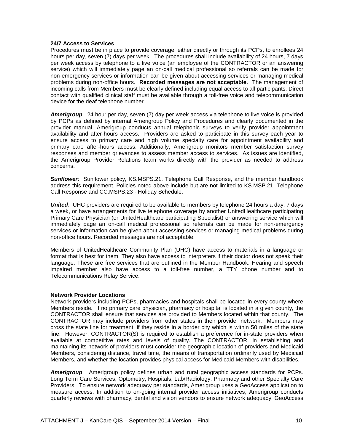#### **24/7 Access to Services**

Procedures must be in place to provide coverage, either directly or through its PCPs, to enrollees 24 hours per day, seven (7) days per week. The procedures shall include availability of 24 hours, 7 days per week access by telephone to a live voice (an employee of the CONTRACTOR or an answering service) which will immediately page an on-call medical professional so referrals can be made for non-emergency services or information can be given about accessing services or managing medical problems during non-office hours. **Recorded messages are not acceptable**. The management of incoming calls from Members must be clearly defined including equal access to all participants. Direct contact with qualified clinical staff must be available through a toll-free voice and telecommunication device for the deaf telephone number.

*Amerigroup*: 24 hour per day, seven (7) day per week access via telephone to live voice is provided by PCPs as defined by internal Amerigroup Policy and Procedures and clearly documented in the provider manual. Amerigroup conducts annual telephonic surveys to verify provider appointment availability and after-hours access. Providers are asked to participate in this survey each year to ensure access to primary care and high volume specialty care for appointment availability and primary care after-hours access. Additionally, Amerigroup monitors member satisfaction survey responses and member grievances to assess member access to services. As issues are identified, the Amerigroup Provider Relations team works directly with the provider as needed to address concerns.

*Sunflower*: Sunflower policy, KS.MSPS.21, Telephone Call Response, and the member handbook address this requirement. Policies noted above include but are not limited to KS.MSP.21, Telephone Call Response and CC.MSPS.23 - Holiday Schedule.

*United*: UHC providers are required to be available to members by telephone 24 hours a day, 7 days a week, or have arrangements for live telephone coverage by another UnitedHealthcare participating Primary Care Physician (or UnitedHealthcare participating Specialist) or answering service which will immediately page an on-call medical professional so referrals can be made for non-emergency services or information can be given about accessing services or managing medical problems during non-office hours. Recorded messages are not acceptable.

Members of UnitedHealthcare Community Plan (UHC) have access to materials in a language or format that is best for them. They also have access to interpreters if their doctor does not speak their language. These are free services that are outlined in the Member Handbook. Hearing and speech impaired member also have access to a toll-free number, a TTY phone number and to Telecommunications Relay Service.

#### **Network Provider Locations**

Network providers including PCPs, pharmacies and hospitals shall be located in every county where Members reside. If no primary care physician, pharmacy or hospital is located in a given county, the CONTRACTOR shall ensure that services are provided to Members located within that county. The CONTRACTOR may include providers from other states in their provider network. Members may cross the state line for treatment, if they reside in a border city which is within 50 miles of the state line. However, CONTRACTOR(S) is required to establish a preference for in-state providers when available at competitive rates and levels of quality. The CONTRACTOR, in establishing and maintaining its network of providers must consider the geographic location of providers and Medicaid Members, considering distance, travel time, the means of transportation ordinarily used by Medicaid Members, and whether the location provides physical access for Medicaid Members with disabilities.

*Amerigroup*: Amerigroup policy defines urban and rural geographic access standards for PCPs. Long Term Care Services, Optometry, Hospitals, Lab/Radiology, Pharmacy and other Specialty Care Providers. To ensure network adequacy per standards, Amerigroup uses a GeoAccess application to measure access. In addition to on-going internal provider access initiatives, Amerigroup conducts quarterly reviews with pharmacy, dental and vision vendors to ensure network adequacy. GeoAccess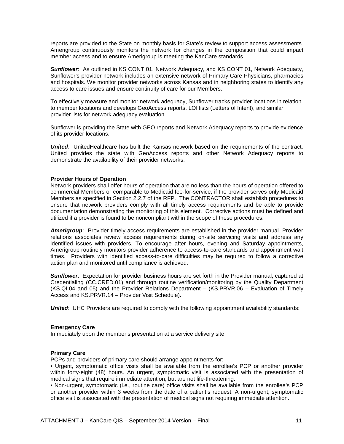reports are provided to the State on monthly basis for State's review to support access assessments. Amerigroup continuously monitors the network for changes in the composition that could impact member access and to ensure Amerigroup is meeting the KanCare standards.

**Sunflower**: As outlined in KS CONT 01, Network Adequacy, and KS CONT 01, Network Adequacy, Sunflower's provider network includes an extensive network of Primary Care Physicians, pharmacies and hospitals. We monitor provider networks across Kansas and in neighboring states to identify any access to care issues and ensure continuity of care for our Members.

To effectively measure and monitor network adequacy, Sunflower tracks provider locations in relation to member locations and develops GeoAccess reports, LOI lists (Letters of Intent), and similar provider lists for network adequacy evaluation.

Sunflower is providing the State with GEO reports and Network Adequacy reports to provide evidence of its provider locations.

*United*: UnitedHealthcare has built the Kansas network based on the requirements of the contract. United provides the state with GeoAccess reports and other Network Adequacy reports to demonstrate the availability of their provider networks.

#### **Provider Hours of Operation**

Network providers shall offer hours of operation that are no less than the hours of operation offered to commercial Members or comparable to Medicaid fee-for-service, if the provider serves only Medicaid Members as specified in Section 2.2.7 of the RFP. The CONTRACTOR shall establish procedures to ensure that network providers comply with all timely access requirements and be able to provide documentation demonstrating the monitoring of this element. Corrective actions must be defined and utilized if a provider is found to be noncompliant within the scope of these procedures.

*Amerigroup*: Provider timely access requirements are established in the provider manual. Provider relations associates review access requirements during on-site servicing visits and address any identified issues with providers. To encourage after hours, evening and Saturday appointments, Amerigroup routinely monitors provider adherence to access-to-care standards and appointment wait times. Providers with identified access-to-care difficulties may be required to follow a corrective action plan and monitored until compliance is achieved.

*Sunflower*: Expectation for provider business hours are set forth in the Provider manual, captured at Credentialing (CC.CRED.01) and through routine verification/monitoring by the Quality Department (KS.QI.04 and 05) and the Provider Relations Department – (KS.PRVR.06 – Evaluation of Timely Access and KS.PRVR.14 – Provider Visit Schedule).

*United*: UHC Providers are required to comply with the following appointment availability standards:

#### **Emergency Care**

Immediately upon the member's presentation at a service delivery site

#### **Primary Care**

PCPs and providers of primary care should arrange appointments for:

• Urgent, symptomatic office visits shall be available from the enrollee's PCP or another provider within forty-eight (48) hours. An urgent, symptomatic visit is associated with the presentation of medical signs that require immediate attention, but are not life-threatening.

• Non-urgent, symptomatic (i.e., routine care) office visits shall be available from the enrollee's PCP or another provider within 3 weeks from the date of a patient's request. A non-urgent, symptomatic office visit is associated with the presentation of medical signs not requiring immediate attention.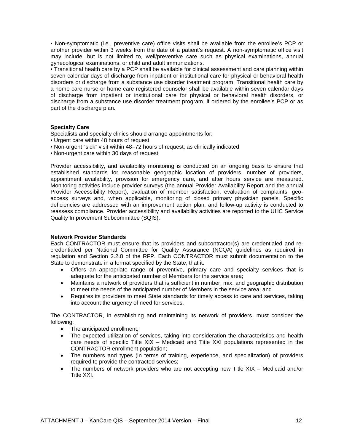• Non-symptomatic (i.e., preventive care) office visits shall be available from the enrollee's PCP or another provider within 3 weeks from the date of a patient's request. A non-symptomatic office visit may include, but is not limited to, well/preventive care such as physical examinations, annual gynecological examinations, or child and adult immunizations.

• Transitional health care by a PCP shall be available for clinical assessment and care planning within seven calendar days of discharge from inpatient or institutional care for physical or behavioral health disorders or discharge from a substance use disorder treatment program. Transitional health care by a home care nurse or home care registered counselor shall be available within seven calendar days of discharge from inpatient or institutional care for physical or behavioral health disorders, or discharge from a substance use disorder treatment program, if ordered by the enrollee's PCP or as part of the discharge plan.

#### **Specialty Care**

Specialists and specialty clinics should arrange appointments for:

- Urgent care within 48 hours of request
- Non-urgent "sick" visit within 48–72 hours of request, as clinically indicated
- Non-urgent care within 30 days of request

Provider accessibility, and availability monitoring is conducted on an ongoing basis to ensure that established standards for reasonable geographic location of providers, number of providers, appointment availability, provision for emergency care, and after hours service are measured. Monitoring activities include provider surveys (the annual Provider Availability Report and the annual Provider Accessibility Report), evaluation of member satisfaction, evaluation of complaints, geoaccess surveys and, when applicable, monitoring of closed primary physician panels. Specific deficiencies are addressed with an improvement action plan, and follow-up activity is conducted to reassess compliance. Provider accessibility and availability activities are reported to the UHC Service Quality Improvement Subcommittee (SQIS).

#### **Network Provider Standards**

Each CONTRACTOR must ensure that its providers and subcontractor(s) are credentialed and recredentialed per National Committee for Quality Assurance (NCQA) guidelines as required in regulation and Section 2.2.8 of the RFP. Each CONTRACTOR must submit documentation to the State to demonstrate in a format specified by the State, that it:

- Offers an appropriate range of preventive, primary care and specialty services that is adequate for the anticipated number of Members for the service area;
- Maintains a network of providers that is sufficient in number, mix, and geographic distribution to meet the needs of the anticipated number of Members in the service area; and
- Requires its providers to meet State standards for timely access to care and services, taking into account the urgency of need for services.

The CONTRACTOR, in establishing and maintaining its network of providers, must consider the following:

- The anticipated enrollment;
- The expected utilization of services, taking into consideration the characteristics and health care needs of specific Title XIX – Medicaid and Title XXI populations represented in the CONTRACTOR enrollment population;
- The numbers and types (in terms of training, experience, and specialization) of providers required to provide the contracted services;
- The numbers of network providers who are not accepting new Title XIX Medicaid and/or Title XXI.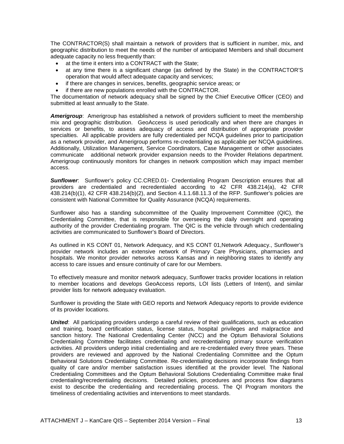The CONTRACTOR(S) shall maintain a network of providers that is sufficient in number, mix, and geographic distribution to meet the needs of the number of anticipated Members and shall document adequate capacity no less frequently than:

- at the time it enters into a CONTRACT with the State;
- at any time there is a significant change (as defined by the State) in the CONTRACTOR'S operation that would affect adequate capacity and services;
- if there are changes in services, benefits, geographic service areas; or
- if there are new populations enrolled with the CONTRACTOR.

The documentation of network adequacy shall be signed by the Chief Executive Officer (CEO) and submitted at least annually to the State.

*Amerigroup*: Amerigroup has established a network of providers sufficient to meet the membership mix and geographic distribution. GeoAccess is used periodically and when there are changes in services or benefits, to assess adequacy of access and distribution of appropriate provider specialties. All applicable providers are fully credentialed per NCQA guidelines prior to participation as a network provider, and Amerigroup performs re-credentialing as applicable per NCQA guidelines. Additionally, Utilization Management, Service Coordinators, Case Management or other associates communicate additional network provider expansion needs to the Provider Relations department. Amerigroup continuously monitors for changes in network composition which may impact member access.

**Sunflower**: Sunflower's policy CC.CRED.01- Credentialing Program Description ensures that all providers are credentialed and recredentialed according to 42 CFR 438.214(a), 42 CFR 438.214(b)(1), 42 CFR 438.214(b)(2), and Section 4.1.1.68.11.3 of the RFP. Sunflower's policies are consistent with National Committee for Quality Assurance (NCQA) requirements.

Sunflower also has a standing subcommittee of the Quality Improvement Committee (QIC), the Credentialing Committee, that is responsible for overseeing the daily oversight and operating authority of the provider Credentialing program. The QIC is the vehicle through which credentialing activities are communicated to Sunflower's Board of Directors.

As outlined in KS CONT 01, Network Adequacy, and KS CONT 01,Network Adequacy., Sunflower's provider network includes an extensive network of Primary Care Physicians, pharmacies and hospitals. We monitor provider networks across Kansas and in neighboring states to identify any access to care issues and ensure continuity of care for our Members.

To effectively measure and monitor network adequacy, Sunflower tracks provider locations in relation to member locations and develops GeoAccess reports, LOI lists (Letters of Intent), and similar provider lists for network adequacy evaluation.

Sunflower is providing the State with GEO reports and Network Adequacy reports to provide evidence of its provider locations.

*United*: All participating providers undergo a careful review of their qualifications, such as education and training, board certification status, license status, hospital privileges and malpractice and sanction history. The National Credentialing Center (NCC) and the Optum Behavioral Solutions Credentialing Committee facilitates credentialing and recredentialing primary source verification activities. All providers undergo initial credentialing and are re-credentialed every three years. These providers are reviewed and approved by the National Credentialing Committee and the Optum Behavioral Solutions Credentialing Committee. Re-credentialing decisions incorporate findings from quality of care and/or member satisfaction issues identified at the provider level. The National Credentialing Committees and the Optum Behavioral Solutions Credentialing Committee make final credentialing/recredentialing decisions. Detailed policies, procedures and process flow diagrams exist to describe the credentialing and recredentialing process. The QI Program monitors the timeliness of credentialing activities and interventions to meet standards.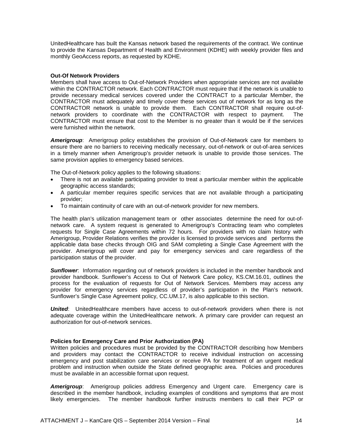UnitedHealthcare has built the Kansas network based the requirements of the contract. We continue to provide the Kansas Department of Health and Environment (KDHE) with weekly provider files and monthly GeoAccess reports, as requested by KDHE.

#### **Out-Of Network Providers**

Members shall have access to Out-of-Network Providers when appropriate services are not available within the CONTRACTOR network. Each CONTRACTOR must require that if the network is unable to provide necessary medical services covered under the CONTRACT to a particular Member, the CONTRACTOR must adequately and timely cover these services out of network for as long as the CONTRACTOR network is unable to provide them. Each CONTRACTOR shall require out-ofnetwork providers to coordinate with the CONTRACTOR with respect to payment. The CONTRACTOR must ensure that cost to the Member is no greater than it would be if the services were furnished within the network.

*Amerigroup*: Amerigroup policy establishes the provision of Out-of-Network care for members to ensure there are no barriers to receiving medically necessary, out-of-network or out-of-area services in a timely manner when Amerigroup's provider network is unable to provide those services. The same provision applies to emergency based services.

The Out-of-Network policy applies to the following situations:

- There is not an available participating provider to treat a particular member within the applicable geographic access standards;
- A particular member requires specific services that are not available through a participating provider;
- To maintain continuity of care with an out-of-network provider for new members.

The health plan's utilization management team or other associates determine the need for out-ofnetwork care. A system request is generated to Amerigroup's Contracting team who completes requests for Single Case Agreements within 72 hours. For providers with no claim history with Amerigroup, Provider Relations verifies the provider is licensed to provide services and performs the applicable data base checks through OIG and SAM completing a Single Case Agreement with the provider. Amerigroup will cover and pay for emergency services and care regardless of the participation status of the provider.

**Sunflower**: Information regarding out of network providers is included in the member handbook and provider handbook. Sunflower's Access to Out of Network Care policy, KS.CM.16.01, outlines the process for the evaluation of requests for Out of Network Services. Members may access any provider for emergency services regardless of provider's participation in the Plan's network. Sunflower's Single Case Agreement policy, CC.UM.17, is also applicable to this section.

*United*: UnitedHealthcare members have access to out-of-network providers when there is not adequate coverage within the UnitedHealthcare network. A primary care provider can request an authorization for out-of-network services.

#### **Policies for Emergency Care and Prior Authorization (PA)**

Written policies and procedures must be provided by the CONTRACTOR describing how Members and providers may contact the CONTRACTOR to receive individual instruction on accessing emergency and post stabilization care services or receive PA for treatment of an urgent medical problem and instruction when outside the State defined geographic area. Policies and procedures must be available in an accessible format upon request.

*Amerigroup*: Amerigroup policies address Emergency and Urgent care. Emergency care is described in the member handbook, including examples of conditions and symptoms that are most likely emergencies. The member handbook further instructs members to call their PCP or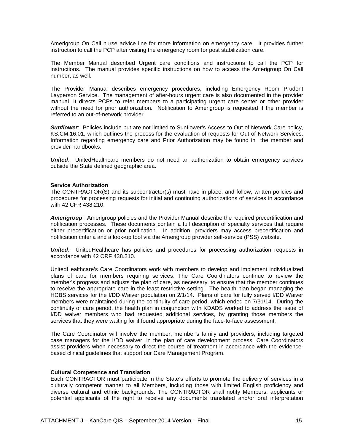Amerigroup On Call nurse advice line for more information on emergency care. It provides further instruction to call the PCP after visiting the emergency room for post stabilization care.

The Member Manual described Urgent care conditions and instructions to call the PCP for instructions. The manual provides specific instructions on how to access the Amerigroup On Call number, as well.

The Provider Manual describes emergency procedures, including Emergency Room Prudent Layperson Service. The management of after-hours urgent care is also documented in the provider manual. It directs PCPs to refer members to a participating urgent care center or other provider without the need for prior authorization. Notification to Amerigroup is requested if the member is referred to an out-of-network provider.

**Sunflower:** Policies include but are not limited to Sunflower's Access to Out of Network Care policy, KS.CM.16.01, which outlines the process for the evaluation of requests for Out of Network Services. Information regarding emergency care and Prior Authorization may be found in the member and provider handbooks.

**United:** UnitedHealthcare members do not need an authorization to obtain emergency services outside the State defined geographic area.

#### **Service Authorization**

The CONTRACTOR(S) and its subcontractor(s) must have in place, and follow, written policies and procedures for processing requests for initial and continuing authorizations of services in accordance with 42 CFR 438.210.

*Amerigroup*: Amerigroup policies and the Provider Manual describe the required precertification and notification processes. These documents contain a full description of specialty services that require either precertification or prior notification. In addition, providers may access precertification and notification criteria and a look-up tool via the Amerigroup provider self-service (PSS) website.

**United:** UnitedHealthcare has policies and procedures for processing authorization requests in accordance with 42 CRF 438.210.

UnitedHealthcare's Care Coordinators work with members to develop and implement individualized plans of care for members requiring services. The Care Coordinators continue to review the member's progress and adjusts the plan of care, as necessary, to ensure that the member continues to receive the appropriate care in the least restrictive setting. The health plan began managing the HCBS services for the I/DD Waiver population on 2/1/14. Plans of care for fully served I/DD Waiver members were maintained during the continuity of care period, which ended on 7/31/14. During the continuity of care period, the health plan in conjunction with KDADS worked to address the issue of I/DD waiver members who had requested additional services, by granting those members the services that they were waiting for if found appropriate during the face-to-face assessment.

The Care Coordinator will involve the member, member's family and providers, including targeted case managers for the I/DD waiver, in the plan of care development process. Care Coordinators assist providers when necessary to direct the course of treatment in accordance with the evidencebased clinical guidelines that support our Care Management Program.

#### **Cultural Competence and Translation**

Each CONTRACTOR must participate in the State's efforts to promote the delivery of services in a culturally competent manner to all Members, including those with limited English proficiency and diverse cultural and ethnic backgrounds. The CONTRACTOR shall notify Members, applicants or potential applicants of the right to receive any documents translated and/or oral interpretation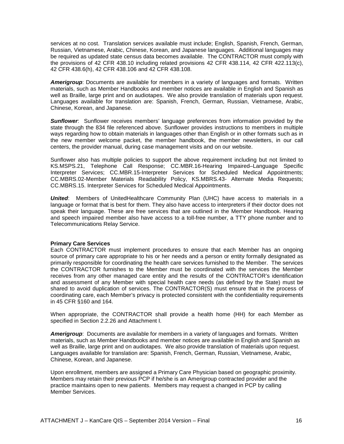services at no cost. Translation services available must include; English, Spanish, French, German, Russian, Vietnamese, Arabic, Chinese, Korean, and Japanese languages. Additional languages may be required as updated state census data becomes available. The CONTRACTOR must comply with the provisions of 42 CFR 438.10 including related provisions 42 CFR 438.114, 42 CFR 422.113(c), 42 CFR 438.6(h), 42 CFR 438.106 and 42 CFR 438.108.

*Amerigroup*: Documents are available for members in a variety of languages and formats. Written materials, such as Member Handbooks and member notices are available in English and Spanish as well as Braille, large print and on audiotapes. We also provide translation of materials upon request. Languages available for translation are: Spanish, French, German, Russian, Vietnamese, Arabic, Chinese, Korean, and Japanese.

*Sunflower*: Sunflower receives members' language preferences from information provided by the state through the 834 file referenced above. Sunflower provides instructions to members in multiple ways regarding how to obtain materials in languages other than English or in other formats such as in the new member welcome packet, the member handbook, the member newsletters, in our call centers, the provider manual, during case management visits and on our website.

Sunflower also has multiple policies to support the above requirement including but not limited to KS.MSPS.21, Telephone Call Response; CC.MBR.16-Hearing Impaired–Language Specific Interpreter Services; CC.MBR.15-Interpreter Services for Scheduled Medical Appointments; CC.MBRS.02-Member Materials Readability Policy, KS.MBRS.43- Alternate Media Requests; CC.MBRS.15. Interpreter Services for Scheduled Medical Appointments.

*United*: Members of UnitedHealthcare Community Plan (UHC) have access to materials in a language or format that is best for them. They also have access to interpreters if their doctor does not speak their language. These are free services that are outlined in the Member Handbook. Hearing and speech impaired member also have access to a toll-free number, a TTY phone number and to Telecommunications Relay Service.

#### **Primary Care Services**

Each CONTRACTOR must implement procedures to ensure that each Member has an ongoing source of primary care appropriate to his or her needs and a person or entity formally designated as primarily responsible for coordinating the health care services furnished to the Member. The services the CONTRACTOR furnishes to the Member must be coordinated with the services the Member receives from any other managed care entity and the results of the CONTRACTOR's identification and assessment of any Member with special health care needs (as defined by the State) must be shared to avoid duplication of services. The CONTRACTOR(S) must ensure that in the process of coordinating care, each Member's privacy is protected consistent with the confidentiality requirements in 45 CFR §160 and 164.

When appropriate, the CONTRACTOR shall provide a health home (HH) for each Member as specified in Section 2.2.26 and Attachment I.

*Amerigroup*: Documents are available for members in a variety of languages and formats. Written materials, such as Member Handbooks and member notices are available in English and Spanish as well as Braille, large print and on audiotapes. We also provide translation of materials upon request. Languages available for translation are: Spanish, French, German, Russian, Vietnamese, Arabic, Chinese, Korean, and Japanese.

Upon enrollment, members are assigned a Primary Care Physician based on geographic proximity. Members may retain their previous PCP if he/she is an Amerigroup contracted provider and the practice maintains open to new patients. Members may request a changed in PCP by calling Member Services.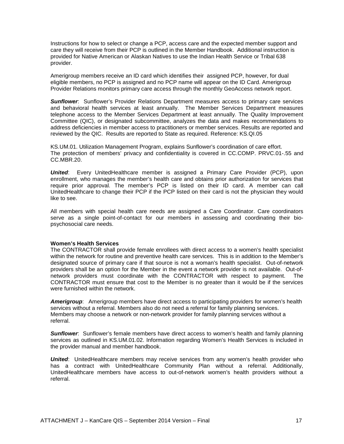Instructions for how to select or change a PCP, access care and the expected member support and care they will receive from their PCP is outlined in the Member Handbook. Additional instruction is provided for Native American or Alaskan Natives to use the Indian Health Service or Tribal 638 provider.

Amerigroup members receive an ID card which identifies their assigned PCP, however, for dual eligible members, no PCP is assigned and no PCP name will appear on the ID Card. Amerigroup Provider Relations monitors primary care access through the monthly GeoAccess network report.

**Sunflower**: Sunflower's Provider Relations Department measures access to primary care services and behavioral health services at least annually. The Member Services Department measures telephone access to the Member Services Department at least annually. The Quality Improvement Committee (QIC), or designated subcommittee, analyzes the data and makes recommendations to address deficiencies in member access to practitioners or member services. Results are reported and reviewed by the QIC. Results are reported to State as required. Reference: KS.QI.05

KS.UM.01. Utilization Management Program, explains Sunflower's coordination of care effort. The protection of members' privacy and confidentiality is covered in CC.COMP. PRVC.01-.55 and CC.MBR.20.

*United*: Every UnitedHealthcare member is assigned a Primary Care Provider (PCP), upon enrollment, who manages the member's health care and obtains prior authorization for services that require prior approval. The member's PCP is listed on their ID card. A member can call UnitedHealthcare to change their PCP if the PCP listed on their card is not the physician they would like to see.

All members with special health care needs are assigned a Care Coordinator. Care coordinators serve as a single point-of-contact for our members in assessing and coordinating their biopsychosocial care needs.

#### **Women's Health Services**

The CONTRACTOR shall provide female enrollees with direct access to a women's health specialist within the network for routine and preventive health care services. This is in addition to the Member's designated source of primary care if that source is not a woman's health specialist. Out-of-network providers shall be an option for the Member in the event a network provider is not available. Out-ofnetwork providers must coordinate with the CONTRACTOR with respect to payment. The CONTRACTOR must ensure that cost to the Member is no greater than it would be if the services were furnished within the network.

*Amerigroup*: Amerigroup members have direct access to participating providers for women's health services without a referral. Members also do not need a referral for family planning services. Members may choose a network or non-network provider for family planning services without a referral.

**Sunflower**: Sunflower's female members have direct access to women's health and family planning services as outlined in KS.UM.01.02. Information regarding Women's Health Services is included in the provider manual and member handbook.

**United:** UnitedHealthcare members may receive services from any women's health provider who has a contract with UnitedHealthcare Community Plan without a referral. Additionally, UnitedHealthcare members have access to out-of-network women's health providers without a referral.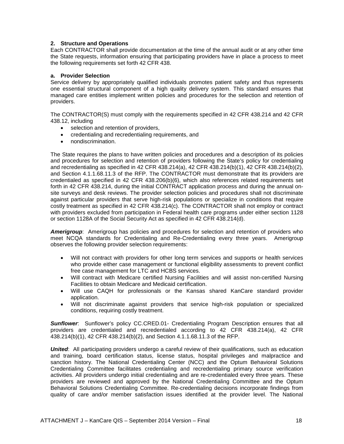#### **2. Structure and Operations**

Each CONTRACTOR shall provide documentation at the time of the annual audit or at any other time the State requests, information ensuring that participating providers have in place a process to meet the following requirements set forth 42 CFR 438.

#### **a. Provider Selection**

Service delivery by appropriately qualified individuals promotes patient safety and thus represents one essential structural component of a high quality delivery system. This standard ensures that managed care entities implement written policies and procedures for the selection and retention of providers.

The CONTRACTOR(S) must comply with the requirements specified in 42 CFR 438.214 and 42 CFR 438.12, including

- selection and retention of providers,
- credentialing and recredentialing requirements, and
- nondiscrimination.

The State requires the plans to have written policies and procedures and a description of its policies and procedures for selection and retention of providers following the State's policy for credentialing and recredentialing as specified in 42 CFR 438.214(a), 42 CFR 438.214(b)(1), 42 CFR 438.214(b)(2), and Section 4.1.1.68.11.3 of the RFP. The CONTRACTOR must demonstrate that its providers are credentialed as specified in 42 CFR 438.206(b)(6), which also references related requirements set forth in 42 CFR 438.214, during the initial CONTRACT application process and during the annual onsite surveys and desk reviews. The provider selection policies and procedures shall not discriminate against particular providers that serve high-risk populations or specialize in conditions that require costly treatment as specified in 42 CFR 438.214(c). The CONTRACTOR shall not employ or contract with providers excluded from participation in Federal health care programs under either section 1128 or section 1128A of the Social Security Act as specified in 42 CFR 438.214(d).

*Amerigroup*: Amerigroup has policies and procedures for selection and retention of providers who meet NCQA standards for Credentialing and Re-Credentialing every three years. Amerigroup observes the following provider selection requirements:

- Will not contract with providers for other long term services and supports or health services who provide either case management or functional eligibility assessments to prevent conflict free case management for LTC and HCBS services.
- Will contract with Medicare certified Nursing Facilities and will assist non-certified Nursing Facilities to obtain Medicare and Medicaid certification.
- Will use CAQH for professionals or the Kansas shared KanCare standard provider application.
- Will not discriminate against providers that service high-risk population or specialized conditions, requiring costly treatment.

**Sunflower**: Sunflower's policy CC.CRED.01- Credentialing Program Description ensures that all providers are credentialed and recredentialed according to 42 CFR 438.214(a), 42 CFR 438.214(b)(1), 42 CFR 438.214(b)(2), and Section 4.1.1.68.11.3 of the RFP.

**United:** All participating providers undergo a careful review of their qualifications, such as education and training, board certification status, license status, hospital privileges and malpractice and sanction history. The National Credentialing Center (NCC) and the Optum Behavioral Solutions Credentialing Committee facilitates credentialing and recredentialing primary source verification activities. All providers undergo initial credentialing and are re-credentialed every three years. These providers are reviewed and approved by the National Credentialing Committee and the Optum Behavioral Solutions Credentialing Committee. Re-credentialing decisions incorporate findings from quality of care and/or member satisfaction issues identified at the provider level. The National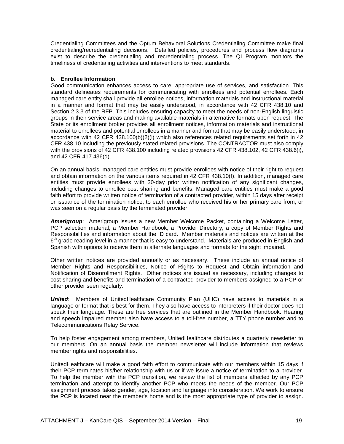Credentialing Committees and the Optum Behavioral Solutions Credentialing Committee make final credentialing/recredentialing decisions. Detailed policies, procedures and process flow diagrams exist to describe the credentialing and recredentialing process. The QI Program monitors the timeliness of credentialing activities and interventions to meet standards.

#### **b. Enrollee Information**

Good communication enhances access to care, appropriate use of services, and satisfaction. This standard delineates requirements for communicating with enrollees and potential enrollees. Each managed care entity shall provide all enrollee notices, information materials and instructional material in a manner and format that may be easily understood, in accordance with 42 CFR 438.10 and Section 2.3.3 of the RFP. This includes ensuring capacity to meet the needs of non-English linguistic groups in their service areas and making available materials in alternative formats upon request. The State or its enrollment broker provides all enrollment notices, information materials and instructional material to enrollees and potential enrollees in a manner and format that may be easily understood, in accordance with 42 CFR 438.100(b)(2)(i) which also references related requirements set forth in 42 CFR 438.10 including the previously stated related provisions. The CONTRACTOR must also comply with the provisions of 42 CFR 438.100 including related provisions 42 CFR 438.102, 42 CFR 438.6(i), and 42 CFR 417.436(d).

On an annual basis, managed care entities must provide enrollees with notice of their right to request and obtain information on the various items required in 42 CFR 438.10(f). In addition, managed care entities must provide enrollees with 30-day prior written notification of any significant changes, including changes to enrollee cost sharing and benefits. Managed care entities must make a good faith effort to provide written notice of termination of a contracted provider, within 15 days after receipt or issuance of the termination notice, to each enrollee who received his or her primary care from, or was seen on a regular basis by the terminated provider.

*Amerigroup*: Amerigroup issues a new Member Welcome Packet, containing a Welcome Letter, PCP selection material, a Member Handbook, a Provider Directory, a copy of Member Rights and Responsibilities and information about the ID card. Member materials and notices are written at the  $6<sup>th</sup>$  grade reading level in a manner that is easy to understand. Materials are produced in English and Spanish with options to receive them in alternate languages and formats for the sight impaired.

Other written notices are provided annually or as necessary. These include an annual notice of Member Rights and Responsibilities, Notice of Rights to Request and Obtain information and Notification of Disenrollment Rights. Other notices are issued as necessary, including changes to cost sharing and benefits and termination of a contracted provider to members assigned to a PCP or other provider seen regularly.

*United*: Members of UnitedHealthcare Community Plan (UHC) have access to materials in a language or format that is best for them. They also have access to interpreters if their doctor does not speak their language. These are free services that are outlined in the Member Handbook. Hearing and speech impaired member also have access to a toll-free number, a TTY phone number and to Telecommunications Relay Service.

To help foster engagement among members, UnitedHealthcare distributes a quarterly newsletter to our members. On an annual basis the member newsletter will include information that reviews member rights and responsibilities.

UnitedHealthcare will make a good faith effort to communicate with our members within 15 days if their PCP terminates his/her relationship with us or if we issue a notice of termination to a provider. To help the member with the PCP transition, we review the list of members affected by any PCP termination and attempt to identify another PCP who meets the needs of the member. Our PCP assignment process takes gender, age, location and language into consideration. We work to ensure the PCP is located near the member's home and is the most appropriate type of provider to assign.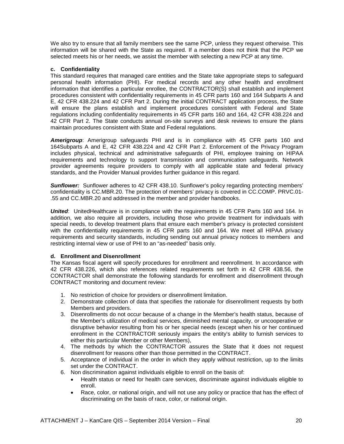We also try to ensure that all family members see the same PCP, unless they request otherwise. This information will be shared with the State as required. If a member does not think that the PCP we selected meets his or her needs, we assist the member with selecting a new PCP at any time.

#### **c. Confidentiality**

This standard requires that managed care entities and the State take appropriate steps to safeguard personal health information (PHI). For medical records and any other health and enrollment information that identifies a particular enrollee, the CONTRACTOR(S) shall establish and implement procedures consistent with confidentiality requirements in 45 CFR parts 160 and 164 Subparts A and E, 42 CFR 438.224 and 42 CFR Part 2. During the initial CONTRACT application process, the State will ensure the plans establish and implement procedures consistent with Federal and State regulations including confidentiality requirements in 45 CFR parts 160 and 164, 42 CFR 438.224 and 42 CFR Part 2. The State conducts annual on-site surveys and desk reviews to ensure the plans maintain procedures consistent with State and Federal regulations.

*Amerigroup*: Amerigroup safeguards PHI and is in compliance with 45 CFR parts 160 and 164Subparts A and E, 42 CFR 438.224 and 42 CFR Part 2. Enforcement of the Privacy Program includes physical, technical and administrative safeguards of PHI, employee training on HIPAA requirements and technology to support transmission and communication safeguards. Network provider agreements require providers to comply with all applicable state and federal privacy standards, and the Provider Manual provides further guidance in this regard.

*Sunflower:* Sunflower adheres to 42 CFR 438.10. Sunflower's policy regarding protecting members' confidentiality is CC.MBR.20. The protection of members' privacy is covered in CC.COMP. PRVC.01- .55 and CC.MBR.20 and addressed in the member and provider handbooks.

**United:** UnitedHealthcare is in compliance with the requirements in 45 CFR Parts 160 and 164. In addition, we also require all providers, including those who provide treatment for individuals with special needs, to develop treatment plans that ensure each member's privacy is protected consistent with the confidentiality requirements in 45 CFR parts 160 and 164. We meet all HIPAA privacy requirements and security standards, including sending out annual privacy notices to members and restricting internal view or use of PHI to an "as-needed" basis only.

#### **d. Enrollment and Disenrollment**

The Kansas fiscal agent will specify procedures for enrollment and reenrollment. In accordance with 42 CFR 438.226, which also references related requirements set forth in 42 CFR 438.56, the CONTRACTOR shall demonstrate the following standards for enrollment and disenrollment through CONTRACT monitoring and document review:

- 1. No restriction of choice for providers or disenrollment limitation.
- 2. Demonstrate collection of data that specifies the rationale for disenrollment requests by both Members and providers.
- 3. Disenrollments do not occur because of a change in the Member's health status, because of the Member's utilization of medical services, diminished mental capacity, or uncooperative or disruptive behavior resulting from his or her special needs (except when his or her continued enrollment in the CONTRACTOR seriously impairs the entity's ability to furnish services to either this particular Member or other Members),
- 4. The methods by which the CONTRACTOR assures the State that it does not request disenrollment for reasons other than those permitted in the CONTRACT.
- 5. Acceptance of individual in the order in which they apply without restriction, up to the limits set under the CONTRACT.
- 6. Non discrimination against individuals eligible to enroll on the basis of:
	- Health status or need for health care services, discriminate against individuals eligible to enroll.
	- Race, color, or national origin, and will not use any policy or practice that has the effect of discriminating on the basis of race, color, or national origin.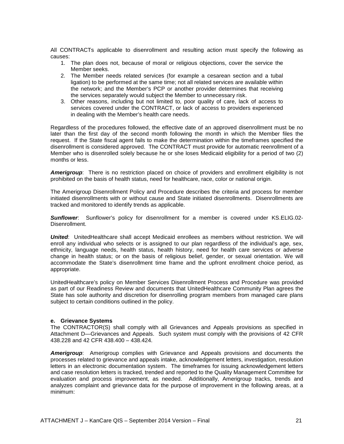All CONTRACTs applicable to disenrollment and resulting action must specify the following as causes:

- 1. The plan does not, because of moral or religious objections, cover the service the Member seeks.
- 2. The Member needs related services (for example a cesarean section and a tubal ligation) to be performed at the same time; not all related services are available within the network; and the Member's PCP or another provider determines that receiving the services separately would subject the Member to unnecessary risk.
- 3. Other reasons, including but not limited to, poor quality of care, lack of access to services covered under the CONTRACT, or lack of access to providers experienced in dealing with the Member's health care needs.

Regardless of the procedures followed, the effective date of an approved disenrollment must be no later than the first day of the second month following the month in which the Member files the request. If the State fiscal agent fails to make the determination within the timeframes specified the disenrollment is considered approved. The CONTRACT must provide for automatic reenrollment of a Member who is disenrolled solely because he or she loses Medicaid eligibility for a period of two (2) months or less.

*Amerigroup*: There is no restriction placed on choice of providers and enrollment eligibility is not prohibited on the basis of health status, need for healthcare, race, color or national origin.

The Amerigroup Disenrollment Policy and Procedure describes the criteria and process for member initiated disenrollments with or without cause and State initiated disenrollments. Disenrollments are tracked and monitored to identify trends as applicable.

*Sunflower*: Sunflower's policy for disenrollment for a member is covered under KS.ELIG.02- Disenrollment.

*United*: UnitedHealthcare shall accept Medicaid enrollees as members without restriction. We will enroll any individual who selects or is assigned to our plan regardless of the individual's age, sex, ethnicity, language needs, health status, health history, need for health care services or adverse change in health status; or on the basis of religious belief, gender, or sexual orientation. We will accommodate the State's disenrollment time frame and the upfront enrollment choice period, as appropriate.

UnitedHealthcare's policy on Member Services Disenrollment Process and Procedure was provided as part of our Readiness Review and documents that UnitedHealthcare Community Plan agrees the State has sole authority and discretion for disenrolling program members from managed care plans subject to certain conditions outlined in the policy.

#### **e. Grievance Systems**

The CONTRACTOR(S) shall comply with all Grievances and Appeals provisions as specified in Attachment D—Grievances and Appeals. Such system must comply with the provisions of 42 CFR 438.228 and 42 CFR 438.400 – 438.424.

*Amerigroup*: Amerigroup complies with Grievance and Appeals provisions and documents the processes related to grievance and appeals intake, acknowledgement letters, investigation, resolution letters in an electronic documentation system. The timeframes for issuing acknowledgement letters and case resolution letters is tracked, trended and reported to the Quality Management Committee for evaluation and process improvement, as needed. Additionally, Amerigroup tracks, trends and analyzes complaint and grievance data for the purpose of improvement in the following areas, at a minimum: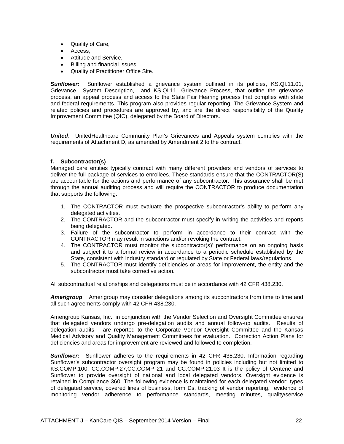- Quality of Care,
- Access,
- Attitude and Service,
- Billing and financial issues,
- Quality of Practitioner Office Site.

*Sunflower:* Sunflower established a grievance system outlined in its policies, KS.QI.11.01, Grievance System Description, and KS.QI.11, Grievance Process, that outline the grievance process, an appeal process and access to the State Fair Hearing process that complies with state and federal requirements. This program also provides regular reporting. The Grievance System and related policies and procedures are approved by, and are the direct responsibility of the Quality Improvement Committee (QIC), delegated by the Board of Directors.

*United*: UnitedHealthcare Community Plan's Grievances and Appeals system complies with the requirements of Attachment D, as amended by Amendment 2 to the contract.

#### **f. Subcontractor(s)**

Managed care entities typically contract with many different providers and vendors of services to deliver the full package of services to enrollees. These standards ensure that the CONTRACTOR(S) are accountable for the actions and performance of any subcontractor. This assurance shall be met through the annual auditing process and will require the CONTRACTOR to produce documentation that supports the following:

- 1. The CONTRACTOR must evaluate the prospective subcontractor's ability to perform any delegated activities.
- 2. The CONTRACTOR and the subcontractor must specify in writing the activities and reports being delegated.
- 3. Failure of the subcontractor to perform in accordance to their contract with the CONTRACTOR may result in sanctions and/or revoking the contract.
- 4. The CONTRACTOR must monitor the subcontractor(s)' performance on an ongoing basis and subject it to a formal review in accordance to a periodic schedule established by the State, consistent with industry standard or regulated by State or Federal laws/regulations.
- 5. The CONTRACTOR must identify deficiencies or areas for improvement, the entity and the subcontractor must take corrective action.

All subcontractual relationships and delegations must be in accordance with 42 CFR 438.230.

*Amerigroup*: Amerigroup may consider delegations among its subcontractors from time to time and all such agreements comply with 42 CFR 438.230.

Amerigroup Kansas, Inc., in conjunction with the Vendor Selection and Oversight Committee ensures that delegated vendors undergo pre-delegation audits and annual follow-up audits. Results of delegation audits are reported to the Corporate Vendor Oversight Committee and the Kansas Medical Advisory and Quality Management Committees for evaluation. Correction Action Plans for deficiencies and areas for improvement are reviewed and followed to completion.

*Sunflower:* Sunflower adheres to the requirements in 42 CFR 438.230. Information regarding Sunflower's subcontractor oversight program may be found in policies including but not limited to KS.COMP.100, CC.COMP.27,CC.COMP 21 and CC.COMP.21.03 It is the policy of Centene and Sunflower to provide oversight of national and local delegated vendors. Oversight evidence is retained in Compliance 360. The following evidence is maintained for each delegated vendor: types of delegated service, covered lines of business, form Ds, tracking of vendor reporting, evidence of monitoring vendor adherence to performance standards, meeting minutes, quality/service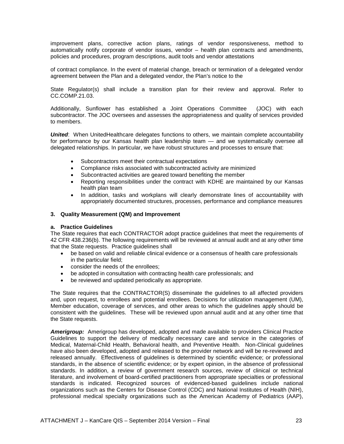improvement plans, corrective action plans, ratings of vendor responsiveness, method to automatically notify corporate of vendor issues, vendor – health plan contracts and amendments, policies and procedures, program descriptions, audit tools and vendor attestations

of contract compliance. In the event of material change, breach or termination of a delegated vendor agreement between the Plan and a delegated vendor, the Plan's notice to the

State Regulator(s) shall include a transition plan for their review and approval. Refer to CC.COMP.21.03.

Additionally, Sunflower has established a Joint Operations Committee (JOC) with each subcontractor. The JOC oversees and assesses the appropriateness and quality of services provided to members.

*United*: When UnitedHealthcare delegates functions to others, we maintain complete accountability for performance by our Kansas health plan leadership team — and we systematically oversee all delegated relationships. In particular, we have robust structures and processes to ensure that:

- Subcontractors meet their contractual expectations
- Compliance risks associated with subcontracted activity are minimized
- Subcontracted activities are geared toward benefiting the member
- Reporting responsibilities under the contract with KDHE are maintained by our Kansas health plan team
- In addition, tasks and workplans will clearly demonstrate lines of accountability with appropriately documented structures, processes, performance and compliance measures

#### **3. Quality Measurement (QM) and Improvement**

#### **a. Practice Guidelines**

The State requires that each CONTRACTOR adopt practice guidelines that meet the requirements of 42 CFR 438.236(b). The following requirements will be reviewed at annual audit and at any other time that the State requests. Practice guidelines shall

- be based on valid and reliable clinical evidence or a consensus of health care professionals in the particular field;
- consider the needs of the enrollees;
- be adopted in consultation with contracting health care professionals; and
- be reviewed and updated periodically as appropriate.

The State requires that the CONTRACTOR(S) disseminate the guidelines to all affected providers and, upon request, to enrollees and potential enrollees. Decisions for utilization management (UM), Member education, coverage of services, and other areas to which the guidelines apply should be consistent with the guidelines. These will be reviewed upon annual audit and at any other time that the State requests.

*Amerigroup:* Amerigroup has developed, adopted and made available to providers Clinical Practice Guidelines to support the delivery of medically necessary care and service in the categories of Medical, Maternal-Child Health, Behavioral health, and Preventive Health. Non-Clinical guidelines have also been developed, adopted and released to the provider network and will be re-reviewed and released annually. Effectiveness of guidelines is determined by scientific evidence; or professional standards, in the absence of scientific evidence; or by expert opinion, in the absence of professional standards. In addition, a review of government research sources, review of clinical or technical literature, and involvement of board-certified practitioners from appropriate specialties or professional standards is indicated. Recognized sources of evidenced-based guidelines include national organizations such as the Centers for Disease Control (CDC) and National Institutes of Health (NIH), professional medical specialty organizations such as the American Academy of Pediatrics (AAP),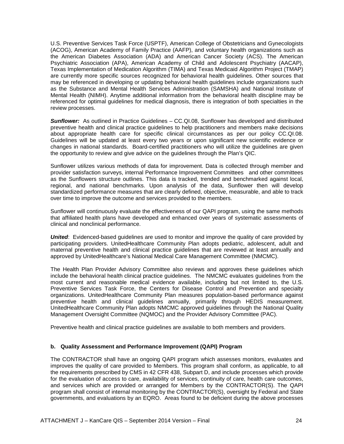U.S. Preventive Services Task Force (USPTF), American College of Obstetricians and Gynecologists (ACOG), American Academy of Family Practice (AAFP), and voluntary health organizations such as the American Diabetes Association (ADA) and American Cancer Society (ACS). The American Psychiatric Association (APA), American Academy of Child and Adolescent Psychiatry (AACAP), Texas Implementation of Medication Algorithm (TIMA) and Texas Medicaid Algorithm Project (TMAP) are currently more specific sources recognized for behavioral health guidelines. Other sources that may be referenced in developing or updating behavioral health guidelines include organizations such as the Substance and Mental Health Services Administration (SAMSHA) and National Institute of Mental Health (NIMH). Anytime additional information from the behavioral health discipline may be referenced for optimal guidelines for medical diagnosis, there is integration of both specialties in the review processes.

*Sunflower:* As outlined in Practice Guidelines – CC.QI.08, Sunflower has developed and distributed preventive health and clinical practice guidelines to help practitioners and members make decisions about appropriate health care for specific clinical circumstances as per our policy CC.QI.08. Guidelines will be updated at least every two years or upon significant new scientific evidence or changes in national standards. Board-certified practitioners who will utilize the guidelines are given the opportunity to review and give advice on the guidelines through the Plan's QIC.

Sunflower utilizes various methods of data for improvement. Data is collected through member and provider satisfaction surveys, internal Performance Improvement Committees and other committees as the Sunflowers structure outlines. This data is tracked, trended and benchmarked against local, regional, and national benchmarks. Upon analysis of the data, Sunflower then will develop standardized performance measures that are clearly defined, objective, measurable, and able to track over time to improve the outcome and services provided to the members.

Sunflower will continuously evaluate the effectiveness of our QAPI program, using the same methods that affiliated health plans have developed and enhanced over years of systematic assessments of clinical and nonclinical performance.

*United*: Evidenced-based guidelines are used to monitor and improve the quality of care provided by participating providers. UnitedHealthcare Community Plan adopts pediatric, adolescent, adult and maternal preventive health and clinical practice guidelines that are reviewed at least annually and approved by UnitedHealthcare's National Medical Care Management Committee (NMCMC).

The Health Plan Provider Advisory Committee also reviews and approves these guidelines which include the behavioral health clinical practice guidelines. The NMCMC evaluates guidelines from the most current and reasonable medical evidence available, including but not limited to, the U.S. Preventive Services Task Force, the Centers for Disease Control and Prevention and specialty organizations. UnitedHealthcare Community Plan measures population-based performance against preventive health and clinical guidelines annually, primarily through HEDIS measurement. UnitedHealthcare Community Plan adopts NMCMC approved guidelines through the National Quality Management Oversight Committee (NQMOC) and the Provider Advisory Committee (PAC).

Preventive health and clinical practice guidelines are available to both members and providers.

#### **b. Quality Assessment and Performance Improvement (QAPI) Program**

The CONTRACTOR shall have an ongoing QAPI program which assesses monitors, evaluates and improves the quality of care provided to Members. This program shall conform, as applicable, to all the requirements prescribed by CMS in 42 CFR 438, Subpart D, and include processes which provide for the evaluation of access to care, availability of services, continuity of care, health care outcomes, and services which are provided or arranged for Members by the CONTRACTOR(S). The QAPI program shall consist of internal monitoring by the CONTRACTOR(S), oversight by Federal and State governments, and evaluations by an EQRO. Areas found to be deficient during the above processes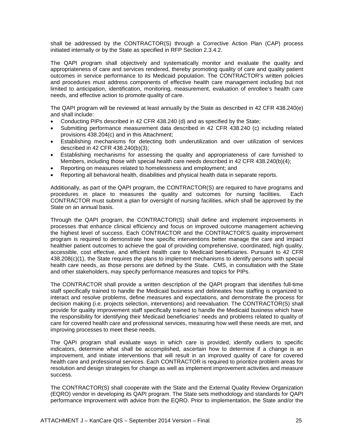shall be addressed by the CONTRACTOR(S) through a Corrective Action Plan (CAP) process initiated internally or by the State as specified in RFP Section 2.3.4.2.

The QAPI program shall objectively and systematically monitor and evaluate the quality and appropriateness of care and services rendered, thereby promoting quality of care and quality patient outcomes in service performance to its Medicaid population. The CONTRACTOR's written policies and procedures must address components of effective health care management including but not limited to anticipation, identification, monitoring, measurement, evaluation of enrollee's health care needs, and effective action to promote quality of care.

The QAPI program will be reviewed at least annually by the State as described in 42 CFR 438.240(e) and shall include:

- Conducting PIPs described in 42 CFR 438.240 (d) and as specified by the State;
- Submitting performance measurement data described in 42 CFR 438.240 (c) including related provisions 438.204(c) and in this Attachment;
- Establishing mechanisms for detecting both underutilization and over utilization of services described in 42 CFR 438.240(b)(3);
- Establishing mechanisms for assessing the quality and appropriateness of care furnished to Members, including those with special health care needs described in 42 CFR 438.240(b)(4);
- Reporting on measures related to homelessness and employment; and
- Reporting all behavioral health, disabilities and physical health data in separate reports.

Additionally, as part of the QAPI program, the CONTRACTOR(S) are required to have programs and<br>procedures in place to measures the quality and outcomes for nursing facilities. Each procedures in place to measures the quality and outcomes for nursing facilities. CONTRACTOR must submit a plan for oversight of nursing facilities, which shall be approved by the State on an annual basis.

Through the QAPI program, the CONTRACTOR(S) shall define and implement improvements in processes that enhance clinical efficiency and focus on improved outcome management achieving the highest level of success. Each CONTRACTOR and the CONTRACTOR'S quality improvement program is required to demonstrate how specific interventions better manage the care and impact healthier patient outcomes to achieve the goal of providing comprehensive, coordinated, high quality, accessible, cost effective, and efficient health care to Medicaid beneficiaries. Pursuant to 42 CFR 438.208(c)(1), the State requires the plans to implement mechanisms to identify persons with special health care needs, as those persons are defined by the State. CMS, in consultation with the State and other stakeholders, may specify performance measures and topics for PIPs.

The CONTRACTOR shall provide a written description of the QAPI program that identifies full-time staff specifically trained to handle the Medicaid business and delineates how staffing is organized to interact and resolve problems, define measures and expectations, and demonstrate the process for decision making (i.e. projects selection, interventions) and reevaluation. The CONTRACTOR(S) shall provide for quality improvement staff specifically trained to handle the Medicaid business which have the responsibility for identifying their Medicaid beneficiaries' needs and problems related to quality of care for covered health care and professional services, measuring how well these needs are met, and improving processes to meet these needs.

The QAPI program shall evaluate ways in which care is provided, identify outliers to specific indicators, determine what shall be accomplished, ascertain how to determine if a change is an improvement, and initiate interventions that will result in an improved quality of care for covered health care and professional services. Each CONTRACTOR is required to prioritize problem areas for resolution and design strategies for change as well as implement improvement activities and measure success.

The CONTRACTOR(S) shall cooperate with the State and the External Quality Review Organization (EQRO) vendor in developing its QAPI program. The State sets methodology and standards for QAPI performance improvement with advice from the EQRO. Prior to implementation, the State and/or the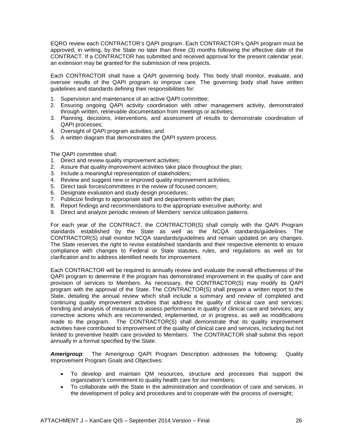EQRO review each CONTRACTOR's QAPI program. Each CONTRACTOR's QAPI program must be approved, in writing, by the State no later than three (3) months following the effective date of the CONTRACT. If a CONTRACTOR has submitted and received approval for the present calendar year, an extension may be granted for the submission of new projects.

Each CONTRACTOR shall have a QAPI governing body. This body shall monitor, evaluate, and oversee results of the QAPI program to improve care. The governing body shall have written guidelines and standards defining their responsibilities for:

- 1. Supervision and maintenance of an active QAPI committee;
- 2. Ensuring ongoing QAPI activity coordination with other management activity, demonstrated through written, retrievable documentation from meetings or activities;
- 3. Planning, decisions, interventions, and assessment of results to demonstrate coordination of QAPI processes;
- 4. Oversight of QAPI program activities; and
- 5. A written diagram that demonstrates the QAPI system process.

#### The QAPI committee shall:

- 1. Direct and review quality improvement activities;
- 2. Assure that quality improvement activities take place throughout the plan;
- 3. Include a meaningful representation of stakeholders;
- 4. Review and suggest new or improved quality improvement activities;
- 5. Direct task forces/committees in the review of focused concern;
- 6. Designate evaluation and study design procedures;
- 7. Publicize findings to appropriate staff and departments within the plan;
- 8. Report findings and recommendations to the appropriate executive authority; and
- 9. Direct and analyze periodic reviews of Members' service utilization patterns.

For each year of the CONTRACT, the CONTRACTOR(S) shall comply with the QAPI Program standards established by the State as well as the NCQA standards/guidelines. The CONTRACTOR(S) shall monitor NCQA standards/guidelines and remain updated on any changes. The State reserves the right to revise established standards and their respective elements to ensure compliance with changes to Federal or State statutes, rules, and regulations as well as for clarification and to address identified needs for improvement.

Each CONTRACTOR will be required to annually review and evaluate the overall effectiveness of the QAPI program to determine if the program has demonstrated improvement in the quality of care and provision of services to Members. As necessary, the CONTRACTOR(S) may modify its QAPI program with the approval of the State. The CONTRACTOR(S) shall prepare a written report to the State, detailing the annual review which shall include a summary and review of completed and continuing quality improvement activities that address the quality of clinical care and services; trending and analysis of measures to assess performance in quality of clinical care and services; any corrective actions which are recommended, implemented, or in progress, as well as modifications made to the program. The CONTRACTOR(S) shall demonstrate that its quality improvement activities have contributed to improvement of the quality of clinical care and services, including but not limited to preventive health care provided to Members. The CONTRACTOR shall submit this report annually in a format specified by the State.

*Amerigroup*: The Amerigroup QAPI Program Description addresses the following: Quality Improvement Program Goals and Objectives:

- To develop and maintain QM resources, structure and processes that support the organization's commitment to quality health care for our members;
- To collaborate with the State in the administration and coordination of care and services, in the development of policy and procedures and to cooperate with the process of oversight;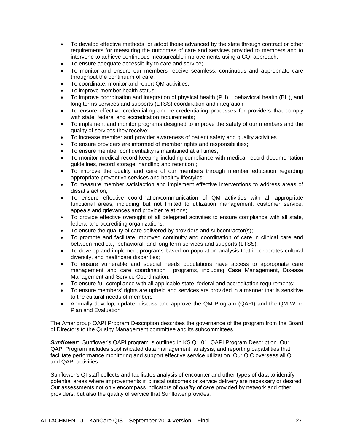- To develop effective methods or adopt those advanced by the state through contract or other requirements for measuring the outcomes of care and services provided to members and to intervene to achieve continuous measureable improvements using a CQI approach;
- To ensure adequate accessibility to care and service;
- To monitor and ensure our members receive seamless, continuous and appropriate care throughout the continuum of care;
- To coordinate, monitor and report QM activities;
- To improve member health status;
- To improve coordination and integration of physical health (PH), behavioral health (BH), and long terms services and supports (LTSS) coordination and integration
- To ensure effective credentialing and re-credentialing processes for providers that comply with state, federal and accreditation requirements;
- To implement and monitor programs designed to improve the safety of our members and the quality of services they receive;
- To increase member and provider awareness of patient safety and quality activities
- To ensure providers are informed of member rights and responsibilities;
- To ensure member confidentiality is maintained at all times;
- To monitor medical record-keeping including compliance with medical record documentation guidelines, record storage, handling and retention ;
- To improve the quality and care of our members through member education regarding appropriate preventive services and healthy lifestyles;
- To measure member satisfaction and implement effective interventions to address areas of dissatisfaction;
- To ensure effective coordination/communication of QM activities with all appropriate functional areas, including but not limited to utilization management, customer service, appeals and grievances and provider relations;
- To provide effective oversight of all delegated activities to ensure compliance with all state, federal and accrediting organizations;
- To ensure the quality of care delivered by providers and subcontractor(s);
- To promote and facilitate improved continuity and coordination of care in clinical care and between medical, behavioral, and long term services and supports (LTSS);
- To develop and implement programs based on population analysis that incorporates cultural diversity, and healthcare disparities;
- To ensure vulnerable and special needs populations have access to appropriate care management and care coordination programs, including Case Management, Disease Management and Service Coordination;
- To ensure full compliance with all applicable state, federal and accreditation requirements;
- To ensure members' rights are upheld and services are provided in a manner that is sensitive to the cultural needs of members
- Annually develop, update, discuss and approve the QM Program (QAPI) and the QM Work Plan and Evaluation

The Amerigroup QAPI Program Description describes the governance of the program from the Board of Directors to the Quality Management committee and its subcommittees.

*Sunflower*: Sunflower's QAPI program is outlined in KS.Q1.01, QAPI Program Description. Our QAPI Program includes sophisticated data management, analysis, and reporting capabilities that facilitate performance monitoring and support effective service utilization. Our QIC oversees all QI and QAPI activities.

Sunflower's QI staff collects and facilitates analysis of encounter and other types of data to identify potential areas where improvements in clinical outcomes or service delivery are necessary or desired. Our assessments not only encompass indicators of *quality of care* provided by network and other providers, but also the quality of service that Sunflower provides.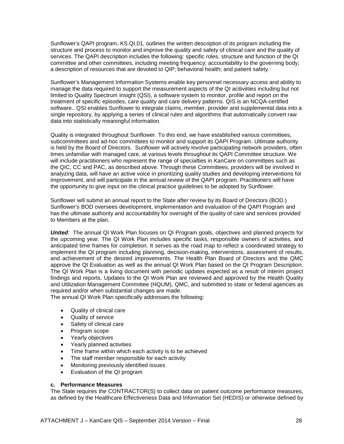Sunflower's QAPI program, KS.QI,01, outlines the written description of its program including the structure and process to monitor and improve the quality and safety of clinical care and the quality of services. The QAPI description includes the following: specific roles, structure and function of the QI committee and other committees, including meeting frequency; accountability to the governing body; a description of resources that are devoted to QIP; behavioral health; and patient safety.

Sunflower's Management Information Systems enable key personnel necessary access and ability to manage the data required to support the measurement aspects of the QI acitiviities including but not limited to Quality Spectrum Insight (QSI), a software system to monitor, profile and report on the treatment of specific episodes, care quality and care delivery patterns. QIS is an NCQA-certified software.. QSI enables Sunflower to integrate claims, member, provider and supplemental data into a single repository, by applying a series of clinical rules and algorithms that automatically convert raw data into statistically meaningful information.

Quality is integrated throughout Sunflower. To this end, we have established various committees, subcommittees and ad-hoc committees to monitor and support its QAPI Program. Ultimate authority is held by the Board of Directors. Sunflower will actively involve participating network providers, often times unfamiliar with managed care, at various levels throughout its QAPI Committee structure. We will include practitioners who represent the range of specialties in KanCare on committees such as the QIC, CC and PAC, as described above. Through these Committees, providers will be involved in analyzing data, will have an active voice in prioritizing quality studies and developing interventions for improvement, and will participate in the annual review of the QAPI program. Practitioners will have the opportunity to give input on the clinical practice guidelines to be adopted by Sunflower.

Sunflower will submit an annual report to the State after review by its Board of Directors (BOD.) Sunflower's BOD oversees development, implementation and evaluation of the QAPI Program and has the ultimate authority and accountability for oversight of the quality of care and services provided to Members at the plan.

*United*: The annual QI Work Plan focuses on QI Program goals, objectives and planned projects for the upcoming year. The QI Work Plan includes specific tasks, responsible owners of activities, and anticipated time frames for completion. It serves as the road map to reflect a coordinated strategy to implement the QI program including planning, decision-making, interventions, assessment of results, and achievement of the desired improvements. The Health Plan Board of Directors and the QMC approve the QI Evaluation as well as the annual QI Work Plan based on the QI Program Description. The QI Work Plan is a living document with periodic updates expected as a result of interim project findings and reports. Updates to the QI Work Plan are reviewed and approved by the Health Quality and Utilization Management Committee (HQUM), QMC, and submitted to state or federal agencies as required and/or when substantial changes are made.

The annual QI Work Plan specifically addresses the following:

- Quality of clinical care
- Quality of service
- Safety of clinical care
- Program scope
- Yearly objectives
- Yearly planned activities
- Time frame within which each activity is to be achieved
- The staff member responsible for each activity
- Monitoring previously identified issues
- Evaluation of the QI program

#### **c. Performance Measures**

The State requires the CONTRACTOR(S) to collect data on patient outcome performance measures, as defined by the Healthcare Effectiveness Data and Information Set (HEDIS) or otherwise defined by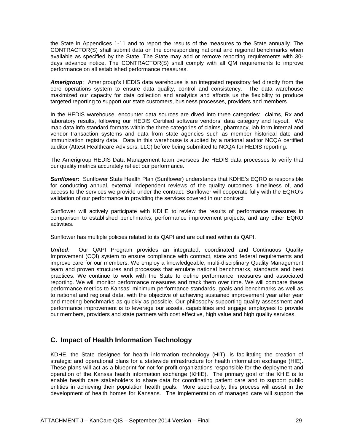the State in Appendices 1-11 and to report the results of the measures to the State annually. The CONTRACTOR(S) shall submit data on the corresponding national and regional benchmarks when available as specified by the State. The State may add or remove reporting requirements with 30 days advance notice. The CONTRACTOR(S) shall comply with all QM requirements to improve performance on all established performance measures.

*Amerigroup*: Amerigroup's HEDIS data warehouse is an integrated repository fed directly from the core operations system to ensure data quality, control and consistency. The data warehouse maximized our capacity for data collection and analytics and affords us the flexibility to produce targeted reporting to support our state customers, business processes, providers and members.

In the HEDIS warehouse, encounter data sources are dived into three categories: claims, Rx and laboratory results, following our HEDIS Certified software vendors' data category and layout. We map data info standard formats within the three categories of claims, pharmacy, lab form internal and vendor transaction systems and data from state agencies such as member historical date and immunization registry data. Data in this warehouse is audited by a national auditor NCQA certified auditor (Attest Healthcare Advisors, LLC) before being submitted to NCQA for HEDIS reporting.

The Amerigroup HEDIS Data Management team oversees the HEDIS data processes to verify that our quality metrics accurately reflect our performance.

*Sunflower:* Sunflower State Health Plan (Sunflower) understands that KDHE's EQRO is responsible for conducting annual, external independent reviews of the quality outcomes, timeliness of, and access to the services we provide under the contract. Sunflower will cooperate fully with the EQRO's validation of our performance in providing the services covered in our contract

Sunflower will actively participate with KDHE to review the results of performance measures in comparison to established benchmarks, performance improvement projects, and any other EQRO activities.

Sunflower has multiple policies related to its QAPI and are outlined within its QAPI.

*United*: Our QAPI Program provides an integrated, coordinated and Continuous Quality Improvement (CQI) system to ensure compliance with contract, state and federal requirements and improve care for our members. We employ a knowledgeable, multi-disciplinary Quality Management team and proven structures and processes that emulate national benchmarks, standards and best practices. We continue to work with the State to define performance measures and associated reporting. We will monitor performance measures and track them over time. We will compare these performance metrics to Kansas' minimum performance standards, goals and benchmarks as well as to national and regional data, with the objective of achieving sustained improvement year after year and meeting benchmarks as quickly as possible. Our philosophy supporting quality assessment and performance improvement is to leverage our assets, capabilities and engage employees to provide our members, providers and state partners with cost effective, high value and high quality services.

## <span id="page-28-0"></span>**C. Impact of Health Information Technology**

KDHE, the State designee for health information technology (HIT), is facilitating the creation of strategic and operational plans for a statewide infrastructure for health information exchange (HIE). These plans will act as a blueprint for not-for-profit organizations responsible for the deployment and operation of the Kansas health information exchange (KHIE). The primary goal of the KHIE is to enable health care stakeholders to share data for coordinating patient care and to support public entities in achieving their population health goals. More specifically, this process will assist in the development of health homes for Kansans. The implementation of managed care will support the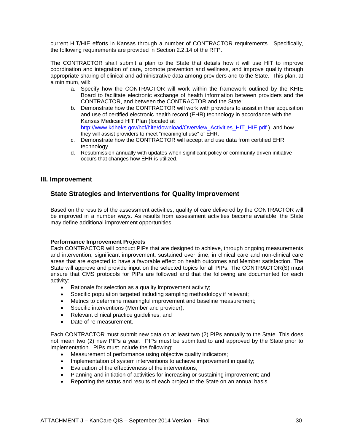current HIT/HIE efforts in Kansas through a number of CONTRACTOR requirements. Specifically, the following requirements are provided in Section 2.2.14 of the RFP.

The CONTRACTOR shall submit a plan to the State that details how it will use HIT to improve coordination and integration of care, promote prevention and wellness, and improve quality through appropriate sharing of clinical and administrative data among providers and to the State. This plan, at a minimum, will:

- a. Specify how the CONTRACTOR will work within the framework outlined by the KHIE Board to facilitate electronic exchange of health information between providers and the CONTRACTOR, and between the CONTRACTOR and the State;
- b. Demonstrate how the CONTRACTOR will work with providers to assist in their acquisition and use of certified electronic health record (EHR) technology in accordance with the Kansas Medicaid HIT Plan (located at [http://www.kdheks.gov/hcf/hite/download/Overview\\_Activities\\_HIT\\_HIE.pdf.](http://www.kdheks.gov/hcf/hite/download/Overview_Activities_HIT_HIE.pdf)) and how they will assist providers to meet "meaningful use" of EHR.
- c. Demonstrate how the CONTRACTOR will accept and use data from certified EHR technology.
- d. Resubmission annually with updates when significant policy or community driven initiative occurs that changes how EHR is utilized.

### <span id="page-29-1"></span><span id="page-29-0"></span>**III. Improvement**

## **State Strategies and Interventions for Quality Improvement**

Based on the results of the assessment activities, quality of care delivered by the CONTRACTOR will be improved in a number ways. As results from assessment activities become available, the State may define additional improvement opportunities.

#### **Performance Improvement Projects**

Each CONTRACTOR will conduct PIPs that are designed to achieve, through ongoing measurements and intervention, significant improvement, sustained over time, in clinical care and non-clinical care areas that are expected to have a favorable effect on health outcomes and Member satisfaction. The State will approve and provide input on the selected topics for all PIPs. The CONTRACTOR(S) must ensure that CMS protocols for PIPs are followed and that the following are documented for each activity:

- Rationale for selection as a quality improvement activity;
- Specific population targeted including sampling methodology if relevant;
- Metrics to determine meaningful improvement and baseline measurement;
- Specific interventions (Member and provider);
- Relevant clinical practice guidelines; and
- Date of re-measurement.

Each CONTRACTOR must submit new data on at least two (2) PIPs annually to the State. This does not mean two (2) new PIPs a year. PIPs must be submitted to and approved by the State prior to implementation. PIPs must include the following:

- Measurement of performance using objective quality indicators;
- Implementation of system interventions to achieve improvement in quality;
- Evaluation of the effectiveness of the interventions;
- Planning and initiation of activities for increasing or sustaining improvement; and
- Reporting the status and results of each project to the State on an annual basis.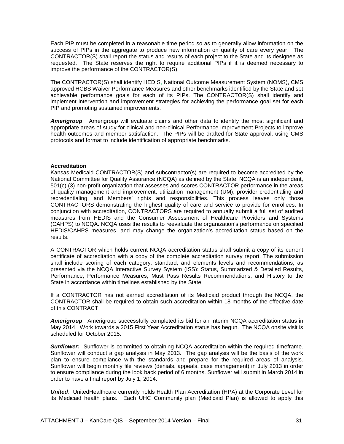Each PIP must be completed in a reasonable time period so as to generally allow information on the success of PIPs in the aggregate to produce new information on quality of care every year. The CONTRACTOR(S) shall report the status and results of each project to the State and its designee as requested. The State reserves the right to require additional PIPs if it is deemed necessary to improve the performance of the CONTRACTOR(S).

The CONTRACTOR(S) shall identify HEDIS, National Outcome Measurement System (NOMS), CMS approved HCBS Waiver Performance Measures and other benchmarks identified by the State and set achievable performance goals for each of its PIPs. The CONTRACTOR(S) shall identify and implement intervention and improvement strategies for achieving the performance goal set for each PIP and promoting sustained improvements.

*Amerigroup*: Amerigroup will evaluate claims and other data to identify the most significant and appropriate areas of study for clinical and non-clinical Performance Improvement Projects to improve health outcomes and member satisfaction. The PIPs will be drafted for State approval, using CMS protocols and format to include identification of appropriate benchmarks.

#### **Accreditation**

Kansas Medicaid CONTRACTOR(S) and subcontractor(s) are required to become accredited by the National Committee for Quality Assurance (NCQA) as defined by the State. NCQA is an independent, 501(c) (3) non-profit organization that assesses and scores CONTRACTOR performance in the areas of quality management and improvement, utilization management (UM), provider credentialing and recredentialing, and Members' rights and responsibilities. This process leaves only those CONTRACTORS demonstrating the highest quality of care and service to provide for enrollees. In conjunction with accreditation, CONTRACTORS are required to annually submit a full set of audited measures from HEDIS and the Consumer Assessment of Healthcare Providers and Systems (CAHPS) to NCQA. NCQA uses the results to reevaluate the organization's performance on specified HEDIS/CAHPS measures, and may change the organization's accreditation status based on the results.

A CONTRACTOR which holds current NCQA accreditation status shall submit a copy of its current certificate of accreditation with a copy of the complete accreditation survey report. The submission shall include scoring of each category, standard, and elements levels and recommendations, as presented via the NCQA Interactive Survey System (ISS): Status, Summarized & Detailed Results, Performance, Performance Measures, Must Pass Results Recommendations, and History to the State in accordance within timelines established by the State.

If a CONTRACTOR has not earned accreditation of its Medicaid product through the NCQA, the CONTRACTOR shall be required to obtain such accreditation within 18 months of the effective date of this CONTRACT.

**Amerigroup**: Amerigroup successfully completed its bid for an Interim NCQA accreditation status in May 2014. Work towards a 2015 First Year Accreditation status has begun. The NCQA onsite visit is scheduled for October 2015.

*Sunflower:* Sunflower is committed to obtaining NCQA accreditation within the required timeframe. Sunflower will conduct a gap analysis in May 2013. The gap analysis will be the basis of the work plan to ensure compliance with the standards and prepare for the required areas of analysis. Sunflower will begin monthly file reviews (denials, appeals, case management) in July 2013 in order to ensure compliance during the look back period of 6 months. Sunflower will submit in March 2014 in order to have a final report by July 1, 2014**.**

*United*: UnitedHealthcare currently holds Health Plan Accreditation (HPA) at the Corporate Level for its Medicaid health plans. Each UHC Community plan (Medicaid Plan) is allowed to apply this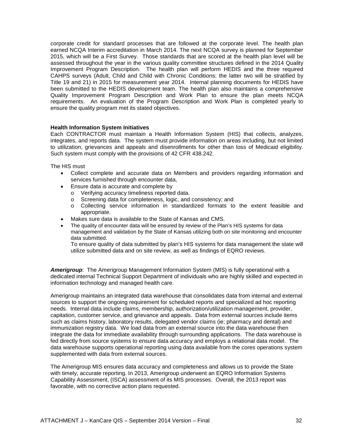corporate credit for standard processes that are followed at the corporate level. The health plan earned NCQA Interim accreditation in March 2014. The next NCQA survey is planned for September 2015, which will be a First Survey. Those standards that are scored at the health plan level will be assessed throughout the year in the various quality committee structures defined in the 2014 Quality Improvement Program Description. The health plan will perform HEDIS and the three required CAHPS surveys (Adult, Child and Child with Chronic Conditions; the latter two will be stratified by Title 19 and 21) in 2015 for measurement year 2014. Internal planning documents for HEDIS have been submitted to the HEDIS development team. The health plan also maintains a comprehensive Quality Improvement Program Description and Work Plan to ensure the plan meets NCQA requirements. An evaluation of the Program Description and Work Plan is completed yearly to ensure the quality program met its stated objectives.

#### **Health Information System Initiatives**

Each CONTRACTOR must maintain a Health Information System (HIS) that collects, analyzes, integrates, and reports data. The system must provide information on areas including, but not limited to utilization, grievances and appeals and disenrollments for other than loss of Medicaid eligibility. Such system must comply with the provisions of 42 CFR 438.242.

The HIS must

- Collect complete and accurate data on Members and providers regarding information and services furnished through encounter data,
- Ensure data is accurate and complete by
	- o Verifying accuracy timeliness reported data.
	- o Screening data for completeness, logic, and consistency; and
	- o Collecting service information in standardized formats to the extent feasible and appropriate.
- Makes sure data is available to the State of Kansas and CMS.
- The quality of encounter data will be ensured by review of the Plan's HIS systems for data management and validation by the State of Kansas utilizing both on site monitoring and encounter data submitted.

To ensure quality of data submitted by plan's HIS systems for data management the state will utilize submitted data and on site review, as well as findings of EQRO reviews.

*Amerigroup*: The Amerigroup Management Information System (MIS) is fully operational with a dedicated internal Technical Support Department of individuals who are highly skilled and expected in information technology and managed health care.

Amerigroup maintains an integrated data warehouse that consolidates data from internal and external sources to support the ongoing requirement for scheduled reports and specialized ad hoc reporting needs. Internal data include claims, membership, authorization/utilization management, provider, capitation, customer service, and grievance and appeals. Data from external sources include items such as claims history, laboratory results, delegated vendor claims (ie; pharmacy and dental) and immunization registry data. We load data from an external source into the data warehouse then integrate the data for immediate availability through surrounding applications. The data warehouse is fed directly from source systems to ensure data accuracy and employs a relational data model. The data warehouse supports operational reporting using data available from the cores operations system supplemented with data from external sources.

The Amerigroup MIS ensures data accuracy and completeness and allows us to provide the State with timely, accurate reporting. In 2013, Amerigroup underwent an EQRO Information Systems Capability Assessment, (ISCA) assessment of its MIS processes. Overall, the 2013 report was favorable, with no corrective action plans requested.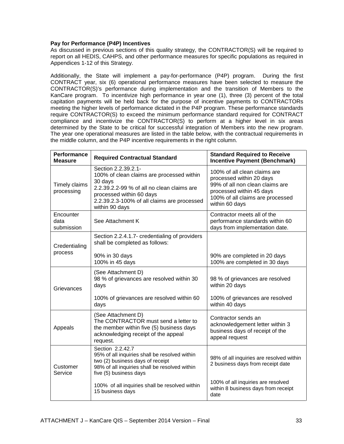#### **Pay for Performance (P4P) Incentives**

As discussed in previous sections of this quality strategy, the CONTRACTOR(S) will be required to report on all HEDIS, CAHPS, and other performance measures for specific populations as required in Appendices 1-12 of this Strategy.

Additionally, the State will implement a pay-for-performance (P4P) program. During the first CONTRACT year, six (6) operational performance measures have been selected to measure the CONTRACTOR(S)'s performance during implementation and the transition of Members to the KanCare program. To incentivize high performance in year one (1), three (3) percent of the total capitation payments will be held back for the purpose of incentive payments to CONTRACTORs meeting the higher levels of performance dictated in the P4P program. These performance standards require CONTRACTOR(S) to exceed the minimum performance standard required for CONTRACT compliance and incentivize the CONTRACTOR(S) to perform at a higher level in six areas determined by the State to be critical for successful integration of Members into the new program. The year one operational measures are listed in the table below, with the contractual requirements in the middle column, and the P4P incentive requirements in the right column.

| <b>Performance</b><br><b>Measure</b> | <b>Required Contractual Standard</b>                                                                                                                                                                                   | <b>Standard Required to Receive</b><br><b>Incentive Payment (Benchmark)</b>                                                                                                   |
|--------------------------------------|------------------------------------------------------------------------------------------------------------------------------------------------------------------------------------------------------------------------|-------------------------------------------------------------------------------------------------------------------------------------------------------------------------------|
| Timely claims<br>processing          | Section 2.2.39.2.1-<br>100% of clean claims are processed within<br>30 days<br>2.2.39.2.2-99 % of all no clean claims are<br>processed within 60 days<br>2.2.39.2.3-100% of all claims are processed<br>within 90 days | 100% of all clean claims are<br>processed within 20 days<br>99% of all non clean claims are<br>processed within 45 days<br>100% of all claims are processed<br>within 60 days |
| Encounter<br>data<br>submission      | See Attachment K                                                                                                                                                                                                       | Contractor meets all of the<br>performance standards within 60<br>days from implementation date.                                                                              |
| Credentialing                        | Section 2.2.4.1.7- credentialing of providers<br>shall be completed as follows:                                                                                                                                        |                                                                                                                                                                               |
| process                              | 90% in 30 days<br>100% in 45 days                                                                                                                                                                                      | 90% are completed in 20 days<br>100% are completed in 30 days                                                                                                                 |
| Grievances                           | (See Attachment D)<br>98 % of grievances are resolved within 30<br>days                                                                                                                                                | 98 % of grievances are resolved<br>within 20 days                                                                                                                             |
|                                      | 100% of grievances are resolved within 60<br>days                                                                                                                                                                      | 100% of grievances are resolved<br>within 40 days                                                                                                                             |
| Appeals                              | (See Attachment D)<br>The CONTRACTOR must send a letter to<br>the member within five (5) business days<br>acknowledging receipt of the appeal<br>request.                                                              | Contractor sends an<br>acknowledgement letter within 3<br>business days of receipt of the<br>appeal request                                                                   |
| Customer<br>Service                  | Section 2.2.42.7<br>95% of all inquiries shall be resolved within<br>two (2) business days of receipt<br>98% of all inquiries shall be resolved within<br>five (5) business days                                       | 98% of all inquiries are resolved within<br>2 business days from receipt date                                                                                                 |
|                                      | 100% of all inquiries shall be resolved within<br>15 business days                                                                                                                                                     | 100% of all inquiries are resolved<br>within 8 business days from receipt<br>date                                                                                             |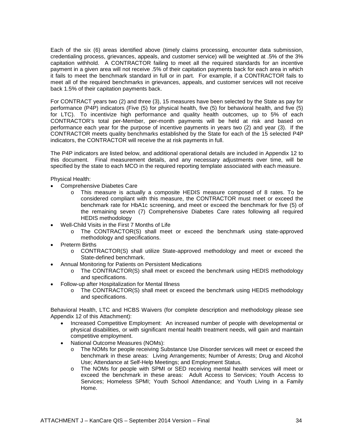Each of the six (6) areas identified above (timely claims processing, encounter data submission, credentialing process, grievances, appeals, and customer service) will be weighted at .5% of the 3% capitation withhold. A CONTRACTOR failing to meet all the required standards for an incentive payment in a given area will not receive .5% of their capitation payments back for each area in which it fails to meet the benchmark standard in full or in part. For example, if a CONTRACTOR fails to meet all of the required benchmarks in grievances, appeals, and customer services will not receive back 1.5% of their capitation payments back.

For CONTRACT years two (2) and three (3), 15 measures have been selected by the State as pay for performance (P4P) indicators (Five (5) for physical health, five (5) for behavioral health, and five (5) for LTC). To incentivize high performance and quality health outcomes, up to 5% of each CONTRACTOR's total per-Member, per-month payments will be held at risk and based on performance each year for the purpose of incentive payments in years two (2) and year (3). If the CONTRACTOR meets quality benchmarks established by the State for each of the 15 selected P4P indicators, the CONTRACTOR will receive the at risk payments in full.

The P4P indicators are listed below, and additional operational details are included in Appendix 12 to this document. Final measurement details, and any necessary adjustments over time, will be specified by the state to each MCO in the required reporting template associated with each measure.

Physical Health:

- Comprehensive Diabetes Care
	- o This measure is actually a composite HEDIS measure composed of 8 rates. To be considered compliant with this measure, the CONTRACTOR must meet or exceed the benchmark rate for HbA1c screening, and meet or exceed the benchmark for five (5) of the remaining seven (7) Comprehensive Diabetes Care rates following all required HEDIS methodology
- Well-Child Visits in the First 7 Months of Life
	- o The CONTRACTOR(S) shall meet or exceed the benchmark using state-approved methodology and specifications.
- **Preterm Births** 
	- o CONTRACTOR(S) shall utilize State-approved methodology and meet or exceed the State-defined benchmark.
- Annual Monitoring for Patients on Persistent Medications
	- o The CONTRACTOR(S) shall meet or exceed the benchmark using HEDIS methodology and specifications.
- Follow-up after Hospitalization for Mental Illness
	- o The CONTRACTOR(S) shall meet or exceed the benchmark using HEDIS methodology and specifications.

Behavioral Health, LTC and HCBS Waivers (for complete description and methodology please see Appendix 12 of this Attachment):

- Increased Competitive Employment: An increased number of people with developmental or physical disabilities, or with significant mental health treatment needs, will gain and maintain competitive employment.
- National Outcome Measures (NOMs):
	- o The NOMs for people receiving Substance Use Disorder services will meet or exceed the benchmark in these areas: Living Arrangements; Number of Arrests; Drug and Alcohol Use; Attendance at Self-Help Meetings; and Employment Status.
	- o The NOMs for people with SPMI or SED receiving mental health services will meet or exceed the benchmark in these areas: Adult Access to Services; Youth Access to Services; Homeless SPMI; Youth School Attendance; and Youth Living in a Family Home.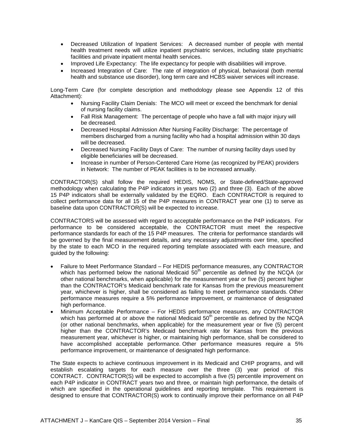- Decreased Utilization of Inpatient Services: A decreased number of people with mental health treatment needs will utilize inpatient psychiatric services, including state psychiatric facilities and private inpatient mental health services.
- Improved Life Expectancy: The life expectancy for people with disabilities will improve.
- Increased Integration of Care: The rate of integration of physical, behavioral (both mental health and substance use disorder), long term care and HCBS waiver services will increase.

Long-Term Care (for complete description and methodology please see Appendix 12 of this Attachment):

- Nursing Facility Claim Denials: The MCO will meet or exceed the benchmark for denial of nursing facility claims.
- Fall Risk Management: The percentage of people who have a fall with major injury will be decreased.
- Decreased Hospital Admission After Nursing Facility Discharge: The percentage of members discharged from a nursing facility who had a hospital admission within 30 days will be decreased.
- Decreased Nursing Facility Days of Care: The number of nursing facility days used by eligible beneficiaries will be decreased.
- Increase in number of Person-Centered Care Home (as recognized by PEAK) providers in Network: The number of PEAK facilities is to be increased annually.

CONTRACTOR(S) shall follow the required HEDIS, NOMS, or State-defined/State-approved methodology when calculating the P4P indicators in years two (2) and three (3). Each of the above 15 P4P indicators shall be externally validated by the EQRO. Each CONTRACTOR is required to collect performance data for all 15 of the P4P measures in CONTRACT year one (1) to serve as baseline data upon CONTRACTOR(S) will be expected to increase.

CONTRACTORS will be assessed with regard to acceptable performance on the P4P indicators. For performance to be considered acceptable, the CONTRACTOR must meet the respective performance standards for each of the 15 P4P measures. The criteria for performance standards will be governed by the final measurement details, and any necessary adjustments over time, specified by the state to each MCO in the required reporting template associated with each measure, and guided by the following:

- Failure to Meet Performance Standard For HEDIS performance measures, any CONTRACTOR which has performed below the national Medicaid  $50<sup>th</sup>$  percentile as defined by the NCQA (or other national benchmarks, when applicable) for the measurement year or five (5) percent higher than the CONTRACTOR's Medicaid benchmark rate for Kansas from the previous measurement year, whichever is higher, shall be considered as failing to meet performance standards. Other performance measures require a 5% performance improvement, or maintenance of designated high performance.
- Minimum Acceptable Performance For HEDIS performance measures, any CONTRACTOR which has performed at or above the national Medicaid  $50<sup>th</sup>$  percentile as defined by the NCQA (or other national benchmarks, when applicable) for the measurement year or five (5) percent higher than the CONTRACTOR's Medicaid benchmark rate for Kansas from the previous measurement year, whichever is higher, or maintaining high performance, shall be considered to have accomplished acceptable performance. Other performance measures require a 5% performance improvement, or maintenance of designated high performance.

The State expects to achieve continuous improvement in its Medicaid and CHIP programs, and will establish escalating targets for each measure over the three (3) year period of this CONTRACT. CONTRACTOR(S) will be expected to accomplish a five (5) percentile improvement on each P4P indicator in CONTRACT years two and three, or maintain high performance, the details of which are specified in the operational guidelines and reporting template. This requirement is designed to ensure that CONTRACTOR(S) work to continually improve their performance on all P4P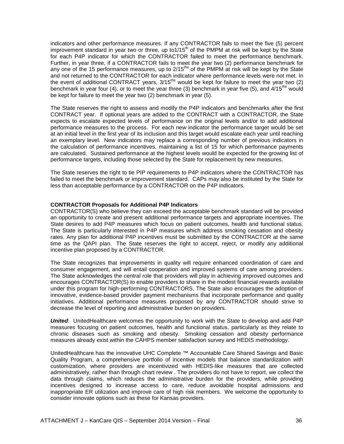indicators and other performance measures. If any CONTRACTOR fails to meet the five (5) percent improvement standard in year two or three, up to1/15<sup>th</sup> of the PMPM at risk will be kept by the State for each P4P indicator for which the CONTRACTOR failed to meet the performance benchmark. Further, in year three, if a CONTRACTOR fails to meet the year two (2) performance benchmark for any one of the 15 performance measures, up to 2/15<sup>ths</sup> of the PMPM at risk will be kept by the State and not returned to the CONTRACTOR for each indicator where performance levels were not met. In the event of additional CONTRACT years, 3/15<sup>ths</sup> would be kept for failure to meet the year two (2) benchmark in year four (4), or to meet the year three (3) benchmark in year five (5), and  $4/15^{ths}$  would be kept for failure to meet the year two (2) benchmark in year (5).

The State reserves the right to assess and modify the P4P indicators and benchmarks after the first CONTRACT year. If optional years are added to the CONTRACT with a CONTRACTOR, the State expects to escalate expected levels of performance on the original levels and/or to add additional performance measures to the process. For each new indicator the performance target would be set at an initial level in the first year of its inclusion and this target would escalate each year until reaching an exemplary level. New indicators may replace a corresponding number of previous indicators in the calculation of performance incentives, maintaining a list of 15 for which performance payments are calculated. Sustained performance at the highest levels would be expected for the growing list of performance targets, including those selected by the State for replacement by new measures.

The State reserves the right to tie PIP requirements to P4P indicators where the CONTRACTOR has failed to meet the benchmark or improvement standard. CAPs may also be instituted by the State for less than acceptable performance by a CONTRACTOR on the P4P indicators.

#### **CONTRACTOR Proposals for Additional P4P Indicators**

CONTRACTOR(S) who believe they can exceed the acceptable benchmark standard will be provided an opportunity to create and present additional performance targets and appropriate incentives. The State desires to add P4P measures which focus on patient outcomes, health and functional status. The State is particularly interested in P4P measures which address smoking cessation and obesity rates. Any plan for additional P4P incentives must be submitted by the CONTRACTOR at the same time as the QAPI plan. The State reserves the right to accept, reject, or modify any additional incentive plan proposed by a CONTRACTOR.

The State recognizes that improvements in quality will require enhanced coordination of care and consumer engagement, and will entail cooperation and improved systems of care among providers. The State acknowledges the central role that providers will play in achieving improved outcomes and encourages CONTRACTOR(S) to enable providers to share in the modest financial rewards available under this program for high-performing CONTRACTORS. The State also encourages the adoption of innovative, evidence-based provider payment mechanisms that incorporate performance and quality initiatives. Additional performance measures proposed by any CONTRACTOR should strive to decrease the level of reporting and administrative burden on providers.

*United*: UnitedHealthcare welcomes the opportunity to work with the State to develop and add P4P measures focusing on patient outcomes, health and functional status, particularly as they relate to chronic diseases such as smoking and obesity. Smoking cessation and obesity performance measures already exist within the CAHPS member satisfaction survey and HEDIS methodology.

UnitedHealthcare has the innovative UHC Complete ™ Accountable Care Shared Savings and Basic Quality Program, a comprehensive portfolio of incentive models that balance standardization with customization, where providers are incentivized with HEDIS-like measures that are collected administratively, rather than through chart review . The providers do not have to report, we collect the data through claims, which reduces the administrative burden for the providers, while providing incentives designed to increase access to care, reduce avoidable hospital admissions and inappropriate ER utilization and improve care of high risk members. We welcome the opportunity to consider innovate options such as these for Kansas providers.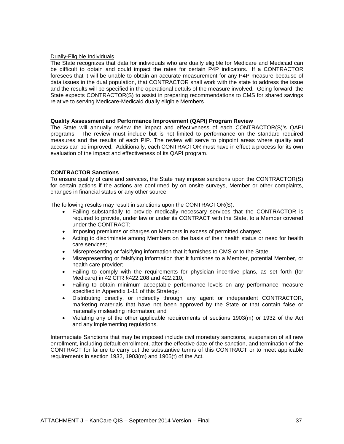#### Dually-Eligible Individuals

The State recognizes that data for individuals who are dually eligible for Medicare and Medicaid can be difficult to obtain and could impact the rates for certain P4P indicators. If a CONTRACTOR foresees that it will be unable to obtain an accurate measurement for any P4P measure because of data issues in the dual population, that CONTRACTOR shall work with the state to address the issue and the results will be specified in the operational details of the measure involved. Going forward, the State expects CONTRACTOR(S) to assist in preparing recommendations to CMS for shared savings relative to serving Medicare-Medicaid dually eligible Members.

#### **Quality Assessment and Performance Improvement (QAPI) Program Review**

The State will annually review the impact and effectiveness of each CONTRACTOR(S)'s QAPI programs. The review must include but is not limited to performance on the standard required measures and the results of each PIP. The review will serve to pinpoint areas where quality and access can be improved. Additionally, each CONTRACTOR must have in effect a process for its own evaluation of the impact and effectiveness of its QAPI program.

#### **CONTRACTOR Sanctions**

To ensure quality of care and services, the State may impose sanctions upon the CONTRACTOR(S) for certain actions if the actions are confirmed by on onsite surveys, Member or other complaints, changes in financial status or any other source.

The following results may result in sanctions upon the CONTRACTOR(S).

- Failing substantially to provide medically necessary services that the CONTRACTOR is required to provide, under law or under its CONTRACT with the State, to a Member covered under the CONTRACT;
- Imposing premiums or charges on Members in excess of permitted charges;
- Acting to discriminate among Members on the basis of their health status or need for health care services;
- Misrepresenting or falsifying information that it furnishes to CMS or to the State.
- Misrepresenting or falsifying information that it furnishes to a Member, potential Member, or health care provider;
- Failing to comply with the requirements for physician incentive plans, as set forth (for Medicare) in 42 CFR §422.208 and 422.210;
- Failing to obtain minimum acceptable performance levels on any performance measure specified in Appendix 1-11 of this Strategy;
- Distributing directly, or indirectly through any agent or independent CONTRACTOR, marketing materials that have not been approved by the State or that contain false or materially misleading information; and
- Violating any of the other applicable requirements of sections 1903(m) or 1932 of the Act and any implementing regulations.

Intermediate Sanctions that may be imposed include civil monetary sanctions, suspension of all new enrollment, including default enrollment, after the effective date of the sanction, and termination of the CONTRACT for failure to carry out the substantive terms of this CONTRACT or to meet applicable requirements in section 1932, 1903(m) and 1905(t) of the Act.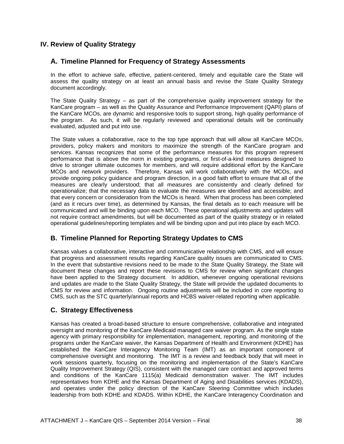#### **IV. Review of Quality Strategy**

#### **A. Timeline Planned for Frequency of Strategy Assessments**

In the effort to achieve safe, effective, patient-centered, timely and equitable care the State will assess the quality strategy on at least an annual basis and revise the State Quality Strategy document accordingly.

The State Quality Strategy – as part of the comprehensive quality improvement strategy for the KanCare program – as well as the Quality Assurance and Performance Improvement (QAPI) plans of the KanCare MCOs, are dynamic and responsive tools to support strong, high quality performance of the program. As such, it will be regularly reviewed and operational details will be continually evaluated, adjusted and put into use.

The State values a collaborative, race to the top type approach that will allow all KanCare MCOs, providers, policy makers and monitors to maximize the strength of the KanCare program and services. Kansas recognizes that some of the performance measures for this program represent performance that is above the norm in existing programs, or first-of-a-kind measures designed to drive to stronger ultimate outcomes for members, and will require additional effort by the KanCare MCOs and network providers. Therefore, Kansas will work collaboratively with the MCOs, and provide ongoing policy guidance and program direction, in a good faith effort to ensure that all of the measures are clearly understood; that all measures are consistently and clearly defined for operationalize; that the necessary data to evaluate the measures are identified and accessible; and that every concern or consideration from the MCOs is heard. When that process has been completed (and as it recurs over time), as determined by Kansas, the final details as to each measure will be communicated and will be binding upon each MCO. These operational adjustments and updates will not require contract amendments, but will be documented as part of the quality strategy or in related operational guidelines/reporting templates and will be binding upon and put into place by each MCO.

## **B. Timeline Planned for Reporting Strategy Updates to CMS**

Kansas values a collaborative, interactive and communicative relationship with CMS, and will ensure that progress and assessment results regarding KanCare quality issues are communicated to CMS. In the event that substantive revisions need to be made to the State Quality Strategy, the State will document these changes and report these revisions to CMS for review when significant changes have been applied to the Strategy document. In addition, whenever ongoing operational revisions and updates are made to the State Quality Strategy, the State will provide the updated documents to CMS for review and information. Ongoing routine adjustments will be included in core reporting to CMS, such as the STC quarterly/annual reports and HCBS waiver-related reporting when applicable.

#### **C. Strategy Effectiveness**

Kansas has created a broad-based structure to ensure comprehensive, collaborative and integrated oversight and monitoring of the KanCare Medicaid managed care waiver program. As the single state agency with primary responsibility for implementation, management, reporting, and monitoring of the programs under the KanCare waiver, the Kansas Department of Health and Environment (KDHE) has established the KanCare Interagency Monitoring Team (IMT) as an important component of comprehensive oversight and monitoring. The IMT is a review and feedback body that will meet in work sessions quarterly, focusing on the monitoring and implementation of the State's KanCare Quality Improvement Strategy (QIS), consistent with the managed care contract and approved terms and conditions of the KanCare 1115(a) Medicaid demonstration waiver. The IMT includes representatives from KDHE and the Kansas Department of Aging and Disabilities services (KDADS), and operates under the policy direction of the KanCare Steering Committee which includes leadership from both KDHE and KDADS. Within KDHE, the KanCare Interagency Coordination and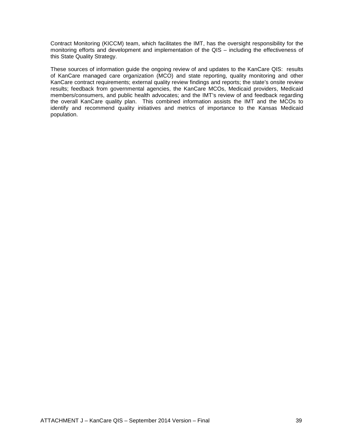Contract Monitoring (KICCM) team, which facilitates the IMT, has the oversight responsibility for the monitoring efforts and development and implementation of the QIS – including the effectiveness of this State Quality Strategy.

These sources of information guide the ongoing review of and updates to the KanCare QIS: results of KanCare managed care organization (MCO) and state reporting, quality monitoring and other KanCare contract requirements; external quality review findings and reports; the state's onsite review results; feedback from governmental agencies, the KanCare MCOs, Medicaid providers, Medicaid members/consumers, and public health advocates; and the IMT's review of and feedback regarding the overall KanCare quality plan. This combined information assists the IMT and the MCOs to identify and recommend quality initiatives and metrics of importance to the Kansas Medicaid population.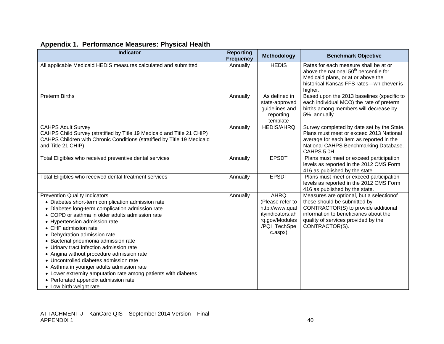| <b>Indicator</b>                                                                                                                                                                                                                                                                                                                                                                                                                                                                                                                                                                                                            | <b>Reporting</b><br><b>Frequency</b> | <b>Methodology</b>                                                                                                  | <b>Benchmark Objective</b>                                                                                                                                                                                         |
|-----------------------------------------------------------------------------------------------------------------------------------------------------------------------------------------------------------------------------------------------------------------------------------------------------------------------------------------------------------------------------------------------------------------------------------------------------------------------------------------------------------------------------------------------------------------------------------------------------------------------------|--------------------------------------|---------------------------------------------------------------------------------------------------------------------|--------------------------------------------------------------------------------------------------------------------------------------------------------------------------------------------------------------------|
| All applicable Medicaid HEDIS measures calculated and submitted                                                                                                                                                                                                                                                                                                                                                                                                                                                                                                                                                             | Annually                             | <b>HEDIS</b>                                                                                                        | Rates for each measure shall be at or<br>above the national 50 <sup>th</sup> percentile for<br>Medicaid plans, or at or above the<br>historical Kansas FFS rates-whichever is<br>higher.                           |
| <b>Preterm Births</b>                                                                                                                                                                                                                                                                                                                                                                                                                                                                                                                                                                                                       | Annually                             | As defined in<br>state-approved<br>guidelines and<br>reporting<br>template                                          | Based upon the 2013 baselines (specific to<br>each individual MCO) the rate of preterm<br>births among members will decrease by<br>5% annually.                                                                    |
| <b>CAHPS Adult Survey</b><br>CAHPS Child Survey (stratified by Title 19 Medicaid and Title 21 CHIP)<br>CAHPS Children with Chronic Conditions (stratified by Title 19 Medicaid<br>and Title 21 CHIP)                                                                                                                                                                                                                                                                                                                                                                                                                        | Annually                             | <b>HEDIS/AHRQ</b>                                                                                                   | Survey completed by date set by the State.<br>Plans must meet or exceed 2013 National<br>average for each item as reported in the<br>National CAHPS Benchmarking Database.<br>CAHPS 5.0H                           |
| Total Eligibles who received preventive dental services                                                                                                                                                                                                                                                                                                                                                                                                                                                                                                                                                                     | Annually                             | <b>EPSDT</b>                                                                                                        | Plans must meet or exceed participation<br>levels as reported in the 2012 CMS Form<br>416 as published by the state.                                                                                               |
| Total Eligibles who received dental treatment services                                                                                                                                                                                                                                                                                                                                                                                                                                                                                                                                                                      | Annually                             | <b>EPSDT</b>                                                                                                        | Plans must meet or exceed participation<br>levels as reported in the 2012 CMS Form<br>416 as published by the state.                                                                                               |
| <b>Prevention Quality Indicators</b><br>• Diabetes short-term complication admission rate<br>• Diabetes long-term complication admission rate<br>• COPD or asthma in older adults admission rate<br>• Hypertension admission rate<br>• CHF admission rate<br>• Dehydration admission rate<br>• Bacterial pneumonia admission rate<br>• Urinary tract infection admission rate<br>• Angina without procedure admission rate<br>• Uncontrolled diabetes admission rate<br>• Asthma in younger adults admission rate<br>• Lower extremity amputation rate among patients with diabetes<br>• Perforated appendix admission rate | Annually                             | <b>AHRQ</b><br>(Please refer to<br>http://www.qual<br>ityindicators.ah<br>rq.gov/Modules<br>/PQI_TechSpe<br>c.aspx) | Measures are optional, but a selectionof<br>these should be submitted by<br>CONTRACTOR(S) to provide additional<br>information to beneficiaries about the<br>quality of services provided by the<br>CONTRACTOR(S). |

## **Appendix 1. Performance Measures: Physical Health**

• Low birth weight rate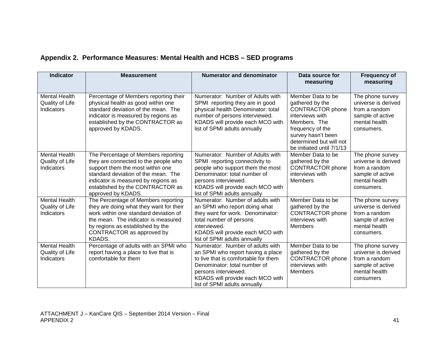# **Appendix 2. Performance Measures: Mental Health and HCBS – SED programs**

| <b>Indicator</b>                                      | <b>Measurement</b>                                                                                                                                                                                                                                      | <b>Numerator and denominator</b>                                                                                                                                                                                                          | Data source for<br>measuring                                                                                                                                                                         | <b>Frequency of</b><br>measuring                                                                            |
|-------------------------------------------------------|---------------------------------------------------------------------------------------------------------------------------------------------------------------------------------------------------------------------------------------------------------|-------------------------------------------------------------------------------------------------------------------------------------------------------------------------------------------------------------------------------------------|------------------------------------------------------------------------------------------------------------------------------------------------------------------------------------------------------|-------------------------------------------------------------------------------------------------------------|
| <b>Mental Health</b><br>Quality of Life<br>Indicators | Percentage of Members reporting their<br>physical health as good within one<br>standard deviation of the mean. The<br>indicator is measured by regions as<br>established by the CONTRACTOR as<br>approved by KDADS.                                     | Numerator: Number of Adults with<br>SPMI reporting they are in good<br>physical health Denominator: total<br>number of persons interviewed.<br>KDADS will provide each MCO with<br>list of SPMI adults annually                           | Member Data to be<br>gathered by the<br><b>CONTRACTOR</b> phone<br>interviews with<br>Members. The<br>frequency of the<br>survey hasn't been<br>determined but will not<br>be initiated until 7/1/13 | The phone survey<br>universe is derived<br>from a random<br>sample of active<br>mental health<br>consumers. |
| <b>Mental Health</b><br>Quality of Life<br>Indicators | The Percentage of Members reporting<br>they are connected to the people who<br>support them the most within one<br>standard deviation of the mean. The<br>indicator is measured by regions as<br>established by the CONTRACTOR as<br>approved by KDADS. | Numerator: Number of Adults with<br>SPMI reporting connectivity to<br>people who support them the most<br>Denominator: total number of<br>persons interviewed.<br>KDADS will provide each MCO with<br>list of SPMI adults annually        | Member Data to be<br>gathered by the<br><b>CONTRACTOR</b> phone<br>interviews with<br><b>Members</b>                                                                                                 | The phone survey<br>universe is derived<br>from a random<br>sample of active<br>mental health<br>consumers. |
| <b>Mental Health</b><br>Quality of Life<br>Indicators | The Percentage of Members reporting<br>they are doing what they want for their<br>work within one standard deviation of<br>the mean. The indicator is measured<br>by regions as established by the<br>CONTRACTOR as approved by<br>KDADS.               | Numerator: Number of adults with<br>an SPMI who report doing what<br>they want for work. Denominator:<br>total number of persons<br>interviewed.<br>KDADS will provide each MCO with<br>list of SPMI adults annually                      | Member Data to be<br>gathered by the<br><b>CONTRACTOR</b> phone<br>interviews with<br><b>Members</b>                                                                                                 | The phone survey<br>universe is derived<br>from a random<br>sample of active<br>mental health<br>consumers. |
| <b>Mental Health</b><br>Quality of Life<br>Indicators | Percentage of adults with an SPMI who<br>report having a place to live that is<br>comfortable for them                                                                                                                                                  | Numerator: Number of adults with<br>an SPMI who report having a place<br>to live that is comfortable for them<br>Denominator: total number of<br>persons interviewed.<br>KDADS will provide each MCO with<br>list of SPMI adults annually | Member Data to be<br>gathered by the<br><b>CONTRACTOR</b> phone<br>interviews with<br><b>Members</b>                                                                                                 | The phone survey<br>universe is derived<br>from a random<br>sample of active<br>mental health<br>consumers  |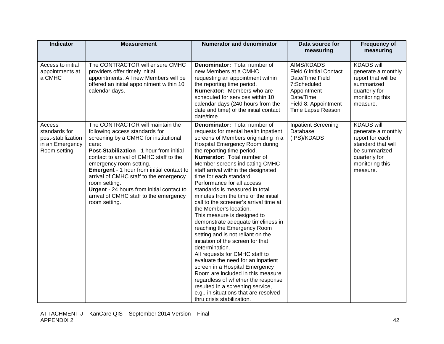| <b>Indicator</b>                                                                 | <b>Measurement</b>                                                                                                                                                                                                                                                                                                                                                                                                                                            | <b>Numerator and denominator</b>                                                                                                                                                                                                                                                                                                                                                                                                                                                                                                                                                                                                                                                                                                                                                                                                                                                                                                                                                          | Data source for<br>measuring                                                                                                                             | <b>Frequency of</b><br>measuring                                                                                                                  |
|----------------------------------------------------------------------------------|---------------------------------------------------------------------------------------------------------------------------------------------------------------------------------------------------------------------------------------------------------------------------------------------------------------------------------------------------------------------------------------------------------------------------------------------------------------|-------------------------------------------------------------------------------------------------------------------------------------------------------------------------------------------------------------------------------------------------------------------------------------------------------------------------------------------------------------------------------------------------------------------------------------------------------------------------------------------------------------------------------------------------------------------------------------------------------------------------------------------------------------------------------------------------------------------------------------------------------------------------------------------------------------------------------------------------------------------------------------------------------------------------------------------------------------------------------------------|----------------------------------------------------------------------------------------------------------------------------------------------------------|---------------------------------------------------------------------------------------------------------------------------------------------------|
| Access to initial<br>appointments at<br>a CMHC                                   | The CONTRACTOR will ensure CMHC<br>providers offer timely initial<br>appointments. All new Members will be<br>offered an initial appointment within 10<br>calendar days.                                                                                                                                                                                                                                                                                      | Denominator: Total number of<br>new Members at a CMHC<br>requesting an appointment within<br>the reporting time period.<br><b>Numerator:</b> Members who are<br>scheduled for services within 10<br>calendar days (240 hours from the<br>date and time) of the initial contact<br>date/time.                                                                                                                                                                                                                                                                                                                                                                                                                                                                                                                                                                                                                                                                                              | AIMS/KDADS<br><b>Field 6: Initial Contact</b><br>Date/Time Field<br>7:Scheduled<br>Appointment<br>Date/Time<br>Field 8: Appointment<br>Time Lapse Reason | <b>KDADS will</b><br>generate a monthly<br>report that will be<br>summarized<br>quarterly for<br>monitoring this<br>measure.                      |
| Access<br>standards for<br>post-stabilization<br>in an Emergency<br>Room setting | The CONTRACTOR will maintain the<br>following access standards for<br>screening by a CMHC for institutional<br>care:<br>Post-Stabilization - 1 hour from initial<br>contact to arrival of CMHC staff to the<br>emergency room setting.<br><b>Emergent</b> - 1 hour from initial contact to<br>arrival of CMHC staff to the emergency<br>room setting.<br>Urgent - 24 hours from initial contact to<br>arrival of CMHC staff to the emergency<br>room setting. | Denominator: Total number of<br>requests for mental health inpatient<br>screens of Members originating in a<br>Hospital Emergency Room during<br>the reporting time period.<br>Numerator: Total number of<br>Member screens indicating CMHC<br>staff arrival within the designated<br>time for each standard.<br>Performance for all access<br>standards is measured in total<br>minutes from the time of the initial<br>call to the screener's arrival time at<br>the Member's location.<br>This measure is designed to<br>demonstrate adequate timeliness in<br>reaching the Emergency Room<br>setting and is not reliant on the<br>initiation of the screen for that<br>determination.<br>All requests for CMHC staff to<br>evaluate the need for an inpatient<br>screen in a Hospital Emergency<br>Room are included in this measure<br>regardless of whether the response<br>resulted in a screening service,<br>e.g., in situations that are resolved<br>thru crisis stabilization. | <b>Inpatient Screening</b><br>Database<br>(IPS)/KDADS                                                                                                    | <b>KDADS will</b><br>generate a monthly<br>report for each<br>standard that will<br>be summarized<br>quarterly for<br>monitoring this<br>measure. |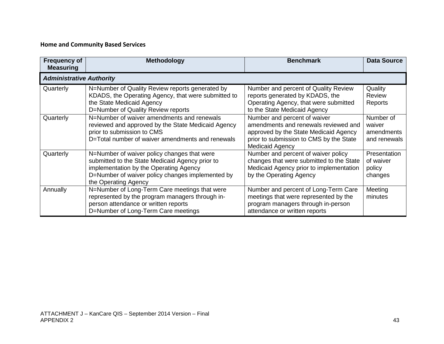### **Home and Community Based Services**

| <b>Frequency of</b><br><b>Measuring</b> | <b>Methodology</b>                                                                                                                                                                                                   | <b>Benchmark</b>                                                                                                                                                                   | <b>Data Source</b>                                |
|-----------------------------------------|----------------------------------------------------------------------------------------------------------------------------------------------------------------------------------------------------------------------|------------------------------------------------------------------------------------------------------------------------------------------------------------------------------------|---------------------------------------------------|
| <b>Administrative Authority</b>         |                                                                                                                                                                                                                      |                                                                                                                                                                                    |                                                   |
| Quarterly                               | N=Number of Quality Review reports generated by<br>KDADS, the Operating Agency, that were submitted to<br>the State Medicaid Agency<br>D=Number of Quality Review reports                                            | Number and percent of Quality Review<br>reports generated by KDADS, the<br>Operating Agency, that were submitted<br>to the State Medicaid Agency                                   | Quality<br><b>Review</b><br>Reports               |
| Quarterly                               | N=Number of waiver amendments and renewals<br>reviewed and approved by the State Medicaid Agency<br>prior to submission to CMS<br>D=Total number of waiver amendments and renewals                                   | Number and percent of waiver<br>amendments and renewals reviewed and<br>approved by the State Medicaid Agency<br>prior to submission to CMS by the State<br><b>Medicaid Agency</b> | Number of<br>waiver<br>amendments<br>and renewals |
| Quarterly                               | N=Number of waiver policy changes that were<br>submitted to the State Medicaid Agency prior to<br>implementation by the Operating Agency<br>D=Number of waiver policy changes implemented by<br>the Operating Agency | Number and percent of waiver policy<br>changes that were submitted to the State<br>Medicaid Agency prior to implementation<br>by the Operating Agency                              | Presentation<br>of waiver<br>policy<br>changes    |
| Annually                                | N=Number of Long-Term Care meetings that were<br>represented by the program managers through in-<br>person attendance or written reports<br>D=Number of Long-Term Care meetings                                      | Number and percent of Long-Term Care<br>meetings that were represented by the<br>program managers through in-person<br>attendance or written reports                               | Meeting<br>minutes                                |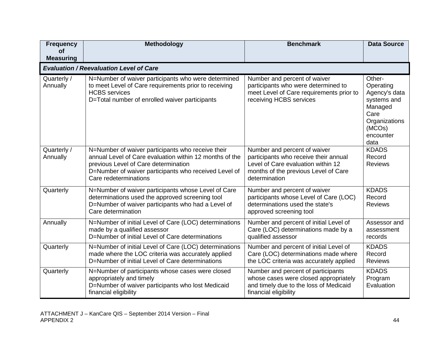| <b>Frequency</b><br>Οf  | <b>Methodology</b>                                                                                                                                                                                                                     | <b>Benchmark</b>                                                                                                                                                     | <b>Data Source</b>                                                                                                     |
|-------------------------|----------------------------------------------------------------------------------------------------------------------------------------------------------------------------------------------------------------------------------------|----------------------------------------------------------------------------------------------------------------------------------------------------------------------|------------------------------------------------------------------------------------------------------------------------|
| <b>Measuring</b>        |                                                                                                                                                                                                                                        |                                                                                                                                                                      |                                                                                                                        |
|                         | <b>Evaluation / Reevaluation Level of Care</b>                                                                                                                                                                                         |                                                                                                                                                                      |                                                                                                                        |
| Quarterly /<br>Annually | N=Number of waiver participants who were determined<br>to meet Level of Care requirements prior to receiving<br><b>HCBS</b> services<br>D=Total number of enrolled waiver participants                                                 | Number and percent of waiver<br>participants who were determined to<br>meet Level of Care requirements prior to<br>receiving HCBS services                           | Other-<br>Operating<br>Agency's data<br>systems and<br>Managed<br>Care<br>Organizations<br>(MCOs)<br>encounter<br>data |
| Quarterly /<br>Annually | N=Number of waiver participants who receive their<br>annual Level of Care evaluation within 12 months of the<br>previous Level of Care determination<br>D=Number of waiver participants who received Level of<br>Care redeterminations | Number and percent of waiver<br>participants who receive their annual<br>Level of Care evaluation within 12<br>months of the previous Level of Care<br>determination | <b>KDADS</b><br>Record<br><b>Reviews</b>                                                                               |
| Quarterly               | N=Number of waiver participants whose Level of Care<br>determinations used the approved screening tool<br>D=Number of waiver participants who had a Level of<br>Care determination                                                     | Number and percent of waiver<br>participants whose Level of Care (LOC)<br>determinations used the state's<br>approved screening tool                                 | <b>KDADS</b><br>Record<br><b>Reviews</b>                                                                               |
| Annually                | N=Number of initial Level of Care (LOC) determinations<br>made by a qualified assessor<br>D=Number of initial Level of Care determinations                                                                                             | Number and percent of initial Level of<br>Care (LOC) determinations made by a<br>qualified assessor                                                                  | Assessor and<br>assessment<br>records                                                                                  |
| Quarterly               | N=Number of initial Level of Care (LOC) determinations<br>made where the LOC criteria was accurately applied<br>D=Number of initial Level of Care determinations                                                                       | Number and percent of initial Level of<br>Care (LOC) determinations made where<br>the LOC criteria was accurately applied                                            | <b>KDADS</b><br>Record<br><b>Reviews</b>                                                                               |
| Quarterly               | N=Number of participants whose cases were closed<br>appropriately and timely<br>D=Number of waiver participants who lost Medicaid<br>financial eligibility                                                                             | Number and percent of participants<br>whose cases were closed appropriately<br>and timely due to the loss of Medicaid<br>financial eligibility                       | <b>KDADS</b><br>Program<br>Evaluation                                                                                  |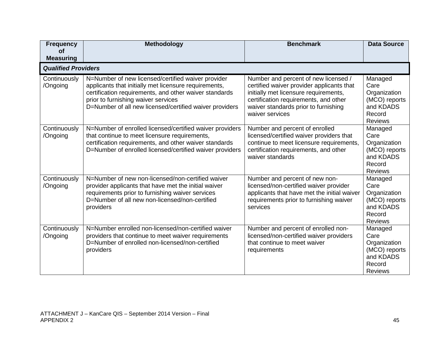| <b>Frequency</b><br><b>of</b><br><b>Measuring</b> | Methodology                                                                                                                                                                                                                                                             | <b>Benchmark</b>                                                                                                                                                                                                               | <b>Data Source</b>                                                                        |
|---------------------------------------------------|-------------------------------------------------------------------------------------------------------------------------------------------------------------------------------------------------------------------------------------------------------------------------|--------------------------------------------------------------------------------------------------------------------------------------------------------------------------------------------------------------------------------|-------------------------------------------------------------------------------------------|
| <b>Qualified Providers</b>                        |                                                                                                                                                                                                                                                                         |                                                                                                                                                                                                                                |                                                                                           |
| Continuously<br>/Ongoing                          | N=Number of new licensed/certified waiver provider<br>applicants that initially met licensure requirements,<br>certification requirements, and other waiver standards<br>prior to furnishing waiver services<br>D=Number of all new licensed/certified waiver providers | Number and percent of new licensed /<br>certified waiver provider applicants that<br>initially met licensure requirements,<br>certification requirements, and other<br>waiver standards prior to furnishing<br>waiver services | Managed<br>Care<br>Organization<br>(MCO) reports<br>and KDADS<br>Record<br><b>Reviews</b> |
| Continuously<br>/Ongoing                          | N=Number of enrolled licensed/certified waiver providers<br>that continue to meet licensure requirements,<br>certification requirements, and other waiver standards<br>D=Number of enrolled licensed/certified waiver providers                                         | Number and percent of enrolled<br>licensed/certified waiver providers that<br>continue to meet licensure requirements,<br>certification requirements, and other<br>waiver standards                                            | Managed<br>Care<br>Organization<br>(MCO) reports<br>and KDADS<br>Record<br><b>Reviews</b> |
| Continuously<br>/Ongoing                          | N=Number of new non-licensed/non-certified waiver<br>provider applicants that have met the initial waiver<br>requirements prior to furnishing waiver services<br>D=Number of all new non-licensed/non-certified<br>providers                                            | Number and percent of new non-<br>licensed/non-certified waiver provider<br>applicants that have met the initial waiver<br>requirements prior to furnishing waiver<br>services                                                 | Managed<br>Care<br>Organization<br>(MCO) reports<br>and KDADS<br>Record<br><b>Reviews</b> |
| Continuously<br>/Ongoing                          | N=Number enrolled non-licensed/non-certified waiver<br>providers that continue to meet waiver requirements<br>D=Number of enrolled non-licensed/non-certified<br>providers                                                                                              | Number and percent of enrolled non-<br>licensed/non-certified waiver providers<br>that continue to meet waiver<br>requirements                                                                                                 | Managed<br>Care<br>Organization<br>(MCO) reports<br>and KDADS<br>Record<br><b>Reviews</b> |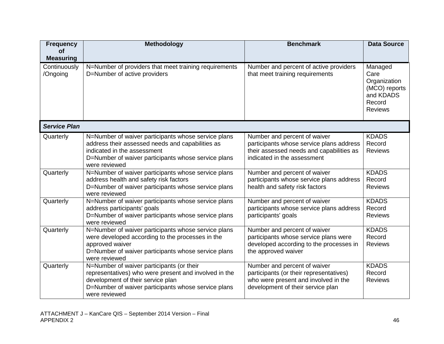| <b>Frequency</b><br>Οf   | Methodology                                                                                                                                                                                                     | <b>Benchmark</b>                                                                                                                                     | <b>Data Source</b>                                                                        |
|--------------------------|-----------------------------------------------------------------------------------------------------------------------------------------------------------------------------------------------------------------|------------------------------------------------------------------------------------------------------------------------------------------------------|-------------------------------------------------------------------------------------------|
| <b>Measuring</b>         |                                                                                                                                                                                                                 |                                                                                                                                                      |                                                                                           |
| Continuously<br>/Ongoing | N=Number of providers that meet training requirements<br>D=Number of active providers                                                                                                                           | Number and percent of active providers<br>that meet training requirements                                                                            | Managed<br>Care<br>Organization<br>(MCO) reports<br>and KDADS<br>Record<br><b>Reviews</b> |
| <b>Service Plan</b>      |                                                                                                                                                                                                                 |                                                                                                                                                      |                                                                                           |
| Quarterly                | N=Number of waiver participants whose service plans<br>address their assessed needs and capabilities as<br>indicated in the assessment<br>D=Number of waiver participants whose service plans<br>were reviewed  | Number and percent of waiver<br>participants whose service plans address<br>their assessed needs and capabilities as<br>indicated in the assessment  | <b>KDADS</b><br>Record<br><b>Reviews</b>                                                  |
| Quarterly                | N=Number of waiver participants whose service plans<br>address health and safety risk factors<br>D=Number of waiver participants whose service plans<br>were reviewed                                           | Number and percent of waiver<br>participants whose service plans address<br>health and safety risk factors                                           | <b>KDADS</b><br>Record<br><b>Reviews</b>                                                  |
| Quarterly                | N=Number of waiver participants whose service plans<br>address participants' goals<br>D=Number of waiver participants whose service plans<br>were reviewed                                                      | Number and percent of waiver<br>participants whose service plans address<br>participants' goals                                                      | <b>KDADS</b><br>Record<br><b>Reviews</b>                                                  |
| Quarterly                | N=Number of waiver participants whose service plans<br>were developed according to the processes in the<br>approved waiver<br>D=Number of waiver participants whose service plans<br>were reviewed              | Number and percent of waiver<br>participants whose service plans were<br>developed according to the processes in<br>the approved waiver              | <b>KDADS</b><br>Record<br><b>Reviews</b>                                                  |
| Quarterly                | N=Number of waiver participants (or their<br>representatives) who were present and involved in the<br>development of their service plan<br>D=Number of waiver participants whose service plans<br>were reviewed | Number and percent of waiver<br>participants (or their representatives)<br>who were present and involved in the<br>development of their service plan | <b>KDADS</b><br>Record<br><b>Reviews</b>                                                  |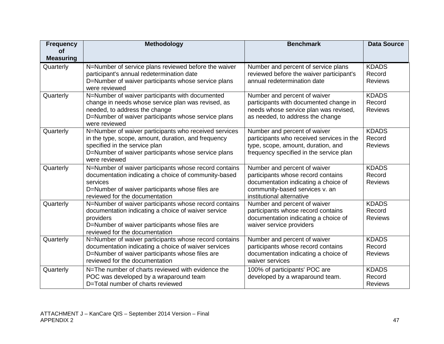| <b>Frequency</b>              | <b>Methodology</b>                                                                                            | <b>Benchmark</b>                                                   | <b>Data Source</b>     |
|-------------------------------|---------------------------------------------------------------------------------------------------------------|--------------------------------------------------------------------|------------------------|
| <b>of</b>                     |                                                                                                               |                                                                    |                        |
| <b>Measuring</b><br>Quarterly | N=Number of service plans reviewed before the waiver                                                          | Number and percent of service plans                                | <b>KDADS</b>           |
|                               | participant's annual redetermination date                                                                     | reviewed before the waiver participant's                           | Record                 |
|                               | D=Number of waiver participants whose service plans                                                           | annual redetermination date                                        | <b>Reviews</b>         |
|                               | were reviewed                                                                                                 |                                                                    |                        |
| Quarterly                     | N=Number of waiver participants with documented                                                               | Number and percent of waiver                                       | <b>KDADS</b>           |
|                               | change in needs whose service plan was revised, as                                                            | participants with documented change in                             | Record                 |
|                               | needed, to address the change                                                                                 | needs whose service plan was revised,                              | <b>Reviews</b>         |
|                               | D=Number of waiver participants whose service plans<br>were reviewed                                          | as needed, to address the change                                   |                        |
| Quarterly                     | N=Number of waiver participants who received services                                                         | Number and percent of waiver                                       | <b>KDADS</b>           |
|                               | in the type, scope, amount, duration, and frequency                                                           | participants who received services in the                          | Record                 |
|                               | specified in the service plan                                                                                 | type, scope, amount, duration, and                                 | <b>Reviews</b>         |
|                               | D=Number of waiver participants whose service plans                                                           | frequency specified in the service plan                            |                        |
|                               | were reviewed                                                                                                 |                                                                    |                        |
| Quarterly                     | N=Number of waiver participants whose record contains<br>documentation indicating a choice of community-based | Number and percent of waiver<br>participants whose record contains | <b>KDADS</b><br>Record |
|                               | services                                                                                                      | documentation indicating a choice of                               | <b>Reviews</b>         |
|                               | D=Number of waiver participants whose files are                                                               | community-based services v. an                                     |                        |
|                               | reviewed for the documentation                                                                                | institutional alternative                                          |                        |
| Quarterly                     | N=Number of waiver participants whose record contains                                                         | Number and percent of waiver                                       | <b>KDADS</b>           |
|                               | documentation indicating a choice of waiver service                                                           | participants whose record contains                                 | Record                 |
|                               | providers                                                                                                     | documentation indicating a choice of                               | <b>Reviews</b>         |
|                               | D=Number of waiver participants whose files are                                                               | waiver service providers                                           |                        |
|                               | reviewed for the documentation                                                                                |                                                                    | <b>KDADS</b>           |
| Quarterly                     | N=Number of waiver participants whose record contains<br>documentation indicating a choice of waiver services | Number and percent of waiver<br>participants whose record contains | Record                 |
|                               | D=Number of waiver participants whose files are                                                               | documentation indicating a choice of                               | <b>Reviews</b>         |
|                               | reviewed for the documentation                                                                                | waiver services                                                    |                        |
| Quarterly                     | N=The number of charts reviewed with evidence the                                                             | 100% of participants' POC are                                      | <b>KDADS</b>           |
|                               | POC was developed by a wraparound team                                                                        | developed by a wraparound team.                                    | Record                 |
|                               | D=Total number of charts reviewed                                                                             |                                                                    | <b>Reviews</b>         |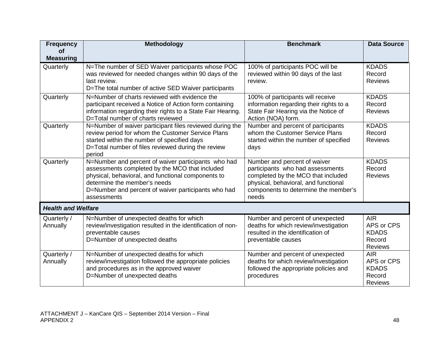| <b>Frequency</b>          | Methodology                                                                                                                                                                                                                                                       | <b>Benchmark</b>                                                                                                                                                                                | <b>Data Source</b>                                                   |
|---------------------------|-------------------------------------------------------------------------------------------------------------------------------------------------------------------------------------------------------------------------------------------------------------------|-------------------------------------------------------------------------------------------------------------------------------------------------------------------------------------------------|----------------------------------------------------------------------|
| οf<br><b>Measuring</b>    |                                                                                                                                                                                                                                                                   |                                                                                                                                                                                                 |                                                                      |
| Quarterly                 | N=The number of SED Waiver participants whose POC<br>was reviewed for needed changes within 90 days of the<br>last review.<br>D=The total number of active SED Waiver participants                                                                                | 100% of participants POC will be<br>reviewed within 90 days of the last<br>review.                                                                                                              | <b>KDADS</b><br>Record<br><b>Reviews</b>                             |
| Quarterly                 | N=Number of charts reviewed with evidence the<br>participant received a Notice of Action form containing<br>information regarding their rights to a State Fair Hearing.<br>D=Total number of charts reviewed                                                      | 100% of participants will receive<br>information regarding their rights to a<br>State Fair Hearing via the Notice of<br>Action (NOA) form.                                                      | <b>KDADS</b><br>Record<br><b>Reviews</b>                             |
| Quarterly                 | N=Number of waiver participant files reviewed during the<br>review period for whom the Customer Service Plans<br>started within the number of specified days<br>D=Total number of files reviewed during the review<br>period                                      | Number and percent of participants<br>whom the Customer Service Plans<br>started within the number of specified<br>days                                                                         | <b>KDADS</b><br>Record<br><b>Reviews</b>                             |
| Quarterly                 | N=Number and percent of waiver participants who had<br>assessments completed by the MCO that included<br>physical, behavioral, and functional components to<br>determine the member's needs<br>D=Number and percent of waiver participants who had<br>assessments | Number and percent of waiver<br>participants who had assessments<br>completed by the MCO that included<br>physical, behavioral, and functional<br>components to determine the member's<br>needs | <b>KDADS</b><br>Record<br><b>Reviews</b>                             |
| <b>Health and Welfare</b> |                                                                                                                                                                                                                                                                   |                                                                                                                                                                                                 |                                                                      |
| Quarterly /<br>Annually   | N=Number of unexpected deaths for which<br>review/investigation resulted in the identification of non-<br>preventable causes<br>D=Number of unexpected deaths                                                                                                     | Number and percent of unexpected<br>deaths for which review/investigation<br>resulted in the identification of<br>preventable causes                                                            | <b>AIR</b><br>APS or CPS<br><b>KDADS</b><br>Record<br><b>Reviews</b> |
| Quarterly /<br>Annually   | N=Number of unexpected deaths for which<br>review/investigation followed the appropriate policies<br>and procedures as in the approved waiver<br>D=Number of unexpected deaths                                                                                    | Number and percent of unexpected<br>deaths for which review/investigation<br>followed the appropriate policies and<br>procedures                                                                | <b>AIR</b><br>APS or CPS<br><b>KDADS</b><br>Record<br><b>Reviews</b> |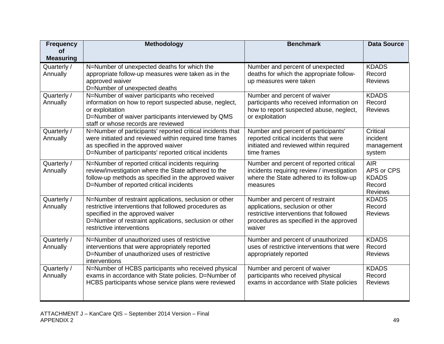| <b>Frequency</b>        | <b>Methodology</b>                                                                                                                                                                                                                         | <b>Benchmark</b>                                                                                                                                                    | <b>Data Source</b>                                                   |
|-------------------------|--------------------------------------------------------------------------------------------------------------------------------------------------------------------------------------------------------------------------------------------|---------------------------------------------------------------------------------------------------------------------------------------------------------------------|----------------------------------------------------------------------|
| Οf<br><b>Measuring</b>  |                                                                                                                                                                                                                                            |                                                                                                                                                                     |                                                                      |
| Quarterly /<br>Annually | N=Number of unexpected deaths for which the<br>appropriate follow-up measures were taken as in the<br>approved waiver<br>D=Number of unexpected deaths                                                                                     | Number and percent of unexpected<br>deaths for which the appropriate follow-<br>up measures were taken                                                              | <b>KDADS</b><br>Record<br><b>Reviews</b>                             |
| Quarterly /<br>Annually | N=Number of waiver participants who received<br>information on how to report suspected abuse, neglect,<br>or exploitation<br>D=Number of waiver participants interviewed by QMS<br>staff or whose records are reviewed                     | Number and percent of waiver<br>participants who received information on<br>how to report suspected abuse, neglect,<br>or exploitation                              | <b>KDADS</b><br>Record<br><b>Reviews</b>                             |
| Quarterly /<br>Annually | N=Number of participants' reported critical incidents that<br>were initiated and reviewed within required time frames<br>as specified in the approved waiver<br>D=Number of participants' reported critical incidents                      | Number and percent of participants'<br>reported critical incidents that were<br>initiated and reviewed within required<br>time frames                               | Critical<br>incident<br>management<br>system                         |
| Quarterly /<br>Annually | N=Number of reported critical incidents requiring<br>review/investigation where the State adhered to the<br>follow-up methods as specified in the approved waiver<br>D=Number of reported critical incidents                               | Number and percent of reported critical<br>incidents requiring review / investigation<br>where the State adhered to its follow-up<br>measures                       | <b>AIR</b><br>APS or CPS<br><b>KDADS</b><br>Record<br><b>Reviews</b> |
| Quarterly /<br>Annually | N=Number of restraint applications, seclusion or other<br>restrictive interventions that followed procedures as<br>specified in the approved waiver<br>D=Number of restraint applications, seclusion or other<br>restrictive interventions | Number and percent of restraint<br>applications, seclusion or other<br>restrictive interventions that followed<br>procedures as specified in the approved<br>waiver | <b>KDADS</b><br>Record<br><b>Reviews</b>                             |
| Quarterly /<br>Annually | N=Number of unauthorized uses of restrictive<br>interventions that were appropriately reported<br>D=Number of unauthorized uses of restrictive<br>interventions                                                                            | Number and percent of unauthorized<br>uses of restrictive interventions that were<br>appropriately reported                                                         | <b>KDADS</b><br>Record<br><b>Reviews</b>                             |
| Quarterly /<br>Annually | N=Number of HCBS participants who received physical<br>exams in accordance with State policies. D=Number of<br>HCBS participants whose service plans were reviewed                                                                         | Number and percent of waiver<br>participants who received physical<br>exams in accordance with State policies                                                       | <b>KDADS</b><br>Record<br><b>Reviews</b>                             |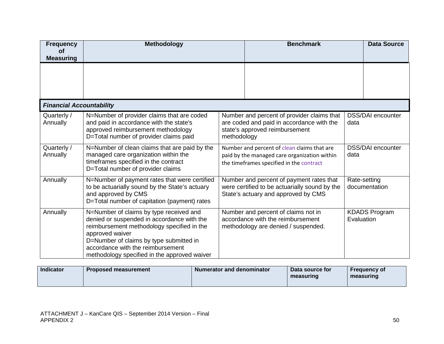| <b>Frequency</b><br><b>of</b><br><b>Measuring</b> | <b>Methodology</b><br><b>Benchmark</b>                                                                                                                                                                                                                                                 |                                                                                                                                         |                                                                                                                                  |            | <b>Data Source</b>            |
|---------------------------------------------------|----------------------------------------------------------------------------------------------------------------------------------------------------------------------------------------------------------------------------------------------------------------------------------------|-----------------------------------------------------------------------------------------------------------------------------------------|----------------------------------------------------------------------------------------------------------------------------------|------------|-------------------------------|
|                                                   |                                                                                                                                                                                                                                                                                        |                                                                                                                                         |                                                                                                                                  |            |                               |
| <b>Financial Accountability</b>                   |                                                                                                                                                                                                                                                                                        |                                                                                                                                         |                                                                                                                                  |            |                               |
| Quarterly /<br>Annually                           | N=Number of provider claims that are coded<br>and paid in accordance with the state's<br>approved reimbursement methodology<br>D=Total number of provider claims paid                                                                                                                  | methodology                                                                                                                             | Number and percent of provider claims that<br>are coded and paid in accordance with the<br>state's approved reimbursement        | data       | <b>DSS/DAI</b> encounter      |
| Quarterly /<br>Annually                           | N=Number of clean claims that are paid by the<br>managed care organization within the<br>timeframes specified in the contract<br>D=Total number of provider claims                                                                                                                     | Number and percent of clean claims that are<br>paid by the managed care organization within<br>the timeframes specified in the contract |                                                                                                                                  | data       | <b>DSS/DAI</b> encounter      |
| Annually                                          | N=Number of payment rates that were certified<br>to be actuarially sound by the State's actuary<br>and approved by CMS<br>D=Total number of capitation (payment) rates                                                                                                                 |                                                                                                                                         | Number and percent of payment rates that<br>were certified to be actuarially sound by the<br>State's actuary and approved by CMS |            | Rate-setting<br>documentation |
| Annually                                          | N=Number of claims by type received and<br>denied or suspended in accordance with the<br>reimbursement methodology specified in the<br>approved waiver<br>D=Number of claims by type submitted in<br>accordance with the reimbursement<br>methodology specified in the approved waiver |                                                                                                                                         | Number and percent of claims not in<br>accordance with the reimbursement<br>methodology are denied / suspended.                  | Evaluation | <b>KDADS Program</b>          |

| <b>Indicator</b> | <b>Proposed measurement</b> | <b>Numerator and denominator</b> | Data source for<br>measuring | <b>Frequency of</b><br>measuring |
|------------------|-----------------------------|----------------------------------|------------------------------|----------------------------------|
|------------------|-----------------------------|----------------------------------|------------------------------|----------------------------------|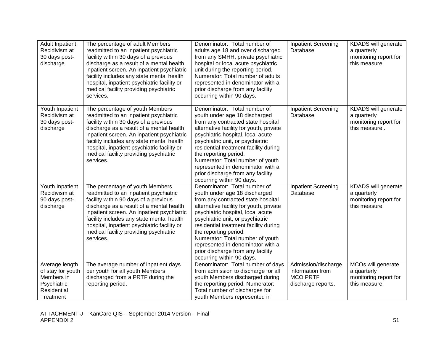| <b>Adult Inpatient</b><br>Recidivism at<br>30 days post-<br>discharge                        | The percentage of adult Members<br>readmitted to an inpatient psychiatric<br>facility within 30 days of a previous<br>discharge as a result of a mental health<br>inpatient screen. An inpatient psychiatric<br>facility includes any state mental health<br>hospital, inpatient psychiatric facility or<br>medical facility providing psychiatric<br>services. | Denominator: Total number of<br>adults age 18 and over discharged<br>from any SMHH, private psychiatric<br>hospital or local acute psychiatric<br>unit during the reporting period.<br>Numerator: Total number of adults<br>represented in denominator with a<br>prior discharge from any facility<br>occurring within 90 days.                                                                                                      | <b>Inpatient Screening</b><br>Database                                           | KDADS will generate<br>a quarterly<br>monitoring report for<br>this measure. |
|----------------------------------------------------------------------------------------------|-----------------------------------------------------------------------------------------------------------------------------------------------------------------------------------------------------------------------------------------------------------------------------------------------------------------------------------------------------------------|--------------------------------------------------------------------------------------------------------------------------------------------------------------------------------------------------------------------------------------------------------------------------------------------------------------------------------------------------------------------------------------------------------------------------------------|----------------------------------------------------------------------------------|------------------------------------------------------------------------------|
| Youth Inpatient<br>Recidivism at<br>30 days post-<br>discharge                               | The percentage of youth Members<br>readmitted to an inpatient psychiatric<br>facility within 30 days of a previous<br>discharge as a result of a mental health<br>inpatient screen. An inpatient psychiatric<br>facility includes any state mental health<br>hospital, inpatient psychiatric facility or<br>medical facility providing psychiatric<br>services. | Denominator: Total number of<br>youth under age 18 discharged<br>from any contracted state hospital<br>alternative facility for youth, private<br>psychiatric hospital, local acute<br>psychiatric unit, or psychiatric<br>residential treatment facility during<br>the reporting period.<br>Numerator: Total number of youth<br>represented in denominator with a<br>prior discharge from any facility<br>occurring within 90 days. | <b>Inpatient Screening</b><br>Database                                           | KDADS will generate<br>a quarterly<br>monitoring report for<br>this measure  |
| Youth Inpatient<br>Recidivism at<br>90 days post-<br>discharge                               | The percentage of youth Members<br>readmitted to an inpatient psychiatric<br>facility within 90 days of a previous<br>discharge as a result of a mental health<br>inpatient screen. An inpatient psychiatric<br>facility includes any state mental health<br>hospital, inpatient psychiatric facility or<br>medical facility providing psychiatric<br>services. | Denominator: Total number of<br>youth under age 18 discharged<br>from any contracted state hospital<br>alternative facility for youth, private<br>psychiatric hospital, local acute<br>psychiatric unit, or psychiatric<br>residential treatment facility during<br>the reporting period.<br>Numerator: Total number of youth<br>represented in denominator with a<br>prior discharge from any facility<br>occurring within 90 days. | <b>Inpatient Screening</b><br>Database                                           | KDADS will generate<br>a quarterly<br>monitoring report for<br>this measure. |
| Average length<br>of stay for youth<br>Members in<br>Psychiatric<br>Residential<br>Treatment | The average number of inpatient days<br>per youth for all youth Members<br>discharged from a PRTF during the<br>reporting period.                                                                                                                                                                                                                               | Denominator: Total number of days<br>from admission to discharge for all<br>youth Members discharged during<br>the reporting period. Numerator:<br>Total number of discharges for<br>youth Members represented in                                                                                                                                                                                                                    | Admission/discharge<br>information from<br><b>MCO PRTF</b><br>discharge reports. | MCOs will generate<br>a quarterly<br>monitoring report for<br>this measure.  |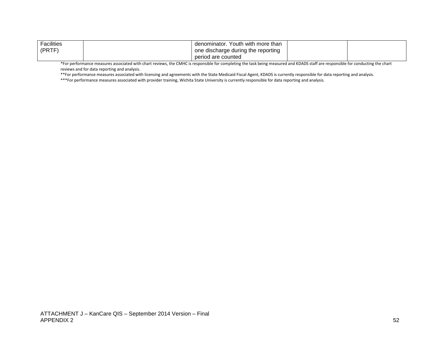| Facilities | denominator. Youth with more than  |  |
|------------|------------------------------------|--|
| l (PRTF)   | one discharge during the reporting |  |
|            | period are counted                 |  |

\*For performance measures associated with chart reviews, the CMHC is responsible for completing the task being measured and KDADS staff are responsible for conducting the chart reviews and for data reporting and analysis.

\*\*For performance measures associated with licensing and agreements with the State Medicaid Fiscal Agent, KDADS is currently responsible for data reporting and analysis.

\*\*\*For performance measures associated with provider training, Wichita State University is currently responsible for data reporting and analysis.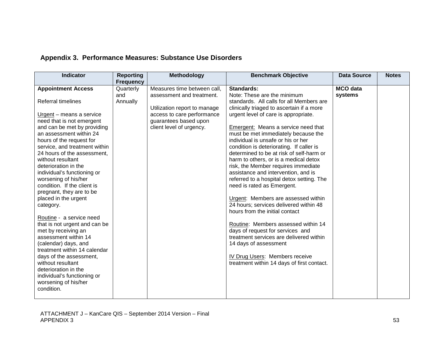| <b>Indicator</b>                                                                                                                                                                                                                                                                                                                                                                                                                                                                                                                                                                                                                                                                                                                                                                           | <b>Reporting</b><br><b>Frequency</b> | <b>Methodology</b>                                                                                                                                                          | <b>Benchmark Objective</b>                                                                                                                                                                                                                                                                                                                                                                                                                                                                                                                                                                                                                                                                                                                                                                                                                                                                                                                        | <b>Data Source</b>         | <b>Notes</b> |
|--------------------------------------------------------------------------------------------------------------------------------------------------------------------------------------------------------------------------------------------------------------------------------------------------------------------------------------------------------------------------------------------------------------------------------------------------------------------------------------------------------------------------------------------------------------------------------------------------------------------------------------------------------------------------------------------------------------------------------------------------------------------------------------------|--------------------------------------|-----------------------------------------------------------------------------------------------------------------------------------------------------------------------------|---------------------------------------------------------------------------------------------------------------------------------------------------------------------------------------------------------------------------------------------------------------------------------------------------------------------------------------------------------------------------------------------------------------------------------------------------------------------------------------------------------------------------------------------------------------------------------------------------------------------------------------------------------------------------------------------------------------------------------------------------------------------------------------------------------------------------------------------------------------------------------------------------------------------------------------------------|----------------------------|--------------|
| <b>Appointment Access</b><br><b>Referral timelines</b><br>Urgent – means a service<br>need that is not emergent<br>and can be met by providing<br>an assessment within 24<br>hours of the request for<br>service, and treatment within<br>24 hours of the assessment,<br>without resultant<br>deterioration in the<br>individual's functioning or<br>worsening of his/her<br>condition. If the client is<br>pregnant, they are to be<br>placed in the urgent<br>category.<br>Routine - a service need<br>that is not urgent and can be<br>met by receiving an<br>assessment within 14<br>(calendar) days, and<br>treatment within 14 calendar<br>days of the assessment,<br>without resultant<br>deterioration in the<br>individual's functioning or<br>worsening of his/her<br>condition. | Quarterly<br>and<br>Annually         | Measures time between call,<br>assessment and treatment.<br>Utilization report to manage<br>access to care performance<br>guarantees based upon<br>client level of urgency. | <b>Standards:</b><br>Note: These are the minimum<br>standards. All calls for all Members are<br>clinically triaged to ascertain if a more<br>urgent level of care is appropriate.<br>Emergent: Means a service need that<br>must be met immediately because the<br>individual is unsafe or his or her<br>condition is deteriorating. If caller is<br>determined to be at risk of self-harm or<br>harm to others, or is a medical detox<br>risk, the Member requires immediate<br>assistance and intervention, and is<br>referred to a hospital detox setting. The<br>need is rated as Emergent.<br>Urgent: Members are assessed within<br>24 hours; services delivered within 48<br>hours from the initial contact<br>Routine: Members assessed within 14<br>days of request for services and<br>treatment services are delivered within<br>14 days of assessment<br>IV Drug Users: Members receive<br>treatment within 14 days of first contact. | <b>MCO</b> data<br>systems |              |

# **Appendix 3. Performance Measures: Substance Use Disorders**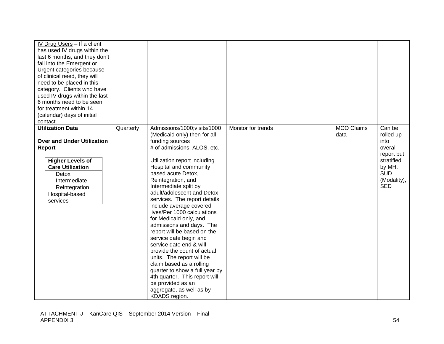| IV Drug Users - If a client<br>has used IV drugs within the<br>last 6 months, and they don't<br>fall into the Emergent or<br>Urgent categories because<br>of clinical need, they will<br>need to be placed in this<br>category. Clients who have<br>used IV drugs within the last<br>6 months need to be seen<br>for treatment within 14<br>(calendar) days of initial<br>contact. |           |                                                                                                                                                                                                                                                                                                                                                                                                                                                                                                                                                                                                                                                                                                                                              |                    |                           |                                                                                                                         |
|------------------------------------------------------------------------------------------------------------------------------------------------------------------------------------------------------------------------------------------------------------------------------------------------------------------------------------------------------------------------------------|-----------|----------------------------------------------------------------------------------------------------------------------------------------------------------------------------------------------------------------------------------------------------------------------------------------------------------------------------------------------------------------------------------------------------------------------------------------------------------------------------------------------------------------------------------------------------------------------------------------------------------------------------------------------------------------------------------------------------------------------------------------------|--------------------|---------------------------|-------------------------------------------------------------------------------------------------------------------------|
| <b>Utilization Data</b><br><b>Over and Under Utilization</b><br><b>Report</b><br><b>Higher Levels of</b><br><b>Care Utilization</b><br>Detox<br>Intermediate<br>Reintegration<br>Hospital-based<br>services                                                                                                                                                                        | Quarterly | Admissions/1000; visits/1000<br>(Medicaid only) then for all<br>funding sources<br># of admissions, ALOS, etc.<br>Utilization report including<br>Hospital and community<br>based acute Detox,<br>Reintegration, and<br>Intermediate split by<br>adult/adolescent and Detox<br>services. The report details<br>include average covered<br>lives/Per 1000 calculations<br>for Medicaid only, and<br>admissions and days. The<br>report will be based on the<br>service date begin and<br>service date end & will<br>provide the count of actual<br>units. The report will be<br>claim based as a rolling<br>quarter to show a full year by<br>4th quarter. This report will<br>be provided as an<br>aggregate, as well as by<br>KDADS region. | Monitor for trends | <b>MCO Claims</b><br>data | Can be<br>rolled up<br>into<br>overall<br>report but<br>stratified<br>by MH,<br><b>SUD</b><br>(Modality),<br><b>SED</b> |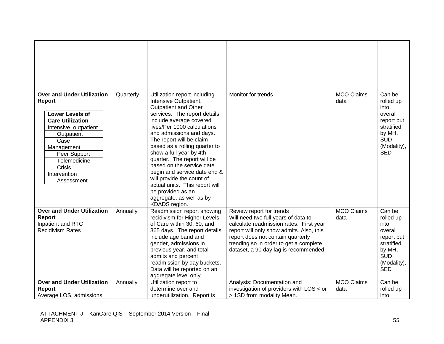| <b>Over and Under Utilization</b><br><b>Report</b><br><b>Lower Levels of</b><br><b>Care Utilization</b><br>Intensive outpatient<br>Outpatient<br>Case<br>Management<br>Peer Support<br>Telemedicine<br>Crisis<br>Intervention<br>Assessment | Quarterly | Utilization report including<br>Intensive Outpatient,<br>Outpatient and Other<br>services. The report details<br>include average covered<br>lives/Per 1000 calculations<br>and admissions and days.<br>The report will be claim<br>based as a rolling quarter to<br>show a full year by 4th<br>quarter. The report will be<br>based on the service date<br>begin and service date end &<br>will provide the count of<br>actual units. This report will<br>be provided as an<br>aggregate, as well as by<br>KDADS region. | Monitor for trends                                                                                                                                                                                                                                                             | <b>MCO Claims</b><br>data | Can be<br>rolled up<br>into<br>overall<br>report but<br>stratified<br>by MH,<br><b>SUD</b><br>(Modality),<br><b>SED</b> |
|---------------------------------------------------------------------------------------------------------------------------------------------------------------------------------------------------------------------------------------------|-----------|--------------------------------------------------------------------------------------------------------------------------------------------------------------------------------------------------------------------------------------------------------------------------------------------------------------------------------------------------------------------------------------------------------------------------------------------------------------------------------------------------------------------------|--------------------------------------------------------------------------------------------------------------------------------------------------------------------------------------------------------------------------------------------------------------------------------|---------------------------|-------------------------------------------------------------------------------------------------------------------------|
| <b>Over and Under Utilization</b><br><b>Report</b><br>Inpatient and RTC<br><b>Recidivism Rates</b>                                                                                                                                          | Annually  | Readmission report showing<br>recidivism for Higher Levels<br>of Care within 30, 60, and<br>365 days. The report details<br>include age band and<br>gender, admissions in<br>previous year, and total<br>admits and percent<br>readmission by day buckets.<br>Data will be reported on an<br>aggregate level only.                                                                                                                                                                                                       | Review report for trends<br>Will need two full years of data to<br>calculate readmission rates. First year<br>report will only show admits. Also, this<br>report does not contain quarterly<br>trending so in order to get a complete<br>dataset, a 90 day lag is recommended. | <b>MCO Claims</b><br>data | Can be<br>rolled up<br>into<br>overall<br>report but<br>stratified<br>by MH,<br><b>SUD</b><br>(Modality),<br><b>SED</b> |
| <b>Over and Under Utilization</b><br>Report<br>Average LOS, admissions                                                                                                                                                                      | Annually  | Utilization report to<br>determine over and<br>underutilization. Report is                                                                                                                                                                                                                                                                                                                                                                                                                                               | Analysis: Documentation and<br>investigation of providers with LOS < or<br>> 1SD from modality Mean.                                                                                                                                                                           | <b>MCO Claims</b><br>data | Can be<br>rolled up<br>into                                                                                             |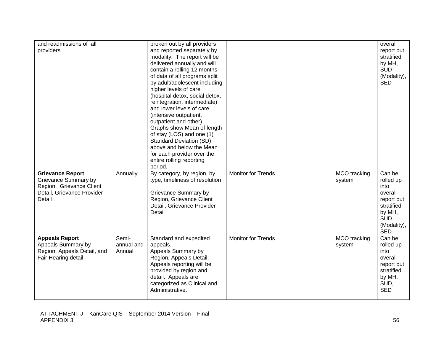| and readmissions of all     |            | broken out by all providers        |                           |                     | overall                   |
|-----------------------------|------------|------------------------------------|---------------------------|---------------------|---------------------------|
| providers                   |            | and reported separately by         |                           |                     | report but                |
|                             |            | modality. The report will be       |                           |                     | stratified                |
|                             |            | delivered annually and will        |                           |                     | by MH,                    |
|                             |            | contain a rolling 12 months        |                           |                     | <b>SUD</b>                |
|                             |            | of data of all programs split      |                           |                     | (Modality),               |
|                             |            | by adult/adolescent including      |                           |                     | <b>SED</b>                |
|                             |            | higher levels of care              |                           |                     |                           |
|                             |            | (hospital detox, social detox,     |                           |                     |                           |
|                             |            | reintegration, intermediate)       |                           |                     |                           |
|                             |            | and lower levels of care           |                           |                     |                           |
|                             |            | (intensive outpatient,             |                           |                     |                           |
|                             |            | outpatient and other).             |                           |                     |                           |
|                             |            | Graphs show Mean of length         |                           |                     |                           |
|                             |            | of stay (LOS) and one (1)          |                           |                     |                           |
|                             |            | <b>Standard Deviation (SD)</b>     |                           |                     |                           |
|                             |            | above and below the Mean           |                           |                     |                           |
|                             |            | for each provider over the         |                           |                     |                           |
|                             |            | entire rolling reporting           |                           |                     |                           |
|                             |            | period.                            |                           |                     |                           |
| <b>Grievance Report</b>     | Annually   | By category, by region, by         | <b>Monitor for Trends</b> | <b>MCO</b> tracking | Can be                    |
| Grievance Summary by        |            | type, timeliness of resolution     |                           | system              | rolled up                 |
| Region, Grievance Client    |            |                                    |                           |                     | into                      |
| Detail, Grievance Provider  |            | Grievance Summary by               |                           |                     | overall                   |
| Detail                      |            | Region, Grievance Client           |                           |                     | report but                |
|                             |            | Detail, Grievance Provider         |                           |                     | stratified                |
|                             |            | Detail                             |                           |                     | by MH,<br><b>SUD</b>      |
|                             |            |                                    |                           |                     |                           |
|                             |            |                                    |                           |                     | (Modality),<br><b>SED</b> |
| <b>Appeals Report</b>       | Semi-      |                                    | <b>Monitor for Trends</b> | <b>MCO</b> tracking | Can be                    |
| Appeals Summary by          | annual and | Standard and expedited<br>appeals. |                           | system              | rolled up                 |
| Region, Appeals Detail, and | Annual     | Appeals Summary by                 |                           |                     | into                      |
| Fair Hearing detail         |            | Region, Appeals Detail;            |                           |                     | overall                   |
|                             |            | Appeals reporting will be          |                           |                     | report but                |
|                             |            | provided by region and             |                           |                     | stratified                |
|                             |            | detail. Appeals are                |                           |                     | by MH,                    |
|                             |            | categorized as Clinical and        |                           |                     | SUD,                      |
|                             |            |                                    |                           |                     |                           |
|                             |            | Administrative.                    |                           |                     | <b>SED</b>                |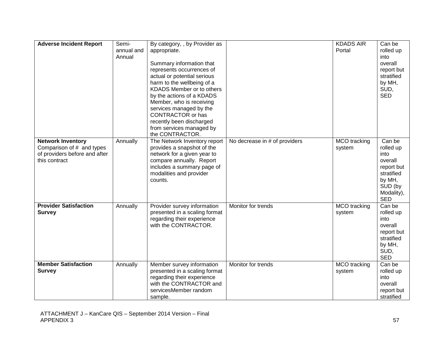| <b>Adverse Incident Report</b>                                                                          | Semi-<br>annual and<br>Annual | By category, , by Provider as<br>appropriate.<br>Summary information that<br>represents occurrences of<br>actual or potential serious<br>harm to the wellbeing of a<br>KDADS Member or to others<br>by the actions of a KDADS<br>Member, who is receiving<br>services managed by the<br><b>CONTRACTOR</b> or has<br>recently been discharged<br>from services managed by<br>the CONTRACTOR. |                               | <b>KDADS AIR</b><br>Portal    | Can be<br>rolled up<br>into<br>overall<br>report but<br>stratified<br>by MH,<br>SUD,<br><b>SED</b>                  |
|---------------------------------------------------------------------------------------------------------|-------------------------------|---------------------------------------------------------------------------------------------------------------------------------------------------------------------------------------------------------------------------------------------------------------------------------------------------------------------------------------------------------------------------------------------|-------------------------------|-------------------------------|---------------------------------------------------------------------------------------------------------------------|
| <b>Network Inventory</b><br>Comparison of # and types<br>of providers before and after<br>this contract | Annually                      | The Network Inventory report<br>provides a snapshot of the<br>network for a given year to<br>compare annually. Report<br>includes a summary page of<br>modalities and provider<br>counts.                                                                                                                                                                                                   | No decrease in # of providers | <b>MCO</b> tracking<br>system | Can be<br>rolled up<br>into<br>overall<br>report but<br>stratified<br>by MH,<br>SUD (by<br>Modality),<br><b>SED</b> |
| <b>Provider Satisfaction</b><br><b>Survey</b>                                                           | Annually                      | Provider survey information<br>presented in a scaling format<br>regarding their experience<br>with the CONTRACTOR.                                                                                                                                                                                                                                                                          | Monitor for trends            | MCO tracking<br>system        | Can be<br>rolled up<br>into<br>overall<br>report but<br>stratified<br>by MH,<br>SUD,<br><b>SED</b>                  |
| <b>Member Satisfaction</b><br><b>Survey</b>                                                             | Annually                      | Member survey information<br>presented in a scaling format<br>regarding their experience<br>with the CONTRACTOR and<br>servicesMember random<br>sample.                                                                                                                                                                                                                                     | Monitor for trends            | MCO tracking<br>system        | Can be<br>rolled up<br>into<br>overall<br>report but<br>stratified                                                  |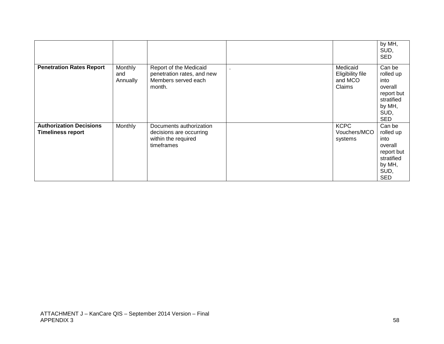|                                                            |                            |                                                                                         |                                                   | by MH,<br>SUD,<br><b>SED</b>                                                                       |
|------------------------------------------------------------|----------------------------|-----------------------------------------------------------------------------------------|---------------------------------------------------|----------------------------------------------------------------------------------------------------|
| <b>Penetration Rates Report</b>                            | Monthly<br>and<br>Annually | Report of the Medicaid<br>penetration rates, and new<br>Members served each<br>month.   | Medicaid<br>Eligibility file<br>and MCO<br>Claims | Can be<br>rolled up<br>into<br>overall<br>report but<br>stratified<br>by MH,<br>SUD,<br><b>SED</b> |
| <b>Authorization Decisions</b><br><b>Timeliness report</b> | Monthly                    | Documents authorization<br>decisions are occurring<br>within the required<br>timeframes | <b>KCPC</b><br>Vouchers/MCO<br>systems            | Can be<br>rolled up<br>into<br>overall<br>report but<br>stratified<br>by MH,<br>SUD,<br><b>SED</b> |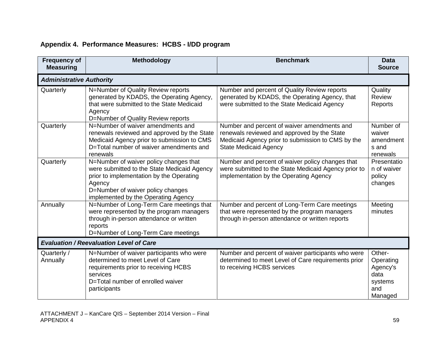| <b>Frequency of</b><br><b>Measuring</b> | <b>Methodology</b>                                                                                                                                                                                                      | <b>Benchmark</b>                                                                                                                                                                | <b>Data</b><br><b>Source</b>                                         |
|-----------------------------------------|-------------------------------------------------------------------------------------------------------------------------------------------------------------------------------------------------------------------------|---------------------------------------------------------------------------------------------------------------------------------------------------------------------------------|----------------------------------------------------------------------|
| <b>Administrative Authority</b>         |                                                                                                                                                                                                                         |                                                                                                                                                                                 |                                                                      |
| Quarterly                               | N=Number of Quality Review reports<br>generated by KDADS, the Operating Agency,<br>that were submitted to the State Medicaid<br>Agency<br>D=Number of Quality Review reports                                            | Number and percent of Quality Review reports<br>generated by KDADS, the Operating Agency, that<br>were submitted to the State Medicaid Agency                                   | Quality<br>Review<br>Reports                                         |
| Quarterly                               | N=Number of waiver amendments and<br>renewals reviewed and approved by the State<br>Medicaid Agency prior to submission to CMS<br>D=Total number of waiver amendments and<br>renewals                                   | Number and percent of waiver amendments and<br>renewals reviewed and approved by the State<br>Medicaid Agency prior to submission to CMS by the<br><b>State Medicaid Agency</b> | Number of<br>waiver<br>amendment<br>s and<br>renewals                |
| Quarterly                               | N=Number of waiver policy changes that<br>were submitted to the State Medicaid Agency<br>prior to implementation by the Operating<br>Agency<br>D=Number of waiver policy changes<br>implemented by the Operating Agency | Number and percent of waiver policy changes that<br>were submitted to the State Medicaid Agency prior to<br>implementation by the Operating Agency                              | Presentatio<br>n of waiver<br>policy<br>changes                      |
| Annually                                | N=Number of Long-Term Care meetings that<br>were represented by the program managers<br>through in-person attendance or written<br>reports<br>D=Number of Long-Term Care meetings                                       | Number and percent of Long-Term Care meetings<br>that were represented by the program managers<br>through in-person attendance or written reports                               | Meeting<br>minutes                                                   |
|                                         | <b>Evaluation / Reevaluation Level of Care</b>                                                                                                                                                                          |                                                                                                                                                                                 |                                                                      |
| Quarterly /<br>Annually                 | N=Number of waiver participants who were<br>determined to meet Level of Care<br>requirements prior to receiving HCBS<br>services<br>D=Total number of enrolled waiver<br>participants                                   | Number and percent of waiver participants who were<br>determined to meet Level of Care requirements prior<br>to receiving HCBS services                                         | Other-<br>Operating<br>Agency's<br>data<br>systems<br>and<br>Managed |

## **Appendix 4. Performance Measures: HCBS - I/DD program**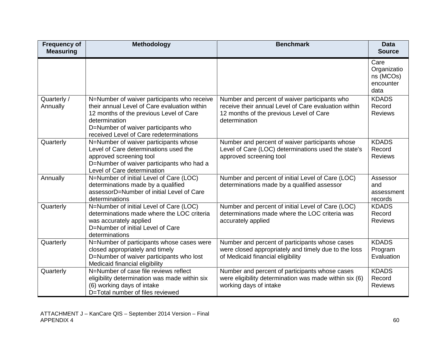| <b>Frequency of</b><br><b>Measuring</b> | Methodology                                                                                                                                                                                                                               | <b>Benchmark</b>                                                                                                                                                  | <b>Data</b><br><b>Source</b>                          |
|-----------------------------------------|-------------------------------------------------------------------------------------------------------------------------------------------------------------------------------------------------------------------------------------------|-------------------------------------------------------------------------------------------------------------------------------------------------------------------|-------------------------------------------------------|
|                                         |                                                                                                                                                                                                                                           |                                                                                                                                                                   | Care<br>Organizatio<br>ns (MCOs)<br>encounter<br>data |
| Quarterly /<br>Annually                 | N=Number of waiver participants who receive<br>their annual Level of Care evaluation within<br>12 months of the previous Level of Care<br>determination<br>D=Number of waiver participants who<br>received Level of Care redeterminations | Number and percent of waiver participants who<br>receive their annual Level of Care evaluation within<br>12 months of the previous Level of Care<br>determination | <b>KDADS</b><br>Record<br><b>Reviews</b>              |
| Quarterly                               | N=Number of waiver participants whose<br>Level of Care determinations used the<br>approved screening tool<br>D=Number of waiver participants who had a<br>Level of Care determination                                                     | Number and percent of waiver participants whose<br>Level of Care (LOC) determinations used the state's<br>approved screening tool                                 | <b>KDADS</b><br>Record<br><b>Reviews</b>              |
| Annually                                | N=Number of initial Level of Care (LOC)<br>determinations made by a qualified<br>assessorD=Number of initial Level of Care<br>determinations                                                                                              | Number and percent of initial Level of Care (LOC)<br>determinations made by a qualified assessor                                                                  | Assessor<br>and<br>assessment<br>records              |
| Quarterly                               | N=Number of initial Level of Care (LOC)<br>determinations made where the LOC criteria<br>was accurately applied<br>D=Number of initial Level of Care<br>determinations                                                                    | Number and percent of initial Level of Care (LOC)<br>determinations made where the LOC criteria was<br>accurately applied                                         | <b>KDADS</b><br>Record<br><b>Reviews</b>              |
| Quarterly                               | N=Number of participants whose cases were<br>closed appropriately and timely<br>D=Number of waiver participants who lost<br>Medicaid financial eligibility                                                                                | Number and percent of participants whose cases<br>were closed appropriately and timely due to the loss<br>of Medicaid financial eligibility                       | <b>KDADS</b><br>Program<br>Evaluation                 |
| Quarterly                               | N=Number of case file reviews reflect<br>eligibility determination was made within six<br>(6) working days of intake<br>D=Total number of files reviewed                                                                                  | Number and percent of participants whose cases<br>were eligibility determination was made within six (6)<br>working days of intake                                | <b>KDADS</b><br>Record<br><b>Reviews</b>              |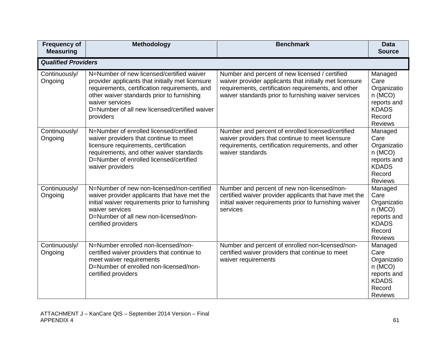| <b>Frequency of</b><br><b>Measuring</b> | Methodology                                                                                                                                                                                                                                                                   | <b>Benchmark</b>                                                                                                                                                                                                         | <b>Data</b><br><b>Source</b>                                                                        |
|-----------------------------------------|-------------------------------------------------------------------------------------------------------------------------------------------------------------------------------------------------------------------------------------------------------------------------------|--------------------------------------------------------------------------------------------------------------------------------------------------------------------------------------------------------------------------|-----------------------------------------------------------------------------------------------------|
| <b>Qualified Providers</b>              |                                                                                                                                                                                                                                                                               |                                                                                                                                                                                                                          |                                                                                                     |
| Continuously/<br>Ongoing                | N=Number of new licensed/certified waiver<br>provider applicants that initially met licensure<br>requirements, certification requirements, and<br>other waiver standards prior to furnishing<br>waiver services<br>D=Number of all new licensed/certified waiver<br>providers | Number and percent of new licensed / certified<br>waiver provider applicants that initially met licensure<br>requirements, certification requirements, and other<br>waiver standards prior to furnishing waiver services | Managed<br>Care<br>Organizatio<br>n(MCO)<br>reports and<br><b>KDADS</b><br>Record<br><b>Reviews</b> |
| Continuously/<br>Ongoing                | N=Number of enrolled licensed/certified<br>waiver providers that continue to meet<br>licensure requirements, certification<br>requirements, and other waiver standards<br>D=Number of enrolled licensed/certified<br>waiver providers                                         | Number and percent of enrolled licensed/certified<br>waiver providers that continue to meet licensure<br>requirements, certification requirements, and other<br>waiver standards                                         | Managed<br>Care<br>Organizatio<br>n(MCO)<br>reports and<br><b>KDADS</b><br>Record<br><b>Reviews</b> |
| Continuously/<br>Ongoing                | N=Number of new non-licensed/non-certified<br>waiver provider applicants that have met the<br>initial waiver requirements prior to furnishing<br>waiver services<br>D=Number of all new non-licensed/non-<br>certified providers                                              | Number and percent of new non-licensed/non-<br>certified waiver provider applicants that have met the<br>initial waiver requirements prior to furnishing waiver<br>services                                              | Managed<br>Care<br>Organizatio<br>n(MCO)<br>reports and<br><b>KDADS</b><br>Record<br><b>Reviews</b> |
| Continuously/<br>Ongoing                | N=Number enrolled non-licensed/non-<br>certified waiver providers that continue to<br>meet waiver requirements<br>D=Number of enrolled non-licensed/non-<br>certified providers                                                                                               | Number and percent of enrolled non-licensed/non-<br>certified waiver providers that continue to meet<br>waiver requirements                                                                                              | Managed<br>Care<br>Organizatio<br>n(MCO)<br>reports and<br><b>KDADS</b><br>Record<br><b>Reviews</b> |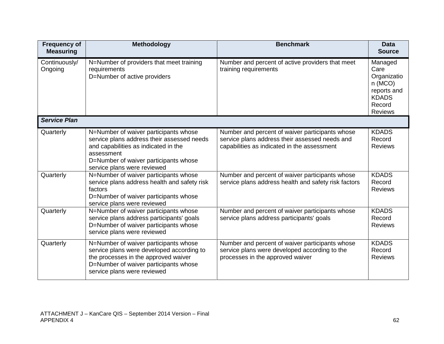| <b>Frequency of</b><br><b>Measuring</b> | <b>Methodology</b>                                                                                                                                                                                                | <b>Benchmark</b>                                                                                                                                 | <b>Data</b><br><b>Source</b>                                                                        |
|-----------------------------------------|-------------------------------------------------------------------------------------------------------------------------------------------------------------------------------------------------------------------|--------------------------------------------------------------------------------------------------------------------------------------------------|-----------------------------------------------------------------------------------------------------|
| Continuously/<br>Ongoing                | N=Number of providers that meet training<br>requirements<br>D=Number of active providers                                                                                                                          | Number and percent of active providers that meet<br>training requirements                                                                        | Managed<br>Care<br>Organizatio<br>n(MCO)<br>reports and<br><b>KDADS</b><br>Record<br><b>Reviews</b> |
| <b>Service Plan</b>                     |                                                                                                                                                                                                                   |                                                                                                                                                  |                                                                                                     |
| Quarterly                               | N=Number of waiver participants whose<br>service plans address their assessed needs<br>and capabilities as indicated in the<br>assessment<br>D=Number of waiver participants whose<br>service plans were reviewed | Number and percent of waiver participants whose<br>service plans address their assessed needs and<br>capabilities as indicated in the assessment | <b>KDADS</b><br>Record<br><b>Reviews</b>                                                            |
| Quarterly                               | N=Number of waiver participants whose<br>service plans address health and safety risk<br>factors<br>D=Number of waiver participants whose<br>service plans were reviewed                                          | Number and percent of waiver participants whose<br>service plans address health and safety risk factors                                          | <b>KDADS</b><br>Record<br><b>Reviews</b>                                                            |
| Quarterly                               | N=Number of waiver participants whose<br>service plans address participants' goals<br>D=Number of waiver participants whose<br>service plans were reviewed                                                        | Number and percent of waiver participants whose<br>service plans address participants' goals                                                     | <b>KDADS</b><br>Record<br><b>Reviews</b>                                                            |
| Quarterly                               | N=Number of waiver participants whose<br>service plans were developed according to<br>the processes in the approved waiver<br>D=Number of waiver participants whose<br>service plans were reviewed                | Number and percent of waiver participants whose<br>service plans were developed according to the<br>processes in the approved waiver             | <b>KDADS</b><br>Record<br><b>Reviews</b>                                                            |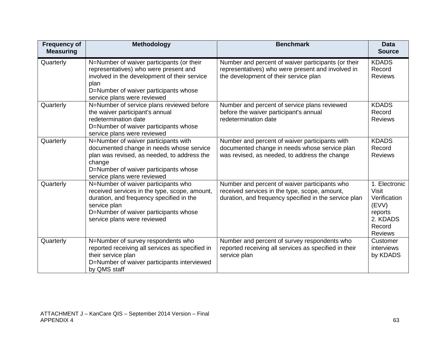| <b>Frequency of</b><br><b>Measuring</b> | <b>Methodology</b>                                                                                                                                                                                                       | <b>Benchmark</b>                                                                                                                                        | <b>Data</b><br><b>Source</b>                                                                              |
|-----------------------------------------|--------------------------------------------------------------------------------------------------------------------------------------------------------------------------------------------------------------------------|---------------------------------------------------------------------------------------------------------------------------------------------------------|-----------------------------------------------------------------------------------------------------------|
| Quarterly                               | N=Number of waiver participants (or their<br>representatives) who were present and<br>involved in the development of their service<br>plan<br>D=Number of waiver participants whose<br>service plans were reviewed       | Number and percent of waiver participants (or their<br>representatives) who were present and involved in<br>the development of their service plan       | <b>KDADS</b><br>Record<br><b>Reviews</b>                                                                  |
| Quarterly                               | N=Number of service plans reviewed before<br>the waiver participant's annual<br>redetermination date<br>D=Number of waiver participants whose<br>service plans were reviewed                                             | Number and percent of service plans reviewed<br>before the waiver participant's annual<br>redetermination date                                          | <b>KDADS</b><br>Record<br><b>Reviews</b>                                                                  |
| Quarterly                               | N=Number of waiver participants with<br>documented change in needs whose service<br>plan was revised, as needed, to address the<br>change<br>D=Number of waiver participants whose<br>service plans were reviewed        | Number and percent of waiver participants with<br>documented change in needs whose service plan<br>was revised, as needed, to address the change        | <b>KDADS</b><br>Record<br><b>Reviews</b>                                                                  |
| Quarterly                               | N=Number of waiver participants who<br>received services in the type, scope, amount,<br>duration, and frequency specified in the<br>service plan<br>D=Number of waiver participants whose<br>service plans were reviewed | Number and percent of waiver participants who<br>received services in the type, scope, amount,<br>duration, and frequency specified in the service plan | 1. Electronic<br><b>Visit</b><br>Verification<br>(EVV)<br>reports<br>2. KDADS<br>Record<br><b>Reviews</b> |
| Quarterly                               | N=Number of survey respondents who<br>reported receiving all services as specified in<br>their service plan<br>D=Number of waiver participants interviewed<br>by QMS staff                                               | Number and percent of survey respondents who<br>reported receiving all services as specified in their<br>service plan                                   | Customer<br>interviews<br>by KDADS                                                                        |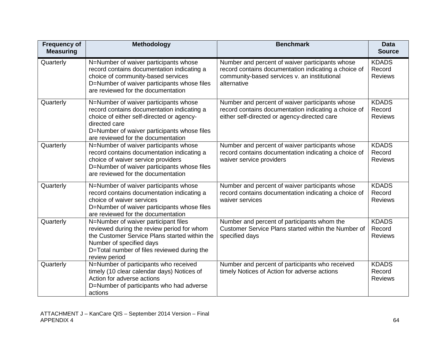| <b>Frequency of</b><br><b>Measuring</b> | <b>Methodology</b>                                                                                                                                                                                                                     | <b>Benchmark</b>                                                                                                                                                       | <b>Data</b><br><b>Source</b>             |
|-----------------------------------------|----------------------------------------------------------------------------------------------------------------------------------------------------------------------------------------------------------------------------------------|------------------------------------------------------------------------------------------------------------------------------------------------------------------------|------------------------------------------|
| Quarterly                               | N=Number of waiver participants whose<br>record contains documentation indicating a<br>choice of community-based services<br>D=Number of waiver participants whose files<br>are reviewed for the documentation                         | Number and percent of waiver participants whose<br>record contains documentation indicating a choice of<br>community-based services v. an institutional<br>alternative | <b>KDADS</b><br>Record<br><b>Reviews</b> |
| Quarterly                               | N=Number of waiver participants whose<br>record contains documentation indicating a<br>choice of either self-directed or agency-<br>directed care<br>D=Number of waiver participants whose files<br>are reviewed for the documentation | Number and percent of waiver participants whose<br>record contains documentation indicating a choice of<br>either self-directed or agency-directed care                | <b>KDADS</b><br>Record<br><b>Reviews</b> |
| Quarterly                               | N=Number of waiver participants whose<br>record contains documentation indicating a<br>choice of waiver service providers<br>D=Number of waiver participants whose files<br>are reviewed for the documentation                         | Number and percent of waiver participants whose<br>record contains documentation indicating a choice of<br>waiver service providers                                    | <b>KDADS</b><br>Record<br><b>Reviews</b> |
| Quarterly                               | N=Number of waiver participants whose<br>record contains documentation indicating a<br>choice of waiver services<br>D=Number of waiver participants whose files<br>are reviewed for the documentation                                  | Number and percent of waiver participants whose<br>record contains documentation indicating a choice of<br>waiver services                                             | <b>KDADS</b><br>Record<br><b>Reviews</b> |
| Quarterly                               | N=Number of waiver participant files<br>reviewed during the review period for whom<br>the Customer Service Plans started within the<br>Number of specified days<br>D=Total number of files reviewed during the<br>review period        | Number and percent of participants whom the<br>Customer Service Plans started within the Number of<br>specified days                                                   | <b>KDADS</b><br>Record<br>Reviews        |
| Quarterly                               | N=Number of participants who received<br>timely (10 clear calendar days) Notices of<br>Action for adverse actions<br>D=Number of participants who had adverse<br>actions                                                               | Number and percent of participants who received<br>timely Notices of Action for adverse actions                                                                        | <b>KDADS</b><br>Record<br><b>Reviews</b> |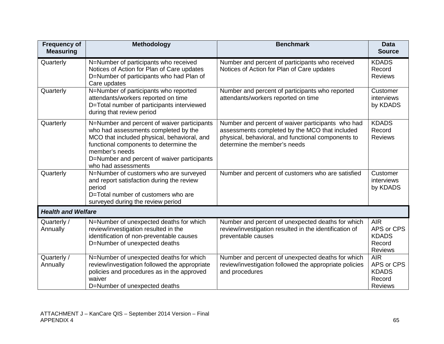| <b>Frequency of</b><br><b>Measuring</b> | <b>Methodology</b>                                                                                                                                                                                                                                                   | <b>Benchmark</b>                                                                                                                                                                          | <b>Data</b><br><b>Source</b>                                         |
|-----------------------------------------|----------------------------------------------------------------------------------------------------------------------------------------------------------------------------------------------------------------------------------------------------------------------|-------------------------------------------------------------------------------------------------------------------------------------------------------------------------------------------|----------------------------------------------------------------------|
| Quarterly                               | N=Number of participants who received<br>Notices of Action for Plan of Care updates<br>D=Number of participants who had Plan of<br>Care updates                                                                                                                      | Number and percent of participants who received<br>Notices of Action for Plan of Care updates                                                                                             | <b>KDADS</b><br>Record<br><b>Reviews</b>                             |
| Quarterly                               | N=Number of participants who reported<br>attendants/workers reported on time<br>D=Total number of participants interviewed<br>during that review period                                                                                                              | Number and percent of participants who reported<br>attendants/workers reported on time                                                                                                    | Customer<br>interviews<br>by KDADS                                   |
| Quarterly                               | N=Number and percent of waiver participants<br>who had assessments completed by the<br>MCO that included physical, behavioral, and<br>functional components to determine the<br>member's needs<br>D=Number and percent of waiver participants<br>who had assessments | Number and percent of waiver participants who had<br>assessments completed by the MCO that included<br>physical, behavioral, and functional components to<br>determine the member's needs | <b>KDADS</b><br>Record<br><b>Reviews</b>                             |
| Quarterly                               | N=Number of customers who are surveyed<br>and report satisfaction during the review<br>period<br>D=Total number of customers who are<br>surveyed during the review period                                                                                            | Number and percent of customers who are satisfied                                                                                                                                         | Customer<br>interviews<br>by KDADS                                   |
| <b>Health and Welfare</b>               |                                                                                                                                                                                                                                                                      |                                                                                                                                                                                           |                                                                      |
| Quarterly /<br>Annually                 | N=Number of unexpected deaths for which<br>review/investigation resulted in the<br>identification of non-preventable causes<br>D=Number of unexpected deaths                                                                                                         | Number and percent of unexpected deaths for which<br>review/investigation resulted in the identification of<br>preventable causes                                                         | <b>AIR</b><br>APS or CPS<br><b>KDADS</b><br>Record<br><b>Reviews</b> |
| Quarterly /<br>Annually                 | N=Number of unexpected deaths for which<br>review/investigation followed the appropriate<br>policies and procedures as in the approved<br>waiver<br>D=Number of unexpected deaths                                                                                    | Number and percent of unexpected deaths for which<br>review/investigation followed the appropriate policies<br>and procedures                                                             | <b>AIR</b><br>APS or CPS<br><b>KDADS</b><br>Record<br><b>Reviews</b> |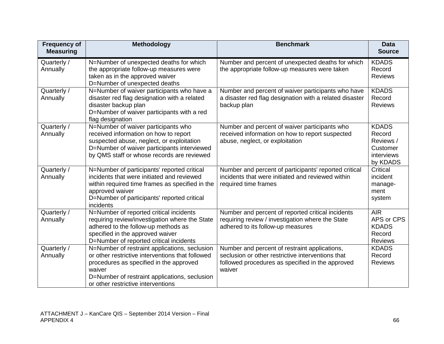| <b>Frequency of</b><br><b>Measuring</b> | <b>Methodology</b>                                                                                                                                                                                                                            | <b>Benchmark</b>                                                                                                                                                 | <b>Data</b><br><b>Source</b>                                              |
|-----------------------------------------|-----------------------------------------------------------------------------------------------------------------------------------------------------------------------------------------------------------------------------------------------|------------------------------------------------------------------------------------------------------------------------------------------------------------------|---------------------------------------------------------------------------|
| Quarterly /<br>Annually                 | N=Number of unexpected deaths for which<br>the appropriate follow-up measures were<br>taken as in the approved waiver<br>D=Number of unexpected deaths                                                                                        | Number and percent of unexpected deaths for which<br>the appropriate follow-up measures were taken                                                               | <b>KDADS</b><br>Record<br><b>Reviews</b>                                  |
| Quarterly /<br>Annually                 | N=Number of waiver participants who have a<br>disaster red flag designation with a related<br>disaster backup plan<br>D=Number of waiver participants with a red<br>flag designation                                                          | Number and percent of waiver participants who have<br>a disaster red flag designation with a related disaster<br>backup plan                                     | <b>KDADS</b><br>Record<br><b>Reviews</b>                                  |
| Quarterly /<br>Annually                 | N=Number of waiver participants who<br>received information on how to report<br>suspected abuse, neglect, or exploitation<br>D=Number of waiver participants interviewed<br>by QMS staff or whose records are reviewed                        | Number and percent of waiver participants who<br>received information on how to report suspected<br>abuse, neglect, or exploitation                              | <b>KDADS</b><br>Record<br>Reviews /<br>Customer<br>interviews<br>by KDADS |
| Quarterly /<br>Annually                 | N=Number of participants' reported critical<br>incidents that were initiated and reviewed<br>within required time frames as specified in the<br>approved waiver<br>D=Number of participants' reported critical<br>incidents                   | Number and percent of participants' reported critical<br>incidents that were initiated and reviewed within<br>required time frames                               | Critical<br>incident<br>manage-<br>ment<br>system                         |
| Quarterly /<br>Annually                 | N=Number of reported critical incidents<br>requiring review/investigation where the State<br>adhered to the follow-up methods as<br>specified in the approved waiver<br>D=Number of reported critical incidents                               | Number and percent of reported critical incidents<br>requiring review / investigation where the State<br>adhered to its follow-up measures                       | <b>AIR</b><br>APS or CPS<br><b>KDADS</b><br>Record<br><b>Reviews</b>      |
| Quarterly /<br>Annually                 | N=Number of restraint applications, seclusion<br>or other restrictive interventions that followed<br>procedures as specified in the approved<br>waiver<br>D=Number of restraint applications, seclusion<br>or other restrictive interventions | Number and percent of restraint applications,<br>seclusion or other restrictive interventions that<br>followed procedures as specified in the approved<br>waiver | <b>KDADS</b><br>Record<br><b>Reviews</b>                                  |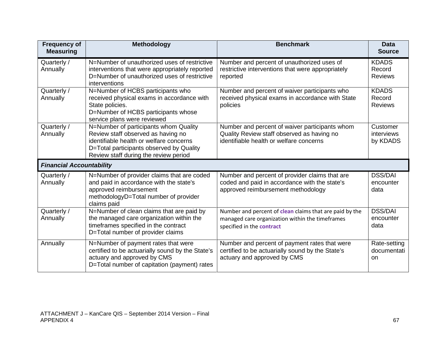| <b>Frequency of</b><br><b>Measuring</b> | <b>Methodology</b>                                                                                                                                                                                          | <b>Benchmark</b>                                                                                                                        | <b>Data</b><br><b>Source</b>             |
|-----------------------------------------|-------------------------------------------------------------------------------------------------------------------------------------------------------------------------------------------------------------|-----------------------------------------------------------------------------------------------------------------------------------------|------------------------------------------|
| Quarterly /<br>Annually                 | N=Number of unauthorized uses of restrictive<br>interventions that were appropriately reported<br>D=Number of unauthorized uses of restrictive<br>interventions                                             | Number and percent of unauthorized uses of<br>restrictive interventions that were appropriately<br>reported                             | <b>KDADS</b><br>Record<br><b>Reviews</b> |
| Quarterly /<br>Annually                 | N=Number of HCBS participants who<br>received physical exams in accordance with<br>State policies.<br>D=Number of HCBS participants whose<br>service plans were reviewed                                    | Number and percent of waiver participants who<br>received physical exams in accordance with State<br>policies                           | <b>KDADS</b><br>Record<br><b>Reviews</b> |
| Quarterly /<br>Annually                 | N=Number of participants whom Quality<br>Review staff observed as having no<br>identifiable health or welfare concerns<br>D=Total participants observed by Quality<br>Review staff during the review period | Number and percent of waiver participants whom<br>Quality Review staff observed as having no<br>identifiable health or welfare concerns | Customer<br>interviews<br>by KDADS       |
| <b>Financial Accountability</b>         |                                                                                                                                                                                                             |                                                                                                                                         |                                          |
| Quarterly /<br>Annually                 | N=Number of provider claims that are coded<br>and paid in accordance with the state's<br>approved reimbursement<br>methodologyD=Total number of provider<br>claims paid                                     | Number and percent of provider claims that are<br>coded and paid in accordance with the state's<br>approved reimbursement methodology   | <b>DSS/DAI</b><br>encounter<br>data      |
| Quarterly /<br>Annually                 | N=Number of clean claims that are paid by<br>the managed care organization within the<br>timeframes specified in the contract<br>D=Total number of provider claims                                          | Number and percent of clean claims that are paid by the<br>managed care organization within the timeframes<br>specified in the contract | <b>DSS/DAI</b><br>encounter<br>data      |
| Annually                                | N=Number of payment rates that were<br>certified to be actuarially sound by the State's<br>actuary and approved by CMS<br>D=Total number of capitation (payment) rates                                      | Number and percent of payment rates that were<br>certified to be actuarially sound by the State's<br>actuary and approved by CMS        | Rate-setting<br>documentati<br>on        |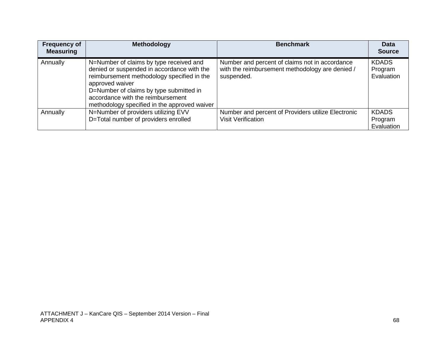| <b>Frequency of</b><br><b>Measuring</b> | <b>Methodology</b>                                                                                                                                                                                                                                                                     | <b>Benchmark</b>                                                                                                | <b>Data</b><br><b>Source</b>          |
|-----------------------------------------|----------------------------------------------------------------------------------------------------------------------------------------------------------------------------------------------------------------------------------------------------------------------------------------|-----------------------------------------------------------------------------------------------------------------|---------------------------------------|
| Annually                                | N=Number of claims by type received and<br>denied or suspended in accordance with the<br>reimbursement methodology specified in the<br>approved waiver<br>D=Number of claims by type submitted in<br>accordance with the reimbursement<br>methodology specified in the approved waiver | Number and percent of claims not in accordance<br>with the reimbursement methodology are denied /<br>suspended. | <b>KDADS</b><br>Program<br>Evaluation |
| Annually                                | N=Number of providers utilizing EVV<br>D=Total number of providers enrolled                                                                                                                                                                                                            | Number and percent of Providers utilize Electronic<br><b>Visit Verification</b>                                 | <b>KDADS</b><br>Program<br>Evaluation |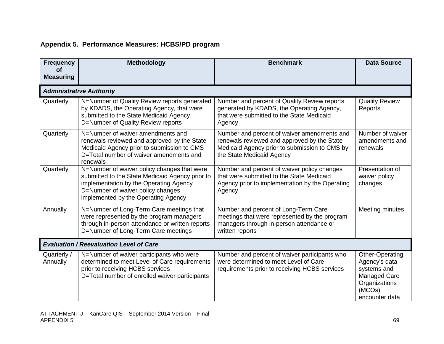## **Appendix 5. Performance Measures: HCBS/PD program**

| <b>Frequency</b><br><b>of</b> | Methodology                                                                                                                                                                                                          | <b>Benchmark</b>                                                                                                                                                         | <b>Data Source</b>                                                                                           |
|-------------------------------|----------------------------------------------------------------------------------------------------------------------------------------------------------------------------------------------------------------------|--------------------------------------------------------------------------------------------------------------------------------------------------------------------------|--------------------------------------------------------------------------------------------------------------|
| <b>Measuring</b>              |                                                                                                                                                                                                                      |                                                                                                                                                                          |                                                                                                              |
|                               | <b>Administrative Authority</b>                                                                                                                                                                                      |                                                                                                                                                                          |                                                                                                              |
| Quarterly                     | N=Number of Quality Review reports generated<br>by KDADS, the Operating Agency, that were<br>submitted to the State Medicaid Agency<br>D=Number of Quality Review reports                                            | Number and percent of Quality Review reports<br>generated by KDADS, the Operating Agency,<br>that were submitted to the State Medicaid<br>Agency                         | <b>Quality Review</b><br>Reports                                                                             |
| Quarterly                     | N=Number of waiver amendments and<br>renewals reviewed and approved by the State<br>Medicaid Agency prior to submission to CMS<br>D=Total number of waiver amendments and<br>renewals                                | Number and percent of waiver amendments and<br>renewals reviewed and approved by the State<br>Medicaid Agency prior to submission to CMS by<br>the State Medicaid Agency | Number of waiver<br>amendments and<br>renewals                                                               |
| Quarterly                     | N=Number of waiver policy changes that were<br>submitted to the State Medicaid Agency prior to<br>implementation by the Operating Agency<br>D=Number of waiver policy changes<br>implemented by the Operating Agency | Number and percent of waiver policy changes<br>that were submitted to the State Medicaid<br>Agency prior to implementation by the Operating<br>Agency                    | Presentation of<br>waiver policy<br>changes                                                                  |
| Annually                      | N=Number of Long-Term Care meetings that<br>were represented by the program managers<br>through in-person attendance or written reports<br>D=Number of Long-Term Care meetings                                       | Number and percent of Long-Term Care<br>meetings that were represented by the program<br>managers through in-person attendance or<br>written reports                     | Meeting minutes                                                                                              |
|                               | <b>Evaluation / Reevaluation Level of Care</b>                                                                                                                                                                       |                                                                                                                                                                          |                                                                                                              |
| Quarterly /<br>Annually       | N=Number of waiver participants who were<br>determined to meet Level of Care requirements<br>prior to receiving HCBS services<br>D=Total number of enrolled waiver participants                                      | Number and percent of waiver participants who<br>were determined to meet Level of Care<br>requirements prior to receiving HCBS services                                  | Other-Operating<br>Agency's data<br>systems and<br>Managed Care<br>Organizations<br>(MCOs)<br>encounter data |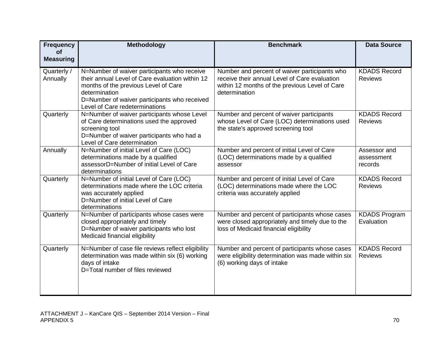| <b>Frequency</b><br>οf<br><b>Measuring</b> | Methodology                                                                                                                                                                                                                               | <b>Benchmark</b>                                                                                                                                                  | <b>Data Source</b>                    |
|--------------------------------------------|-------------------------------------------------------------------------------------------------------------------------------------------------------------------------------------------------------------------------------------------|-------------------------------------------------------------------------------------------------------------------------------------------------------------------|---------------------------------------|
| Quarterly /<br>Annually                    | N=Number of waiver participants who receive<br>their annual Level of Care evaluation within 12<br>months of the previous Level of Care<br>determination<br>D=Number of waiver participants who received<br>Level of Care redeterminations | Number and percent of waiver participants who<br>receive their annual Level of Care evaluation<br>within 12 months of the previous Level of Care<br>determination | <b>KDADS Record</b><br><b>Reviews</b> |
| Quarterly                                  | N=Number of waiver participants whose Level<br>of Care determinations used the approved<br>screening tool<br>D=Number of waiver participants who had a<br>Level of Care determination                                                     | Number and percent of waiver participants<br>whose Level of Care (LOC) determinations used<br>the state's approved screening tool                                 | <b>KDADS Record</b><br><b>Reviews</b> |
| Annually                                   | N=Number of initial Level of Care (LOC)<br>determinations made by a qualified<br>assessorD=Number of initial Level of Care<br>determinations                                                                                              | Number and percent of initial Level of Care<br>(LOC) determinations made by a qualified<br>assessor                                                               | Assessor and<br>assessment<br>records |
| Quarterly                                  | N=Number of initial Level of Care (LOC)<br>determinations made where the LOC criteria<br>was accurately applied<br>D=Number of initial Level of Care<br>determinations                                                                    | Number and percent of initial Level of Care<br>(LOC) determinations made where the LOC<br>criteria was accurately applied                                         | <b>KDADS Record</b><br><b>Reviews</b> |
| Quarterly                                  | N=Number of participants whose cases were<br>closed appropriately and timely<br>D=Number of waiver participants who lost<br>Medicaid financial eligibility                                                                                | Number and percent of participants whose cases<br>were closed appropriately and timely due to the<br>loss of Medicaid financial eligibility                       | <b>KDADS Program</b><br>Evaluation    |
| Quarterly                                  | N=Number of case file reviews reflect eligibility<br>determination was made within six (6) working<br>days of intake<br>D=Total number of files reviewed                                                                                  | Number and percent of participants whose cases<br>were eligibility determination was made within six<br>(6) working days of intake                                | <b>KDADS Record</b><br><b>Reviews</b> |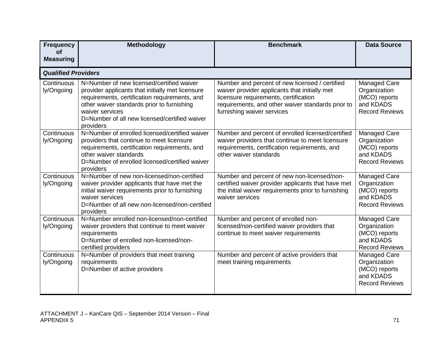| <b>Frequency</b>              | <b>Methodology</b>                                                                                                                                                                                                                                                            | <b>Benchmark</b>                                                                                                                                                                                                            | <b>Data Source</b>                                                                  |
|-------------------------------|-------------------------------------------------------------------------------------------------------------------------------------------------------------------------------------------------------------------------------------------------------------------------------|-----------------------------------------------------------------------------------------------------------------------------------------------------------------------------------------------------------------------------|-------------------------------------------------------------------------------------|
| <b>of</b><br><b>Measuring</b> |                                                                                                                                                                                                                                                                               |                                                                                                                                                                                                                             |                                                                                     |
| <b>Qualified Providers</b>    |                                                                                                                                                                                                                                                                               |                                                                                                                                                                                                                             |                                                                                     |
| Continuous<br>ly/Ongoing      | N=Number of new licensed/certified waiver<br>provider applicants that initially met licensure<br>requirements, certification requirements, and<br>other waiver standards prior to furnishing<br>waiver services<br>D=Number of all new licensed/certified waiver<br>providers | Number and percent of new licensed / certified<br>waiver provider applicants that initially met<br>licensure requirements, certification<br>requirements, and other waiver standards prior to<br>furnishing waiver services | Managed Care<br>Organization<br>(MCO) reports<br>and KDADS<br><b>Record Reviews</b> |
| Continuous<br>ly/Ongoing      | N=Number of enrolled licensed/certified waiver<br>providers that continue to meet licensure<br>requirements, certification requirements, and<br>other waiver standards<br>D=Number of enrolled licensed/certified waiver<br>providers                                         | Number and percent of enrolled licensed/certified<br>waiver providers that continue to meet licensure<br>requirements, certification requirements, and<br>other waiver standards                                            | Managed Care<br>Organization<br>(MCO) reports<br>and KDADS<br><b>Record Reviews</b> |
| Continuous<br>ly/Ongoing      | N=Number of new non-licensed/non-certified<br>waiver provider applicants that have met the<br>initial waiver requirements prior to furnishing<br>waiver services<br>D=Number of all new non-licensed/non-certified<br>providers                                               | Number and percent of new non-licensed/non-<br>certified waiver provider applicants that have met<br>the initial waiver requirements prior to furnishing<br>waiver services                                                 | Managed Care<br>Organization<br>(MCO) reports<br>and KDADS<br><b>Record Reviews</b> |
| Continuous<br>ly/Ongoing      | N=Number enrolled non-licensed/non-certified<br>waiver providers that continue to meet waiver<br>requirements<br>D=Number of enrolled non-licensed/non-<br>certified providers                                                                                                | Number and percent of enrolled non-<br>licensed/non-certified waiver providers that<br>continue to meet waiver requirements                                                                                                 | Managed Care<br>Organization<br>(MCO) reports<br>and KDADS<br><b>Record Reviews</b> |
| Continuous<br>ly/Ongoing      | N=Number of providers that meet training<br>requirements<br>D=Number of active providers                                                                                                                                                                                      | Number and percent of active providers that<br>meet training requirements                                                                                                                                                   | Managed Care<br>Organization<br>(MCO) reports<br>and KDADS<br><b>Record Reviews</b> |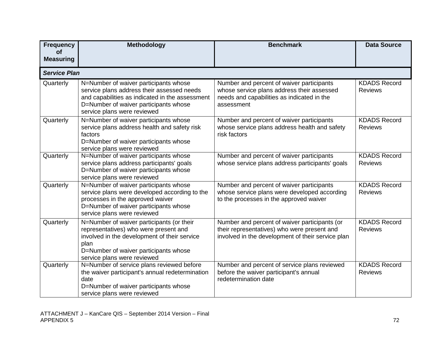| <b>Frequency</b>              | <b>Methodology</b>                                                                                                                                                                                                 | <b>Benchmark</b>                                                                                                                                    | <b>Data Source</b>                    |
|-------------------------------|--------------------------------------------------------------------------------------------------------------------------------------------------------------------------------------------------------------------|-----------------------------------------------------------------------------------------------------------------------------------------------------|---------------------------------------|
| <b>of</b><br><b>Measuring</b> |                                                                                                                                                                                                                    |                                                                                                                                                     |                                       |
| <b>Service Plan</b>           |                                                                                                                                                                                                                    |                                                                                                                                                     |                                       |
| Quarterly                     | N=Number of waiver participants whose<br>service plans address their assessed needs<br>and capabilities as indicated in the assessment<br>D=Number of waiver participants whose<br>service plans were reviewed     | Number and percent of waiver participants<br>whose service plans address their assessed<br>needs and capabilities as indicated in the<br>assessment | <b>KDADS Record</b><br><b>Reviews</b> |
| Quarterly                     | N=Number of waiver participants whose<br>service plans address health and safety risk<br>factors<br>D=Number of waiver participants whose<br>service plans were reviewed                                           | Number and percent of waiver participants<br>whose service plans address health and safety<br>risk factors                                          | <b>KDADS Record</b><br><b>Reviews</b> |
| Quarterly                     | N=Number of waiver participants whose<br>service plans address participants' goals<br>D=Number of waiver participants whose<br>service plans were reviewed                                                         | Number and percent of waiver participants<br>whose service plans address participants' goals                                                        | <b>KDADS Record</b><br><b>Reviews</b> |
| Quarterly                     | N=Number of waiver participants whose<br>service plans were developed according to the<br>processes in the approved waiver<br>D=Number of waiver participants whose<br>service plans were reviewed                 | Number and percent of waiver participants<br>whose service plans were developed according<br>to the processes in the approved waiver                | <b>KDADS Record</b><br><b>Reviews</b> |
| Quarterly                     | N=Number of waiver participants (or their<br>representatives) who were present and<br>involved in the development of their service<br>plan<br>D=Number of waiver participants whose<br>service plans were reviewed | Number and percent of waiver participants (or<br>their representatives) who were present and<br>involved in the development of their service plan   | <b>KDADS Record</b><br><b>Reviews</b> |
| Quarterly                     | N=Number of service plans reviewed before<br>the waiver participant's annual redetermination<br>date<br>D=Number of waiver participants whose<br>service plans were reviewed                                       | Number and percent of service plans reviewed<br>before the waiver participant's annual<br>redetermination date                                      | <b>KDADS Record</b><br><b>Reviews</b> |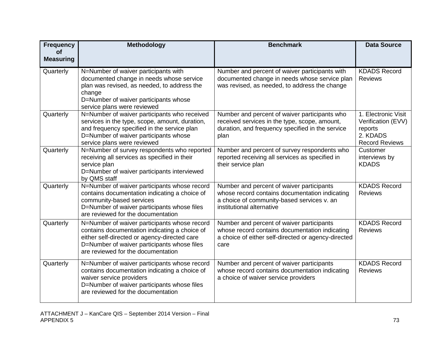| <b>Frequency</b><br>οf | <b>Methodology</b>                                                                                                                                                                                                                 | <b>Benchmark</b>                                                                                                                                                       | <b>Data Source</b>                                                                        |
|------------------------|------------------------------------------------------------------------------------------------------------------------------------------------------------------------------------------------------------------------------------|------------------------------------------------------------------------------------------------------------------------------------------------------------------------|-------------------------------------------------------------------------------------------|
| <b>Measuring</b>       |                                                                                                                                                                                                                                    |                                                                                                                                                                        |                                                                                           |
| Quarterly              | N=Number of waiver participants with<br>documented change in needs whose service<br>plan was revised, as needed, to address the<br>change<br>D=Number of waiver participants whose<br>service plans were reviewed                  | Number and percent of waiver participants with<br>documented change in needs whose service plan<br>was revised, as needed, to address the change                       | <b>KDADS Record</b><br><b>Reviews</b>                                                     |
| Quarterly              | N=Number of waiver participants who received<br>services in the type, scope, amount, duration,<br>and frequency specified in the service plan<br>D=Number of waiver participants whose<br>service plans were reviewed              | Number and percent of waiver participants who<br>received services in the type, scope, amount,<br>duration, and frequency specified in the service<br>plan             | 1. Electronic Visit<br>Verification (EVV)<br>reports<br>2. KDADS<br><b>Record Reviews</b> |
| Quarterly              | N=Number of survey respondents who reported<br>receiving all services as specified in their<br>service plan<br>D=Number of waiver participants interviewed<br>by QMS staff                                                         | Number and percent of survey respondents who<br>reported receiving all services as specified in<br>their service plan                                                  | Customer<br>interviews by<br><b>KDADS</b>                                                 |
| Quarterly              | N=Number of waiver participants whose record<br>contains documentation indicating a choice of<br>community-based services<br>D=Number of waiver participants whose files<br>are reviewed for the documentation                     | Number and percent of waiver participants<br>whose record contains documentation indicating<br>a choice of community-based services v. an<br>institutional alternative | <b>KDADS Record</b><br><b>Reviews</b>                                                     |
| Quarterly              | N=Number of waiver participants whose record<br>contains documentation indicating a choice of<br>either self-directed or agency-directed care<br>D=Number of waiver participants whose files<br>are reviewed for the documentation | Number and percent of waiver participants<br>whose record contains documentation indicating<br>a choice of either self-directed or agency-directed<br>care             | <b>KDADS Record</b><br><b>Reviews</b>                                                     |
| Quarterly              | N=Number of waiver participants whose record<br>contains documentation indicating a choice of<br>waiver service providers<br>D=Number of waiver participants whose files<br>are reviewed for the documentation                     | Number and percent of waiver participants<br>whose record contains documentation indicating<br>a choice of waiver service providers                                    | <b>KDADS Record</b><br><b>Reviews</b>                                                     |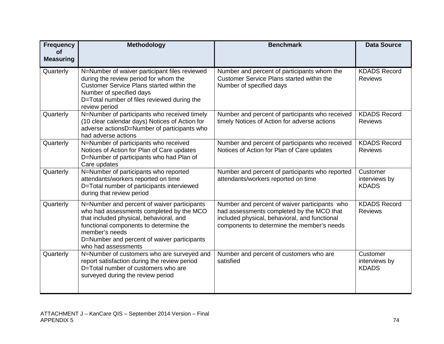| <b>Frequency</b><br><b>of</b><br><b>Measuring</b> | <b>Methodology</b>                                                                                                                                                                                                                                                   | <b>Benchmark</b>                                                                                                                                                                          | <b>Data Source</b>                        |
|---------------------------------------------------|----------------------------------------------------------------------------------------------------------------------------------------------------------------------------------------------------------------------------------------------------------------------|-------------------------------------------------------------------------------------------------------------------------------------------------------------------------------------------|-------------------------------------------|
| Quarterly                                         | N=Number of waiver participant files reviewed<br>during the review period for whom the<br><b>Customer Service Plans started within the</b><br>Number of specified days<br>D=Total number of files reviewed during the<br>review period                               | Number and percent of participants whom the<br>Customer Service Plans started within the<br>Number of specified days                                                                      | <b>KDADS Record</b><br><b>Reviews</b>     |
| Quarterly                                         | N=Number of participants who received timely<br>(10 clear calendar days) Notices of Action for<br>adverse actionsD=Number of participants who<br>had adverse actions                                                                                                 | Number and percent of participants who received<br>timely Notices of Action for adverse actions                                                                                           | <b>KDADS Record</b><br><b>Reviews</b>     |
| Quarterly                                         | N=Number of participants who received<br>Notices of Action for Plan of Care updates<br>D=Number of participants who had Plan of<br>Care updates                                                                                                                      | Number and percent of participants who received<br>Notices of Action for Plan of Care updates                                                                                             | <b>KDADS Record</b><br><b>Reviews</b>     |
| Quarterly                                         | N=Number of participants who reported<br>attendants/workers reported on time<br>D=Total number of participants interviewed<br>during that review period                                                                                                              | Number and percent of participants who reported<br>attendants/workers reported on time                                                                                                    | Customer<br>interviews by<br><b>KDADS</b> |
| Quarterly                                         | N=Number and percent of waiver participants<br>who had assessments completed by the MCO<br>that included physical, behavioral, and<br>functional components to determine the<br>member's needs<br>D=Number and percent of waiver participants<br>who had assessments | Number and percent of waiver participants who<br>had assessments completed by the MCO that<br>included physical, behavioral, and functional<br>components to determine the member's needs | <b>KDADS Record</b><br><b>Reviews</b>     |
| Quarterly                                         | N=Number of customers who are surveyed and<br>report satisfaction during the review period<br>D=Total number of customers who are<br>surveyed during the review period                                                                                               | Number and percent of customers who are<br>satisfied                                                                                                                                      | Customer<br>interviews by<br><b>KDADS</b> |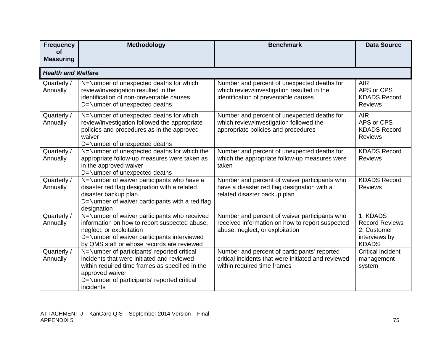| <b>Frequency</b>              | Methodology                                                                                                                                                                                                                 | <b>Benchmark</b>                                                                                                                    | <b>Data Source</b>                                                                |
|-------------------------------|-----------------------------------------------------------------------------------------------------------------------------------------------------------------------------------------------------------------------------|-------------------------------------------------------------------------------------------------------------------------------------|-----------------------------------------------------------------------------------|
| <b>of</b><br><b>Measuring</b> |                                                                                                                                                                                                                             |                                                                                                                                     |                                                                                   |
|                               |                                                                                                                                                                                                                             |                                                                                                                                     |                                                                                   |
| <b>Health and Welfare</b>     |                                                                                                                                                                                                                             |                                                                                                                                     |                                                                                   |
| Quarterly /<br>Annually       | N=Number of unexpected deaths for which<br>review/investigation resulted in the<br>identification of non-preventable causes<br>D=Number of unexpected deaths                                                                | Number and percent of unexpected deaths for<br>which review/investigation resulted in the<br>identification of preventable causes   | <b>AIR</b><br>APS or CPS<br><b>KDADS Record</b><br><b>Reviews</b>                 |
| Quarterly /<br>Annually       | N=Number of unexpected deaths for which<br>review/investigation followed the appropriate<br>policies and procedures as in the approved<br>waiver<br>D=Number of unexpected deaths                                           | Number and percent of unexpected deaths for<br>which review/investigation followed the<br>appropriate policies and procedures       | <b>AIR</b><br>APS or CPS<br><b>KDADS Record</b><br><b>Reviews</b>                 |
| Quarterly /<br>Annually       | N=Number of unexpected deaths for which the<br>appropriate follow-up measures were taken as<br>in the approved waiver<br>D=Number of unexpected deaths                                                                      | Number and percent of unexpected deaths for<br>which the appropriate follow-up measures were<br>taken                               | <b>KDADS Record</b><br><b>Reviews</b>                                             |
| Quarterly /<br>Annually       | N=Number of waiver participants who have a<br>disaster red flag designation with a related<br>disaster backup plan<br>D=Number of waiver participants with a red flag<br>designation                                        | Number and percent of waiver participants who<br>have a disaster red flag designation with a<br>related disaster backup plan        | <b>KDADS Record</b><br><b>Reviews</b>                                             |
| Quarterly /<br>Annually       | N=Number of waiver participants who received<br>information on how to report suspected abuse,<br>neglect, or exploitation<br>D=Number of waiver participants interviewed<br>by QMS staff or whose records are reviewed      | Number and percent of waiver participants who<br>received information on how to report suspected<br>abuse, neglect, or exploitation | 1. KDADS<br><b>Record Reviews</b><br>2. Customer<br>interviews by<br><b>KDADS</b> |
| Quarterly /<br>Annually       | N=Number of participants' reported critical<br>incidents that were initiated and reviewed<br>within required time frames as specified in the<br>approved waiver<br>D=Number of participants' reported critical<br>incidents | Number and percent of participants' reported<br>critical incidents that were initiated and reviewed<br>within required time frames  | Critical incident<br>management<br>system                                         |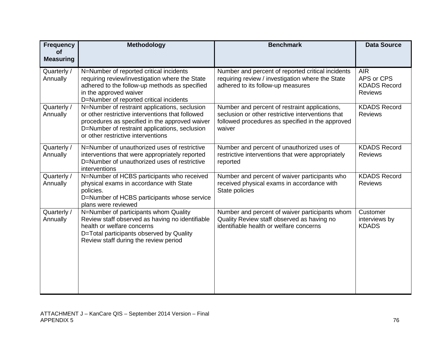| <b>Frequency</b><br><b>of</b> | <b>Methodology</b>                                                                                                                                                                                                                         | <b>Benchmark</b>                                                                                                                                                 | <b>Data Source</b>                                                |
|-------------------------------|--------------------------------------------------------------------------------------------------------------------------------------------------------------------------------------------------------------------------------------------|------------------------------------------------------------------------------------------------------------------------------------------------------------------|-------------------------------------------------------------------|
| <b>Measuring</b>              |                                                                                                                                                                                                                                            |                                                                                                                                                                  |                                                                   |
| Quarterly /<br>Annually       | N=Number of reported critical incidents<br>requiring review/investigation where the State<br>adhered to the follow-up methods as specified<br>in the approved waiver<br>D=Number of reported critical incidents                            | Number and percent of reported critical incidents<br>requiring review / investigation where the State<br>adhered to its follow-up measures                       | <b>AIR</b><br>APS or CPS<br><b>KDADS Record</b><br><b>Reviews</b> |
| Quarterly /<br>Annually       | N=Number of restraint applications, seclusion<br>or other restrictive interventions that followed<br>procedures as specified in the approved waiver<br>D=Number of restraint applications, seclusion<br>or other restrictive interventions | Number and percent of restraint applications,<br>seclusion or other restrictive interventions that<br>followed procedures as specified in the approved<br>waiver | <b>KDADS Record</b><br><b>Reviews</b>                             |
| Quarterly /<br>Annually       | N=Number of unauthorized uses of restrictive<br>interventions that were appropriately reported<br>D=Number of unauthorized uses of restrictive<br>interventions                                                                            | Number and percent of unauthorized uses of<br>restrictive interventions that were appropriately<br>reported                                                      | <b>KDADS Record</b><br><b>Reviews</b>                             |
| Quarterly /<br>Annually       | N=Number of HCBS participants who received<br>physical exams in accordance with State<br>policies.<br>D=Number of HCBS participants whose service<br>plans were reviewed                                                                   | Number and percent of waiver participants who<br>received physical exams in accordance with<br>State policies                                                    | <b>KDADS Record</b><br><b>Reviews</b>                             |
| Quarterly /<br>Annually       | N=Number of participants whom Quality<br>Review staff observed as having no identifiable<br>health or welfare concerns<br>D=Total participants observed by Quality<br>Review staff during the review period                                | Number and percent of waiver participants whom<br>Quality Review staff observed as having no<br>identifiable health or welfare concerns                          | Customer<br>interviews by<br><b>KDADS</b>                         |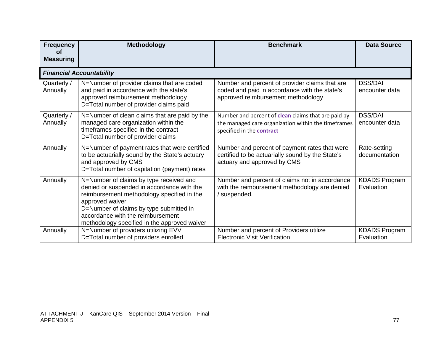| <b>Frequency</b><br>οf  | <b>Methodology</b>                                                                                                                                                                                                                                                                     | <b>Benchmark</b>                                                                                                                        | <b>Data Source</b>                 |
|-------------------------|----------------------------------------------------------------------------------------------------------------------------------------------------------------------------------------------------------------------------------------------------------------------------------------|-----------------------------------------------------------------------------------------------------------------------------------------|------------------------------------|
| <b>Measuring</b>        |                                                                                                                                                                                                                                                                                        |                                                                                                                                         |                                    |
|                         | <b>Financial Accountability</b>                                                                                                                                                                                                                                                        |                                                                                                                                         |                                    |
| Quarterly /<br>Annually | N=Number of provider claims that are coded<br>and paid in accordance with the state's<br>approved reimbursement methodology<br>D=Total number of provider claims paid                                                                                                                  | Number and percent of provider claims that are<br>coded and paid in accordance with the state's<br>approved reimbursement methodology   | <b>DSS/DAI</b><br>encounter data   |
| Quarterly /<br>Annually | N=Number of clean claims that are paid by the<br>managed care organization within the<br>timeframes specified in the contract<br>D=Total number of provider claims                                                                                                                     | Number and percent of clean claims that are paid by<br>the managed care organization within the timeframes<br>specified in the contract | <b>DSS/DAI</b><br>encounter data   |
| Annually                | N=Number of payment rates that were certified<br>to be actuarially sound by the State's actuary<br>and approved by CMS<br>D=Total number of capitation (payment) rates                                                                                                                 | Number and percent of payment rates that were<br>certified to be actuarially sound by the State's<br>actuary and approved by CMS        | Rate-setting<br>documentation      |
| Annually                | N=Number of claims by type received and<br>denied or suspended in accordance with the<br>reimbursement methodology specified in the<br>approved waiver<br>D=Number of claims by type submitted in<br>accordance with the reimbursement<br>methodology specified in the approved waiver | Number and percent of claims not in accordance<br>with the reimbursement methodology are denied<br>/ suspended.                         | <b>KDADS Program</b><br>Evaluation |
| Annually                | N=Number of providers utilizing EVV<br>D=Total number of providers enrolled                                                                                                                                                                                                            | Number and percent of Providers utilize<br><b>Electronic Visit Verification</b>                                                         | <b>KDADS Program</b><br>Evaluation |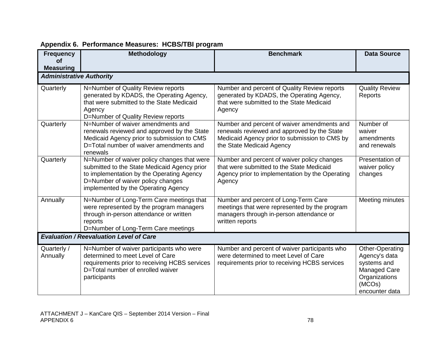| <b>Frequency</b><br>οf          | Methodology                                                                                                                                                                                                          | <b>Benchmark</b>                                                                                                                                                         | <b>Data Source</b>                                                                                                  |
|---------------------------------|----------------------------------------------------------------------------------------------------------------------------------------------------------------------------------------------------------------------|--------------------------------------------------------------------------------------------------------------------------------------------------------------------------|---------------------------------------------------------------------------------------------------------------------|
| <b>Measuring</b>                |                                                                                                                                                                                                                      |                                                                                                                                                                          |                                                                                                                     |
| <b>Administrative Authority</b> |                                                                                                                                                                                                                      |                                                                                                                                                                          |                                                                                                                     |
| Quarterly                       | N=Number of Quality Review reports<br>generated by KDADS, the Operating Agency,<br>that were submitted to the State Medicaid<br>Agency<br>D=Number of Quality Review reports                                         | Number and percent of Quality Review reports<br>generated by KDADS, the Operating Agency,<br>that were submitted to the State Medicaid<br>Agency                         | <b>Quality Review</b><br>Reports                                                                                    |
| Quarterly                       | N=Number of waiver amendments and<br>renewals reviewed and approved by the State<br>Medicaid Agency prior to submission to CMS<br>D=Total number of waiver amendments and<br>renewals                                | Number and percent of waiver amendments and<br>renewals reviewed and approved by the State<br>Medicaid Agency prior to submission to CMS by<br>the State Medicaid Agency | Number of<br>waiver<br>amendments<br>and renewals                                                                   |
| Quarterly                       | N=Number of waiver policy changes that were<br>submitted to the State Medicaid Agency prior<br>to implementation by the Operating Agency<br>D=Number of waiver policy changes<br>implemented by the Operating Agency | Number and percent of waiver policy changes<br>that were submitted to the State Medicaid<br>Agency prior to implementation by the Operating<br>Agency                    | Presentation of<br>waiver policy<br>changes                                                                         |
| Annually                        | N=Number of Long-Term Care meetings that<br>were represented by the program managers<br>through in-person attendance or written<br>reports<br>D=Number of Long-Term Care meetings                                    | Number and percent of Long-Term Care<br>meetings that were represented by the program<br>managers through in-person attendance or<br>written reports                     | Meeting minutes                                                                                                     |
|                                 | <b>Evaluation / Reevaluation Level of Care</b>                                                                                                                                                                       |                                                                                                                                                                          |                                                                                                                     |
| Quarterly /<br>Annually         | N=Number of waiver participants who were<br>determined to meet Level of Care<br>requirements prior to receiving HCBS services<br>D=Total number of enrolled waiver<br>participants                                   | Number and percent of waiver participants who<br>were determined to meet Level of Care<br>requirements prior to receiving HCBS services                                  | Other-Operating<br>Agency's data<br>systems and<br><b>Managed Care</b><br>Organizations<br>(MCOs)<br>encounter data |

## **Appendix 6. Performance Measures: HCBS/TBI program**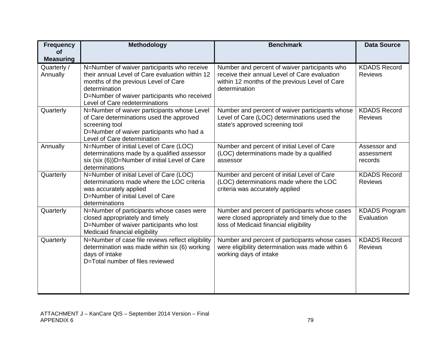| <b>Frequency</b>              | <b>Methodology</b>                                                                                                                                                                                                                        | <b>Benchmark</b>                                                                                                                                                  | <b>Data Source</b>                    |
|-------------------------------|-------------------------------------------------------------------------------------------------------------------------------------------------------------------------------------------------------------------------------------------|-------------------------------------------------------------------------------------------------------------------------------------------------------------------|---------------------------------------|
| <b>of</b><br><b>Measuring</b> |                                                                                                                                                                                                                                           |                                                                                                                                                                   |                                       |
| Quarterly /<br>Annually       | N=Number of waiver participants who receive<br>their annual Level of Care evaluation within 12<br>months of the previous Level of Care<br>determination<br>D=Number of waiver participants who received<br>Level of Care redeterminations | Number and percent of waiver participants who<br>receive their annual Level of Care evaluation<br>within 12 months of the previous Level of Care<br>determination | <b>KDADS Record</b><br><b>Reviews</b> |
| Quarterly                     | N=Number of waiver participants whose Level<br>of Care determinations used the approved<br>screening tool<br>D=Number of waiver participants who had a<br>Level of Care determination                                                     | Number and percent of waiver participants whose<br>Level of Care (LOC) determinations used the<br>state's approved screening tool                                 | <b>KDADS Record</b><br><b>Reviews</b> |
| Annually                      | N=Number of initial Level of Care (LOC)<br>determinations made by a qualified assessor<br>six (six (6))D=Number of initial Level of Care<br>determinations                                                                                | Number and percent of initial Level of Care<br>(LOC) determinations made by a qualified<br>assessor                                                               | Assessor and<br>assessment<br>records |
| Quarterly                     | N=Number of initial Level of Care (LOC)<br>determinations made where the LOC criteria<br>was accurately applied<br>D=Number of initial Level of Care<br>determinations                                                                    | Number and percent of initial Level of Care<br>(LOC) determinations made where the LOC<br>criteria was accurately applied                                         | <b>KDADS Record</b><br><b>Reviews</b> |
| Quarterly                     | N=Number of participants whose cases were<br>closed appropriately and timely<br>D=Number of waiver participants who lost<br>Medicaid financial eligibility                                                                                | Number and percent of participants whose cases<br>were closed appropriately and timely due to the<br>loss of Medicaid financial eligibility                       | <b>KDADS Program</b><br>Evaluation    |
| Quarterly                     | N=Number of case file reviews reflect eligibility<br>determination was made within six (6) working<br>days of intake<br>D=Total number of files reviewed                                                                                  | Number and percent of participants whose cases<br>were eligibility determination was made within 6<br>working days of intake                                      | <b>KDADS Record</b><br><b>Reviews</b> |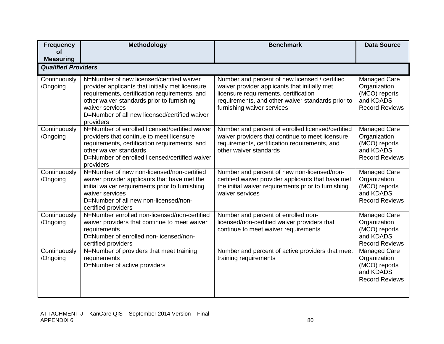| <b>Frequency</b><br><b>of</b> | <b>Methodology</b>                                                                                                                                                                                                                                                            | <b>Benchmark</b>                                                                                                                                                                                                            | <b>Data Source</b>                                                                  |
|-------------------------------|-------------------------------------------------------------------------------------------------------------------------------------------------------------------------------------------------------------------------------------------------------------------------------|-----------------------------------------------------------------------------------------------------------------------------------------------------------------------------------------------------------------------------|-------------------------------------------------------------------------------------|
| <b>Measuring</b>              |                                                                                                                                                                                                                                                                               |                                                                                                                                                                                                                             |                                                                                     |
| <b>Qualified Providers</b>    |                                                                                                                                                                                                                                                                               |                                                                                                                                                                                                                             |                                                                                     |
| Continuously<br>/Ongoing      | N=Number of new licensed/certified waiver<br>provider applicants that initially met licensure<br>requirements, certification requirements, and<br>other waiver standards prior to furnishing<br>waiver services<br>D=Number of all new licensed/certified waiver<br>providers | Number and percent of new licensed / certified<br>waiver provider applicants that initially met<br>licensure requirements, certification<br>requirements, and other waiver standards prior to<br>furnishing waiver services | Managed Care<br>Organization<br>(MCO) reports<br>and KDADS<br><b>Record Reviews</b> |
| Continuously<br>/Ongoing      | N=Number of enrolled licensed/certified waiver<br>providers that continue to meet licensure<br>requirements, certification requirements, and<br>other waiver standards<br>D=Number of enrolled licensed/certified waiver<br>providers                                         | Number and percent of enrolled licensed/certified<br>waiver providers that continue to meet licensure<br>requirements, certification requirements, and<br>other waiver standards                                            | Managed Care<br>Organization<br>(MCO) reports<br>and KDADS<br><b>Record Reviews</b> |
| Continuously<br>/Ongoing      | N=Number of new non-licensed/non-certified<br>waiver provider applicants that have met the<br>initial waiver requirements prior to furnishing<br>waiver services<br>D=Number of all new non-licensed/non-<br>certified providers                                              | Number and percent of new non-licensed/non-<br>certified waiver provider applicants that have met<br>the initial waiver requirements prior to furnishing<br>waiver services                                                 | Managed Care<br>Organization<br>(MCO) reports<br>and KDADS<br><b>Record Reviews</b> |
| Continuously<br>/Ongoing      | N=Number enrolled non-licensed/non-certified<br>waiver providers that continue to meet waiver<br>requirements<br>D=Number of enrolled non-licensed/non-<br>certified providers                                                                                                | Number and percent of enrolled non-<br>licensed/non-certified waiver providers that<br>continue to meet waiver requirements                                                                                                 | Managed Care<br>Organization<br>(MCO) reports<br>and KDADS<br><b>Record Reviews</b> |
| Continuously<br>/Ongoing      | N=Number of providers that meet training<br>requirements<br>D=Number of active providers                                                                                                                                                                                      | Number and percent of active providers that meet<br>training requirements                                                                                                                                                   | Managed Care<br>Organization<br>(MCO) reports<br>and KDADS<br><b>Record Reviews</b> |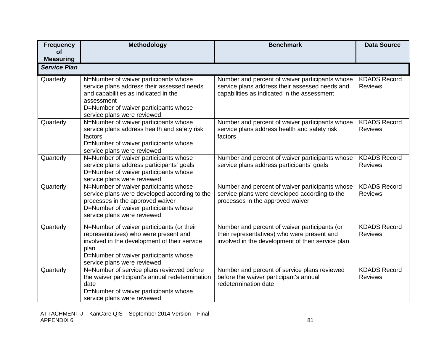| <b>Frequency</b><br><b>of</b> | Methodology                                                                                                                                                                                                        | <b>Benchmark</b>                                                                                                                                  | <b>Data Source</b>                    |
|-------------------------------|--------------------------------------------------------------------------------------------------------------------------------------------------------------------------------------------------------------------|---------------------------------------------------------------------------------------------------------------------------------------------------|---------------------------------------|
| <b>Measuring</b>              |                                                                                                                                                                                                                    |                                                                                                                                                   |                                       |
| <b>Service Plan</b>           |                                                                                                                                                                                                                    |                                                                                                                                                   |                                       |
| Quarterly                     | N=Number of waiver participants whose<br>service plans address their assessed needs<br>and capabilities as indicated in the<br>assessment<br>D=Number of waiver participants whose<br>service plans were reviewed  | Number and percent of waiver participants whose<br>service plans address their assessed needs and<br>capabilities as indicated in the assessment  | <b>KDADS Record</b><br><b>Reviews</b> |
| Quarterly                     | N=Number of waiver participants whose<br>service plans address health and safety risk<br>factors<br>D=Number of waiver participants whose<br>service plans were reviewed                                           | Number and percent of waiver participants whose<br>service plans address health and safety risk<br>factors                                        | <b>KDADS Record</b><br><b>Reviews</b> |
| Quarterly                     | N=Number of waiver participants whose<br>service plans address participants' goals<br>D=Number of waiver participants whose<br>service plans were reviewed                                                         | Number and percent of waiver participants whose<br>service plans address participants' goals                                                      | <b>KDADS Record</b><br><b>Reviews</b> |
| Quarterly                     | N=Number of waiver participants whose<br>service plans were developed according to the<br>processes in the approved waiver<br>D=Number of waiver participants whose<br>service plans were reviewed                 | Number and percent of waiver participants whose<br>service plans were developed according to the<br>processes in the approved waiver              | <b>KDADS Record</b><br><b>Reviews</b> |
| Quarterly                     | N=Number of waiver participants (or their<br>representatives) who were present and<br>involved in the development of their service<br>plan<br>D=Number of waiver participants whose<br>service plans were reviewed | Number and percent of waiver participants (or<br>their representatives) who were present and<br>involved in the development of their service plan | <b>KDADS Record</b><br><b>Reviews</b> |
| Quarterly                     | N=Number of service plans reviewed before<br>the waiver participant's annual redetermination<br>date<br>D=Number of waiver participants whose<br>service plans were reviewed                                       | Number and percent of service plans reviewed<br>before the waiver participant's annual<br>redetermination date                                    | <b>KDADS Record</b><br><b>Reviews</b> |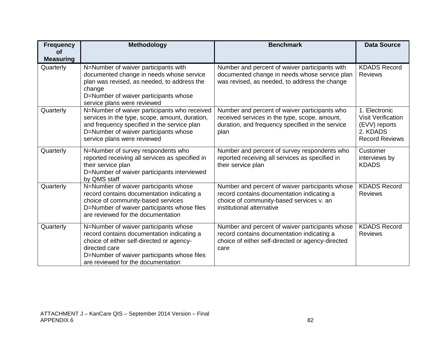| <b>Frequency</b><br><b>of</b> | <b>Methodology</b>                                                                                                                                                                                                                     | <b>Benchmark</b>                                                                                                                                                       | <b>Data Source</b>                                                                               |
|-------------------------------|----------------------------------------------------------------------------------------------------------------------------------------------------------------------------------------------------------------------------------------|------------------------------------------------------------------------------------------------------------------------------------------------------------------------|--------------------------------------------------------------------------------------------------|
| <b>Measuring</b>              |                                                                                                                                                                                                                                        |                                                                                                                                                                        |                                                                                                  |
| Quarterly                     | N=Number of waiver participants with<br>documented change in needs whose service<br>plan was revised, as needed, to address the<br>change<br>D=Number of waiver participants whose<br>service plans were reviewed                      | Number and percent of waiver participants with<br>documented change in needs whose service plan<br>was revised, as needed, to address the change                       | <b>KDADS Record</b><br><b>Reviews</b>                                                            |
| Quarterly                     | N=Number of waiver participants who received<br>services in the type, scope, amount, duration,<br>and frequency specified in the service plan<br>D=Number of waiver participants whose<br>service plans were reviewed                  | Number and percent of waiver participants who<br>received services in the type, scope, amount,<br>duration, and frequency specified in the service<br>plan             | 1. Electronic<br><b>Visit Verification</b><br>(EVV) reports<br>2. KDADS<br><b>Record Reviews</b> |
| Quarterly                     | N=Number of survey respondents who<br>reported receiving all services as specified in<br>their service plan<br>D=Number of waiver participants interviewed<br>by QMS staff                                                             | Number and percent of survey respondents who<br>reported receiving all services as specified in<br>their service plan                                                  | Customer<br>interviews by<br><b>KDADS</b>                                                        |
| Quarterly                     | N=Number of waiver participants whose<br>record contains documentation indicating a<br>choice of community-based services<br>D=Number of waiver participants whose files<br>are reviewed for the documentation                         | Number and percent of waiver participants whose<br>record contains documentation indicating a<br>choice of community-based services v. an<br>institutional alternative | <b>KDADS Record</b><br><b>Reviews</b>                                                            |
| Quarterly                     | N=Number of waiver participants whose<br>record contains documentation indicating a<br>choice of either self-directed or agency-<br>directed care<br>D=Number of waiver participants whose files<br>are reviewed for the documentation | Number and percent of waiver participants whose<br>record contains documentation indicating a<br>choice of either self-directed or agency-directed<br>care             | <b>KDADS Record</b><br><b>Reviews</b>                                                            |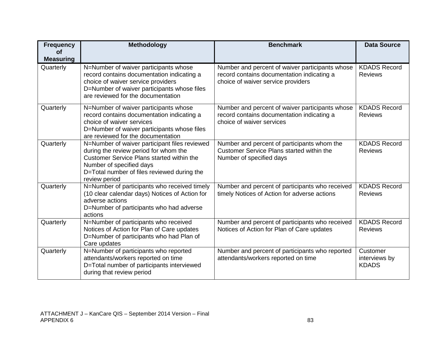| <b>Frequency</b>              | <b>Methodology</b>                                                                                                                                                                                                              | <b>Benchmark</b>                                                                                                                    | <b>Data Source</b>                        |
|-------------------------------|---------------------------------------------------------------------------------------------------------------------------------------------------------------------------------------------------------------------------------|-------------------------------------------------------------------------------------------------------------------------------------|-------------------------------------------|
| <b>of</b><br><b>Measuring</b> |                                                                                                                                                                                                                                 |                                                                                                                                     |                                           |
| Quarterly                     | N=Number of waiver participants whose<br>record contains documentation indicating a<br>choice of waiver service providers<br>D=Number of waiver participants whose files<br>are reviewed for the documentation                  | Number and percent of waiver participants whose<br>record contains documentation indicating a<br>choice of waiver service providers | <b>KDADS Record</b><br><b>Reviews</b>     |
| Quarterly                     | N=Number of waiver participants whose<br>record contains documentation indicating a<br>choice of waiver services<br>D=Number of waiver participants whose files<br>are reviewed for the documentation                           | Number and percent of waiver participants whose<br>record contains documentation indicating a<br>choice of waiver services          | <b>KDADS Record</b><br><b>Reviews</b>     |
| Quarterly                     | N=Number of waiver participant files reviewed<br>during the review period for whom the<br>Customer Service Plans started within the<br>Number of specified days<br>D=Total number of files reviewed during the<br>review period | Number and percent of participants whom the<br><b>Customer Service Plans started within the</b><br>Number of specified days         | <b>KDADS Record</b><br><b>Reviews</b>     |
| Quarterly                     | N=Number of participants who received timely<br>(10 clear calendar days) Notices of Action for<br>adverse actions<br>D=Number of participants who had adverse<br>actions                                                        | Number and percent of participants who received<br>timely Notices of Action for adverse actions                                     | <b>KDADS Record</b><br><b>Reviews</b>     |
| Quarterly                     | N=Number of participants who received<br>Notices of Action for Plan of Care updates<br>D=Number of participants who had Plan of<br>Care updates                                                                                 | Number and percent of participants who received<br>Notices of Action for Plan of Care updates                                       | <b>KDADS Record</b><br><b>Reviews</b>     |
| Quarterly                     | N=Number of participants who reported<br>attendants/workers reported on time<br>D=Total number of participants interviewed<br>during that review period                                                                         | Number and percent of participants who reported<br>attendants/workers reported on time                                              | Customer<br>interviews by<br><b>KDADS</b> |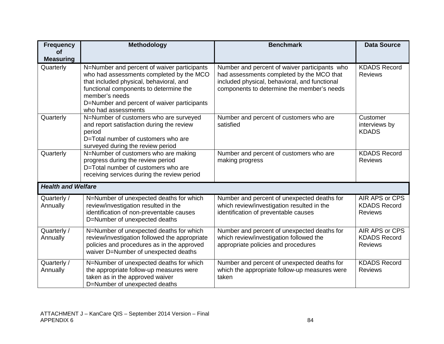| <b>Frequency</b>              | Methodology                                                                                 | <b>Benchmark</b>                                                                       | <b>Data Source</b>                    |
|-------------------------------|---------------------------------------------------------------------------------------------|----------------------------------------------------------------------------------------|---------------------------------------|
| <b>of</b>                     |                                                                                             |                                                                                        |                                       |
| <b>Measuring</b><br>Quarterly | N=Number and percent of waiver participants                                                 | Number and percent of waiver participants who                                          | <b>KDADS Record</b>                   |
|                               | who had assessments completed by the MCO                                                    | had assessments completed by the MCO that                                              | <b>Reviews</b>                        |
|                               | that included physical, behavioral, and                                                     | included physical, behavioral, and functional                                          |                                       |
|                               | functional components to determine the                                                      | components to determine the member's needs                                             |                                       |
|                               | member's needs                                                                              |                                                                                        |                                       |
|                               | D=Number and percent of waiver participants                                                 |                                                                                        |                                       |
| Quarterly                     | who had assessments<br>N=Number of customers who are surveyed                               | Number and percent of customers who are                                                | Customer                              |
|                               | and report satisfaction during the review                                                   | satisfied                                                                              | interviews by                         |
|                               | period                                                                                      |                                                                                        | <b>KDADS</b>                          |
|                               | D=Total number of customers who are                                                         |                                                                                        |                                       |
|                               | surveyed during the review period                                                           |                                                                                        |                                       |
| Quarterly                     | N=Number of customers who are making                                                        | Number and percent of customers who are                                                | <b>KDADS Record</b>                   |
|                               | progress during the review period<br>D=Total number of customers who are                    | making progress                                                                        | <b>Reviews</b>                        |
|                               | receiving services during the review period                                                 |                                                                                        |                                       |
| <b>Health and Welfare</b>     |                                                                                             |                                                                                        |                                       |
|                               |                                                                                             |                                                                                        |                                       |
| Quarterly /                   | N=Number of unexpected deaths for which                                                     | Number and percent of unexpected deaths for                                            | AIR APS or CPS                        |
| Annually                      | review/investigation resulted in the                                                        | which review/investigation resulted in the                                             | <b>KDADS Record</b>                   |
|                               | identification of non-preventable causes<br>D=Number of unexpected deaths                   | identification of preventable causes                                                   | <b>Reviews</b>                        |
|                               |                                                                                             |                                                                                        |                                       |
| Quarterly /                   | N=Number of unexpected deaths for which                                                     | Number and percent of unexpected deaths for<br>which review/investigation followed the | AIR APS or CPS<br><b>KDADS Record</b> |
| Annually                      | review/investigation followed the appropriate<br>policies and procedures as in the approved | appropriate policies and procedures                                                    | <b>Reviews</b>                        |
|                               | waiver D=Number of unexpected deaths                                                        |                                                                                        |                                       |
| Quarterly /                   | N=Number of unexpected deaths for which                                                     | Number and percent of unexpected deaths for                                            | <b>KDADS Record</b>                   |
| Annually                      | the appropriate follow-up measures were                                                     | which the appropriate follow-up measures were                                          | <b>Reviews</b>                        |
|                               | taken as in the approved waiver                                                             | taken                                                                                  |                                       |
|                               | D=Number of unexpected deaths                                                               |                                                                                        |                                       |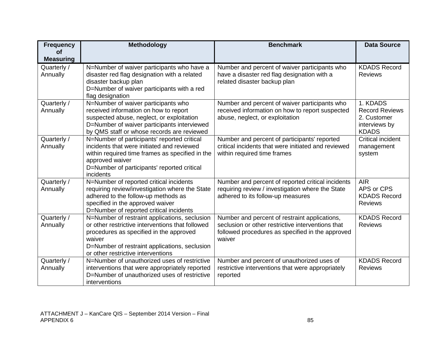| <b>Frequency</b>        | Methodology                                                                                | <b>Benchmark</b>                                                                             | <b>Data Source</b>                    |
|-------------------------|--------------------------------------------------------------------------------------------|----------------------------------------------------------------------------------------------|---------------------------------------|
| <b>of</b>               |                                                                                            |                                                                                              |                                       |
| <b>Measuring</b>        |                                                                                            |                                                                                              |                                       |
| Quarterly /<br>Annually | N=Number of waiver participants who have a<br>disaster red flag designation with a related | Number and percent of waiver participants who<br>have a disaster red flag designation with a | <b>KDADS Record</b><br><b>Reviews</b> |
|                         | disaster backup plan                                                                       | related disaster backup plan                                                                 |                                       |
|                         | D=Number of waiver participants with a red                                                 |                                                                                              |                                       |
|                         | flag designation                                                                           |                                                                                              |                                       |
| Quarterly /             | N=Number of waiver participants who                                                        | Number and percent of waiver participants who                                                | 1. KDADS                              |
| Annually                | received information on how to report                                                      | received information on how to report suspected                                              | <b>Record Reviews</b>                 |
|                         | suspected abuse, neglect, or exploitation                                                  | abuse, neglect, or exploitation                                                              | 2. Customer                           |
|                         | D=Number of waiver participants interviewed                                                |                                                                                              | interviews by                         |
|                         | by QMS staff or whose records are reviewed                                                 |                                                                                              | <b>KDADS</b>                          |
| Quarterly /             | N=Number of participants' reported critical                                                | Number and percent of participants' reported                                                 | <b>Critical incident</b>              |
| Annually                | incidents that were initiated and reviewed                                                 | critical incidents that were initiated and reviewed                                          | management                            |
|                         | within required time frames as specified in the                                            | within required time frames                                                                  | system                                |
|                         | approved waiver<br>D=Number of participants' reported critical                             |                                                                                              |                                       |
|                         | incidents                                                                                  |                                                                                              |                                       |
| Quarterly /             | N=Number of reported critical incidents                                                    | Number and percent of reported critical incidents                                            | <b>AIR</b>                            |
| Annually                | requiring review/investigation where the State                                             | requiring review / investigation where the State                                             | APS or CPS                            |
|                         | adhered to the follow-up methods as                                                        | adhered to its follow-up measures                                                            | <b>KDADS Record</b>                   |
|                         | specified in the approved waiver                                                           |                                                                                              | <b>Reviews</b>                        |
|                         | D=Number of reported critical incidents                                                    |                                                                                              |                                       |
| Quarterly /             | N=Number of restraint applications, seclusion                                              | Number and percent of restraint applications,                                                | <b>KDADS Record</b>                   |
| Annually                | or other restrictive interventions that followed                                           | seclusion or other restrictive interventions that                                            | <b>Reviews</b>                        |
|                         | procedures as specified in the approved                                                    | followed procedures as specified in the approved                                             |                                       |
|                         | waiver                                                                                     | waiver                                                                                       |                                       |
|                         | D=Number of restraint applications, seclusion<br>or other restrictive interventions        |                                                                                              |                                       |
| Quarterly /             | N=Number of unauthorized uses of restrictive                                               | Number and percent of unauthorized uses of                                                   | <b>KDADS Record</b>                   |
| Annually                | interventions that were appropriately reported                                             | restrictive interventions that were appropriately                                            | <b>Reviews</b>                        |
|                         | D=Number of unauthorized uses of restrictive                                               | reported                                                                                     |                                       |
|                         | interventions                                                                              |                                                                                              |                                       |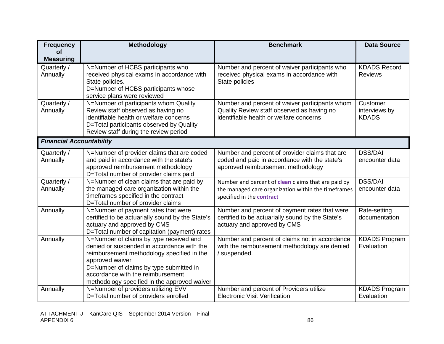| <b>Frequency</b>                | <b>Methodology</b>                                                                  | <b>Benchmark</b>                                                                      | <b>Data Source</b>            |
|---------------------------------|-------------------------------------------------------------------------------------|---------------------------------------------------------------------------------------|-------------------------------|
| <b>of</b>                       |                                                                                     |                                                                                       |                               |
| <b>Measuring</b><br>Quarterly / | N=Number of HCBS participants who                                                   | Number and percent of waiver participants who                                         | <b>KDADS Record</b>           |
| Annually                        | received physical exams in accordance with                                          | received physical exams in accordance with                                            | <b>Reviews</b>                |
|                                 | State policies.                                                                     | State policies                                                                        |                               |
|                                 | D=Number of HCBS participants whose                                                 |                                                                                       |                               |
|                                 | service plans were reviewed                                                         |                                                                                       |                               |
| Quarterly /                     | N=Number of participants whom Quality                                               | Number and percent of waiver participants whom                                        | Customer                      |
| Annually                        | Review staff observed as having no<br>identifiable health or welfare concerns       | Quality Review staff observed as having no<br>identifiable health or welfare concerns | interviews by<br><b>KDADS</b> |
|                                 | D=Total participants observed by Quality                                            |                                                                                       |                               |
|                                 | Review staff during the review period                                               |                                                                                       |                               |
| <b>Financial Accountability</b> |                                                                                     |                                                                                       |                               |
| Quarterly /                     | N=Number of provider claims that are coded                                          | Number and percent of provider claims that are                                        | <b>DSS/DAI</b>                |
| Annually                        | and paid in accordance with the state's                                             | coded and paid in accordance with the state's                                         | encounter data                |
|                                 | approved reimbursement methodology                                                  | approved reimbursement methodology                                                    |                               |
| Quarterly /                     | D=Total number of provider claims paid<br>N=Number of clean claims that are paid by | Number and percent of clean claims that are paid by                                   | <b>DSS/DAI</b>                |
| Annually                        | the managed care organization within the                                            | the managed care organization within the timeframes                                   | encounter data                |
|                                 | timeframes specified in the contract                                                | specified in the contract                                                             |                               |
|                                 | D=Total number of provider claims                                                   |                                                                                       |                               |
| Annually                        | N=Number of payment rates that were                                                 | Number and percent of payment rates that were                                         | Rate-setting                  |
|                                 | certified to be actuarially sound by the State's                                    | certified to be actuarially sound by the State's                                      | documentation                 |
|                                 | actuary and approved by CMS<br>D=Total number of capitation (payment) rates         | actuary and approved by CMS                                                           |                               |
| Annually                        | N=Number of claims by type received and                                             | Number and percent of claims not in accordance                                        | <b>KDADS Program</b>          |
|                                 | denied or suspended in accordance with the                                          | with the reimbursement methodology are denied                                         | Evaluation                    |
|                                 | reimbursement methodology specified in the                                          | / suspended.                                                                          |                               |
|                                 | approved waiver                                                                     |                                                                                       |                               |
|                                 | D=Number of claims by type submitted in<br>accordance with the reimbursement        |                                                                                       |                               |
|                                 | methodology specified in the approved waiver                                        |                                                                                       |                               |
| Annually                        | N=Number of providers utilizing EVV                                                 | Number and percent of Providers utilize                                               | <b>KDADS Program</b>          |
|                                 | D=Total number of providers enrolled                                                | <b>Electronic Visit Verification</b>                                                  | Evaluation                    |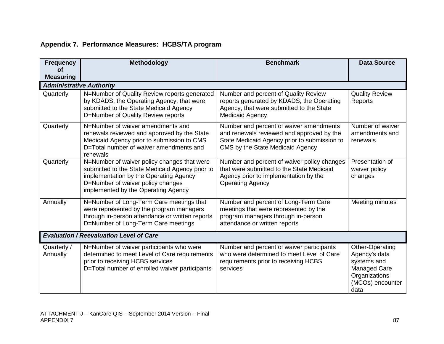## **Appendix 7. Performance Measures: HCBS/TA program**

| <b>Frequency</b><br><b>of</b>   | Methodology                                                                                                                                                                                                          | <b>Benchmark</b>                                                                                                                                                         | <b>Data Source</b>                                                                                           |
|---------------------------------|----------------------------------------------------------------------------------------------------------------------------------------------------------------------------------------------------------------------|--------------------------------------------------------------------------------------------------------------------------------------------------------------------------|--------------------------------------------------------------------------------------------------------------|
| <b>Measuring</b>                |                                                                                                                                                                                                                      |                                                                                                                                                                          |                                                                                                              |
| <b>Administrative Authority</b> |                                                                                                                                                                                                                      |                                                                                                                                                                          |                                                                                                              |
| Quarterly                       | N=Number of Quality Review reports generated<br>by KDADS, the Operating Agency, that were<br>submitted to the State Medicaid Agency<br>D=Number of Quality Review reports                                            | Number and percent of Quality Review<br>reports generated by KDADS, the Operating<br>Agency, that were submitted to the State<br><b>Medicaid Agency</b>                  | <b>Quality Review</b><br>Reports                                                                             |
| Quarterly                       | N=Number of waiver amendments and<br>renewals reviewed and approved by the State<br>Medicaid Agency prior to submission to CMS<br>D=Total number of waiver amendments and<br>renewals                                | Number and percent of waiver amendments<br>and renewals reviewed and approved by the<br>State Medicaid Agency prior to submission to<br>CMS by the State Medicaid Agency | Number of waiver<br>amendments and<br>renewals                                                               |
| Quarterly                       | N=Number of waiver policy changes that were<br>submitted to the State Medicaid Agency prior to<br>implementation by the Operating Agency<br>D=Number of waiver policy changes<br>implemented by the Operating Agency | Number and percent of waiver policy changes<br>that were submitted to the State Medicaid<br>Agency prior to implementation by the<br><b>Operating Agency</b>             | Presentation of<br>waiver policy<br>changes                                                                  |
| Annually                        | N=Number of Long-Term Care meetings that<br>were represented by the program managers<br>through in-person attendance or written reports<br>D=Number of Long-Term Care meetings                                       | Number and percent of Long-Term Care<br>meetings that were represented by the<br>program managers through in-person<br>attendance or written reports                     | Meeting minutes                                                                                              |
|                                 | <b>Evaluation / Reevaluation Level of Care</b>                                                                                                                                                                       |                                                                                                                                                                          |                                                                                                              |
| Quarterly /<br>Annually         | N=Number of waiver participants who were<br>determined to meet Level of Care requirements<br>prior to receiving HCBS services<br>D=Total number of enrolled waiver participants                                      | Number and percent of waiver participants<br>who were determined to meet Level of Care<br>requirements prior to receiving HCBS<br>services                               | Other-Operating<br>Agency's data<br>systems and<br>Managed Care<br>Organizations<br>(MCOs) encounter<br>data |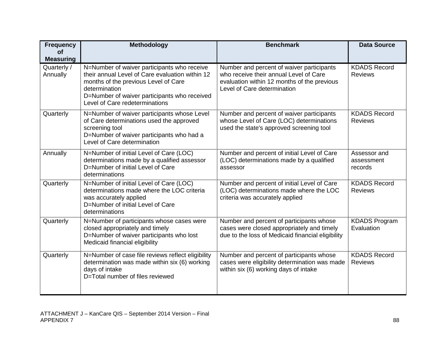| <b>Frequency</b><br>of                      | Methodology                                                                                                                                                                                                                               | <b>Benchmark</b>                                                                                                                                                  | <b>Data Source</b>                    |
|---------------------------------------------|-------------------------------------------------------------------------------------------------------------------------------------------------------------------------------------------------------------------------------------------|-------------------------------------------------------------------------------------------------------------------------------------------------------------------|---------------------------------------|
| <b>Measuring</b><br>Quarterly /<br>Annually | N=Number of waiver participants who receive<br>their annual Level of Care evaluation within 12<br>months of the previous Level of Care<br>determination<br>D=Number of waiver participants who received<br>Level of Care redeterminations | Number and percent of waiver participants<br>who receive their annual Level of Care<br>evaluation within 12 months of the previous<br>Level of Care determination | <b>KDADS Record</b><br><b>Reviews</b> |
| Quarterly                                   | N=Number of waiver participants whose Level<br>of Care determinations used the approved<br>screening tool<br>D=Number of waiver participants who had a<br>Level of Care determination                                                     | Number and percent of waiver participants<br>whose Level of Care (LOC) determinations<br>used the state's approved screening tool                                 | <b>KDADS Record</b><br><b>Reviews</b> |
| Annually                                    | N=Number of initial Level of Care (LOC)<br>determinations made by a qualified assessor<br>D=Number of initial Level of Care<br>determinations                                                                                             | Number and percent of initial Level of Care<br>(LOC) determinations made by a qualified<br>assessor                                                               | Assessor and<br>assessment<br>records |
| Quarterly                                   | N=Number of initial Level of Care (LOC)<br>determinations made where the LOC criteria<br>was accurately applied<br>D=Number of initial Level of Care<br>determinations                                                                    | Number and percent of initial Level of Care<br>(LOC) determinations made where the LOC<br>criteria was accurately applied                                         | <b>KDADS Record</b><br><b>Reviews</b> |
| Quarterly                                   | N=Number of participants whose cases were<br>closed appropriately and timely<br>D=Number of waiver participants who lost<br>Medicaid financial eligibility                                                                                | Number and percent of participants whose<br>cases were closed appropriately and timely<br>due to the loss of Medicaid financial eligibility                       | <b>KDADS Program</b><br>Evaluation    |
| Quarterly                                   | N=Number of case file reviews reflect eligibility<br>determination was made within six (6) working<br>days of intake<br>D=Total number of files reviewed                                                                                  | Number and percent of participants whose<br>cases were eligibility determination was made<br>within six (6) working days of intake                                | <b>KDADS Record</b><br><b>Reviews</b> |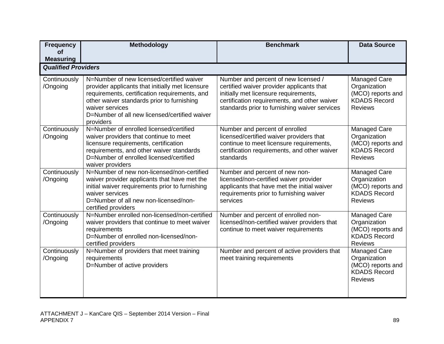| <b>Frequency</b>              | Methodology                                                                                                                                                                                                                                                                   | <b>Benchmark</b>                                                                                                                                                                                                            | <b>Data Source</b>                                                                                |
|-------------------------------|-------------------------------------------------------------------------------------------------------------------------------------------------------------------------------------------------------------------------------------------------------------------------------|-----------------------------------------------------------------------------------------------------------------------------------------------------------------------------------------------------------------------------|---------------------------------------------------------------------------------------------------|
| <b>of</b><br><b>Measuring</b> |                                                                                                                                                                                                                                                                               |                                                                                                                                                                                                                             |                                                                                                   |
| <b>Qualified Providers</b>    |                                                                                                                                                                                                                                                                               |                                                                                                                                                                                                                             |                                                                                                   |
| Continuously<br>/Ongoing      | N=Number of new licensed/certified waiver<br>provider applicants that initially met licensure<br>requirements, certification requirements, and<br>other waiver standards prior to furnishing<br>waiver services<br>D=Number of all new licensed/certified waiver<br>providers | Number and percent of new licensed /<br>certified waiver provider applicants that<br>initially met licensure requirements,<br>certification requirements, and other waiver<br>standards prior to furnishing waiver services | <b>Managed Care</b><br>Organization<br>(MCO) reports and<br><b>KDADS Record</b><br><b>Reviews</b> |
| Continuously<br>/Ongoing      | N=Number of enrolled licensed/certified<br>waiver providers that continue to meet<br>licensure requirements, certification<br>requirements, and other waiver standards<br>D=Number of enrolled licensed/certified<br>waiver providers                                         | Number and percent of enrolled<br>licensed/certified waiver providers that<br>continue to meet licensure requirements,<br>certification requirements, and other waiver<br>standards                                         | Managed Care<br>Organization<br>(MCO) reports and<br><b>KDADS Record</b><br><b>Reviews</b>        |
| Continuously<br>/Ongoing      | N=Number of new non-licensed/non-certified<br>waiver provider applicants that have met the<br>initial waiver requirements prior to furnishing<br>waiver services<br>D=Number of all new non-licensed/non-<br>certified providers                                              | Number and percent of new non-<br>licensed/non-certified waiver provider<br>applicants that have met the initial waiver<br>requirements prior to furnishing waiver<br>services                                              | Managed Care<br>Organization<br>(MCO) reports and<br><b>KDADS Record</b><br><b>Reviews</b>        |
| Continuously<br>/Ongoing      | N=Number enrolled non-licensed/non-certified<br>waiver providers that continue to meet waiver<br>requirements<br>D=Number of enrolled non-licensed/non-<br>certified providers                                                                                                | Number and percent of enrolled non-<br>licensed/non-certified waiver providers that<br>continue to meet waiver requirements                                                                                                 | Managed Care<br>Organization<br>(MCO) reports and<br><b>KDADS Record</b><br><b>Reviews</b>        |
| Continuously<br>/Ongoing      | N=Number of providers that meet training<br>requirements<br>D=Number of active providers                                                                                                                                                                                      | Number and percent of active providers that<br>meet training requirements                                                                                                                                                   | <b>Managed Care</b><br>Organization<br>(MCO) reports and<br><b>KDADS Record</b><br><b>Reviews</b> |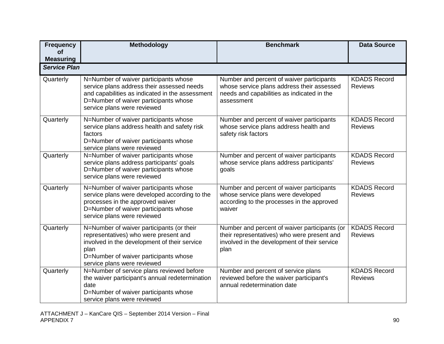| <b>Frequency</b>              | Methodology                                                                                                                                                                                                        | <b>Benchmark</b>                                                                                                                                     | <b>Data Source</b>                    |
|-------------------------------|--------------------------------------------------------------------------------------------------------------------------------------------------------------------------------------------------------------------|------------------------------------------------------------------------------------------------------------------------------------------------------|---------------------------------------|
| <b>of</b><br><b>Measuring</b> |                                                                                                                                                                                                                    |                                                                                                                                                      |                                       |
| <b>Service Plan</b>           |                                                                                                                                                                                                                    |                                                                                                                                                      |                                       |
| Quarterly                     | N=Number of waiver participants whose<br>service plans address their assessed needs<br>and capabilities as indicated in the assessment<br>D=Number of waiver participants whose<br>service plans were reviewed     | Number and percent of waiver participants<br>whose service plans address their assessed<br>needs and capabilities as indicated in the<br>assessment  | <b>KDADS Record</b><br><b>Reviews</b> |
| Quarterly                     | N=Number of waiver participants whose<br>service plans address health and safety risk<br>factors<br>D=Number of waiver participants whose<br>service plans were reviewed                                           | Number and percent of waiver participants<br>whose service plans address health and<br>safety risk factors                                           | <b>KDADS Record</b><br><b>Reviews</b> |
| Quarterly                     | N=Number of waiver participants whose<br>service plans address participants' goals<br>D=Number of waiver participants whose<br>service plans were reviewed                                                         | Number and percent of waiver participants<br>whose service plans address participants'<br>goals                                                      | <b>KDADS Record</b><br><b>Reviews</b> |
| Quarterly                     | N=Number of waiver participants whose<br>service plans were developed according to the<br>processes in the approved waiver<br>D=Number of waiver participants whose<br>service plans were reviewed                 | Number and percent of waiver participants<br>whose service plans were developed<br>according to the processes in the approved<br>waiver              | <b>KDADS Record</b><br><b>Reviews</b> |
| Quarterly                     | N=Number of waiver participants (or their<br>representatives) who were present and<br>involved in the development of their service<br>plan<br>D=Number of waiver participants whose<br>service plans were reviewed | Number and percent of waiver participants (or<br>their representatives) who were present and<br>involved in the development of their service<br>plan | <b>KDADS Record</b><br><b>Reviews</b> |
| Quarterly                     | N=Number of service plans reviewed before<br>the waiver participant's annual redetermination<br>date<br>D=Number of waiver participants whose<br>service plans were reviewed                                       | Number and percent of service plans<br>reviewed before the waiver participant's<br>annual redetermination date                                       | <b>KDADS Record</b><br><b>Reviews</b> |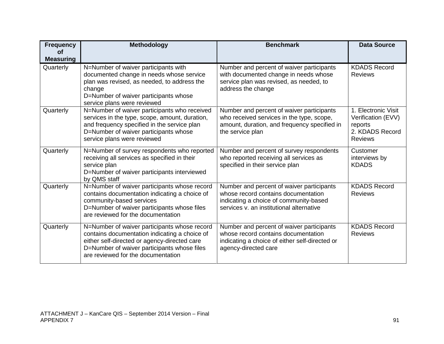| <b>Frequency</b><br><b>of</b><br><b>Measuring</b> | <b>Methodology</b>                                                                                                                                                                                                                 | <b>Benchmark</b>                                                                                                                                                       | <b>Data Source</b>                                                                        |
|---------------------------------------------------|------------------------------------------------------------------------------------------------------------------------------------------------------------------------------------------------------------------------------------|------------------------------------------------------------------------------------------------------------------------------------------------------------------------|-------------------------------------------------------------------------------------------|
| Quarterly                                         | N=Number of waiver participants with<br>documented change in needs whose service<br>plan was revised, as needed, to address the<br>change<br>D=Number of waiver participants whose<br>service plans were reviewed                  | Number and percent of waiver participants<br>with documented change in needs whose<br>service plan was revised, as needed, to<br>address the change                    | <b>KDADS Record</b><br><b>Reviews</b>                                                     |
| Quarterly                                         | N=Number of waiver participants who received<br>services in the type, scope, amount, duration,<br>and frequency specified in the service plan<br>D=Number of waiver participants whose<br>service plans were reviewed              | Number and percent of waiver participants<br>who received services in the type, scope,<br>amount, duration, and frequency specified in<br>the service plan             | 1. Electronic Visit<br>Verification (EVV)<br>reports<br>2. KDADS Record<br><b>Reviews</b> |
| Quarterly                                         | N=Number of survey respondents who reported<br>receiving all services as specified in their<br>service plan<br>D=Number of waiver participants interviewed<br>by QMS staff                                                         | Number and percent of survey respondents<br>who reported receiving all services as<br>specified in their service plan                                                  | Customer<br>interviews by<br><b>KDADS</b>                                                 |
| Quarterly                                         | N=Number of waiver participants whose record<br>contains documentation indicating a choice of<br>community-based services<br>D=Number of waiver participants whose files<br>are reviewed for the documentation                     | Number and percent of waiver participants<br>whose record contains documentation<br>indicating a choice of community-based<br>services v. an institutional alternative | <b>KDADS Record</b><br><b>Reviews</b>                                                     |
| Quarterly                                         | N=Number of waiver participants whose record<br>contains documentation indicating a choice of<br>either self-directed or agency-directed care<br>D=Number of waiver participants whose files<br>are reviewed for the documentation | Number and percent of waiver participants<br>whose record contains documentation<br>indicating a choice of either self-directed or<br>agency-directed care             | <b>KDADS Record</b><br><b>Reviews</b>                                                     |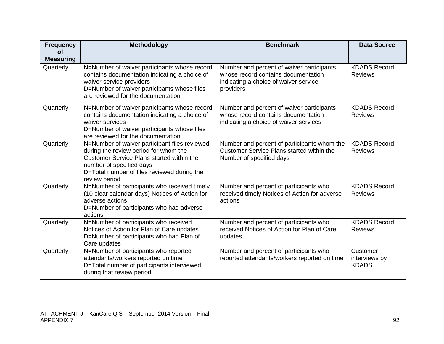| <b>Frequency</b><br><b>of</b> | Methodology                                                                                                                                                                                                                     | <b>Benchmark</b>                                                                                                                       | <b>Data Source</b>                        |
|-------------------------------|---------------------------------------------------------------------------------------------------------------------------------------------------------------------------------------------------------------------------------|----------------------------------------------------------------------------------------------------------------------------------------|-------------------------------------------|
| <b>Measuring</b><br>Quarterly | N=Number of waiver participants whose record<br>contains documentation indicating a choice of<br>waiver service providers<br>D=Number of waiver participants whose files<br>are reviewed for the documentation                  | Number and percent of waiver participants<br>whose record contains documentation<br>indicating a choice of waiver service<br>providers | <b>KDADS Record</b><br><b>Reviews</b>     |
| Quarterly                     | N=Number of waiver participants whose record<br>contains documentation indicating a choice of<br>waiver services<br>D=Number of waiver participants whose files<br>are reviewed for the documentation                           | Number and percent of waiver participants<br>whose record contains documentation<br>indicating a choice of waiver services             | <b>KDADS Record</b><br><b>Reviews</b>     |
| Quarterly                     | N=Number of waiver participant files reviewed<br>during the review period for whom the<br>Customer Service Plans started within the<br>number of specified days<br>D=Total number of files reviewed during the<br>review period | Number and percent of participants whom the<br><b>Customer Service Plans started within the</b><br>Number of specified days            | <b>KDADS Record</b><br><b>Reviews</b>     |
| Quarterly                     | N=Number of participants who received timely<br>(10 clear calendar days) Notices of Action for<br>adverse actions<br>D=Number of participants who had adverse<br>actions                                                        | Number and percent of participants who<br>received timely Notices of Action for adverse<br>actions                                     | <b>KDADS Record</b><br><b>Reviews</b>     |
| Quarterly                     | N=Number of participants who received<br>Notices of Action for Plan of Care updates<br>D=Number of participants who had Plan of<br>Care updates                                                                                 | Number and percent of participants who<br>received Notices of Action for Plan of Care<br>updates                                       | <b>KDADS Record</b><br><b>Reviews</b>     |
| Quarterly                     | N=Number of participants who reported<br>attendants/workers reported on time<br>D=Total number of participants interviewed<br>during that review period                                                                         | Number and percent of participants who<br>reported attendants/workers reported on time                                                 | Customer<br>interviews by<br><b>KDADS</b> |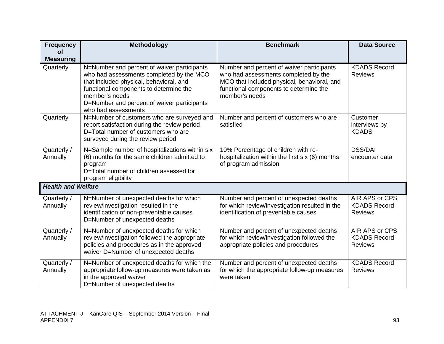| <b>Frequency</b>          | Methodology                                                                                                                                                                                                                                                          | <b>Benchmark</b>                                                                                                                                                                             | <b>Data Source</b>                                      |
|---------------------------|----------------------------------------------------------------------------------------------------------------------------------------------------------------------------------------------------------------------------------------------------------------------|----------------------------------------------------------------------------------------------------------------------------------------------------------------------------------------------|---------------------------------------------------------|
| <b>of</b>                 |                                                                                                                                                                                                                                                                      |                                                                                                                                                                                              |                                                         |
| <b>Measuring</b>          |                                                                                                                                                                                                                                                                      |                                                                                                                                                                                              |                                                         |
| Quarterly                 | N=Number and percent of waiver participants<br>who had assessments completed by the MCO<br>that included physical, behavioral, and<br>functional components to determine the<br>member's needs<br>D=Number and percent of waiver participants<br>who had assessments | Number and percent of waiver participants<br>who had assessments completed by the<br>MCO that included physical, behavioral, and<br>functional components to determine the<br>member's needs | <b>KDADS Record</b><br><b>Reviews</b>                   |
| Quarterly                 | N=Number of customers who are surveyed and<br>report satisfaction during the review period<br>D=Total number of customers who are<br>surveyed during the review period                                                                                               | Number and percent of customers who are<br>satisfied                                                                                                                                         | Customer<br>interviews by<br><b>KDADS</b>               |
| Quarterly /<br>Annually   | N=Sample number of hospitalizations within six<br>(6) months for the same children admitted to<br>program<br>D=Total number of children assessed for<br>program eligibility                                                                                          | 10% Percentage of children with re-<br>hospitalization within the first six (6) months<br>of program admission                                                                               | <b>DSS/DAI</b><br>encounter data                        |
| <b>Health and Welfare</b> |                                                                                                                                                                                                                                                                      |                                                                                                                                                                                              |                                                         |
| Quarterly /<br>Annually   | N=Number of unexpected deaths for which<br>review/investigation resulted in the<br>identification of non-preventable causes<br>D=Number of unexpected deaths                                                                                                         | Number and percent of unexpected deaths<br>for which review/investigation resulted in the<br>identification of preventable causes                                                            | AIR APS or CPS<br><b>KDADS Record</b><br><b>Reviews</b> |
| Quarterly /<br>Annually   | N=Number of unexpected deaths for which<br>review/investigation followed the appropriate<br>policies and procedures as in the approved<br>waiver D=Number of unexpected deaths                                                                                       | Number and percent of unexpected deaths<br>for which review/investigation followed the<br>appropriate policies and procedures                                                                | AIR APS or CPS<br><b>KDADS Record</b><br><b>Reviews</b> |
| Quarterly /<br>Annually   | N=Number of unexpected deaths for which the<br>appropriate follow-up measures were taken as<br>in the approved waiver<br>D=Number of unexpected deaths                                                                                                               | Number and percent of unexpected deaths<br>for which the appropriate follow-up measures<br>were taken                                                                                        | <b>KDADS Record</b><br><b>Reviews</b>                   |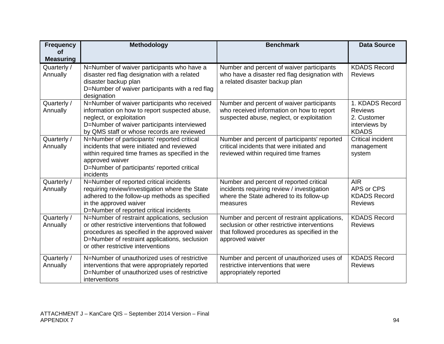| <b>Frequency</b>              | Methodology                                                                                | <b>Benchmark</b>                                                                           | <b>Data Source</b>       |
|-------------------------------|--------------------------------------------------------------------------------------------|--------------------------------------------------------------------------------------------|--------------------------|
| <b>of</b><br><b>Measuring</b> |                                                                                            |                                                                                            |                          |
|                               |                                                                                            |                                                                                            | <b>KDADS Record</b>      |
| Quarterly /<br>Annually       | N=Number of waiver participants who have a<br>disaster red flag designation with a related | Number and percent of waiver participants<br>who have a disaster red flag designation with | <b>Reviews</b>           |
|                               | disaster backup plan                                                                       | a related disaster backup plan                                                             |                          |
|                               | D=Number of waiver participants with a red flag                                            |                                                                                            |                          |
|                               | designation                                                                                |                                                                                            |                          |
| Quarterly /                   | N=Number of waiver participants who received                                               | Number and percent of waiver participants                                                  | 1. KDADS Record          |
| Annually                      | information on how to report suspected abuse,                                              | who received information on how to report                                                  | <b>Reviews</b>           |
|                               | neglect, or exploitation                                                                   | suspected abuse, neglect, or exploitation                                                  | 2. Customer              |
|                               | D=Number of waiver participants interviewed                                                |                                                                                            | interviews by            |
|                               | by QMS staff or whose records are reviewed                                                 |                                                                                            | <b>KDADS</b>             |
| Quarterly /                   | N=Number of participants' reported critical                                                | Number and percent of participants' reported                                               | <b>Critical incident</b> |
| Annually                      | incidents that were initiated and reviewed                                                 | critical incidents that were initiated and                                                 | management               |
|                               | within required time frames as specified in the                                            | reviewed within required time frames                                                       | system                   |
|                               | approved waiver<br>D=Number of participants' reported critical                             |                                                                                            |                          |
|                               | incidents                                                                                  |                                                                                            |                          |
| Quarterly /                   | N=Number of reported critical incidents                                                    | Number and percent of reported critical                                                    | <b>AIR</b>               |
| Annually                      | requiring review/investigation where the State                                             | incidents requiring review / investigation                                                 | APS or CPS               |
|                               | adhered to the follow-up methods as specified                                              | where the State adhered to its follow-up                                                   | <b>KDADS Record</b>      |
|                               | in the approved waiver                                                                     | measures                                                                                   | <b>Reviews</b>           |
|                               | D=Number of reported critical incidents                                                    |                                                                                            |                          |
| Quarterly /                   | N=Number of restraint applications, seclusion                                              | Number and percent of restraint applications,                                              | <b>KDADS Record</b>      |
| Annually                      | or other restrictive interventions that followed                                           | seclusion or other restrictive interventions                                               | <b>Reviews</b>           |
|                               | procedures as specified in the approved waiver                                             | that followed procedures as specified in the                                               |                          |
|                               | D=Number of restraint applications, seclusion                                              | approved waiver                                                                            |                          |
|                               | or other restrictive interventions                                                         |                                                                                            |                          |
| Quarterly /                   | N=Number of unauthorized uses of restrictive                                               | Number and percent of unauthorized uses of                                                 | <b>KDADS Record</b>      |
| Annually                      | interventions that were appropriately reported                                             | restrictive interventions that were                                                        | <b>Reviews</b>           |
|                               | D=Number of unauthorized uses of restrictive                                               | appropriately reported                                                                     |                          |
|                               | interventions                                                                              |                                                                                            |                          |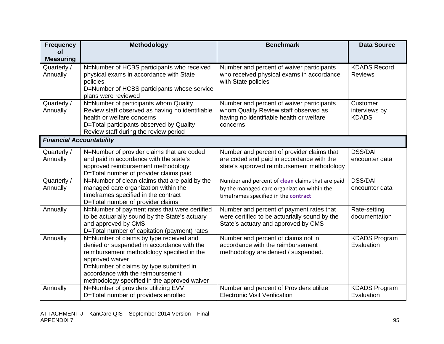| <b>Frequency</b>                | <b>Methodology</b>                                                                    | <b>Benchmark</b>                                                                        | <b>Data Source</b>                    |
|---------------------------------|---------------------------------------------------------------------------------------|-----------------------------------------------------------------------------------------|---------------------------------------|
| <b>of</b>                       |                                                                                       |                                                                                         |                                       |
| <b>Measuring</b>                |                                                                                       |                                                                                         |                                       |
| Quarterly /<br>Annually         | N=Number of HCBS participants who received<br>physical exams in accordance with State | Number and percent of waiver participants<br>who received physical exams in accordance  | <b>KDADS Record</b><br><b>Reviews</b> |
|                                 | policies.                                                                             | with State policies                                                                     |                                       |
|                                 | D=Number of HCBS participants whose service                                           |                                                                                         |                                       |
|                                 | plans were reviewed                                                                   |                                                                                         |                                       |
| Quarterly /                     | N=Number of participants whom Quality                                                 | Number and percent of waiver participants                                               | Customer                              |
| Annually                        | Review staff observed as having no identifiable                                       | whom Quality Review staff observed as                                                   | interviews by                         |
|                                 | health or welfare concerns<br>D=Total participants observed by Quality                | having no identifiable health or welfare<br>concerns                                    | <b>KDADS</b>                          |
|                                 | Review staff during the review period                                                 |                                                                                         |                                       |
| <b>Financial Accountability</b> |                                                                                       |                                                                                         |                                       |
|                                 |                                                                                       |                                                                                         | <b>DSS/DAI</b>                        |
| Quarterly /<br>Annually         | N=Number of provider claims that are coded<br>and paid in accordance with the state's | Number and percent of provider claims that<br>are coded and paid in accordance with the | encounter data                        |
|                                 | approved reimbursement methodology                                                    | state's approved reimbursement methodology                                              |                                       |
|                                 | D=Total number of provider claims paid                                                |                                                                                         |                                       |
| Quarterly /                     | N=Number of clean claims that are paid by the                                         | Number and percent of clean claims that are paid                                        | <b>DSS/DAI</b>                        |
| Annually                        | managed care organization within the                                                  | by the managed care organization within the                                             | encounter data                        |
|                                 | timeframes specified in the contract                                                  | timeframes specified in the contract                                                    |                                       |
| Annually                        | D=Total number of provider claims<br>N=Number of payment rates that were certified    | Number and percent of payment rates that                                                | Rate-setting                          |
|                                 | to be actuarially sound by the State's actuary                                        | were certified to be actuarially sound by the                                           | documentation                         |
|                                 | and approved by CMS                                                                   | State's actuary and approved by CMS                                                     |                                       |
|                                 | D=Total number of capitation (payment) rates                                          |                                                                                         |                                       |
| Annually                        | N=Number of claims by type received and                                               | Number and percent of claims not in                                                     | <b>KDADS Program</b>                  |
|                                 | denied or suspended in accordance with the                                            | accordance with the reimbursement                                                       | Evaluation                            |
|                                 | reimbursement methodology specified in the<br>approved waiver                         | methodology are denied / suspended.                                                     |                                       |
|                                 | D=Number of claims by type submitted in                                               |                                                                                         |                                       |
|                                 | accordance with the reimbursement                                                     |                                                                                         |                                       |
|                                 | methodology specified in the approved waiver                                          |                                                                                         |                                       |
| Annually                        | N=Number of providers utilizing EVV                                                   | Number and percent of Providers utilize                                                 | <b>KDADS Program</b>                  |
|                                 | D=Total number of providers enrolled                                                  | <b>Electronic Visit Verification</b>                                                    | Evaluation                            |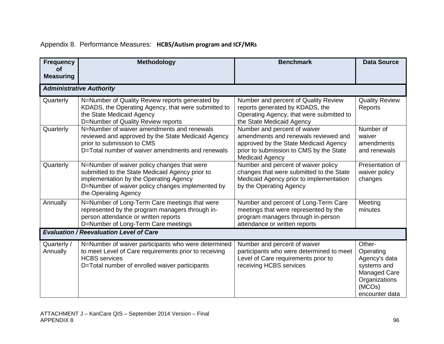## Appendix 8. Performance Measures: **HCBS/Autism program and ICF/MRs**

| <b>Frequency</b><br><b>of</b> | Methodology                                                                                                                                                                                                          | <b>Benchmark</b>                                                                                                                                                                   | <b>Data Source</b>                                                                                               |
|-------------------------------|----------------------------------------------------------------------------------------------------------------------------------------------------------------------------------------------------------------------|------------------------------------------------------------------------------------------------------------------------------------------------------------------------------------|------------------------------------------------------------------------------------------------------------------|
| <b>Measuring</b>              |                                                                                                                                                                                                                      |                                                                                                                                                                                    |                                                                                                                  |
|                               | <b>Administrative Authority</b>                                                                                                                                                                                      |                                                                                                                                                                                    |                                                                                                                  |
| Quarterly                     | N=Number of Quality Review reports generated by<br>KDADS, the Operating Agency, that were submitted to<br>the State Medicaid Agency<br>D=Number of Quality Review reports                                            | Number and percent of Quality Review<br>reports generated by KDADS, the<br>Operating Agency, that were submitted to<br>the State Medicaid Agency                                   | <b>Quality Review</b><br>Reports                                                                                 |
| Quarterly                     | N=Number of waiver amendments and renewals<br>reviewed and approved by the State Medicaid Agency<br>prior to submission to CMS<br>D=Total number of waiver amendments and renewals                                   | Number and percent of waiver<br>amendments and renewals reviewed and<br>approved by the State Medicaid Agency<br>prior to submission to CMS by the State<br><b>Medicaid Agency</b> | Number of<br>waiver<br>amendments<br>and renewals                                                                |
| Quarterly                     | N=Number of waiver policy changes that were<br>submitted to the State Medicaid Agency prior to<br>implementation by the Operating Agency<br>D=Number of waiver policy changes implemented by<br>the Operating Agency | Number and percent of waiver policy<br>changes that were submitted to the State<br>Medicaid Agency prior to implementation<br>by the Operating Agency                              | Presentation of<br>waiver policy<br>changes                                                                      |
| Annually                      | N=Number of Long-Term Care meetings that were<br>represented by the program managers through in-<br>person attendance or written reports<br>D=Number of Long-Term Care meetings                                      | Number and percent of Long-Term Care<br>meetings that were represented by the<br>program managers through in-person<br>attendance or written reports                               | Meeting<br>minutes                                                                                               |
|                               | <b>Evaluation / Reevaluation Level of Care</b>                                                                                                                                                                       |                                                                                                                                                                                    |                                                                                                                  |
| Quarterly /<br>Annually       | N=Number of waiver participants who were determined<br>to meet Level of Care requirements prior to receiving<br><b>HCBS</b> services<br>D=Total number of enrolled waiver participants                               | Number and percent of waiver<br>participants who were determined to meet<br>Level of Care requirements prior to<br>receiving HCBS services                                         | Other-<br>Operating<br>Agency's data<br>systems and<br>Managed Care<br>Organizations<br>(MCOs)<br>encounter data |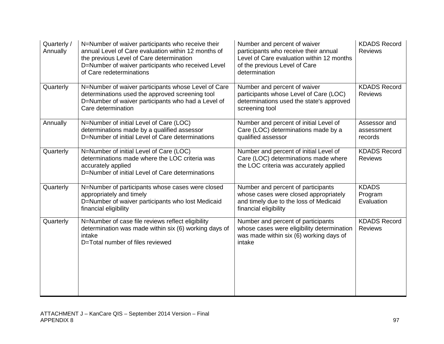| Quarterly /<br>Annually | N=Number of waiver participants who receive their<br>annual Level of Care evaluation within 12 months of<br>the previous Level of Care determination<br>D=Number of waiver participants who received Level<br>of Care redeterminations | Number and percent of waiver<br>participants who receive their annual<br>Level of Care evaluation within 12 months<br>of the previous Level of Care<br>determination | <b>KDADS Record</b><br><b>Reviews</b> |
|-------------------------|----------------------------------------------------------------------------------------------------------------------------------------------------------------------------------------------------------------------------------------|----------------------------------------------------------------------------------------------------------------------------------------------------------------------|---------------------------------------|
| Quarterly               | N=Number of waiver participants whose Level of Care<br>determinations used the approved screening tool<br>D=Number of waiver participants who had a Level of<br>Care determination                                                     | Number and percent of waiver<br>participants whose Level of Care (LOC)<br>determinations used the state's approved<br>screening tool                                 | <b>KDADS Record</b><br><b>Reviews</b> |
| Annually                | N=Number of initial Level of Care (LOC)<br>determinations made by a qualified assessor<br>D=Number of initial Level of Care determinations                                                                                             | Number and percent of initial Level of<br>Care (LOC) determinations made by a<br>qualified assessor                                                                  | Assessor and<br>assessment<br>records |
| Quarterly               | N=Number of initial Level of Care (LOC)<br>determinations made where the LOC criteria was<br>accurately applied<br>D=Number of initial Level of Care determinations                                                                    | Number and percent of initial Level of<br>Care (LOC) determinations made where<br>the LOC criteria was accurately applied                                            | <b>KDADS Record</b><br><b>Reviews</b> |
| Quarterly               | N=Number of participants whose cases were closed<br>appropriately and timely<br>D=Number of waiver participants who lost Medicaid<br>financial eligibility                                                                             | Number and percent of participants<br>whose cases were closed appropriately<br>and timely due to the loss of Medicaid<br>financial eligibility                       | <b>KDADS</b><br>Program<br>Evaluation |
| Quarterly               | N=Number of case file reviews reflect eligibility<br>determination was made within six (6) working days of<br>intake<br>D=Total number of files reviewed                                                                               | Number and percent of participants<br>whose cases were eligibility determination<br>was made within six (6) working days of<br>intake                                | <b>KDADS Record</b><br><b>Reviews</b> |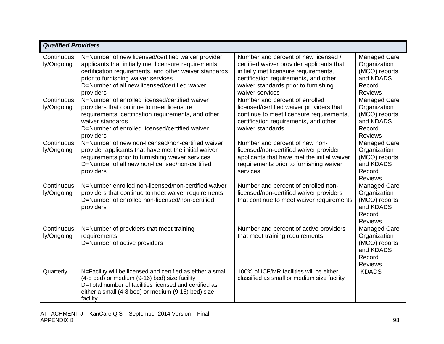|                          | <b>Qualified Providers</b>                                                                                                                                                                                                                                                 |                                                                                                                                                                                                                                |                                                                                        |  |
|--------------------------|----------------------------------------------------------------------------------------------------------------------------------------------------------------------------------------------------------------------------------------------------------------------------|--------------------------------------------------------------------------------------------------------------------------------------------------------------------------------------------------------------------------------|----------------------------------------------------------------------------------------|--|
| Continuous<br>ly/Ongoing | N=Number of new licensed/certified waiver provider<br>applicants that initially met licensure requirements,<br>certification requirements, and other waiver standards<br>prior to furnishing waiver services<br>D=Number of all new licensed/certified waiver<br>providers | Number and percent of new licensed /<br>certified waiver provider applicants that<br>initially met licensure requirements,<br>certification requirements, and other<br>waiver standards prior to furnishing<br>waiver services | Managed Care<br>Organization<br>(MCO) reports<br>and KDADS<br>Record<br><b>Reviews</b> |  |
| Continuous<br>ly/Ongoing | N=Number of enrolled licensed/certified waiver<br>providers that continue to meet licensure<br>requirements, certification requirements, and other<br>waiver standards<br>D=Number of enrolled licensed/certified waiver<br>providers                                      | Number and percent of enrolled<br>licensed/certified waiver providers that<br>continue to meet licensure requirements,<br>certification requirements, and other<br>waiver standards                                            | Managed Care<br>Organization<br>(MCO) reports<br>and KDADS<br>Record<br><b>Reviews</b> |  |
| Continuous<br>ly/Ongoing | N=Number of new non-licensed/non-certified waiver<br>provider applicants that have met the initial waiver<br>requirements prior to furnishing waiver services<br>D=Number of all new non-licensed/non-certified<br>providers                                               | Number and percent of new non-<br>licensed/non-certified waiver provider<br>applicants that have met the initial waiver<br>requirements prior to furnishing waiver<br>services                                                 | Managed Care<br>Organization<br>(MCO) reports<br>and KDADS<br>Record<br><b>Reviews</b> |  |
| Continuous<br>ly/Ongoing | N=Number enrolled non-licensed/non-certified waiver<br>providers that continue to meet waiver requirements<br>D=Number of enrolled non-licensed/non-certified<br>providers                                                                                                 | Number and percent of enrolled non-<br>licensed/non-certified waiver providers<br>that continue to meet waiver requirements                                                                                                    | Managed Care<br>Organization<br>(MCO) reports<br>and KDADS<br>Record<br><b>Reviews</b> |  |
| Continuous<br>ly/Ongoing | N=Number of providers that meet training<br>requirements<br>D=Number of active providers                                                                                                                                                                                   | Number and percent of active providers<br>that meet training requirements                                                                                                                                                      | Managed Care<br>Organization<br>(MCO) reports<br>and KDADS<br>Record<br><b>Reviews</b> |  |
| Quarterly                | N=Facility will be licensed and certified as either a small<br>(4-8 bed) or medium (9-16) bed) size facility<br>D=Total number of facilities licensed and certified as<br>either a small (4-8 bed) or medium (9-16) bed) size<br>facility                                  | 100% of ICF/MR facilities will be either<br>classified as small or medium size facility                                                                                                                                        | <b>KDADS</b>                                                                           |  |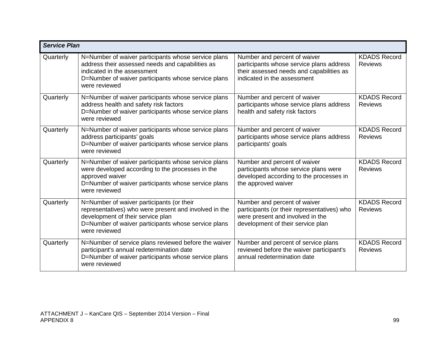|           | <b>Service Plan</b>                                                                                                                                                                                             |                                                                                                                                                      |                                       |  |
|-----------|-----------------------------------------------------------------------------------------------------------------------------------------------------------------------------------------------------------------|------------------------------------------------------------------------------------------------------------------------------------------------------|---------------------------------------|--|
| Quarterly | N=Number of waiver participants whose service plans<br>address their assessed needs and capabilities as<br>indicated in the assessment<br>D=Number of waiver participants whose service plans<br>were reviewed  | Number and percent of waiver<br>participants whose service plans address<br>their assessed needs and capabilities as<br>indicated in the assessment  | <b>KDADS Record</b><br><b>Reviews</b> |  |
| Quarterly | N=Number of waiver participants whose service plans<br>address health and safety risk factors<br>D=Number of waiver participants whose service plans<br>were reviewed                                           | Number and percent of waiver<br>participants whose service plans address<br>health and safety risk factors                                           | <b>KDADS Record</b><br><b>Reviews</b> |  |
| Quarterly | N=Number of waiver participants whose service plans<br>address participants' goals<br>D=Number of waiver participants whose service plans<br>were reviewed                                                      | Number and percent of waiver<br>participants whose service plans address<br>participants' goals                                                      | <b>KDADS Record</b><br><b>Reviews</b> |  |
| Quarterly | N=Number of waiver participants whose service plans<br>were developed according to the processes in the<br>approved waiver<br>D=Number of waiver participants whose service plans<br>were reviewed              | Number and percent of waiver<br>participants whose service plans were<br>developed according to the processes in<br>the approved waiver              | <b>KDADS Record</b><br><b>Reviews</b> |  |
| Quarterly | N=Number of waiver participants (or their<br>representatives) who were present and involved in the<br>development of their service plan<br>D=Number of waiver participants whose service plans<br>were reviewed | Number and percent of waiver<br>participants (or their representatives) who<br>were present and involved in the<br>development of their service plan | <b>KDADS Record</b><br><b>Reviews</b> |  |
| Quarterly | N=Number of service plans reviewed before the waiver<br>participant's annual redetermination date<br>D=Number of waiver participants whose service plans<br>were reviewed                                       | Number and percent of service plans<br>reviewed before the waiver participant's<br>annual redetermination date                                       | <b>KDADS Record</b><br><b>Reviews</b> |  |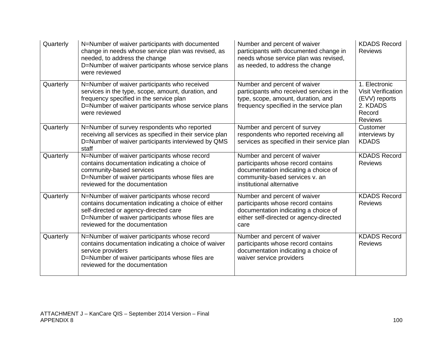| Quarterly | N=Number of waiver participants with documented<br>change in needs whose service plan was revised, as<br>needed, to address the change<br>D=Number of waiver participants whose service plans<br>were reviewed                     | Number and percent of waiver<br>participants with documented change in<br>needs whose service plan was revised,<br>as needed, to address the change                       | <b>KDADS Record</b><br><b>Reviews</b>                                                               |
|-----------|------------------------------------------------------------------------------------------------------------------------------------------------------------------------------------------------------------------------------------|---------------------------------------------------------------------------------------------------------------------------------------------------------------------------|-----------------------------------------------------------------------------------------------------|
| Quarterly | N=Number of waiver participants who received<br>services in the type, scope, amount, duration, and<br>frequency specified in the service plan<br>D=Number of waiver participants whose service plans<br>were reviewed              | Number and percent of waiver<br>participants who received services in the<br>type, scope, amount, duration, and<br>frequency specified in the service plan                | 1. Electronic<br><b>Visit Verification</b><br>(EVV) reports<br>2. KDADS<br>Record<br><b>Reviews</b> |
| Quarterly | N=Number of survey respondents who reported<br>receiving all services as specified in their service plan<br>D=Number of waiver participants interviewed by QMS<br>staff                                                            | Number and percent of survey<br>respondents who reported receiving all<br>services as specified in their service plan                                                     | Customer<br>interviews by<br><b>KDADS</b>                                                           |
| Quarterly | N=Number of waiver participants whose record<br>contains documentation indicating a choice of<br>community-based services<br>D=Number of waiver participants whose files are<br>reviewed for the documentation                     | Number and percent of waiver<br>participants whose record contains<br>documentation indicating a choice of<br>community-based services v. an<br>institutional alternative | <b>KDADS Record</b><br><b>Reviews</b>                                                               |
| Quarterly | N=Number of waiver participants whose record<br>contains documentation indicating a choice of either<br>self-directed or agency-directed care<br>D=Number of waiver participants whose files are<br>reviewed for the documentation | Number and percent of waiver<br>participants whose record contains<br>documentation indicating a choice of<br>either self-directed or agency-directed<br>care             | <b>KDADS Record</b><br><b>Reviews</b>                                                               |
| Quarterly | N=Number of waiver participants whose record<br>contains documentation indicating a choice of waiver<br>service providers<br>D=Number of waiver participants whose files are<br>reviewed for the documentation                     | Number and percent of waiver<br>participants whose record contains<br>documentation indicating a choice of<br>waiver service providers                                    | <b>KDADS Record</b><br><b>Reviews</b>                                                               |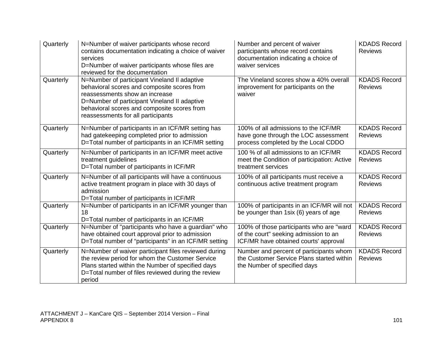| Quarterly | N=Number of waiver participants whose record<br>contains documentation indicating a choice of waiver<br>services<br>D=Number of waiver participants whose files are<br>reviewed for the documentation                                                              | Number and percent of waiver<br>participants whose record contains<br>documentation indicating a choice of<br>waiver services | <b>KDADS Record</b><br><b>Reviews</b> |
|-----------|--------------------------------------------------------------------------------------------------------------------------------------------------------------------------------------------------------------------------------------------------------------------|-------------------------------------------------------------------------------------------------------------------------------|---------------------------------------|
| Quarterly | N=Number of participant Vineland II adaptive<br>behavioral scores and composite scores from<br>reassessments show an increase<br>D=Number of participant Vineland II adaptive<br>behavioral scores and composite scores from<br>reassessments for all participants | The Vineland scores show a 40% overall<br>improvement for participants on the<br>waiver                                       | <b>KDADS Record</b><br><b>Reviews</b> |
| Quarterly | N=Number of participants in an ICF/MR setting has<br>had gatekeeping completed prior to admission<br>D=Total number of participants in an ICF/MR setting                                                                                                           | 100% of all admissions to the ICF/MR<br>have gone through the LOC assessment<br>process completed by the Local CDDO           | <b>KDADS Record</b><br><b>Reviews</b> |
| Quarterly | N=Number of participants in an ICF/MR meet active<br>treatment guidelines<br>D=Total number of participants in ICF/MR                                                                                                                                              | 100 % of all admissions to an ICF/MR<br>meet the Condition of participation: Active<br>treatment services                     | <b>KDADS Record</b><br><b>Reviews</b> |
| Quarterly | N=Number of all participants will have a continuous<br>active treatment program in place with 30 days of<br>admission<br>D=Total number of participants in ICF/MR                                                                                                  | 100% of all participants must receive a<br>continuous active treatment program                                                | <b>KDADS Record</b><br><b>Reviews</b> |
| Quarterly | N=Number of participants in an ICF/MR younger than<br>18<br>D=Total number of participants in an ICF/MR                                                                                                                                                            | 100% of participants in an ICF/MR will not<br>be younger than 1six (6) years of age                                           | <b>KDADS Record</b><br><b>Reviews</b> |
| Quarterly | N=Number of "participants who have a guardian" who<br>have obtained court approval prior to admission<br>D=Total number of "participants" in an ICF/MR setting                                                                                                     | 100% of those participants who are "ward<br>of the court" seeking admission to an<br>ICF/MR have obtained courts' approval    | <b>KDADS Record</b><br><b>Reviews</b> |
| Quarterly | N=Number of waiver participant files reviewed during<br>the review period for whom the Customer Service<br>Plans started within the Number of specified days<br>D=Total number of files reviewed during the review<br>period                                       | Number and percent of participants whom<br>the Customer Service Plans started within<br>the Number of specified days          | <b>KDADS Record</b><br><b>Reviews</b> |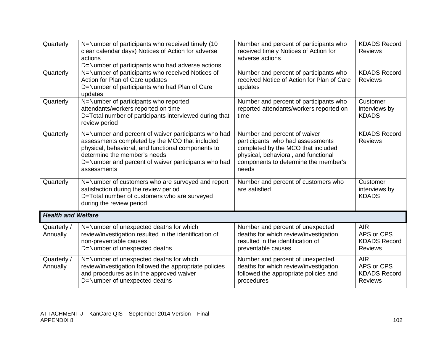| Quarterly                 | N=Number of participants who received timely (10<br>clear calendar days) Notices of Action for adverse<br>actions<br>D=Number of participants who had adverse actions                                                                                             | Number and percent of participants who<br>received timely Notices of Action for<br>adverse actions                                                                                              | <b>KDADS Record</b><br><b>Reviews</b>                             |
|---------------------------|-------------------------------------------------------------------------------------------------------------------------------------------------------------------------------------------------------------------------------------------------------------------|-------------------------------------------------------------------------------------------------------------------------------------------------------------------------------------------------|-------------------------------------------------------------------|
| Quarterly                 | N=Number of participants who received Notices of<br>Action for Plan of Care updates<br>D=Number of participants who had Plan of Care<br>updates                                                                                                                   | Number and percent of participants who<br>received Notice of Action for Plan of Care<br>updates                                                                                                 | <b>KDADS Record</b><br><b>Reviews</b>                             |
| Quarterly                 | N=Number of participants who reported<br>attendants/workers reported on time<br>D=Total number of participants interviewed during that<br>review period                                                                                                           | Number and percent of participants who<br>reported attendants/workers reported on<br>time                                                                                                       | Customer<br>interviews by<br><b>KDADS</b>                         |
| Quarterly                 | N=Number and percent of waiver participants who had<br>assessments completed by the MCO that included<br>physical, behavioral, and functional components to<br>determine the member's needs<br>D=Number and percent of waiver participants who had<br>assessments | Number and percent of waiver<br>participants who had assessments<br>completed by the MCO that included<br>physical, behavioral, and functional<br>components to determine the member's<br>needs | <b>KDADS Record</b><br><b>Reviews</b>                             |
| Quarterly                 | N=Number of customers who are surveyed and report<br>satisfaction during the review period<br>D=Total number of customers who are surveyed<br>during the review period                                                                                            | Number and percent of customers who<br>are satisfied                                                                                                                                            | Customer<br>interviews by<br><b>KDADS</b>                         |
| <b>Health and Welfare</b> |                                                                                                                                                                                                                                                                   |                                                                                                                                                                                                 |                                                                   |
| Quarterly /<br>Annually   | N=Number of unexpected deaths for which<br>review/investigation resulted in the identification of<br>non-preventable causes<br>D=Number of unexpected deaths                                                                                                      | Number and percent of unexpected<br>deaths for which review/investigation<br>resulted in the identification of<br>preventable causes                                                            | <b>AIR</b><br>APS or CPS<br><b>KDADS Record</b><br><b>Reviews</b> |
| Quarterly /<br>Annually   | N=Number of unexpected deaths for which<br>review/investigation followed the appropriate policies<br>and procedures as in the approved waiver<br>D=Number of unexpected deaths                                                                                    | Number and percent of unexpected<br>deaths for which review/investigation<br>followed the appropriate policies and<br>procedures                                                                | <b>AIR</b><br>APS or CPS<br><b>KDADS Record</b><br><b>Reviews</b> |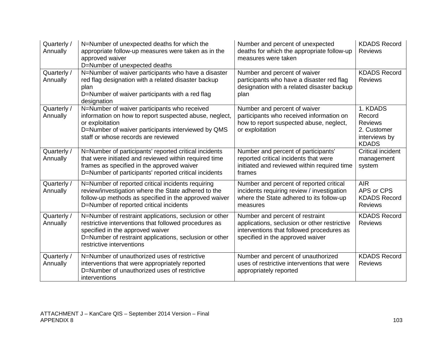| Quarterly /<br>Annually | N=Number of unexpected deaths for which the<br>appropriate follow-up measures were taken as in the<br>approved waiver<br>D=Number of unexpected deaths                                                                                     | Number and percent of unexpected<br>deaths for which the appropriate follow-up<br>measures were taken                                                            | <b>KDADS Record</b><br><b>Reviews</b>                                                |
|-------------------------|--------------------------------------------------------------------------------------------------------------------------------------------------------------------------------------------------------------------------------------------|------------------------------------------------------------------------------------------------------------------------------------------------------------------|--------------------------------------------------------------------------------------|
| Quarterly /<br>Annually | N=Number of waiver participants who have a disaster<br>red flag designation with a related disaster backup<br>plan<br>D=Number of waiver participants with a red flag<br>designation                                                       | Number and percent of waiver<br>participants who have a disaster red flag<br>designation with a related disaster backup<br>plan                                  | <b>KDADS Record</b><br><b>Reviews</b>                                                |
| Quarterly /<br>Annually | N=Number of waiver participants who received<br>information on how to report suspected abuse, neglect,<br>or exploitation<br>D=Number of waiver participants interviewed by QMS<br>staff or whose records are reviewed                     | Number and percent of waiver<br>participants who received information on<br>how to report suspected abuse, neglect,<br>or exploitation                           | 1. KDADS<br>Record<br><b>Reviews</b><br>2. Customer<br>interviews by<br><b>KDADS</b> |
| Quarterly /<br>Annually | N=Number of participants' reported critical incidents<br>that were initiated and reviewed within required time<br>frames as specified in the approved waiver<br>D=Number of participants' reported critical incidents                      | Number and percent of participants'<br>reported critical incidents that were<br>initiated and reviewed within required time<br>frames                            | Critical incident<br>management<br>system                                            |
| Quarterly /<br>Annually | N=Number of reported critical incidents requiring<br>review/investigation where the State adhered to the<br>follow-up methods as specified in the approved waiver<br>D=Number of reported critical incidents                               | Number and percent of reported critical<br>incidents requiring review / investigation<br>where the State adhered to its follow-up<br>measures                    | <b>AIR</b><br>APS or CPS<br><b>KDADS Record</b><br><b>Reviews</b>                    |
| Quarterly /<br>Annually | N=Number of restraint applications, seclusion or other<br>restrictive interventions that followed procedures as<br>specified in the approved waiver<br>D=Number of restraint applications, seclusion or other<br>restrictive interventions | Number and percent of restraint<br>applications, seclusion or other restrictive<br>interventions that followed procedures as<br>specified in the approved waiver | <b>KDADS Record</b><br><b>Reviews</b>                                                |
| Quarterly /<br>Annually | N=Number of unauthorized uses of restrictive<br>interventions that were appropriately reported<br>D=Number of unauthorized uses of restrictive<br>interventions                                                                            | Number and percent of unauthorized<br>uses of restrictive interventions that were<br>appropriately reported                                                      | <b>KDADS Record</b><br><b>Reviews</b>                                                |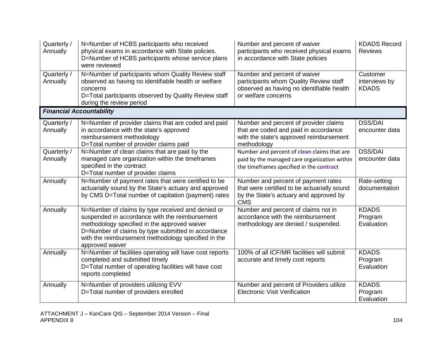| Quarterly /<br>Annually | N=Number of HCBS participants who received<br>physical exams in accordance with State policies.<br>D=Number of HCBS participants whose service plans<br>were reviewed                                                                                                               | Number and percent of waiver<br>participants who received physical exams<br>in accordance with State policies                              | <b>KDADS Record</b><br><b>Reviews</b>     |
|-------------------------|-------------------------------------------------------------------------------------------------------------------------------------------------------------------------------------------------------------------------------------------------------------------------------------|--------------------------------------------------------------------------------------------------------------------------------------------|-------------------------------------------|
| Quarterly /<br>Annually | N=Number of participants whom Quality Review staff<br>observed as having no identifiable health or welfare<br>concerns<br>D=Total participants observed by Quality Review staff<br>during the review period                                                                         | Number and percent of waiver<br>participants whom Quality Review staff<br>observed as having no identifiable health<br>or welfare concerns | Customer<br>interviews by<br><b>KDADS</b> |
|                         | <b>Financial Accountability</b>                                                                                                                                                                                                                                                     |                                                                                                                                            |                                           |
| Quarterly /<br>Annually | N=Number of provider claims that are coded and paid<br>in accordance with the state's approved<br>reimbursement methodology<br>D=Total number of provider claims paid                                                                                                               | Number and percent of provider claims<br>that are coded and paid in accordance<br>with the state's approved reimbursement<br>methodology   | <b>DSS/DAI</b><br>encounter data          |
| Quarterly /<br>Annually | N=Number of clean claims that are paid by the<br>managed care organization within the timeframes<br>specified in the contract<br>D=Total number of provider claims                                                                                                                  | Number and percent of clean claims that are<br>paid by the managed care organization within<br>the timeframes specified in the contract    | <b>DSS/DAI</b><br>encounter data          |
| Annually                | N=Number of payment rates that were certified to be<br>actuarially sound by the State's actuary and approved<br>by CMS D=Total number of capitation (payment) rates                                                                                                                 | Number and percent of payment rates<br>that were certified to be actuarially sound<br>by the State's actuary and approved by<br><b>CMS</b> | Rate-setting<br>documentation             |
| Annually                | N=Number of claims by type received and denied or<br>suspended in accordance with the reimbursement<br>methodology specified in the approved waiver<br>D=Number of claims by type submitted in accordance<br>with the reimbursement methodology specified in the<br>approved waiver | Number and percent of claims not in<br>accordance with the reimbursement<br>methodology are denied / suspended.                            | <b>KDADS</b><br>Program<br>Evaluation     |
| Annually                | N=Number of facilities operating will have cost reports<br>completed and submitted timely<br>D=Total number of operating facilities will have cost<br>reports completed                                                                                                             | 100% of all ICF/MR facilities will submit<br>accurate and timely cost reports                                                              | <b>KDADS</b><br>Program<br>Evaluation     |
| Annually                | N=Number of providers utilizing EVV<br>D=Total number of providers enrolled                                                                                                                                                                                                         | Number and percent of Providers utilize<br><b>Electronic Visit Verification</b>                                                            | <b>KDADS</b><br>Program<br>Evaluation     |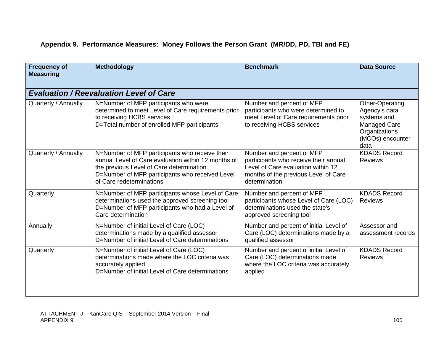## **Appendix 9. Performance Measures: Money Follows the Person Grant (MR/DD, PD, TBI and FE)**

| <b>Frequency of</b><br><b>Measuring</b> | <b>Methodology</b>                                                                                                                                                                                                               | <b>Benchmark</b>                                                                                                                                                  | <b>Data Source</b>                                                                                                  |
|-----------------------------------------|----------------------------------------------------------------------------------------------------------------------------------------------------------------------------------------------------------------------------------|-------------------------------------------------------------------------------------------------------------------------------------------------------------------|---------------------------------------------------------------------------------------------------------------------|
|                                         | <b>Evaluation / Reevaluation Level of Care</b>                                                                                                                                                                                   |                                                                                                                                                                   |                                                                                                                     |
| Quarterly / Annually                    | N=Number of MFP participants who were<br>determined to meet Level of Care requirements prior<br>to receiving HCBS services<br>D=Total number of enrolled MFP participants                                                        | Number and percent of MFP<br>participants who were determined to<br>meet Level of Care requirements prior<br>to receiving HCBS services                           | Other-Operating<br>Agency's data<br>systems and<br><b>Managed Care</b><br>Organizations<br>(MCOs) encounter<br>data |
| Quarterly / Annually                    | N=Number of MFP participants who receive their<br>annual Level of Care evaluation within 12 months of<br>the previous Level of Care determination<br>D=Number of MFP participants who received Level<br>of Care redeterminations | Number and percent of MFP<br>participants who receive their annual<br>Level of Care evaluation within 12<br>months of the previous Level of Care<br>determination | <b>KDADS Record</b><br><b>Reviews</b>                                                                               |
| Quarterly                               | N=Number of MFP participants whose Level of Care<br>determinations used the approved screening tool<br>D=Number of MFP participants who had a Level of<br>Care determination                                                     | Number and percent of MFP<br>participants whose Level of Care (LOC)<br>determinations used the state's<br>approved screening tool                                 | <b>KDADS Record</b><br><b>Reviews</b>                                                                               |
| Annually                                | N=Number of initial Level of Care (LOC)<br>determinations made by a qualified assessor<br>D=Number of initial Level of Care determinations                                                                                       | Number and percent of initial Level of<br>Care (LOC) determinations made by a<br>qualified assessor                                                               | Assessor and<br>assessment records                                                                                  |
| Quarterly                               | N=Number of initial Level of Care (LOC)<br>determinations made where the LOC criteria was<br>accurately applied<br>D=Number of initial Level of Care determinations                                                              | Number and percent of initial Level of<br>Care (LOC) determinations made<br>where the LOC criteria was accurately<br>applied                                      | <b>KDADS Record</b><br><b>Reviews</b>                                                                               |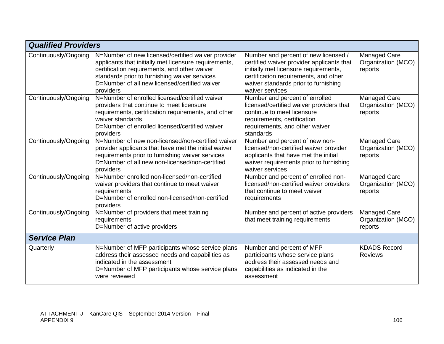| <b>Qualified Providers</b> |                                                                                                                                                                                                                                                                            |                                                                                                                                                                                                                                |                                                      |  |
|----------------------------|----------------------------------------------------------------------------------------------------------------------------------------------------------------------------------------------------------------------------------------------------------------------------|--------------------------------------------------------------------------------------------------------------------------------------------------------------------------------------------------------------------------------|------------------------------------------------------|--|
| Continuously/Ongoing       | N=Number of new licensed/certified waiver provider<br>applicants that initially met licensure requirements,<br>certification requirements, and other waiver<br>standards prior to furnishing waiver services<br>D=Number of all new licensed/certified waiver<br>providers | Number and percent of new licensed /<br>certified waiver provider applicants that<br>initially met licensure requirements,<br>certification requirements, and other<br>waiver standards prior to furnishing<br>waiver services | Managed Care<br>Organization (MCO)<br>reports        |  |
| Continuously/Ongoing       | N=Number of enrolled licensed/certified waiver<br>providers that continue to meet licensure<br>requirements, certification requirements, and other<br>waiver standards<br>D=Number of enrolled licensed/certified waiver<br>providers                                      | Number and percent of enrolled<br>licensed/certified waiver providers that<br>continue to meet licensure<br>requirements, certification<br>requirements, and other waiver<br>standards                                         | <b>Managed Care</b><br>Organization (MCO)<br>reports |  |
| Continuously/Ongoing       | N=Number of new non-licensed/non-certified waiver<br>provider applicants that have met the initial waiver<br>requirements prior to furnishing waiver services<br>D=Number of all new non-licensed/non-certified<br>providers                                               | Number and percent of new non-<br>licensed/non-certified waiver provider<br>applicants that have met the initial<br>waiver requirements prior to furnishing<br>waiver services                                                 | Managed Care<br>Organization (MCO)<br>reports        |  |
| Continuously/Ongoing       | N=Number enrolled non-licensed/non-certified<br>waiver providers that continue to meet waiver<br>requirements<br>D=Number of enrolled non-licensed/non-certified<br>providers                                                                                              | Number and percent of enrolled non-<br>licensed/non-certified waiver providers<br>that continue to meet waiver<br>requirements                                                                                                 | <b>Managed Care</b><br>Organization (MCO)<br>reports |  |
| Continuously/Ongoing       | N=Number of providers that meet training<br>requirements<br>D=Number of active providers                                                                                                                                                                                   | Number and percent of active providers<br>that meet training requirements                                                                                                                                                      | Managed Care<br>Organization (MCO)<br>reports        |  |
| <b>Service Plan</b>        |                                                                                                                                                                                                                                                                            |                                                                                                                                                                                                                                |                                                      |  |
| Quarterly                  | N=Number of MFP participants whose service plans<br>address their assessed needs and capabilities as<br>indicated in the assessment<br>D=Number of MFP participants whose service plans<br>were reviewed                                                                   | Number and percent of MFP<br>participants whose service plans<br>address their assessed needs and<br>capabilities as indicated in the<br>assessment                                                                            | <b>KDADS Record</b><br><b>Reviews</b>                |  |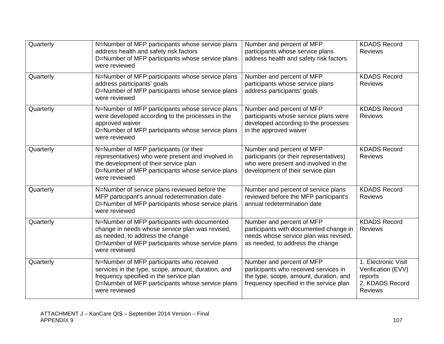| Quarterly | N=Number of MFP participants whose service plans<br>address health and safety risk factors<br>D=Number of MFP participants whose service plans<br>were reviewed                                                 | Number and percent of MFP<br>participants whose service plans<br>address health and safety risk factors                                                 | <b>KDADS Record</b><br><b>Reviews</b>                                                     |
|-----------|-----------------------------------------------------------------------------------------------------------------------------------------------------------------------------------------------------------------|---------------------------------------------------------------------------------------------------------------------------------------------------------|-------------------------------------------------------------------------------------------|
| Quarterly | N=Number of MFP participants whose service plans<br>address participants' goals<br>D=Number of MFP participants whose service plans<br>were reviewed                                                            | Number and percent of MFP<br>participants whose service plans<br>address participants' goals                                                            | <b>KDADS Record</b><br><b>Reviews</b>                                                     |
| Quarterly | N=Number of MFP participants whose service plans<br>were developed according to the processes in the<br>approved waiver<br>D=Number of MFP participants whose service plans<br>were reviewed                    | Number and percent of MFP<br>participants whose service plans were<br>developed according to the processes<br>in the approved waiver                    | <b>KDADS Record</b><br><b>Reviews</b>                                                     |
| Quarterly | N=Number of MFP participants (or their<br>representatives) who were present and involved in<br>the development of their service plan<br>D=Number of MFP participants whose service plans<br>were reviewed       | Number and percent of MFP<br>participants (or their representatives)<br>who were present and involved in the<br>development of their service plan       | <b>KDADS Record</b><br><b>Reviews</b>                                                     |
| Quarterly | N=Number of service plans reviewed before the<br>MFP participant's annual redetermination date<br>D=Number of MFP participants whose service plans<br>were reviewed                                             | Number and percent of service plans<br>reviewed before the MFP participant's<br>annual redetermination date                                             | <b>KDADS Record</b><br><b>Reviews</b>                                                     |
| Quarterly | N=Number of MFP participants with documented<br>change in needs whose service plan was revised,<br>as needed, to address the change<br>D=Number of MFP participants whose service plans<br>were reviewed        | Number and percent of MFP<br>participants with documented change in<br>needs whose service plan was revised,<br>as needed, to address the change        | <b>KDADS Record</b><br><b>Reviews</b>                                                     |
| Quarterly | N=Number of MFP participants who received<br>services in the type, scope, amount, duration, and<br>frequency specified in the service plan<br>D=Number of MFP participants whose service plans<br>were reviewed | Number and percent of MFP<br>participants who received services in<br>the type, scope, amount, duration, and<br>frequency specified in the service plan | 1. Electronic Visit<br>Verification (EVV)<br>reports<br>2. KDADS Record<br><b>Reviews</b> |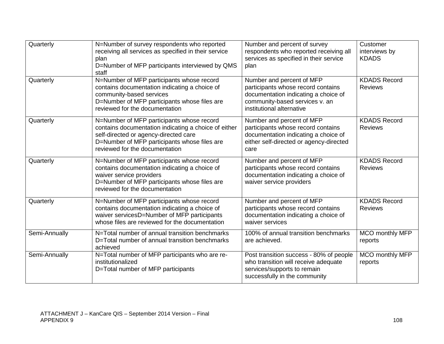| Quarterly     | N=Number of survey respondents who reported<br>receiving all services as specified in their service<br>plan<br>D=Number of MFP participants interviewed by QMS<br>staff                                                      | Number and percent of survey<br>respondents who reported receiving all<br>services as specified in their service<br>plan                                               | Customer<br>interviews by<br><b>KDADS</b> |
|---------------|------------------------------------------------------------------------------------------------------------------------------------------------------------------------------------------------------------------------------|------------------------------------------------------------------------------------------------------------------------------------------------------------------------|-------------------------------------------|
| Quarterly     | N=Number of MFP participants whose record<br>contains documentation indicating a choice of<br>community-based services<br>D=Number of MFP participants whose files are<br>reviewed for the documentation                     | Number and percent of MFP<br>participants whose record contains<br>documentation indicating a choice of<br>community-based services v. an<br>institutional alternative | <b>KDADS Record</b><br><b>Reviews</b>     |
| Quarterly     | N=Number of MFP participants whose record<br>contains documentation indicating a choice of either<br>self-directed or agency-directed care<br>D=Number of MFP participants whose files are<br>reviewed for the documentation | Number and percent of MFP<br>participants whose record contains<br>documentation indicating a choice of<br>either self-directed or agency-directed<br>care             | <b>KDADS Record</b><br><b>Reviews</b>     |
| Quarterly     | N=Number of MFP participants whose record<br>contains documentation indicating a choice of<br>waiver service providers<br>D=Number of MFP participants whose files are<br>reviewed for the documentation                     | Number and percent of MFP<br>participants whose record contains<br>documentation indicating a choice of<br>waiver service providers                                    | <b>KDADS Record</b><br><b>Reviews</b>     |
| Quarterly     | N=Number of MFP participants whose record<br>contains documentation indicating a choice of<br>waiver servicesD=Number of MFP participants<br>whose files are reviewed for the documentation                                  | Number and percent of MFP<br>participants whose record contains<br>documentation indicating a choice of<br>waiver services                                             | <b>KDADS Record</b><br><b>Reviews</b>     |
| Semi-Annually | N=Total number of annual transition benchmarks<br>D=Total number of annual transition benchmarks<br>achieved                                                                                                                 | 100% of annual transition benchmarks<br>are achieved.                                                                                                                  | MCO monthly MFP<br>reports                |
| Semi-Annually | N=Total number of MFP participants who are re-<br>institutionalized<br>D=Total number of MFP participants                                                                                                                    | Post transition success - 80% of people<br>who transition will receive adequate<br>services/supports to remain<br>successfully in the community                        | <b>MCO</b> monthly MFP<br>reports         |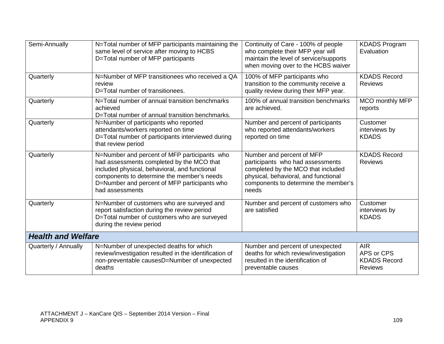| Semi-Annually             | N=Total number of MFP participants maintaining the<br>same level of service after moving to HCBS<br>D=Total number of MFP participants                                                                                                                      | Continuity of Care - 100% of people<br>who complete their MFP year will<br>maintain the level of service/supports<br>when moving over to the HCBS waiver                                     | <b>KDADS Program</b><br>Evaluation                                |
|---------------------------|-------------------------------------------------------------------------------------------------------------------------------------------------------------------------------------------------------------------------------------------------------------|----------------------------------------------------------------------------------------------------------------------------------------------------------------------------------------------|-------------------------------------------------------------------|
| Quarterly                 | N=Number of MFP transitionees who received a QA<br>review<br>D=Total number of transitionees.                                                                                                                                                               | 100% of MFP participants who<br>transition to the community receive a<br>quality review during their MFP year.                                                                               | <b>KDADS Record</b><br><b>Reviews</b>                             |
| Quarterly                 | N=Total number of annual transition benchmarks<br>achieved<br>D=Total number of annual transition benchmarks.                                                                                                                                               | 100% of annual transition benchmarks<br>are achieved.                                                                                                                                        | <b>MCO monthly MFP</b><br>reports                                 |
| Quarterly                 | N=Number of participants who reported<br>attendants/workers reported on time<br>D=Total number of participants interviewed during<br>that review period                                                                                                     | Number and percent of participants<br>who reported attendants/workers<br>reported on time                                                                                                    | Customer<br>interviews by<br><b>KDADS</b>                         |
| Quarterly                 | N=Number and percent of MFP participants who<br>had assessments completed by the MCO that<br>included physical, behavioral, and functional<br>components to determine the member's needs<br>D=Number and percent of MFP participants who<br>had assessments | Number and percent of MFP<br>participants who had assessments<br>completed by the MCO that included<br>physical, behavioral, and functional<br>components to determine the member's<br>needs | <b>KDADS Record</b><br><b>Reviews</b>                             |
| Quarterly                 | N=Number of customers who are surveyed and<br>report satisfaction during the review period<br>D=Total number of customers who are surveyed<br>during the review period                                                                                      | Number and percent of customers who<br>are satisfied                                                                                                                                         | Customer<br>interviews by<br><b>KDADS</b>                         |
| <b>Health and Welfare</b> |                                                                                                                                                                                                                                                             |                                                                                                                                                                                              |                                                                   |
| Quarterly / Annually      | N=Number of unexpected deaths for which<br>review/investigation resulted in the identification of<br>non-preventable causesD=Number of unexpected<br>deaths                                                                                                 | Number and percent of unexpected<br>deaths for which review/investigation<br>resulted in the identification of<br>preventable causes                                                         | <b>AIR</b><br>APS or CPS<br><b>KDADS Record</b><br><b>Reviews</b> |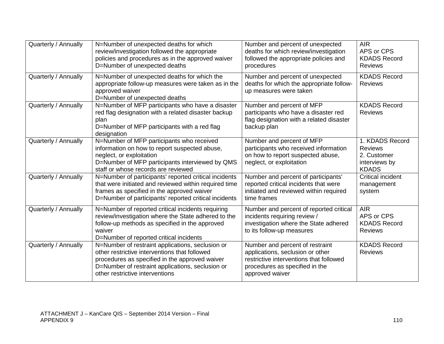| Quarterly / Annually | N=Number of unexpected deaths for which<br>review/investigation followed the appropriate<br>policies and procedures as in the approved waiver<br>D=Number of unexpected deaths                                                             | Number and percent of unexpected<br>deaths for which review/investigation<br>followed the appropriate policies and<br>procedures                                    | <b>AIR</b><br>APS or CPS<br><b>KDADS Record</b><br><b>Reviews</b>                 |
|----------------------|--------------------------------------------------------------------------------------------------------------------------------------------------------------------------------------------------------------------------------------------|---------------------------------------------------------------------------------------------------------------------------------------------------------------------|-----------------------------------------------------------------------------------|
| Quarterly / Annually | N=Number of unexpected deaths for which the<br>appropriate follow-up measures were taken as in the<br>approved waiver<br>D=Number of unexpected deaths                                                                                     | Number and percent of unexpected<br>deaths for which the appropriate follow-<br>up measures were taken                                                              | <b>KDADS Record</b><br><b>Reviews</b>                                             |
| Quarterly / Annually | N=Number of MFP participants who have a disaster<br>red flag designation with a related disaster backup<br>plan<br>D=Number of MFP participants with a red flag<br>designation                                                             | Number and percent of MFP<br>participants who have a disaster red<br>flag designation with a related disaster<br>backup plan                                        | <b>KDADS Record</b><br><b>Reviews</b>                                             |
| Quarterly / Annually | N=Number of MFP participants who received<br>information on how to report suspected abuse,<br>neglect, or exploitation<br>D=Number of MFP participants interviewed by QMS<br>staff or whose records are reviewed                           | Number and percent of MFP<br>participants who received information<br>on how to report suspected abuse,<br>neglect, or exploitation                                 | 1. KDADS Record<br><b>Reviews</b><br>2. Customer<br>interviews by<br><b>KDADS</b> |
| Quarterly / Annually | N=Number of participants' reported critical incidents<br>that were initiated and reviewed within required time<br>frames as specified in the approved waiver<br>D=Number of participants' reported critical incidents                      | Number and percent of participants'<br>reported critical incidents that were<br>initiated and reviewed within required<br>time frames                               | Critical incident<br>management<br>system                                         |
| Quarterly / Annually | N=Number of reported critical incidents requiring<br>review/investigation where the State adhered to the<br>follow-up methods as specified in the approved<br>waiver<br>D=Number of reported critical incidents                            | Number and percent of reported critical<br>incidents requiring review /<br>investigation where the State adhered<br>to its follow-up measures                       | <b>AIR</b><br>APS or CPS<br><b>KDADS Record</b><br>Reviews                        |
| Quarterly / Annually | N=Number of restraint applications, seclusion or<br>other restrictive interventions that followed<br>procedures as specified in the approved waiver<br>D=Number of restraint applications, seclusion or<br>other restrictive interventions | Number and percent of restraint<br>applications, seclusion or other<br>restrictive interventions that followed<br>procedures as specified in the<br>approved waiver | <b>KDADS Record</b><br><b>Reviews</b>                                             |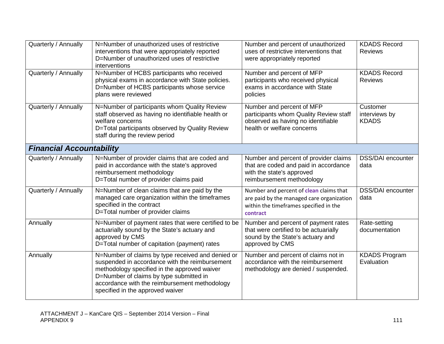| Quarterly / Annually            | N=Number of unauthorized uses of restrictive<br>interventions that were appropriately reported<br>D=Number of unauthorized uses of restrictive<br>interventions                                                                                                                     | Number and percent of unauthorized<br>uses of restrictive interventions that<br>were appropriately reported                                       | <b>KDADS Record</b><br><b>Reviews</b>     |
|---------------------------------|-------------------------------------------------------------------------------------------------------------------------------------------------------------------------------------------------------------------------------------------------------------------------------------|---------------------------------------------------------------------------------------------------------------------------------------------------|-------------------------------------------|
| Quarterly / Annually            | N=Number of HCBS participants who received<br>physical exams in accordance with State policies.<br>D=Number of HCBS participants whose service<br>plans were reviewed                                                                                                               | Number and percent of MFP<br>participants who received physical<br>exams in accordance with State<br>policies                                     | <b>KDADS Record</b><br><b>Reviews</b>     |
| Quarterly / Annually            | N=Number of participants whom Quality Review<br>staff observed as having no identifiable health or<br>welfare concerns<br>D=Total participants observed by Quality Review<br>staff during the review period                                                                         | Number and percent of MFP<br>participants whom Quality Review staff<br>observed as having no identifiable<br>health or welfare concerns           | Customer<br>interviews by<br><b>KDADS</b> |
| <b>Financial Accountability</b> |                                                                                                                                                                                                                                                                                     |                                                                                                                                                   |                                           |
| Quarterly / Annually            | N=Number of provider claims that are coded and<br>paid in accordance with the state's approved<br>reimbursement methodology<br>D=Total number of provider claims paid                                                                                                               | Number and percent of provider claims<br>that are coded and paid in accordance<br>with the state's approved<br>reimbursement methodology          | <b>DSS/DAI</b> encounter<br>data          |
| Quarterly / Annually            | N=Number of clean claims that are paid by the<br>managed care organization within the timeframes<br>specified in the contract<br>D=Total number of provider claims                                                                                                                  | Number and percent of <b>clean</b> claims that<br>are paid by the managed care organization<br>within the timeframes specified in the<br>contract | <b>DSS/DAI</b> encounter<br>data          |
| Annually                        | N=Number of payment rates that were certified to be<br>actuarially sound by the State's actuary and<br>approved by CMS<br>D=Total number of capitation (payment) rates                                                                                                              | Number and percent of payment rates<br>that were certified to be actuarially<br>sound by the State's actuary and<br>approved by CMS               | Rate-setting<br>documentation             |
| Annually                        | N=Number of claims by type received and denied or<br>suspended in accordance with the reimbursement<br>methodology specified in the approved waiver<br>D=Number of claims by type submitted in<br>accordance with the reimbursement methodology<br>specified in the approved waiver | Number and percent of claims not in<br>accordance with the reimbursement<br>methodology are denied / suspended.                                   | <b>KDADS Program</b><br>Evaluation        |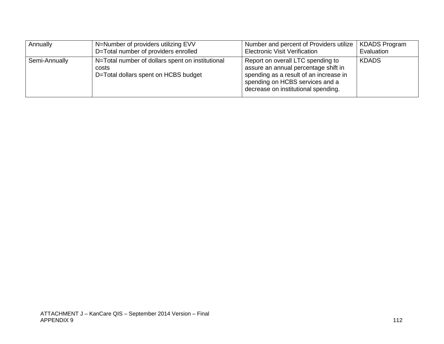| Annually      | N=Number of providers utilizing EVV<br>D=Total number of providers enrolled                       | Number and percent of Providers utilize   KDADS Program<br><b>Electronic Visit Verification</b>                                                                                               | Evaluation   |
|---------------|---------------------------------------------------------------------------------------------------|-----------------------------------------------------------------------------------------------------------------------------------------------------------------------------------------------|--------------|
| Semi-Annually | N=Total number of dollars spent on institutional<br>costs<br>D=Total dollars spent on HCBS budget | Report on overall LTC spending to<br>assure an annual percentage shift in<br>spending as a result of an increase in<br>spending on HCBS services and a<br>decrease on institutional spending. | <b>KDADS</b> |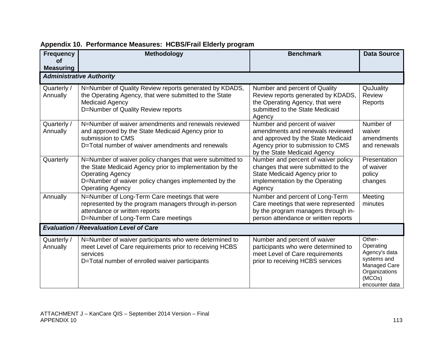| <b>Frequency</b><br><b>of</b><br><b>Measuring</b> | <b>Methodology</b>                                                                                                                                                                                                                 | <b>Benchmark</b>                                                                                                                                                            | <b>Data Source</b>                                                                                                      |
|---------------------------------------------------|------------------------------------------------------------------------------------------------------------------------------------------------------------------------------------------------------------------------------------|-----------------------------------------------------------------------------------------------------------------------------------------------------------------------------|-------------------------------------------------------------------------------------------------------------------------|
|                                                   | <b>Administrative Authority</b>                                                                                                                                                                                                    |                                                                                                                                                                             |                                                                                                                         |
| Quarterly /<br>Annually                           | N=Number of Quality Review reports generated by KDADS,<br>the Operating Agency, that were submitted to the State<br><b>Medicaid Agency</b><br>D=Number of Quality Review reports                                                   | Number and percent of Quality<br>Review reports generated by KDADS,<br>the Operating Agency, that were<br>submitted to the State Medicaid<br>Agency                         | QuJuality<br>Review<br>Reports                                                                                          |
| Quarterly /<br>Annually                           | N=Number of waiver amendments and renewals reviewed<br>and approved by the State Medicaid Agency prior to<br>submission to CMS<br>D=Total number of waiver amendments and renewals                                                 | Number and percent of waiver<br>amendments and renewals reviewed<br>and approved by the State Medicaid<br>Agency prior to submission to CMS<br>by the State Medicaid Agency | Number of<br>waiver<br>amendments<br>and renewals                                                                       |
| Quarterly                                         | N=Number of waiver policy changes that were submitted to<br>the State Medicaid Agency prior to implementation by the<br><b>Operating Agency</b><br>D=Number of waiver policy changes implemented by the<br><b>Operating Agency</b> | Number and percent of waiver policy<br>changes that were submitted to the<br>State Medicaid Agency prior to<br>implementation by the Operating<br>Agency                    | Presentation<br>of waiver<br>policy<br>changes                                                                          |
| Annually                                          | N=Number of Long-Term Care meetings that were<br>represented by the program managers through in-person<br>attendance or written reports<br>D=Number of Long-Term Care meetings                                                     | Number and percent of Long-Term<br>Care meetings that were represented<br>by the program managers through in-<br>person attendance or written reports                       | Meeting<br>minutes                                                                                                      |
|                                                   | <b>Evaluation / Reevaluation Level of Care</b>                                                                                                                                                                                     |                                                                                                                                                                             |                                                                                                                         |
| Quarterly /<br>Annually                           | N=Number of waiver participants who were determined to<br>meet Level of Care requirements prior to receiving HCBS<br>services<br>D=Total number of enrolled waiver participants                                                    | Number and percent of waiver<br>participants who were determined to<br>meet Level of Care requirements<br>prior to receiving HCBS services                                  | Other-<br>Operating<br>Agency's data<br>systems and<br><b>Managed Care</b><br>Organizations<br>(MCOs)<br>encounter data |

## **Appendix 10. Performance Measures: HCBS/Frail Elderly program**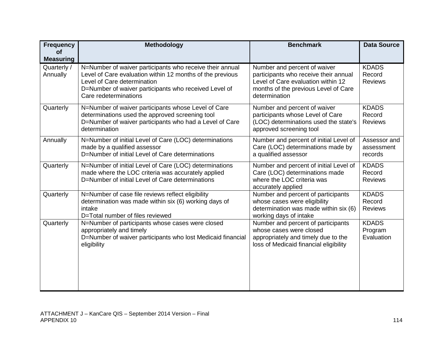| <b>Frequency</b><br><b>of</b> | Methodology                                                                                                                                                                                                                            | <b>Benchmark</b>                                                                                                                                                     | <b>Data Source</b>                       |
|-------------------------------|----------------------------------------------------------------------------------------------------------------------------------------------------------------------------------------------------------------------------------------|----------------------------------------------------------------------------------------------------------------------------------------------------------------------|------------------------------------------|
| <b>Measuring</b>              |                                                                                                                                                                                                                                        |                                                                                                                                                                      |                                          |
| Quarterly /<br>Annually       | N=Number of waiver participants who receive their annual<br>Level of Care evaluation within 12 months of the previous<br>Level of Care determination<br>D=Number of waiver participants who received Level of<br>Care redeterminations | Number and percent of waiver<br>participants who receive their annual<br>Level of Care evaluation within 12<br>months of the previous Level of Care<br>determination | <b>KDADS</b><br>Record<br><b>Reviews</b> |
| Quarterly                     | N=Number of waiver participants whose Level of Care<br>determinations used the approved screening tool<br>D=Number of waiver participants who had a Level of Care<br>determination                                                     | Number and percent of waiver<br>participants whose Level of Care<br>(LOC) determinations used the state's<br>approved screening tool                                 | <b>KDADS</b><br>Record<br><b>Reviews</b> |
| Annually                      | N=Number of initial Level of Care (LOC) determinations<br>made by a qualified assessor<br>D=Number of initial Level of Care determinations                                                                                             | Number and percent of initial Level of<br>Care (LOC) determinations made by<br>a qualified assessor                                                                  | Assessor and<br>assessment<br>records    |
| Quarterly                     | N=Number of initial Level of Care (LOC) determinations<br>made where the LOC criteria was accurately applied<br>D=Number of initial Level of Care determinations                                                                       | Number and percent of initial Level of<br>Care (LOC) determinations made<br>where the LOC criteria was<br>accurately applied                                         | <b>KDADS</b><br>Record<br><b>Reviews</b> |
| Quarterly                     | N=Number of case file reviews reflect eligibility<br>determination was made within six (6) working days of<br>intake<br>D=Total number of files reviewed                                                                               | Number and percent of participants<br>whose cases were eligibility<br>determination was made within six (6)<br>working days of intake                                | <b>KDADS</b><br>Record<br><b>Reviews</b> |
| Quarterly                     | N=Number of participants whose cases were closed<br>appropriately and timely<br>D=Number of waiver participants who lost Medicaid financial<br>eligibility                                                                             | Number and percent of participants<br>whose cases were closed<br>appropriately and timely due to the<br>loss of Medicaid financial eligibility                       | <b>KDADS</b><br>Program<br>Evaluation    |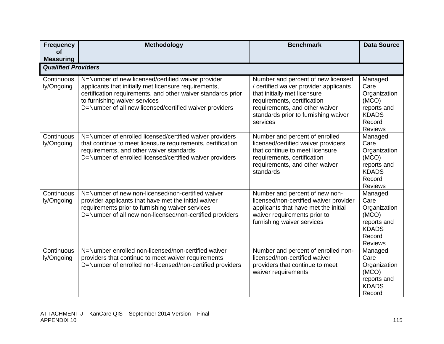| <b>Frequency</b><br>Οf     | Methodology                                                                                                                                                                                                                                                             | <b>Benchmark</b>                                                                                                                                                                                                                  | <b>Data Source</b>                                                                                  |
|----------------------------|-------------------------------------------------------------------------------------------------------------------------------------------------------------------------------------------------------------------------------------------------------------------------|-----------------------------------------------------------------------------------------------------------------------------------------------------------------------------------------------------------------------------------|-----------------------------------------------------------------------------------------------------|
| <b>Measuring</b>           |                                                                                                                                                                                                                                                                         |                                                                                                                                                                                                                                   |                                                                                                     |
| <b>Qualified Providers</b> |                                                                                                                                                                                                                                                                         |                                                                                                                                                                                                                                   |                                                                                                     |
| Continuous<br>ly/Ongoing   | N=Number of new licensed/certified waiver provider<br>applicants that initially met licensure requirements,<br>certification requirements, and other waiver standards prior<br>to furnishing waiver services<br>D=Number of all new licensed/certified waiver providers | Number and percent of new licensed<br>/ certified waiver provider applicants<br>that initially met licensure<br>requirements, certification<br>requirements, and other waiver<br>standards prior to furnishing waiver<br>services | Managed<br>Care<br>Organization<br>(MCO)<br>reports and<br><b>KDADS</b><br>Record<br><b>Reviews</b> |
| Continuous<br>ly/Ongoing   | N=Number of enrolled licensed/certified waiver providers<br>that continue to meet licensure requirements, certification<br>requirements, and other waiver standards<br>D=Number of enrolled licensed/certified waiver providers                                         | Number and percent of enrolled<br>licensed/certified waiver providers<br>that continue to meet licensure<br>requirements, certification<br>requirements, and other waiver<br>standards                                            | Managed<br>Care<br>Organization<br>(MCO)<br>reports and<br><b>KDADS</b><br>Record<br><b>Reviews</b> |
| Continuous<br>ly/Ongoing   | N=Number of new non-licensed/non-certified waiver<br>provider applicants that have met the initial waiver<br>requirements prior to furnishing waiver services<br>D=Number of all new non-licensed/non-certified providers                                               | Number and percent of new non-<br>licensed/non-certified waiver provider<br>applicants that have met the initial<br>waiver requirements prior to<br>furnishing waiver services                                                    | Managed<br>Care<br>Organization<br>(MCO)<br>reports and<br><b>KDADS</b><br>Record<br><b>Reviews</b> |
| Continuous<br>ly/Ongoing   | N=Number enrolled non-licensed/non-certified waiver<br>providers that continue to meet waiver requirements<br>D=Number of enrolled non-licensed/non-certified providers                                                                                                 | Number and percent of enrolled non-<br>licensed/non-certified waiver<br>providers that continue to meet<br>waiver requirements                                                                                                    | Managed<br>Care<br>Organization<br>(MCO)<br>reports and<br><b>KDADS</b><br>Record                   |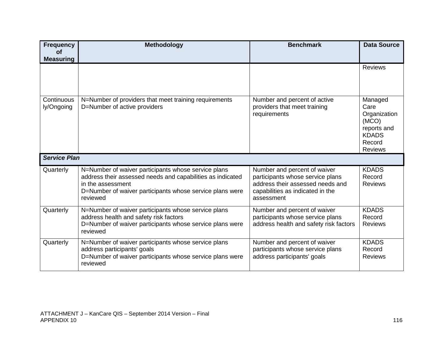| <b>Frequency</b><br><b>of</b> | Methodology                                                                                                                                                                                                    | <b>Benchmark</b>                                                                                                                                       | <b>Data Source</b>                                                                                  |
|-------------------------------|----------------------------------------------------------------------------------------------------------------------------------------------------------------------------------------------------------------|--------------------------------------------------------------------------------------------------------------------------------------------------------|-----------------------------------------------------------------------------------------------------|
| <b>Measuring</b>              |                                                                                                                                                                                                                |                                                                                                                                                        |                                                                                                     |
|                               |                                                                                                                                                                                                                |                                                                                                                                                        | <b>Reviews</b>                                                                                      |
| Continuous<br>ly/Ongoing      | N=Number of providers that meet training requirements<br>D=Number of active providers                                                                                                                          | Number and percent of active<br>providers that meet training<br>requirements                                                                           | Managed<br>Care<br>Organization<br>(MCO)<br>reports and<br><b>KDADS</b><br>Record<br><b>Reviews</b> |
| <b>Service Plan</b>           |                                                                                                                                                                                                                |                                                                                                                                                        |                                                                                                     |
| Quarterly                     | N=Number of waiver participants whose service plans<br>address their assessed needs and capabilities as indicated<br>in the assessment<br>D=Number of waiver participants whose service plans were<br>reviewed | Number and percent of waiver<br>participants whose service plans<br>address their assessed needs and<br>capabilities as indicated in the<br>assessment | <b>KDADS</b><br>Record<br><b>Reviews</b>                                                            |
| Quarterly                     | N=Number of waiver participants whose service plans<br>address health and safety risk factors<br>D=Number of waiver participants whose service plans were<br>reviewed                                          | Number and percent of waiver<br>participants whose service plans<br>address health and safety risk factors                                             | <b>KDADS</b><br>Record<br><b>Reviews</b>                                                            |
| Quarterly                     | N=Number of waiver participants whose service plans<br>address participants' goals<br>D=Number of waiver participants whose service plans were<br>reviewed                                                     | Number and percent of waiver<br>participants whose service plans<br>address participants' goals                                                        | <b>KDADS</b><br>Record<br><b>Reviews</b>                                                            |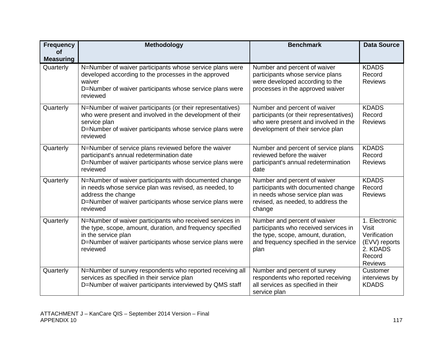| <b>Frequency</b>              | Methodology                                                                                                                                                                                                           | <b>Benchmark</b>                                                                                                                                              | <b>Data Source</b>                                                                                     |
|-------------------------------|-----------------------------------------------------------------------------------------------------------------------------------------------------------------------------------------------------------------------|---------------------------------------------------------------------------------------------------------------------------------------------------------------|--------------------------------------------------------------------------------------------------------|
| <b>of</b><br><b>Measuring</b> |                                                                                                                                                                                                                       |                                                                                                                                                               |                                                                                                        |
| Quarterly                     | N=Number of waiver participants whose service plans were<br>developed according to the processes in the approved<br>waiver<br>D=Number of waiver participants whose service plans were<br>reviewed                    | Number and percent of waiver<br>participants whose service plans<br>were developed according to the<br>processes in the approved waiver                       | <b>KDADS</b><br>Record<br><b>Reviews</b>                                                               |
| Quarterly                     | N=Number of waiver participants (or their representatives)<br>who were present and involved in the development of their<br>service plan<br>D=Number of waiver participants whose service plans were<br>reviewed       | Number and percent of waiver<br>participants (or their representatives)<br>who were present and involved in the<br>development of their service plan          | <b>KDADS</b><br>Record<br><b>Reviews</b>                                                               |
| Quarterly                     | N=Number of service plans reviewed before the waiver<br>participant's annual redetermination date<br>D=Number of waiver participants whose service plans were<br>reviewed                                             | Number and percent of service plans<br>reviewed before the waiver<br>participant's annual redetermination<br>date                                             | <b>KDADS</b><br>Record<br><b>Reviews</b>                                                               |
| Quarterly                     | N=Number of waiver participants with documented change<br>in needs whose service plan was revised, as needed, to<br>address the change<br>D=Number of waiver participants whose service plans were<br>reviewed        | Number and percent of waiver<br>participants with documented change<br>in needs whose service plan was<br>revised, as needed, to address the<br>change        | <b>KDADS</b><br>Record<br><b>Reviews</b>                                                               |
| Quarterly                     | N=Number of waiver participants who received services in<br>the type, scope, amount, duration, and frequency specified<br>in the service plan<br>D=Number of waiver participants whose service plans were<br>reviewed | Number and percent of waiver<br>participants who received services in<br>the type, scope, amount, duration,<br>and frequency specified in the service<br>plan | 1. Electronic<br><b>Visit</b><br>Verification<br>(EVV) reports<br>2. KDADS<br>Record<br><b>Reviews</b> |
| Quarterly                     | N=Number of survey respondents who reported receiving all<br>services as specified in their service plan<br>D=Number of waiver participants interviewed by QMS staff                                                  | Number and percent of survey<br>respondents who reported receiving<br>all services as specified in their<br>service plan                                      | Customer<br>interviews by<br><b>KDADS</b>                                                              |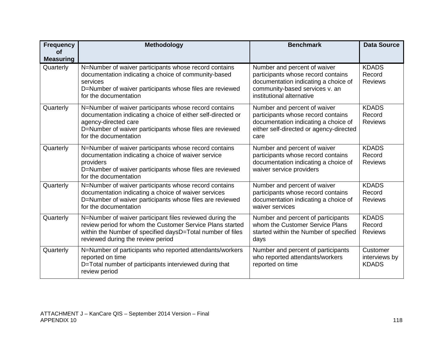| <b>Frequency</b><br><b>of</b> | Methodology                                                                                                                                                                                                                        | <b>Benchmark</b>                                                                                                                                                          | <b>Data Source</b>                        |
|-------------------------------|------------------------------------------------------------------------------------------------------------------------------------------------------------------------------------------------------------------------------------|---------------------------------------------------------------------------------------------------------------------------------------------------------------------------|-------------------------------------------|
| <b>Measuring</b>              |                                                                                                                                                                                                                                    |                                                                                                                                                                           |                                           |
| Quarterly                     | N=Number of waiver participants whose record contains<br>documentation indicating a choice of community-based<br>services<br>D=Number of waiver participants whose files are reviewed<br>for the documentation                     | Number and percent of waiver<br>participants whose record contains<br>documentation indicating a choice of<br>community-based services v. an<br>institutional alternative | <b>KDADS</b><br>Record<br><b>Reviews</b>  |
| Quarterly                     | N=Number of waiver participants whose record contains<br>documentation indicating a choice of either self-directed or<br>agency-directed care<br>D=Number of waiver participants whose files are reviewed<br>for the documentation | Number and percent of waiver<br>participants whose record contains<br>documentation indicating a choice of<br>either self-directed or agency-directed<br>care             | <b>KDADS</b><br>Record<br><b>Reviews</b>  |
| Quarterly                     | N=Number of waiver participants whose record contains<br>documentation indicating a choice of waiver service<br>providers<br>D=Number of waiver participants whose files are reviewed<br>for the documentation                     | Number and percent of waiver<br>participants whose record contains<br>documentation indicating a choice of<br>waiver service providers                                    | <b>KDADS</b><br>Record<br><b>Reviews</b>  |
| Quarterly                     | N=Number of waiver participants whose record contains<br>documentation indicating a choice of waiver services<br>D=Number of waiver participants whose files are reviewed<br>for the documentation                                 | Number and percent of waiver<br>participants whose record contains<br>documentation indicating a choice of<br>waiver services                                             | <b>KDADS</b><br>Record<br><b>Reviews</b>  |
| Quarterly                     | N=Number of waiver participant files reviewed during the<br>review period for whom the Customer Service Plans started<br>within the Number of specified daysD=Total number of files<br>reviewed during the review period           | Number and percent of participants<br>whom the Customer Service Plans<br>started within the Number of specified<br>days                                                   | <b>KDADS</b><br>Record<br><b>Reviews</b>  |
| Quarterly                     | N=Number of participants who reported attendants/workers<br>reported on time<br>D=Total number of participants interviewed during that<br>review period                                                                            | Number and percent of participants<br>who reported attendants/workers<br>reported on time                                                                                 | Customer<br>interviews by<br><b>KDADS</b> |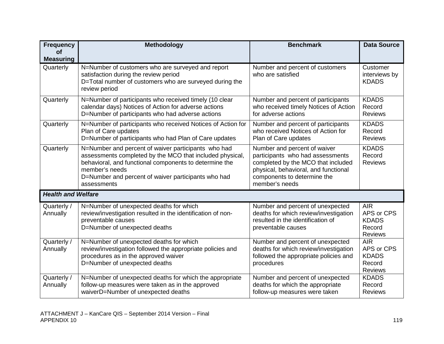| <b>Frequency</b>              | Methodology                                                                                                                                                                                                                                                       | <b>Benchmark</b>                                                                                                                                                                                | <b>Data Source</b>                                                   |
|-------------------------------|-------------------------------------------------------------------------------------------------------------------------------------------------------------------------------------------------------------------------------------------------------------------|-------------------------------------------------------------------------------------------------------------------------------------------------------------------------------------------------|----------------------------------------------------------------------|
| <b>of</b><br><b>Measuring</b> |                                                                                                                                                                                                                                                                   |                                                                                                                                                                                                 |                                                                      |
| Quarterly                     | N=Number of customers who are surveyed and report<br>satisfaction during the review period<br>D=Total number of customers who are surveyed during the<br>review period                                                                                            | Number and percent of customers<br>who are satisfied                                                                                                                                            | Customer<br>interviews by<br><b>KDADS</b>                            |
| Quarterly                     | N=Number of participants who received timely (10 clear<br>calendar days) Notices of Action for adverse actions<br>D=Number of participants who had adverse actions                                                                                                | Number and percent of participants<br>who received timely Notices of Action<br>for adverse actions                                                                                              | <b>KDADS</b><br>Record<br><b>Reviews</b>                             |
| Quarterly                     | N=Number of participants who received Notices of Action for<br>Plan of Care updates<br>D=Number of participants who had Plan of Care updates                                                                                                                      | Number and percent of participants<br>who received Notices of Action for<br>Plan of Care updates                                                                                                | <b>KDADS</b><br>Record<br><b>Reviews</b>                             |
| Quarterly                     | N=Number and percent of waiver participants who had<br>assessments completed by the MCO that included physical,<br>behavioral, and functional components to determine the<br>member's needs<br>D=Number and percent of waiver participants who had<br>assessments | Number and percent of waiver<br>participants who had assessments<br>completed by the MCO that included<br>physical, behavioral, and functional<br>components to determine the<br>member's needs | <b>KDADS</b><br>Record<br><b>Reviews</b>                             |
| <b>Health and Welfare</b>     |                                                                                                                                                                                                                                                                   |                                                                                                                                                                                                 |                                                                      |
| Quarterly /<br>Annually       | N=Number of unexpected deaths for which<br>review/investigation resulted in the identification of non-<br>preventable causes<br>D=Number of unexpected deaths                                                                                                     | Number and percent of unexpected<br>deaths for which review/investigation<br>resulted in the identification of<br>preventable causes                                                            | <b>AIR</b><br>APS or CPS<br><b>KDADS</b><br>Record<br><b>Reviews</b> |
| Quarterly /<br>Annually       | N=Number of unexpected deaths for which<br>review/investigation followed the appropriate policies and<br>procedures as in the approved waiver<br>D=Number of unexpected deaths                                                                                    | Number and percent of unexpected<br>deaths for which review/investigation<br>followed the appropriate policies and<br>procedures                                                                | <b>AIR</b><br>APS or CPS<br><b>KDADS</b><br>Record<br><b>Reviews</b> |
| Quarterly /<br>Annually       | N=Number of unexpected deaths for which the appropriate<br>follow-up measures were taken as in the approved<br>waiverD=Number of unexpected deaths                                                                                                                | Number and percent of unexpected<br>deaths for which the appropriate<br>follow-up measures were taken                                                                                           | <b>KDADS</b><br>Record<br><b>Reviews</b>                             |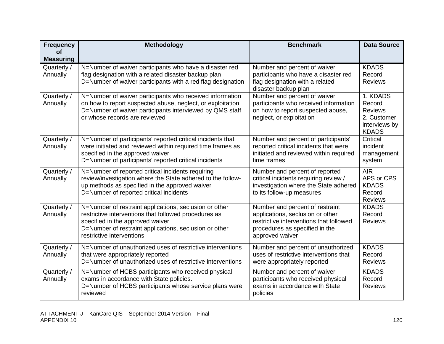| <b>Frequency</b>              | <b>Methodology</b>                                                                                                                                                                                                                         | <b>Benchmark</b>                                                                                                                                                    | <b>Data Source</b>                                                                   |
|-------------------------------|--------------------------------------------------------------------------------------------------------------------------------------------------------------------------------------------------------------------------------------------|---------------------------------------------------------------------------------------------------------------------------------------------------------------------|--------------------------------------------------------------------------------------|
| <b>of</b><br><b>Measuring</b> |                                                                                                                                                                                                                                            |                                                                                                                                                                     |                                                                                      |
| Quarterly /<br>Annually       | N=Number of waiver participants who have a disaster red<br>flag designation with a related disaster backup plan<br>D=Number of waiver participants with a red flag designation                                                             | Number and percent of waiver<br>participants who have a disaster red<br>flag designation with a related<br>disaster backup plan                                     | <b>KDADS</b><br>Record<br><b>Reviews</b>                                             |
| Quarterly /<br>Annually       | N=Number of waiver participants who received information<br>on how to report suspected abuse, neglect, or exploitation<br>D=Number of waiver participants interviewed by QMS staff<br>or whose records are reviewed                        | Number and percent of waiver<br>participants who received information<br>on how to report suspected abuse,<br>neglect, or exploitation                              | 1. KDADS<br>Record<br><b>Reviews</b><br>2. Customer<br>interviews by<br><b>KDADS</b> |
| Quarterly /<br>Annually       | N=Number of participants' reported critical incidents that<br>were initiated and reviewed within required time frames as<br>specified in the approved waiver<br>D=Number of participants' reported critical incidents                      | Number and percent of participants'<br>reported critical incidents that were<br>initiated and reviewed within required<br>time frames                               | Critical<br>incident<br>management<br>system                                         |
| Quarterly /<br>Annually       | N=Number of reported critical incidents requiring<br>review/investigation where the State adhered to the follow-<br>up methods as specified in the approved waiver<br>D=Number of reported critical incidents                              | Number and percent of reported<br>critical incidents requiring review /<br>investigation where the State adhered<br>to its follow-up measures                       | <b>AIR</b><br>APS or CPS<br><b>KDADS</b><br>Record<br><b>Reviews</b>                 |
| Quarterly /<br>Annually       | N=Number of restraint applications, seclusion or other<br>restrictive interventions that followed procedures as<br>specified in the approved waiver<br>D=Number of restraint applications, seclusion or other<br>restrictive interventions | Number and percent of restraint<br>applications, seclusion or other<br>restrictive interventions that followed<br>procedures as specified in the<br>approved waiver | <b>KDADS</b><br>Record<br><b>Reviews</b>                                             |
| Quarterly /<br>Annually       | N=Number of unauthorized uses of restrictive interventions<br>that were appropriately reported<br>D=Number of unauthorized uses of restrictive interventions                                                                               | Number and percent of unauthorized<br>uses of restrictive interventions that<br>were appropriately reported                                                         | <b>KDADS</b><br>Record<br><b>Reviews</b>                                             |
| Quarterly /<br>Annually       | N=Number of HCBS participants who received physical<br>exams in accordance with State policies.<br>D=Number of HCBS participants whose service plans were<br>reviewed                                                                      | Number and percent of waiver<br>participants who received physical<br>exams in accordance with State<br>policies                                                    | <b>KDADS</b><br>Record<br><b>Reviews</b>                                             |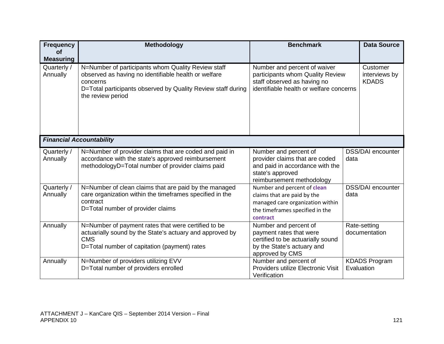| <b>Frequency</b><br><b>of</b>               | Methodology                                                                                                                                                                                                                                                                                                                                               | <b>Benchmark</b>                                                                                                                              | <b>Data Source</b>                        |
|---------------------------------------------|-----------------------------------------------------------------------------------------------------------------------------------------------------------------------------------------------------------------------------------------------------------------------------------------------------------------------------------------------------------|-----------------------------------------------------------------------------------------------------------------------------------------------|-------------------------------------------|
| <b>Measuring</b><br>Quarterly /<br>Annually | N=Number of participants whom Quality Review staff<br>Number and percent of waiver<br>observed as having no identifiable health or welfare<br>participants whom Quality Review<br>staff observed as having no<br>concerns<br>identifiable health or welfare concerns<br>D=Total participants observed by Quality Review staff during<br>the review period |                                                                                                                                               | Customer<br>interviews by<br><b>KDADS</b> |
|                                             |                                                                                                                                                                                                                                                                                                                                                           |                                                                                                                                               |                                           |
|                                             | <b>Financial Accountability</b>                                                                                                                                                                                                                                                                                                                           |                                                                                                                                               |                                           |
| Quarterly /<br>Annually                     | N=Number of provider claims that are coded and paid in<br>accordance with the state's approved reimbursement<br>methodologyD=Total number of provider claims paid                                                                                                                                                                                         | Number and percent of<br>provider claims that are coded<br>and paid in accordance with the<br>state's approved<br>reimbursement methodology   | <b>DSS/DAI</b> encounter<br>data          |
| Quarterly /<br>Annually                     | N=Number of clean claims that are paid by the managed<br>care organization within the timeframes specified in the<br>contract<br>D=Total number of provider claims                                                                                                                                                                                        | Number and percent of clean<br>claims that are paid by the<br>managed care organization within<br>the timeframes specified in the<br>contract | <b>DSS/DAI</b> encounter<br>data          |
| Annually                                    | N=Number of payment rates that were certified to be<br>actuarially sound by the State's actuary and approved by<br><b>CMS</b><br>D=Total number of capitation (payment) rates                                                                                                                                                                             | Number and percent of<br>payment rates that were<br>certified to be actuarially sound<br>by the State's actuary and<br>approved by CMS        | Rate-setting<br>documentation             |
| Annually                                    | N=Number of providers utilizing EVV<br>D=Total number of providers enrolled                                                                                                                                                                                                                                                                               | Number and percent of<br>Providers utilize Electronic Visit<br>Verification                                                                   | <b>KDADS Program</b><br>Evaluation        |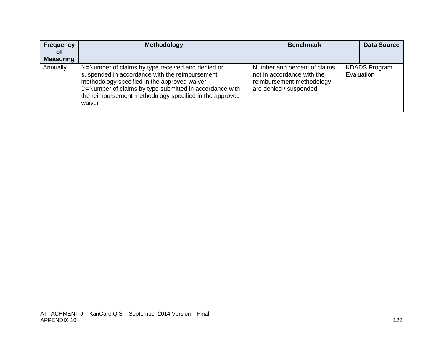| Frequency<br><b>of</b><br><b>Measuring</b> | <b>Methodology</b>                                                                                                                                                                                                                                                                  | <b>Benchmark</b>                                                                                                   | <b>Data Source</b>                 |
|--------------------------------------------|-------------------------------------------------------------------------------------------------------------------------------------------------------------------------------------------------------------------------------------------------------------------------------------|--------------------------------------------------------------------------------------------------------------------|------------------------------------|
| Annually                                   | N=Number of claims by type received and denied or<br>suspended in accordance with the reimbursement<br>methodology specified in the approved waiver<br>D=Number of claims by type submitted in accordance with<br>the reimbursement methodology specified in the approved<br>waiver | Number and percent of claims<br>not in accordance with the<br>reimbursement methodology<br>are denied / suspended. | <b>KDADS Program</b><br>Evaluation |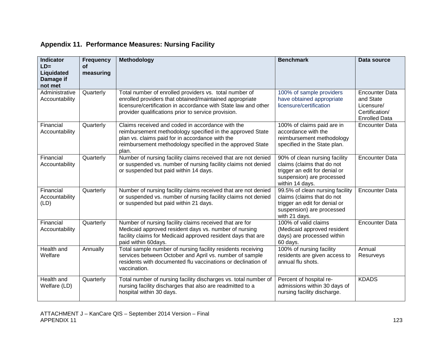| <b>Indicator</b><br>$LD =$<br>Liquidated<br>Damage if<br>not met | <b>Frequency</b><br><b>of</b><br>measuring | Methodology                                                                                                                                                                                                                                | <b>Benchmark</b>                                                                                                                             | Data source                                                                                |
|------------------------------------------------------------------|--------------------------------------------|--------------------------------------------------------------------------------------------------------------------------------------------------------------------------------------------------------------------------------------------|----------------------------------------------------------------------------------------------------------------------------------------------|--------------------------------------------------------------------------------------------|
| Administrative<br>Accountability                                 | Quarterly                                  | Total number of enrolled providers vs. total number of<br>enrolled providers that obtained/maintained appropriate<br>licensure/certification in accordance with State law and other<br>provider qualifications prior to service provision. | 100% of sample providers<br>have obtained appropriate<br>licensure/certification                                                             | <b>Encounter Data</b><br>and State<br>Licensure/<br>Certification/<br><b>Enrolled Data</b> |
| Financial<br>Accountability                                      | Quarterly                                  | Claims received and coded in accordance with the<br>reimbursement methodology specified in the approved State<br>plan vs. claims paid for in accordance with the<br>reimbursement methodology specified in the approved State<br>plan.     | 100% of claims paid are in<br>accordance with the<br>reimbursement methodology<br>specified in the State plan.                               | <b>Encounter Data</b>                                                                      |
| Financial<br>Accountability                                      | Quarterly                                  | Number of nursing facility claims received that are not denied<br>or suspended vs. number of nursing facility claims not denied<br>or suspended but paid within 14 days.                                                                   | 90% of clean nursing facility<br>claims (claims that do not<br>trigger an edit for denial or<br>suspension) are processed<br>within 14 days. | <b>Encounter Data</b>                                                                      |
| Financial<br>Accountability<br>(LD)                              | Quarterly                                  | Number of nursing facility claims received that are not denied<br>or suspended vs. number of nursing facility claims not denied<br>or suspended but paid within 21 days.                                                                   | 99.5% of clean nursing facility<br>claims (claims that do not<br>trigger an edit for denial or<br>suspension) are processed<br>with 21 days. | <b>Encounter Data</b>                                                                      |
| Financial<br>Accountability                                      | Quarterly                                  | Number of nursing facility claims received that are for<br>Medicaid approved resident days vs. number of nursing<br>facility claims for Medicaid approved resident days that are<br>paid within 60days.                                    | 100% of valid claims<br>(Medicaid approved resident<br>days) are processed within<br>60 days.                                                | <b>Encounter Data</b>                                                                      |
| <b>Health and</b><br>Welfare                                     | Annually                                   | Total sample number of nursing facility residents receiving<br>services between October and April vs. number of sample<br>residents with documented flu vaccinations or declination of<br>vaccination.                                     | 100% of nursing facility<br>residents are given access to<br>annual flu shots.                                                               | Annual<br>Resurveys                                                                        |
| Health and<br>Welfare (LD)                                       | Quarterly                                  | Total number of nursing facility discharges vs. total number of<br>nursing facility discharges that also are readmitted to a<br>hospital within 30 days.                                                                                   | Percent of hospital re-<br>admissions within 30 days of<br>nursing facility discharge.                                                       | <b>KDADS</b>                                                                               |

## **Appendix 11. Performance Measures: Nursing Facility**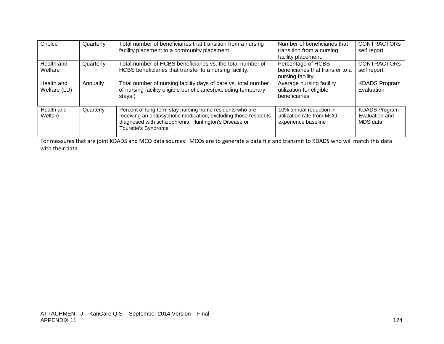| Choice                | Quarterly | Total number of beneficiaries that transition from a nursing                                                                                                                                                 | Number of beneficiaries that                                                | <b>CONTRACTORS</b>                                 |
|-----------------------|-----------|--------------------------------------------------------------------------------------------------------------------------------------------------------------------------------------------------------------|-----------------------------------------------------------------------------|----------------------------------------------------|
|                       |           | facility placement to a community placement.                                                                                                                                                                 | transition from a nursing                                                   | self report                                        |
|                       |           |                                                                                                                                                                                                              | facility placement.                                                         |                                                    |
| Health and            | Quarterly | Total number of HCBS beneficiaries vs. the total number of                                                                                                                                                   | Percentage of HCBS                                                          | <b>CONTRACTORS</b>                                 |
| Welfare               |           | HCBS beneficiaries that transfer to a nursing facility.                                                                                                                                                      | beneficiaries that transfer to a<br>nursing facility.                       | self report                                        |
| Health and            | Annually  | Total number of nursing facility days of care vs. total number                                                                                                                                               | Average nursing facility                                                    | <b>KDADS Program</b>                               |
| Welfare (LD)          |           | of nursing facility eligible beneficiaries (excluding temporary<br>stays.)                                                                                                                                   | utilization for eligible<br>beneficiaries                                   | Evaluation                                         |
| Health and<br>Welfare | Quarterly | Percent of long-term stay nursing home residents who are<br>receiving an antipsychotic medication, excluding those residents<br>diagnosed with schizophrenia, Huntington's Disease or<br>Tourette's Syndrome | 10% annual reduction in<br>utilization rate from MCO<br>experience baseline | <b>KDADS Program</b><br>Evaluation and<br>MDS data |
|                       |           |                                                                                                                                                                                                              |                                                                             |                                                    |

For measures that are joint KDADS and MCO data sources: MCOs are to generate a data file and transmit to KDADS who will match this data with their data.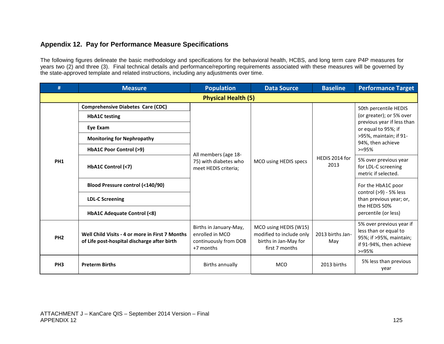## **Appendix 12. Pay for Performance Measure Specifications**

The following figures delineate the basic methodology and specifications for the behavioral health, HCBS, and long term care P4P measures for years two (2) and three (3). Final technical details and performance/reporting requirements associated with these measures will be governed by the state-approved template and related instructions, including any adjustments over time.

| #               | <b>Measure</b>                                                                                 | <b>Population</b>                                                               | <b>Data Source</b>                                                                           | <b>Baseline</b>         | <b>Performance Target</b>                                                                                            |  |  |  |
|-----------------|------------------------------------------------------------------------------------------------|---------------------------------------------------------------------------------|----------------------------------------------------------------------------------------------|-------------------------|----------------------------------------------------------------------------------------------------------------------|--|--|--|
|                 | <b>Physical Health (5)</b>                                                                     |                                                                                 |                                                                                              |                         |                                                                                                                      |  |  |  |
|                 | <b>Comprehensive Diabetes Care (CDC)</b><br><b>HbA1C</b> testing                               |                                                                                 |                                                                                              |                         | 50th percentile HEDIS<br>(or greater); or 5% over<br>previous year if less than                                      |  |  |  |
|                 | Eye Exam                                                                                       |                                                                                 |                                                                                              |                         | or equal to 95%; if                                                                                                  |  |  |  |
| PH <sub>1</sub> | <b>Monitoring for Nephropathy</b>                                                              |                                                                                 |                                                                                              |                         | >95%, maintain; if 91-<br>94%, then achieve                                                                          |  |  |  |
|                 | <b>HbA1C Poor Control (&gt;9)</b>                                                              | All members (age 18-                                                            | MCO using HEDIS specs                                                                        | HEDIS 2014 for<br>2013  | $>=95%$                                                                                                              |  |  |  |
|                 | HbA1C Control (<7)                                                                             | 75) with diabetes who<br>meet HEDIS criteria;                                   |                                                                                              |                         | 5% over previous year<br>for LDL-C screening<br>metric if selected.                                                  |  |  |  |
|                 | <b>Blood Pressure control (&lt;140/90)</b>                                                     |                                                                                 |                                                                                              |                         | For the HbA1C poor                                                                                                   |  |  |  |
|                 | <b>LDL-C Screening</b>                                                                         |                                                                                 |                                                                                              |                         | control (>9) - 5% less<br>than previous year; or,<br>the HEDIS 50%                                                   |  |  |  |
|                 | HbA1C Adequate Control (<8)                                                                    |                                                                                 |                                                                                              |                         | percentile (or less)                                                                                                 |  |  |  |
| PH <sub>2</sub> | Well Child Visits - 4 or more in First 7 Months<br>of Life post-hospital discharge after birth | Births in January-May,<br>enrolled in MCO<br>continuously from DOB<br>+7 months | MCO using HEDIS (W15)<br>modified to include only<br>births in Jan-May for<br>first 7 months | 2013 births Jan-<br>May | 5% over previous year if<br>less than or equal to<br>95%; if >95%, maintain;<br>if 91-94%, then achieve<br>$> = 95%$ |  |  |  |
| PH <sub>3</sub> | <b>Preterm Births</b>                                                                          | Births annually                                                                 | <b>MCO</b>                                                                                   | 2013 births             | 5% less than previous<br>year                                                                                        |  |  |  |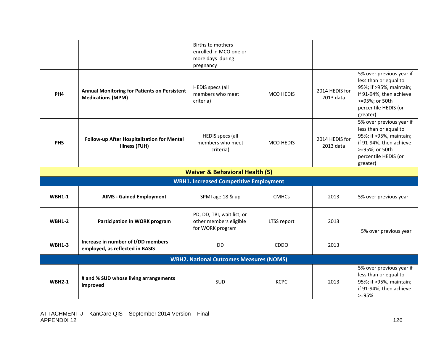|                                                |                                                                                 | <b>Births to mothers</b><br>enrolled in MCO one or<br>more days during<br>pregnancy |                  |                             |                                                                                                                                                               |
|------------------------------------------------|---------------------------------------------------------------------------------|-------------------------------------------------------------------------------------|------------------|-----------------------------|---------------------------------------------------------------------------------------------------------------------------------------------------------------|
| PH <sub>4</sub>                                | <b>Annual Monitoring for Patients on Persistent</b><br><b>Medications (MPM)</b> | <b>HEDIS specs (all</b><br>members who meet<br>criteria)                            | <b>MCO HEDIS</b> | 2014 HEDIS for<br>2013 data | 5% over previous year if<br>less than or equal to<br>95%; if >95%, maintain;<br>if 91-94%, then achieve<br>>=95%; or 50th<br>percentile HEDIS (or<br>greater) |
| PH <sub>5</sub>                                | Follow-up After Hospitalization for Mental<br>Illness (FUH)                     | HEDIS specs (all<br>members who meet<br>criteria)                                   | <b>MCO HEDIS</b> | 2014 HEDIS for<br>2013 data | 5% over previous year if<br>less than or equal to<br>95%; if >95%, maintain;<br>if 91-94%, then achieve<br>>=95%; or 50th<br>percentile HEDIS (or<br>greater) |
|                                                |                                                                                 | <b>Waiver &amp; Behavioral Health (5)</b>                                           |                  |                             |                                                                                                                                                               |
|                                                |                                                                                 | <b>WBH1. Increased Competitive Employment</b>                                       |                  |                             |                                                                                                                                                               |
| <b>WBH1-1</b>                                  | <b>AIMS - Gained Employment</b>                                                 | SPMI age 18 & up                                                                    | <b>CMHCs</b>     | 2013                        | 5% over previous year                                                                                                                                         |
| <b>WBH1-2</b>                                  | Participation in WORK program                                                   | PD, DD, TBI, wait list, or<br>other members eligible<br>for WORK program            | LTSS report      | 2013                        | 5% over previous year                                                                                                                                         |
| <b>WBH1-3</b>                                  | Increase in number of I/DD members<br>employed, as reflected in BASIS           | DD.                                                                                 | <b>CDDO</b>      | 2013                        |                                                                                                                                                               |
| <b>WBH2. National Outcomes Measures (NOMS)</b> |                                                                                 |                                                                                     |                  |                             |                                                                                                                                                               |
| <b>WBH2-1</b>                                  | # and % SUD whose living arrangements<br>improved                               | SUD                                                                                 | <b>KCPC</b>      | 2013                        | 5% over previous year if<br>less than or equal to<br>95%; if >95%, maintain;<br>if 91-94%, then achieve<br>$> = 95%$                                          |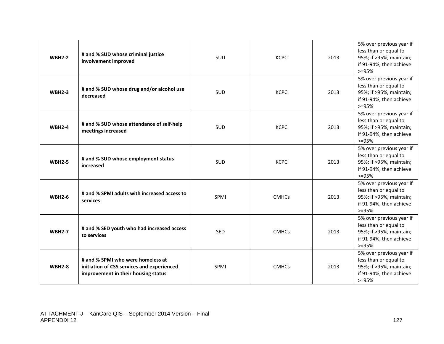| <b>WBH2-2</b> | # and % SUD whose criminal justice<br>involvement improved                                                             | SUD        | <b>KCPC</b>  | 2013 | 5% over previous year if<br>less than or equal to<br>95%; if >95%, maintain;<br>if 91-94%, then achieve<br>$>=95%$ |
|---------------|------------------------------------------------------------------------------------------------------------------------|------------|--------------|------|--------------------------------------------------------------------------------------------------------------------|
| <b>WBH2-3</b> | # and % SUD whose drug and/or alcohol use<br>decreased                                                                 | <b>SUD</b> | <b>KCPC</b>  | 2013 | 5% over previous year if<br>less than or equal to<br>95%; if >95%, maintain;<br>if 91-94%, then achieve<br>$>=95%$ |
| <b>WBH2-4</b> | # and % SUD whose attendance of self-help<br>meetings increased                                                        | SUD        | <b>KCPC</b>  | 2013 | 5% over previous year if<br>less than or equal to<br>95%; if >95%, maintain;<br>if 91-94%, then achieve<br>$>=95%$ |
| <b>WBH2-5</b> | # and % SUD whose employment status<br>increased                                                                       | <b>SUD</b> | <b>KCPC</b>  | 2013 | 5% over previous year if<br>less than or equal to<br>95%; if >95%, maintain;<br>if 91-94%, then achieve<br>$>=95%$ |
| <b>WBH2-6</b> | # and % SPMI adults with increased access to<br>services                                                               | SPMI       | <b>CMHCs</b> | 2013 | 5% over previous year if<br>less than or equal to<br>95%; if >95%, maintain;<br>if 91-94%, then achieve<br>$>=95%$ |
| <b>WBH2-7</b> | # and % SED youth who had increased access<br>to services                                                              | <b>SED</b> | <b>CMHCs</b> | 2013 | 5% over previous year if<br>less than or equal to<br>95%; if >95%, maintain;<br>if 91-94%, then achieve<br>$>=95%$ |
| <b>WBH2-8</b> | # and % SPMI who were homeless at<br>initiation of CSS services and experienced<br>improvement in their housing status | SPMI       | <b>CMHCs</b> | 2013 | 5% over previous year if<br>less than or equal to<br>95%; if >95%, maintain;<br>if 91-94%, then achieve<br>$>=95%$ |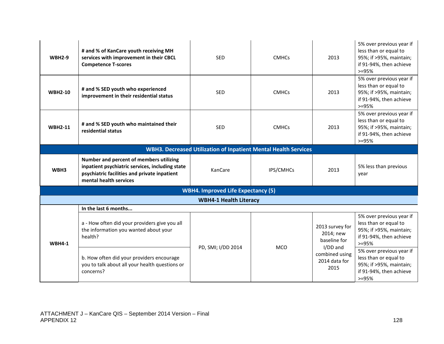| <b>WBH2-9</b>                                                          | # and % of KanCare youth receiving MH<br>services with improvement in their CBCL<br><b>Competence T-scores</b>                                                       | <b>SED</b>                    | <b>CMHCs</b> | 2013                                                                                                | 5% over previous year if<br>less than or equal to<br>95%; if >95%, maintain;<br>if 91-94%, then achieve<br>$>=95%$ |  |  |
|------------------------------------------------------------------------|----------------------------------------------------------------------------------------------------------------------------------------------------------------------|-------------------------------|--------------|-----------------------------------------------------------------------------------------------------|--------------------------------------------------------------------------------------------------------------------|--|--|
| <b>WBH2-10</b>                                                         | # and % SED youth who experienced<br>improvement in their residential status                                                                                         | <b>SED</b>                    | <b>CMHCs</b> | 2013                                                                                                | 5% over previous year if<br>less than or equal to<br>95%; if >95%, maintain;<br>if 91-94%, then achieve<br>$>=95%$ |  |  |
| <b>WBH2-11</b>                                                         | # and % SED youth who maintained their<br>residential status                                                                                                         | <b>SED</b>                    | <b>CMHCs</b> | 2013                                                                                                | 5% over previous year if<br>less than or equal to<br>95%; if >95%, maintain;<br>if 91-94%, then achieve<br>$>=95%$ |  |  |
| <b>WBH3. Decreased Utilization of Inpatient Mental Health Services</b> |                                                                                                                                                                      |                               |              |                                                                                                     |                                                                                                                    |  |  |
| WBH3                                                                   | Number and percent of members utilizing<br>inpatient psychiatric services, including state<br>psychiatric facilities and private inpatient<br>mental health services | KanCare                       | IPS/CMHCs    | 2013                                                                                                | 5% less than previous<br>vear                                                                                      |  |  |
| <b>WBH4. Improved Life Expectancy (5)</b>                              |                                                                                                                                                                      |                               |              |                                                                                                     |                                                                                                                    |  |  |
|                                                                        |                                                                                                                                                                      | <b>WBH4-1 Health Literacy</b> |              |                                                                                                     |                                                                                                                    |  |  |
|                                                                        | In the last 6 months                                                                                                                                                 |                               |              |                                                                                                     |                                                                                                                    |  |  |
| <b>WBH4-1</b>                                                          | a - How often did your providers give you all<br>the information you wanted about your<br>health?                                                                    | PD, SMI; I/DD 2014            | <b>MCO</b>   | 2013 survey for<br>2014; new<br>baseline for<br>I/DD and<br>combined using<br>2014 data for<br>2015 | 5% over previous year if<br>less than or equal to<br>95%; if >95%, maintain;<br>if 91-94%, then achieve<br>$>=95%$ |  |  |
|                                                                        | b. How often did your providers encourage<br>you to talk about all your health questions or<br>concerns?                                                             |                               |              |                                                                                                     | 5% over previous year if<br>less than or equal to<br>95%; if >95%, maintain;<br>if 91-94%, then achieve<br>$>=95%$ |  |  |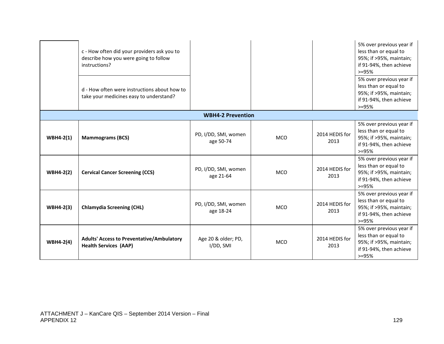|                  | c - How often did your providers ask you to<br>describe how you were going to follow<br>instructions?<br>d - How often were instructions about how to<br>take your medicines easy to understand? |                                   |            |                        | 5% over previous year if<br>less than or equal to<br>95%; if >95%, maintain;<br>if 91-94%, then achieve<br>$>=95%$<br>5% over previous year if<br>less than or equal to<br>95%; if >95%, maintain;<br>if 91-94%, then achieve<br>$> = 95%$ |
|------------------|--------------------------------------------------------------------------------------------------------------------------------------------------------------------------------------------------|-----------------------------------|------------|------------------------|--------------------------------------------------------------------------------------------------------------------------------------------------------------------------------------------------------------------------------------------|
|                  |                                                                                                                                                                                                  | <b>WBH4-2 Prevention</b>          |            |                        |                                                                                                                                                                                                                                            |
| $WBH4-2(1)$      | <b>Mammograms (BCS)</b>                                                                                                                                                                          | PD, I/DD, SMI, women<br>age 50-74 | <b>MCO</b> | 2014 HEDIS for<br>2013 | 5% over previous year if<br>less than or equal to<br>95%; if >95%, maintain;<br>if 91-94%, then achieve<br>$>=95%$                                                                                                                         |
| <b>WBH4-2(2)</b> | <b>Cervical Cancer Screening (CCS)</b>                                                                                                                                                           | PD, I/DD, SMI, women<br>age 21-64 | <b>MCO</b> | 2014 HEDIS for<br>2013 | 5% over previous year if<br>less than or equal to<br>95%; if >95%, maintain;<br>if 91-94%, then achieve<br>$>=95%$                                                                                                                         |
| <b>WBH4-2(3)</b> | <b>Chlamydia Screening (CHL)</b>                                                                                                                                                                 | PD, I/DD, SMI, women<br>age 18-24 | <b>MCO</b> | 2014 HEDIS for<br>2013 | 5% over previous year if<br>less than or equal to<br>95%; if >95%, maintain;<br>if 91-94%, then achieve<br>$> = 95%$                                                                                                                       |
| <b>WBH4-2(4)</b> | <b>Adults' Access to Preventative/Ambulatory</b><br><b>Health Services (AAP)</b>                                                                                                                 | Age 20 & older; PD,<br>I/DD, SMI  | <b>MCO</b> | 2014 HEDIS for<br>2013 | 5% over previous year if<br>less than or equal to<br>95%; if >95%, maintain;<br>if 91-94%, then achieve<br>$> = 95%$                                                                                                                       |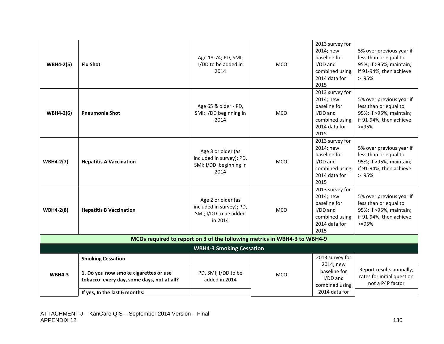| <b>WBH4-2(5)</b>                                                          | <b>Flu Shot</b>                                                                                                                                  | Age 18-74; PD, SMI;<br>I/DD to be added in<br>2014                                 | <b>MCO</b> | 2013 survey for<br>2014; new<br>baseline for<br>I/DD and<br>combined using<br>2014 data for<br>2015 | 5% over previous year if<br>less than or equal to<br>95%; if >95%, maintain;<br>if 91-94%, then achieve<br>$> = 95%$ |  |
|---------------------------------------------------------------------------|--------------------------------------------------------------------------------------------------------------------------------------------------|------------------------------------------------------------------------------------|------------|-----------------------------------------------------------------------------------------------------|----------------------------------------------------------------------------------------------------------------------|--|
| <b>WBH4-2(6)</b>                                                          | <b>Pneumonia Shot</b>                                                                                                                            | Age 65 & older - PD,<br>SMI; I/DD beginning in<br>2014                             | <b>MCO</b> | 2013 survey for<br>2014; new<br>baseline for<br>I/DD and<br>combined using<br>2014 data for<br>2015 | 5% over previous year if<br>less than or equal to<br>95%; if >95%, maintain;<br>if 91-94%, then achieve<br>$> = 95%$ |  |
| <b>WBH4-2(7)</b>                                                          | <b>Hepatitis A Vaccination</b>                                                                                                                   | Age 3 or older (as<br>included in survey); PD,<br>SMI; I/DD beginning in<br>2014   | <b>MCO</b> | 2013 survey for<br>2014; new<br>baseline for<br>I/DD and<br>combined using<br>2014 data for<br>2015 | 5% over previous year if<br>less than or equal to<br>95%; if >95%, maintain;<br>if 91-94%, then achieve<br>$>=95%$   |  |
| <b>WBH4-2(8)</b>                                                          | <b>Hepatitis B Vaccination</b>                                                                                                                   | Age 2 or older (as<br>included in survey); PD,<br>SMI; I/DD to be added<br>in 2014 | <b>MCO</b> | 2013 survey for<br>2014; new<br>baseline for<br>I/DD and<br>combined using<br>2014 data for<br>2015 | 5% over previous year if<br>less than or equal to<br>95%; if >95%, maintain;<br>if 91-94%, then achieve<br>$>=95%$   |  |
| MCOs required to report on 3 of the following metrics in WBH4-3 to WBH4-9 |                                                                                                                                                  |                                                                                    |            |                                                                                                     |                                                                                                                      |  |
|                                                                           |                                                                                                                                                  | <b>WBH4-3 Smoking Cessation</b>                                                    |            |                                                                                                     |                                                                                                                      |  |
| <b>WBH4-3</b>                                                             | <b>Smoking Cessation</b><br>1. Do you now smoke cigarettes or use<br>tobacco: every day, some days, not at all?<br>If yes, In the last 6 months: | PD, SMI; I/DD to be<br>added in 2014                                               | <b>MCO</b> | 2013 survey for<br>2014; new<br>baseline for<br>I/DD and<br>combined using<br>2014 data for         | Report results annually;<br>rates for initial question<br>not a P4P factor                                           |  |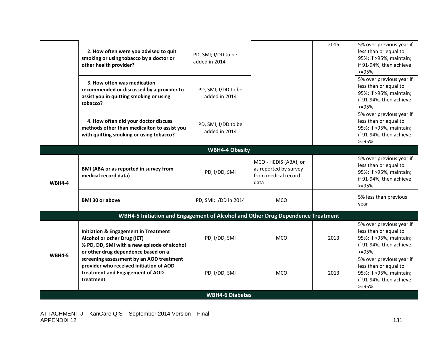|               | 2. How often were you advised to quit<br>smoking or using tobacco by a doctor or<br>other health provider?                                                           | PD, SMI; I/DD to be<br>added in 2014 |                                                                               | 2015 | 5% over previous year if<br>less than or equal to<br>95%; if >95%, maintain;<br>if 91-94%, then achieve<br>$>=95%$   |
|---------------|----------------------------------------------------------------------------------------------------------------------------------------------------------------------|--------------------------------------|-------------------------------------------------------------------------------|------|----------------------------------------------------------------------------------------------------------------------|
|               | 3. How often was medication<br>recommended or discussed by a provider to<br>assist you in quitting smoking or using<br>tobacco?                                      | PD, SMI; I/DD to be<br>added in 2014 |                                                                               |      | 5% over previous year if<br>less than or equal to<br>95%; if >95%, maintain;<br>if 91-94%, then achieve<br>$>=95%$   |
|               | 4. How often did your doctor discuss<br>methods other than medicaiton to assist you<br>with quitting smoking or using tobacco?                                       | PD, SMI; I/DD to be<br>added in 2014 |                                                                               |      | 5% over previous year if<br>less than or equal to<br>95%; if >95%, maintain;<br>if 91-94%, then achieve<br>$> = 95%$ |
|               |                                                                                                                                                                      | <b>WBH4-4 Obesity</b>                |                                                                               |      |                                                                                                                      |
| <b>WBH4-4</b> | BMI (ABA or as reported in survey from<br>medical record data)                                                                                                       | PD, I/DD, SMI                        | MCO - HEDIS (ABA), or<br>as reported by survey<br>from medical record<br>data |      | 5% over previous year if<br>less than or equal to<br>95%; if >95%, maintain;<br>if 91-94%, then achieve<br>$>=95%$   |
|               | <b>BMI 30 or above</b>                                                                                                                                               | PD, SMI; I/DD in 2014                | <b>MCO</b>                                                                    |      | 5% less than previous<br>year                                                                                        |
|               | WBH4-5 Initiation and Engagement of Alcohol and Other Drug Dependence Treatment                                                                                      |                                      |                                                                               |      |                                                                                                                      |
|               | <b>Initiation &amp; Engagement in Treatment</b><br>Alcohol or other Drug (IET)<br>% PD, DD, SMI with a new episode of alcohol<br>or other drug dependence based on a | PD, I/DD, SMI                        | <b>MCO</b>                                                                    | 2013 | 5% over previous year if<br>less than or equal to<br>95%; if >95%, maintain;<br>if 91-94%, then achieve<br>$>=95%$   |
| <b>WBH4-5</b> | screening assessment by an AOD treatment<br>provider who received initiation of AOD<br>treatment and Engagement of AOD<br>treatment                                  | PD, I/DD, SMI                        | <b>MCO</b>                                                                    | 2013 | 5% over previous year if<br>less than or equal to<br>95%; if >95%, maintain;<br>if 91-94%, then achieve<br>$>=95%$   |
|               |                                                                                                                                                                      | <b>WBH4-6 Diabetes</b>               |                                                                               |      |                                                                                                                      |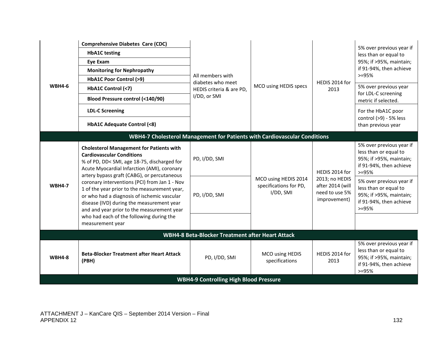| <b>WBH4-6</b> | <b>Comprehensive Diabetes Care (CDC)</b><br><b>HbA1C</b> testing<br><b>Eye Exam</b><br><b>Monitoring for Nephropathy</b><br><b>HbA1C Poor Control (&gt;9)</b><br>HbA1C Control (<7)<br>Blood Pressure control (<140/90)<br><b>LDL-C Screening</b><br>HbA1C Adequate Control (<8)                                                                                                                                                                                                                                                            | All members with<br>diabetes who meet<br>HEDIS criteria & are PD,<br>I/DD, or SMI | MCO using HEDIS specs                                       | HEDIS 2014 for<br>2013                                                                 | 5% over previous year if<br>less than or equal to<br>95%; if >95%, maintain;<br>if 91-94%, then achieve<br>$>=95%$<br>5% over previous year<br>for LDL-C screening<br>metric if selected.<br>For the HbA1C poor<br>control (>9) - 5% less<br>than previous year |
|---------------|---------------------------------------------------------------------------------------------------------------------------------------------------------------------------------------------------------------------------------------------------------------------------------------------------------------------------------------------------------------------------------------------------------------------------------------------------------------------------------------------------------------------------------------------|-----------------------------------------------------------------------------------|-------------------------------------------------------------|----------------------------------------------------------------------------------------|-----------------------------------------------------------------------------------------------------------------------------------------------------------------------------------------------------------------------------------------------------------------|
|               | WBH4-7 Cholesterol Management for Patients with Cardiovascular Conditions                                                                                                                                                                                                                                                                                                                                                                                                                                                                   |                                                                                   |                                                             |                                                                                        |                                                                                                                                                                                                                                                                 |
| <b>WBH4-7</b> | <b>Cholesterol Management for Patients with</b><br><b>Cardiovascular Conditions</b><br>% of PD, DD< SMI, age 18-75, discharged for<br>Acute Myocardial Infarction (AMI), coronary<br>artery bypass graft (CABG), or percutaneous<br>coronary interventions (PCI) from Jan 1 - Nov<br>1 of the year prior to the measurement year,<br>or who had a diagnosis of ischemic vascular<br>disease (IVD) during the measurement year<br>and and year prior to the measurement year<br>who had each of the following during the<br>measurement year | PD, I/DD, SMI<br>PD, I/DD, SMI                                                    | MCO using HEDIS 2014<br>specifications for PD,<br>I/DD, SMI | HEDIS 2014 for<br>2013; no HEDIS<br>after 2014 (will<br>need to use 5%<br>improvement) | 5% over previous year if<br>less than or equal to<br>95%; if >95%, maintain;<br>if 91-94%, then achieve<br>$>=95%$<br>5% over previous year if<br>less than or equal to<br>95%; if >95%, maintain;<br>if 91-94%, then achieve<br>$>=95%$                        |
|               |                                                                                                                                                                                                                                                                                                                                                                                                                                                                                                                                             | WBH4-8 Beta-Blocker Treatment after Heart Attack                                  |                                                             |                                                                                        |                                                                                                                                                                                                                                                                 |
| <b>WBH4-8</b> | <b>Beta-Blocker Treatment after Heart Attack</b><br>(PBH)                                                                                                                                                                                                                                                                                                                                                                                                                                                                                   | PD, I/DD, SMI                                                                     | MCO using HEDIS<br>specifications                           | HEDIS 2014 for<br>2013                                                                 | 5% over previous year if<br>less than or equal to<br>95%; if >95%, maintain;<br>if 91-94%, then achieve<br>$>=95%$                                                                                                                                              |
|               |                                                                                                                                                                                                                                                                                                                                                                                                                                                                                                                                             | <b>WBH4-9 Controlling High Blood Pressure</b>                                     |                                                             |                                                                                        |                                                                                                                                                                                                                                                                 |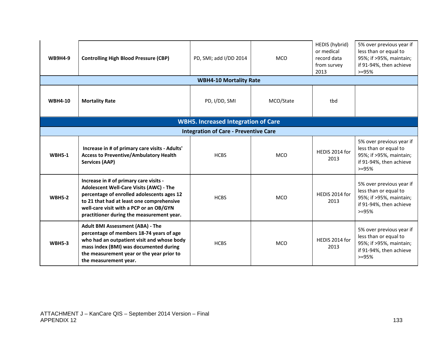| <b>WB9H4-9</b>                             | <b>Controlling High Blood Pressure (CBP)</b>                                                                                                                                                                                                                         | PD, SMI; add I/DD 2014                       | <b>MCO</b> | HEDIS (hybrid)<br>or medical<br>record data<br>from survey<br>2013 | 5% over previous year if<br>less than or equal to<br>95%; if >95%, maintain;<br>if 91-94%, then achieve<br>$>=95%$ |  |  |
|--------------------------------------------|----------------------------------------------------------------------------------------------------------------------------------------------------------------------------------------------------------------------------------------------------------------------|----------------------------------------------|------------|--------------------------------------------------------------------|--------------------------------------------------------------------------------------------------------------------|--|--|
|                                            |                                                                                                                                                                                                                                                                      | <b>WBH4-10 Mortality Rate</b>                |            |                                                                    |                                                                                                                    |  |  |
| <b>WBH4-10</b>                             | <b>Mortality Rate</b>                                                                                                                                                                                                                                                | PD, I/DD, SMI                                | MCO/State  | tbd                                                                |                                                                                                                    |  |  |
| <b>WBH5. Increased Integration of Care</b> |                                                                                                                                                                                                                                                                      |                                              |            |                                                                    |                                                                                                                    |  |  |
|                                            |                                                                                                                                                                                                                                                                      | <b>Integration of Care - Preventive Care</b> |            |                                                                    |                                                                                                                    |  |  |
| <b>WBH5-1</b>                              | Increase in # of primary care visits - Adults'<br><b>Access to Preventive/Ambulatory Health</b><br><b>Services (AAP)</b>                                                                                                                                             | <b>HCBS</b>                                  | <b>MCO</b> | HEDIS 2014 for<br>2013                                             | 5% over previous year if<br>less than or equal to<br>95%; if >95%, maintain;<br>if 91-94%, then achieve<br>$>=95%$ |  |  |
| <b>WBH5-2</b>                              | Increase in # of primary care visits -<br>Adolescent Well-Care Visits (AWC) - The<br>percentage of enrolled adolescents ages 12<br>to 21 that had at least one comprehensive<br>well-care visit with a PCP or an OB/GYN<br>practitioner during the measurement year. | <b>HCBS</b>                                  | <b>MCO</b> | HEDIS 2014 for<br>2013                                             | 5% over previous year if<br>less than or equal to<br>95%; if >95%, maintain;<br>if 91-94%, then achieve<br>$>=95%$ |  |  |
| <b>WBH5-3</b>                              | <b>Adult BMI Assessment (ABA) - The</b><br>percentage of members 18-74 years of age<br>who had an outpatient visit and whose body<br>mass index (BMI) was documented during<br>the measurement year or the year prior to<br>the measurement year.                    | <b>HCBS</b>                                  | <b>MCO</b> | HEDIS 2014 for<br>2013                                             | 5% over previous year if<br>less than or equal to<br>95%; if >95%, maintain;<br>if 91-94%, then achieve<br>$>=95%$ |  |  |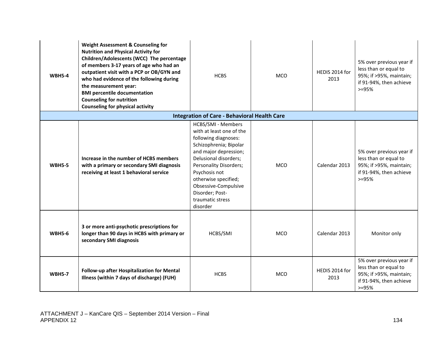| <b>WBH5-4</b> | <b>Weight Assessment &amp; Counseling for</b><br><b>Nutrition and Physical Activity for</b><br>Children/Adolescents (WCC) The percentage<br>of members 3-17 years of age who had an<br>outpatient visit with a PCP or OB/GYN and<br>who had evidence of the following during<br>the measurement year:<br><b>BMI percentile documentation</b><br><b>Counseling for nutrition</b><br><b>Counseling for physical activity</b> | <b>HCBS</b>                                                                                                                                                                                                                                                                                      | <b>MCO</b> | HEDIS 2014 for<br>2013 | 5% over previous year if<br>less than or equal to<br>95%; if >95%, maintain;<br>if 91-94%, then achieve<br>$>=95%$ |
|---------------|----------------------------------------------------------------------------------------------------------------------------------------------------------------------------------------------------------------------------------------------------------------------------------------------------------------------------------------------------------------------------------------------------------------------------|--------------------------------------------------------------------------------------------------------------------------------------------------------------------------------------------------------------------------------------------------------------------------------------------------|------------|------------------------|--------------------------------------------------------------------------------------------------------------------|
|               |                                                                                                                                                                                                                                                                                                                                                                                                                            | <b>Integration of Care - Behavioral Health Care</b>                                                                                                                                                                                                                                              |            |                        |                                                                                                                    |
| <b>WBH5-5</b> | Increase in the number of HCBS members<br>with a primary or secondary SMI diagnosis<br>receiving at least 1 behavioral service                                                                                                                                                                                                                                                                                             | HCBS/SMI - Members<br>with at least one of the<br>following diagnoses:<br>Schizophrenia; Bipolar<br>and major depression;<br>Delusional disorders;<br>Personality Disorders;<br>Psychosis not<br>otherwise specified;<br>Obsessive-Compulsive<br>Disorder; Post-<br>traumatic stress<br>disorder | <b>MCO</b> | Calendar 2013          | 5% over previous year if<br>less than or equal to<br>95%; if >95%, maintain;<br>if 91-94%, then achieve<br>$>=95%$ |
| <b>WBH5-6</b> | 3 or more anti-psychotic prescriptions for<br>longer than 90 days in HCBS with primary or<br>secondary SMI diagnosis                                                                                                                                                                                                                                                                                                       | HCBS/SMI                                                                                                                                                                                                                                                                                         | <b>MCO</b> | Calendar 2013          | Monitor only                                                                                                       |
| <b>WBH5-7</b> | Follow-up after Hospitalization for Mental<br>Illness (within 7 days of discharge) (FUH)                                                                                                                                                                                                                                                                                                                                   | <b>HCBS</b>                                                                                                                                                                                                                                                                                      | <b>MCO</b> | HEDIS 2014 for<br>2013 | 5% over previous year if<br>less than or equal to<br>95%; if >95%, maintain;<br>if 91-94%, then achieve<br>$>=95%$ |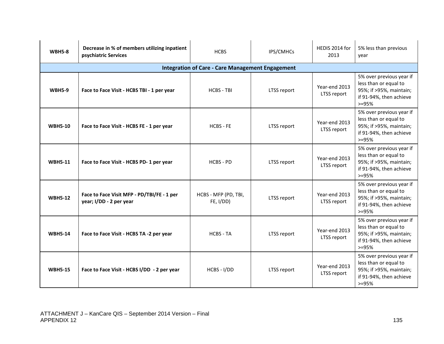| <b>WBH5-8</b>  | Decrease in % of members utilizing inpatient<br>psychiatric Services  | <b>HCBS</b>                       | IPS/CMHCs   | HEDIS 2014 for<br>2013       | 5% less than previous<br>vear                                                                                        |  |  |
|----------------|-----------------------------------------------------------------------|-----------------------------------|-------------|------------------------------|----------------------------------------------------------------------------------------------------------------------|--|--|
|                | <b>Integration of Care - Care Management Engagement</b>               |                                   |             |                              |                                                                                                                      |  |  |
| <b>WBH5-9</b>  | Face to Face Visit - HCBS TBI - 1 per year                            | <b>HCBS - TBI</b>                 | LTSS report | Year-end 2013<br>LTSS report | 5% over previous year if<br>less than or equal to<br>95%; if >95%, maintain;<br>if 91-94%, then achieve<br>$>=95%$   |  |  |
| <b>WBH5-10</b> | Face to Face Visit - HCBS FE - 1 per year                             | $HCRS - FF$                       | LTSS report | Year-end 2013<br>LTSS report | 5% over previous year if<br>less than or equal to<br>95%; if >95%, maintain;<br>if 91-94%, then achieve<br>$>=95%$   |  |  |
| <b>WBH5-11</b> | Face to Face Visit - HCBS PD- 1 per year                              | HCBS - PD                         | LTSS report | Year-end 2013<br>LTSS report | 5% over previous year if<br>less than or equal to<br>95%; if >95%, maintain;<br>if 91-94%, then achieve<br>$>=95%$   |  |  |
| <b>WBH5-12</b> | Face to Face Visit MFP - PD/TBI/FE - 1 per<br>year; I/DD - 2 per year | HCBS - MFP (PD, TBI,<br>FE, I/DD) | LTSS report | Year-end 2013<br>LTSS report | 5% over previous year if<br>less than or equal to<br>95%; if >95%, maintain;<br>if 91-94%, then achieve<br>$> = 95%$ |  |  |
| <b>WBH5-14</b> | Face to Face Visit - HCBS TA -2 per year                              | <b>HCBS - TA</b>                  | LTSS report | Year-end 2013<br>LTSS report | 5% over previous year if<br>less than or equal to<br>95%; if >95%, maintain;<br>if 91-94%, then achieve<br>$>=95%$   |  |  |
| <b>WBH5-15</b> | Face to Face Visit - HCBS I/DD - 2 per year                           | HCBS - I/DD                       | LTSS report | Year-end 2013<br>LTSS report | 5% over previous year if<br>less than or equal to<br>95%; if >95%, maintain;<br>if 91-94%, then achieve<br>$>=95%$   |  |  |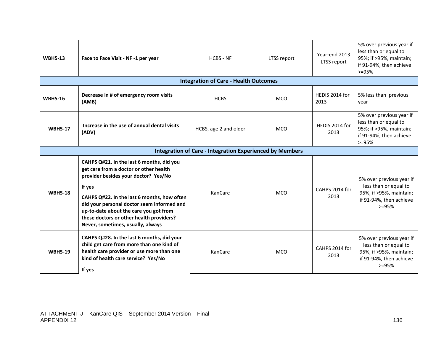| <b>WBH5-13</b> | Face to Face Visit - NF -1 per year                                                                                                                                                                                                                                                                                                                           | <b>HCBS - NF</b>                                                | LTSS report | Year-end 2013<br>LTSS report | 5% over previous year if<br>less than or equal to<br>95%; if >95%, maintain;<br>if 91-94%, then achieve<br>$> = 95%$ |
|----------------|---------------------------------------------------------------------------------------------------------------------------------------------------------------------------------------------------------------------------------------------------------------------------------------------------------------------------------------------------------------|-----------------------------------------------------------------|-------------|------------------------------|----------------------------------------------------------------------------------------------------------------------|
|                |                                                                                                                                                                                                                                                                                                                                                               | <b>Integration of Care - Health Outcomes</b>                    |             |                              |                                                                                                                      |
| <b>WBH5-16</b> | Decrease in # of emergency room visits<br>(AMB)                                                                                                                                                                                                                                                                                                               | <b>HCBS</b>                                                     | <b>MCO</b>  | HEDIS 2014 for<br>2013       | 5% less than previous<br>year                                                                                        |
| <b>WBH5-17</b> | Increase in the use of annual dental visits<br>(ADV)                                                                                                                                                                                                                                                                                                          | HCBS, age 2 and older                                           | <b>MCO</b>  | HEDIS 2014 for<br>2013       | 5% over previous year if<br>less than or equal to<br>95%; if >95%, maintain;<br>if 91-94%, then achieve<br>$> = 95%$ |
|                |                                                                                                                                                                                                                                                                                                                                                               | <b>Integration of Care - Integration Experienced by Members</b> |             |                              |                                                                                                                      |
| <b>WBH5-18</b> | CAHPS Q#21. In the last 6 months, did you<br>get care from a doctor or other health<br>provider besides your doctor? Yes/No<br>If yes<br>CAHPS Q#22. In the last 6 months, how often<br>did your personal doctor seem informed and<br>up-to-date about the care you got from<br>these doctors or other health providers?<br>Never, sometimes, usually, always | KanCare                                                         | <b>MCO</b>  | CAHPS 2014 for<br>2013       | 5% over previous year if<br>less than or equal to<br>95%; if >95%, maintain;<br>if 91-94%, then achieve<br>$>=95%$   |
| <b>WBH5-19</b> | CAHPS Q#28. In the last 6 months, did your<br>child get care from more than one kind of<br>health care provider or use more than one<br>kind of health care service? Yes/No<br>If yes                                                                                                                                                                         | KanCare                                                         | <b>MCO</b>  | CAHPS 2014 for<br>2013       | 5% over previous year if<br>less than or equal to<br>95%; if >95%, maintain;<br>if 91-94%, then achieve<br>$> = 95%$ |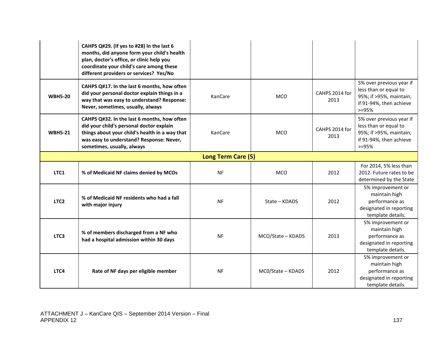|                    | CAHPS Q#29. (If yes to #28) In the last 6<br>months, did anyone form your child's health<br>plan, doctor's office, or clinic help you<br>coordinate your child's care among these<br>different providers or services? Yes/No |           |                   |                        |                                                                                                                    |  |
|--------------------|------------------------------------------------------------------------------------------------------------------------------------------------------------------------------------------------------------------------------|-----------|-------------------|------------------------|--------------------------------------------------------------------------------------------------------------------|--|
| <b>WBH5-20</b>     | CAHPS Q#17. In the last 6 months, how often<br>did your personal doctor explain things in a<br>way that was easy to understand? Response:<br>Never, sometimes, usually, always                                               | KanCare   | <b>MCO</b>        | CAHPS 2014 for<br>2013 | 5% over previous year if<br>less than or equal to<br>95%; if >95%, maintain;<br>if 91-94%, then achieve<br>$>=95%$ |  |
| <b>WBH5-21</b>     | CAHPS Q#32. In the last 6 months, how often<br>did your child's personal doctor explain<br>things about your child's health in a way that<br>was easy to understand? Response: Never,<br>sometimes, usually, always          | KanCare   | <b>MCO</b>        | CAHPS 2014 for<br>2013 | 5% over previous year if<br>less than or equal to<br>95%; if >95%, maintain;<br>if 91-94%, then achieve<br>$>=95%$ |  |
| Long Term Care (5) |                                                                                                                                                                                                                              |           |                   |                        |                                                                                                                    |  |
| LTC1               | % of Medicaid NF claims denied by MCOs                                                                                                                                                                                       | <b>NF</b> | <b>MCO</b>        | 2012                   | For 2014, 5% less than<br>2012. Future rates to be<br>determined by the State                                      |  |
| LTC <sub>2</sub>   | % of Medicaid NF residents who had a fall<br>with major injury                                                                                                                                                               | <b>NF</b> | State - KDADS     | 2012                   | 5% improvement or<br>maintain high<br>performance as<br>designated in reporting<br>template details.               |  |
| LTC <sub>3</sub>   | % of members discharged from a NF who<br>had a hospital admission within 30 days                                                                                                                                             | <b>NF</b> | MCO/State - KDADS | 2013                   | 5% improvement or<br>maintain high<br>performance as<br>designated in reporting<br>template details.               |  |
| LTC4               | Rate of NF days per eligible member                                                                                                                                                                                          | <b>NF</b> | MC0/State - KDADS | 2012                   | 5% improvement or<br>maintain high<br>performance as<br>designated in reporting<br>template details.               |  |